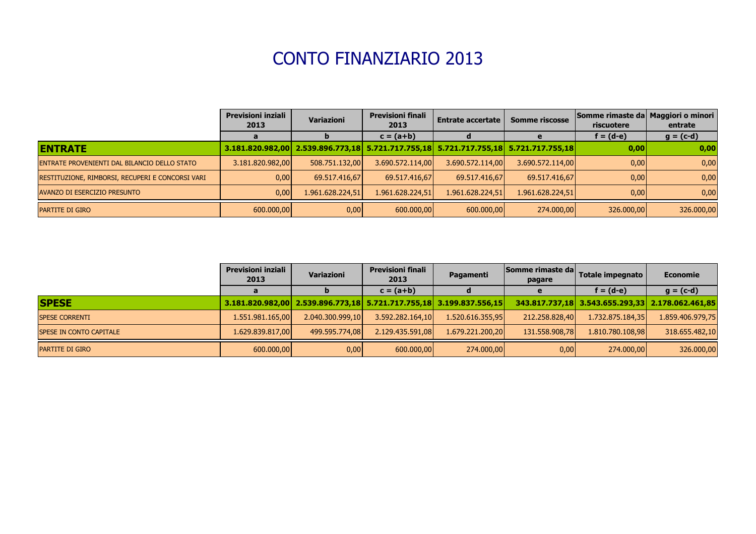## CONTO FINANZIARIO 2013

|                                                  | <b>Previsioni inziali</b><br>2013 | <b>Variazioni</b>                                                                    | <b>Previsioni finali</b><br>2013 | <b>Entrate accertate</b> | <b>Somme riscosse</b> | Somme rimaste da Maggiori o minori<br>riscuotere | entrate     |
|--------------------------------------------------|-----------------------------------|--------------------------------------------------------------------------------------|----------------------------------|--------------------------|-----------------------|--------------------------------------------------|-------------|
|                                                  |                                   |                                                                                      | $c = (a + b)$                    |                          |                       | $f = (d-e)$                                      | $g = (c-d)$ |
| <b>ENTRATE</b>                                   |                                   | 3.181.820.982,00 2.539.896.773,18 5.721.717.755,18 5.721.717.755,18 5.721.717.755,18 |                                  |                          |                       | 0,00                                             | 0,00        |
| ENTRATE PROVENIENTI DAL BILANCIO DELLO STATO     | 3.181.820.982,00                  | 508.751.132,00                                                                       | 3.690.572.114,00                 | 3.690.572.114,00         | 3.690.572.114,00      | 0,00                                             | 0,00        |
| RESTITUZIONE, RIMBORSI, RECUPERI E CONCORSI VARI | 0,00                              | 69.517.416,67                                                                        | 69.517.416,67                    | 69.517.416,67            | 69.517.416,67         | 0,00                                             | 0,00        |
| AVANZO DI ESERCIZIO PRESUNTO                     | 0,00                              | 1.961.628.224,51                                                                     | 1.961.628.224,51                 | 1.961.628.224,51         | 1.961.628.224,51      | 0,00                                             | 0,00        |
| <b>PARTITE DI GIRO</b>                           | 600.000,00                        | 0,00                                                                                 | 600.000,00                       | 600.000,00               | 274.000,00            | 326.000,00                                       | 326.000,00  |

|                                 | <b>Previsioni inziali</b><br>2013 | <b>Variazioni</b> | <b>Previsioni finali</b><br>2013                                    | Pagamenti        | Somme rimaste da<br>pagare | Totale impegnato                                 | <b>Economie</b>  |
|---------------------------------|-----------------------------------|-------------------|---------------------------------------------------------------------|------------------|----------------------------|--------------------------------------------------|------------------|
|                                 |                                   |                   | $c = (a + b)$                                                       |                  |                            | $f = (d-e)$                                      | $g = (c-d)$      |
| <b>SPESE</b>                    |                                   |                   | 3.181.820.982,00 2.539.896.773,18 5.721.717.755,18 3.199.837.556,15 |                  |                            | 343.817.737,18 3.543.655.293,33 2.178.062.461,85 |                  |
| <b>SPESE CORRENTI</b>           | 1.551.981.165,00                  | 2.040.300.999,10  | 3.592.282.164,10                                                    | 1.520.616.355,95 | 212.258.828,40             | 1.732.875.184,35                                 | 1.859.406.979,75 |
| <b>ISPESE IN CONTO CAPITALE</b> | 1.629.839.817,00                  | 499.595.774,08    | 2.129.435.591,08                                                    | 1.679.221.200,20 | 131.558.908,78             | 1.810.780.108,98                                 | 318.655.482,10   |
| <b>PARTITE DI GIRO</b>          | 600.000,00                        | 0,00              | 600.000,00                                                          | 274.000,00       | 0,00                       | 274.000,00                                       | 326.000,00       |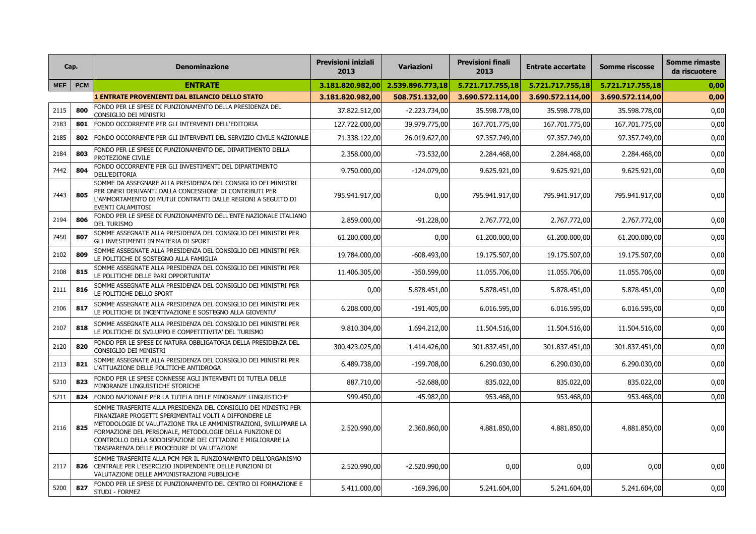|      | Cap.      | <b>Denominazione</b>                                                                                                                                                                                                                                                                                                                                                  | <b>Previsioni iniziali</b><br>2013 | Variazioni       | <b>Previsioni finali</b><br>2013 | <b>Entrate accertate</b> | <b>Somme riscosse</b> | <b>Somme rimaste</b><br>da riscuotere |
|------|-----------|-----------------------------------------------------------------------------------------------------------------------------------------------------------------------------------------------------------------------------------------------------------------------------------------------------------------------------------------------------------------------|------------------------------------|------------------|----------------------------------|--------------------------|-----------------------|---------------------------------------|
|      | MEF   PCM | <b>ENTRATE</b>                                                                                                                                                                                                                                                                                                                                                        | 3.181.820.982,00                   | 2.539.896.773,18 | 5.721.717.755,18                 | 5.721.717.755,18         | 5.721.717.755,18      | 0,00                                  |
|      |           | L ENTRATE PROVENIENTI DAL BILANCIO DELLO STATO                                                                                                                                                                                                                                                                                                                        | 3.181.820.982,00                   | 508.751.132,00   | 3.690.572.114,00                 | 3.690.572.114,00         | 3.690.572.114,00      | 0,00                                  |
| 2115 | 800       | FONDO PER LE SPESE DI FUNZIONAMENTO DELLA PRESIDENZA DEL<br>CONSIGLIO DEI MINISTRI                                                                                                                                                                                                                                                                                    | 37.822.512,00                      | $-2.223.734,00$  | 35.598.778,00                    | 35.598.778,00            | 35.598.778,00         | 0,00                                  |
| 2183 | 801       | FONDO OCCORRENTE PER GLI INTERVENTI DELL'EDITORIA                                                                                                                                                                                                                                                                                                                     | 127.722.000,00                     | 39.979.775,00    | 167.701.775,00                   | 167.701.775,00           | 167.701.775,00        | 0,00                                  |
| 2185 | 802       | FONDO OCCORRENTE PER GLI INTERVENTI DEL SERVIZIO CIVILE NAZIONALE                                                                                                                                                                                                                                                                                                     | 71.338.122,00                      | 26.019.627,00    | 97.357.749,00                    | 97.357.749,00            | 97.357.749,00         | 0,00                                  |
| 2184 | 803       | FONDO PER LE SPESE DI FUNZIONAMENTO DEL DIPARTIMENTO DELLA<br><b>PROTEZIONE CIVILE</b>                                                                                                                                                                                                                                                                                | 2.358.000,00                       | $-73.532,00$     | 2.284.468,00                     | 2.284.468,00             | 2.284.468,00          | 0,00                                  |
| 7442 | 804       | FONDO OCCORRENTE PER GLI INVESTIMENTI DEL DIPARTIMENTO<br>DELL'EDITORIA                                                                                                                                                                                                                                                                                               | 9.750.000,00                       | $-124.079,00$    | 9.625.921,00                     | 9.625.921,00             | 9.625.921,00          | 0,00                                  |
| 7443 | 805       | SOMME DA ASSEGNARE ALLA PRESIDENZA DEL CONSIGLIO DEI MINISTRI<br>PER ONERI DERIVANTI DALLA CONCESSIONE DI CONTRIBUTI PER<br>L'AMMORTAMENTO DI MUTUI CONTRATTI DALLE REGIONI A SEGUITO DI<br><b>EVENTI CALAMITOSI</b>                                                                                                                                                  | 795.941.917,00                     | 0,00             | 795.941.917,00                   | 795.941.917,00           | 795.941.917,00        | 0,00                                  |
| 2194 | 806       | FONDO PER LE SPESE DI FUNZIONAMENTO DELL'ENTE NAZIONALE ITALIANO<br><b>DEL TURISMO</b>                                                                                                                                                                                                                                                                                | 2.859.000,00                       | $-91.228,00$     | 2.767.772,00                     | 2.767.772,00             | 2.767.772,00          | 0,00                                  |
| 7450 | 807       | SOMME ASSEGNATE ALLA PRESIDENZA DEL CONSIGLIO DEI MINISTRI PER<br><b>GLI INVESTIMENTI IN MATERIA DI SPORT</b>                                                                                                                                                                                                                                                         | 61.200.000,00                      | 0,00             | 61.200.000,00                    | 61.200.000,00            | 61.200.000,00         | 0,00                                  |
| 2102 | 809       | SOMME ASSEGNATE ALLA PRESIDENZA DEL CONSIGLIO DEI MINISTRI PER<br>LE POLITICHE DI SOSTEGNO ALLA FAMIGLIA                                                                                                                                                                                                                                                              | 19.784.000,00                      | $-608.493,00$    | 19.175.507,00                    | 19.175.507,00            | 19.175.507,00         | 0,00                                  |
| 2108 | 815       | SOMME ASSEGNATE ALLA PRESIDENZA DEL CONSIGLIO DEI MINISTRI PER<br>LE POLITICHE DELLE PARI OPPORTUNITA'                                                                                                                                                                                                                                                                | 11.406.305,00                      | $-350.599,00$    | 11.055.706,00                    | 11.055.706,00            | 11.055.706,00         | 0,00                                  |
| 2111 | 816       | SOMME ASSEGNATE ALLA PRESIDENZA DEL CONSIGLIO DEI MINISTRI PER<br>LE POLITICHE DELLO SPORT                                                                                                                                                                                                                                                                            | 0,00                               | 5.878.451,00     | 5.878.451,00                     | 5.878.451,00             | 5.878.451,00          | 0,00                                  |
| 2106 | 817       | SOMME ASSEGNATE ALLA PRESIDENZA DEL CONSIGLIO DEI MINISTRI PER<br>LE POLITICHE DI INCENTIVAZIONE E SOSTEGNO ALLA GIOVENTU'                                                                                                                                                                                                                                            | 6.208.000,00                       | $-191.405,00$    | 6.016.595,00                     | 6.016.595,00             | 6.016.595,00          | 0,00                                  |
| 2107 | 818       | SOMME ASSEGNATE ALLA PRESIDENZA DEL CONSIGLIO DEI MINISTRI PER<br>LE POLITICHE DI SVILUPPO E COMPETITIVITA' DEL TURISMO                                                                                                                                                                                                                                               | 9.810.304,00                       | 1.694.212,00     | 11.504.516,00                    | 11.504.516,00            | 11.504.516,00         | 0,00                                  |
| 2120 | 820       | FONDO PER LE SPESE DI NATURA OBBLIGATORIA DELLA PRESIDENZA DEL<br>CONSIGLIO DEI MINISTRI                                                                                                                                                                                                                                                                              | 300.423.025,00                     | 1.414.426,00     | 301.837.451,00                   | 301.837.451,00           | 301.837.451,00        | 0,00                                  |
| 2113 | 821       | SOMME ASSEGNATE ALLA PRESIDENZA DEL CONSIGLIO DEI MINISTRI PER<br>L'ATTUAZIONE DELLE POLITICHE ANTIDROGA                                                                                                                                                                                                                                                              | 6.489.738,00                       | $-199.708,00$    | 6.290.030,00                     | 6.290.030,00             | 6.290.030,00          | 0,00                                  |
| 5210 | 823       | FONDO PER LE SPESE CONNESSE AGLI INTERVENTI DI TUTELA DELLE<br>MINORANZE LINGUISTICHE STORICHE                                                                                                                                                                                                                                                                        | 887.710,00                         | $-52.688,00$     | 835.022,00                       | 835.022,00               | 835.022,00            | 0,00                                  |
| 5211 | 824       | FONDO NAZIONALE PER LA TUTELA DELLE MINORANZE LINGUISTICHE                                                                                                                                                                                                                                                                                                            | 999.450,00                         | $-45.982,00$     | 953.468,00                       | 953.468,00               | 953.468,00            | 0,00                                  |
| 2116 | 825       | SOMME TRASFERITE ALLA PRESIDENZA DEL CONSIGLIO DEI MINISTRI PER<br>FINANZIARE PROGETTI SPERIMENTALI VOLTI A DIFFONDERE LE<br>METODOLOGIE DI VALUTAZIONE TRA LE AMMINISTRAZIONI, SVILUPPARE LA<br>FORMAZIONE DEL PERSONALE, METODOLOGIE DELLA FUNZIONE DI<br>CONTROLLO DELLA SODDISFAZIONE DEI CITTADINI E MIGLIORARE LA<br>TRASPARENZA DELLE PROCEDURE DI VALUTAZIONE | 2.520.990,00                       | 2.360.860,00     | 4.881.850,00                     | 4.881.850,00             | 4.881.850,00          | 0,00                                  |
| 2117 |           | SOMME TRASFERITE ALLA PCM PER IL FUNZIONAMENTO DELL'ORGANISMO<br>826 CENTRALE PER L'ESERCIZIO INDIPENDENTE DELLE FUNZIONI DI<br>VALUTAZIONE DELLE AMMINISTRAZIONI PUBBLICHE                                                                                                                                                                                           | 2.520.990,00                       | $-2.520.990,00$  | 0,00                             | 0,00                     | 0,00                  | 0,00                                  |
| 5200 | 827       | FONDO PER LE SPESE DI FUNZIONAMENTO DEL CENTRO DI FORMAZIONE E<br>STUDI - FORMEZ                                                                                                                                                                                                                                                                                      | 5.411.000,00                       | $-169.396,00$    | 5.241.604,00                     | 5.241.604,00             | 5.241.604,00          | 0,00                                  |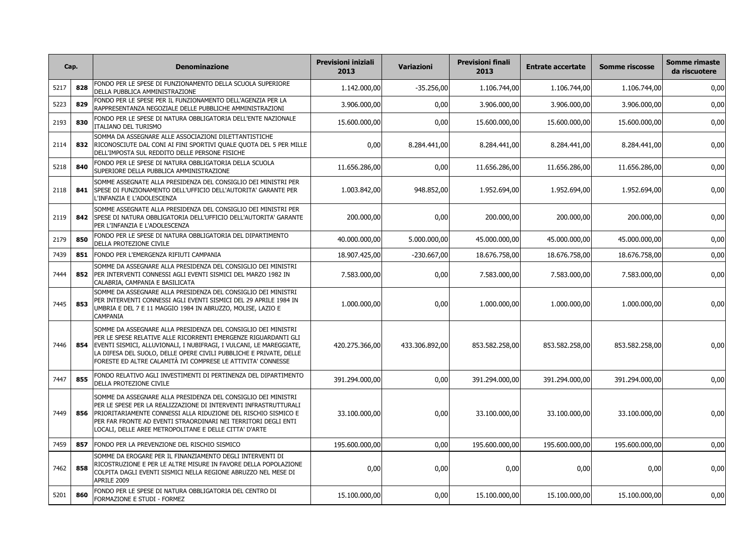| Cap. |     | <b>Denominazione</b>                                                                                                                                                                                                                                                                                                                                | <b>Previsioni iniziali</b><br>2013 | <b>Variazioni</b> | <b>Previsioni finali</b><br>2013 | <b>Entrate accertate</b> | <b>Somme riscosse</b> | Somme rimaste<br>da riscuotere |
|------|-----|-----------------------------------------------------------------------------------------------------------------------------------------------------------------------------------------------------------------------------------------------------------------------------------------------------------------------------------------------------|------------------------------------|-------------------|----------------------------------|--------------------------|-----------------------|--------------------------------|
| 5217 | 828 | FONDO PER LE SPESE DI FUNZIONAMENTO DELLA SCUOLA SUPERIORE<br>DELLA PUBBLICA AMMINISTRAZIONE                                                                                                                                                                                                                                                        | 1.142.000,00                       | $-35.256,00$      | 1.106.744,00                     | 1.106.744,00             | 1.106.744,00          | 0,00                           |
| 5223 | 829 | FONDO PER LE SPESE PER IL FUNZIONAMENTO DELL'AGENZIA PER LA<br>RAPPRESENTANZA NEGOZIALE DELLE PUBBLICHE AMMINISTRAZIONI                                                                                                                                                                                                                             | 3.906.000,00                       | 0,00              | 3.906.000,00                     | 3.906.000,00             | 3.906.000,00          | 0,00                           |
| 2193 | 830 | FONDO PER LE SPESE DI NATURA OBBLIGATORIA DELL'ENTE NAZIONALE<br>ITALIANO DEL TURISMO                                                                                                                                                                                                                                                               | 15.600.000,00                      | 0,00              | 15.600.000,00                    | 15.600.000,00            | 15.600.000,00         | 0,00                           |
| 2114 |     | ISOMMA DA ASSEGNARE ALLE ASSOCIAZIONI DILETTANTISTICHE<br>832 RICONOSCIUTE DAL CONI AI FINI SPORTIVI QUALE QUOTA DEL 5 PER MILLE<br>DELL'IMPOSTA SUL REDDITO DELLE PERSONE FISICHE                                                                                                                                                                  | 0,00                               | 8.284.441,00      | 8.284.441,00                     | 8.284.441,00             | 8.284.441,00          | 0,00                           |
| 5218 | 840 | FONDO PER LE SPESE DI NATURA OBBLIGATORIA DELLA SCUOLA<br>SUPERIORE DELLA PUBBLICA AMMINISTRAZIONE                                                                                                                                                                                                                                                  | 11.656.286,00                      | 0,00              | 11.656.286,00                    | 11.656.286,00            | 11.656.286,00         | 0,00                           |
| 2118 |     | SOMME ASSEGNATE ALLA PRESIDENZA DEL CONSIGLIO DEI MINISTRI PER<br>841 SPESE DI FUNZIONAMENTO DELL'UFFICIO DELL'AUTORITA' GARANTE PER<br>L'INFANZIA E L'ADOLESCENZA                                                                                                                                                                                  | 1.003.842,00                       | 948.852,00        | 1.952.694,00                     | 1.952.694,00             | 1.952.694,00          | 0,00                           |
| 2119 |     | ISOMME ASSEGNATE ALLA PRESIDENZA DEL CONSIGLIO DEI MINISTRI PER<br>842 SPESE DI NATURA OBBLIGATORIA DELL'UFFICIO DELL'AUTORITA' GARANTE<br>PER L'INFANZIA E L'ADOLESCENZA                                                                                                                                                                           | 200.000,00                         | 0,00              | 200.000,00                       | 200.000,00               | 200.000,00            | 0,00                           |
| 2179 | 850 | FONDO PER LE SPESE DI NATURA OBBLIGATORIA DEL DIPARTIMENTO<br><b>DELLA PROTEZIONE CIVILE</b>                                                                                                                                                                                                                                                        | 40.000.000,00                      | 5.000.000,00      | 45.000.000,00                    | 45.000.000,00            | 45.000.000,00         | 0,00                           |
| 7439 | 851 | FONDO PER L'EMERGENZA RIFIUTI CAMPANIA                                                                                                                                                                                                                                                                                                              | 18.907.425,00                      | $-230.667,00$     | 18.676.758,00                    | 18.676.758,00            | 18.676.758,00         | 0,00                           |
| 7444 |     | SOMME DA ASSEGNARE ALLA PRESIDENZA DEL CONSIGLIO DEI MINISTRI<br>852 PER INTERVENTI CONNESSI AGLI EVENTI SISMICI DEL MARZO 1982 IN<br>CALABRIA, CAMPANIA E BASILICATA                                                                                                                                                                               | 7.583.000,00                       | 0,00              | 7.583.000,00                     | 7.583.000,00             | 7.583.000,00          | 0,00                           |
| 7445 | 853 | SOMME DA ASSEGNARE ALLA PRESIDENZA DEL CONSIGLIO DEI MINISTRI<br>PER INTERVENTI CONNESSI AGLI EVENTI SISMICI DEL 29 APRILE 1984 IN<br>UMBRIA E DEL 7 E 11 MAGGIO 1984 IN ABRUZZO, MOLISE, LAZIO E<br><b>CAMPANIA</b>                                                                                                                                | 1.000.000,00                       | 0,00              | 1.000.000,00                     | 1.000.000,00             | 1.000.000,00          | 0,00                           |
| 7446 |     | SOMME DA ASSEGNARE ALLA PRESIDENZA DEL CONSIGLIO DEI MINISTRI<br>PER LE SPESE RELATIVE ALLE RICORRENTI EMERGENZE RIGUARDANTI GLI<br>854   EVENTI SISMICI, ALLUVIONALI, I NUBIFRAGI, I VULCANI, LE MAREGGIATE,<br>LA DIFESA DEL SUOLO, DELLE OPERE CIVILI PUBBLICHE E PRIVATE, DELLE<br>FORESTE ED ALTRE CALAMITÀ IVI COMPRESE LE ATTIVITA' CONNESSE | 420.275.366,00                     | 433.306.892,00    | 853.582.258,00                   | 853.582.258,00           | 853.582.258,00        | 0,00                           |
| 7447 | 855 | FONDO RELATIVO AGLI INVESTIMENTI DI PERTINENZA DEL DIPARTIMENTO<br>DELLA PROTEZIONE CIVILE                                                                                                                                                                                                                                                          | 391.294.000,00                     | 0,00              | 391.294.000,00                   | 391.294.000,00           | 391.294.000,00        | 0,00                           |
| 7449 |     | ISOMME DA ASSEGNARE ALLA PRESIDENZA DEL CONSIGLIO DEI MINISTRI<br>PER LE SPESE PER LA REALIZZAZIONE DI INTERVENTI INFRASTRUTTURALI<br>856   PRIORITARIAMENTE CONNESSI ALLA RIDUZIONE DEL RISCHIO SISMICO E<br>PER FAR FRONTE AD EVENTI STRAORDINARI NEI TERRITORI DEGLI ENTI<br>LOCALI, DELLE AREE METROPOLITANE E DELLE CITTA' D'ARTE              | 33.100.000,00                      | 0,00              | 33.100.000,00                    | 33.100.000,00            | 33.100.000,00         | 0,00                           |
| 7459 |     | 857   FONDO PER LA PREVENZIONE DEL RISCHIO SISMICO                                                                                                                                                                                                                                                                                                  | 195.600.000,00                     | 0,00              | 195.600.000,00                   | 195.600.000,00           | 195.600.000,00        | 0,00                           |
| 7462 | 858 | SOMME DA EROGARE PER IL FINANZIAMENTO DEGLI INTERVENTI DI<br>RICOSTRUZIONE E PER LE ALTRE MISURE IN FAVORE DELLA POPOLAZIONE<br>COLPITA DAGLI EVENTI SISMICI NELLA REGIONE ABRUZZO NEL MESE DI<br>APRILE 2009                                                                                                                                       | 0,00                               | 0,00              | 0,00                             | 0,00                     | 0,00                  | 0,00                           |
| 5201 | 860 | FONDO PER LE SPESE DI NATURA OBBLIGATORIA DEL CENTRO DI<br>FORMAZIONE E STUDI - FORMEZ                                                                                                                                                                                                                                                              | 15.100.000,00                      | 0,00              | 15.100.000,00                    | 15.100.000,00            | 15.100.000,00         | 0,00                           |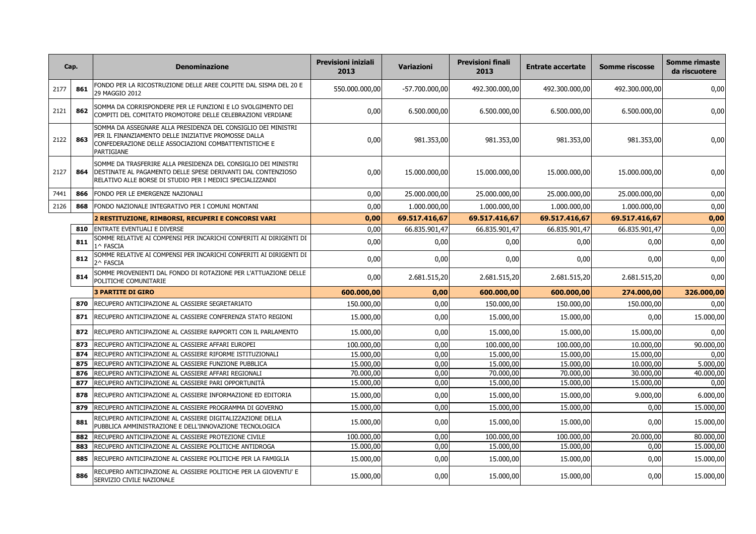|      | Cap. | <b>Denominazione</b>                                                                                                                                                                         | <b>Previsioni iniziali</b><br>2013 | <b>Variazioni</b> | <b>Previsioni finali</b><br>2013 | <b>Entrate accertate</b> | <b>Somme riscosse</b> | <b>Somme rimaste</b><br>da riscuotere |
|------|------|----------------------------------------------------------------------------------------------------------------------------------------------------------------------------------------------|------------------------------------|-------------------|----------------------------------|--------------------------|-----------------------|---------------------------------------|
| 2177 | 861  | FONDO PER LA RICOSTRUZIONE DELLE AREE COLPITE DAL SISMA DEL 20 E<br>29 MAGGIO 2012                                                                                                           | 550.000.000,00                     | $-57.700.000,00$  | 492.300.000,00                   | 492.300.000,00           | 492.300.000,00        | 0,00                                  |
| 2121 | 862  | SOMMA DA CORRISPONDERE PER LE FUNZIONI E LO SVOLGIMENTO DEI<br>COMPITI DEL COMITATO PROMOTORE DELLE CELEBRAZIONI VERDIANE                                                                    | 0,00                               | 6.500.000,00      | 6.500.000,00                     | 6.500.000,00             | 6.500.000,00          | 0,00                                  |
| 2122 | 863  | SOMMA DA ASSEGNARE ALLA PRESIDENZA DEL CONSIGLIO DEI MINISTRI<br>PER IL FINANZIAMENTO DELLE INIZIATIVE PROMOSSE DALLA<br>CONFEDERAZIONE DELLE ASSOCIAZIONI COMBATTENTISTICHE E<br>PARTIGIANE | 0,00                               | 981.353,00        | 981.353,00                       | 981.353,00               | 981.353,00            | 0,00                                  |
| 2127 | 864  | SOMME DA TRASFERIRE ALLA PRESIDENZA DEL CONSIGLIO DEI MINISTRI<br>DESTINATE AL PAGAMENTO DELLE SPESE DERIVANTI DAL CONTENZIOSO<br>RELATIVO ALLE BORSE DI STUDIO PER I MEDICI SPECIALIZZANDI  | 0,00                               | 15.000.000,00     | 15.000.000,00                    | 15.000.000,00            | 15.000.000,00         | 0,00                                  |
| 7441 | 866  | FONDO PER LE EMERGENZE NAZIONALI                                                                                                                                                             | 0,00                               | 25.000.000,00     | 25.000.000,00                    | 25.000.000,00            | 25.000.000,00         | 0,00                                  |
| 2126 | 868  | FONDO NAZIONALE INTEGRATIVO PER I COMUNI MONTANI                                                                                                                                             | 0,00                               | 1.000.000,00      | 1.000.000,00                     | 1.000.000,00             | 1.000.000,00          | 0,00                                  |
|      |      | 2 RESTITUZIONE, RIMBORSI, RECUPERI E CONCORSI VARI                                                                                                                                           | 0,00                               | 69.517.416,67     | 69.517.416,67                    | 69.517.416,67            | 69.517.416,67         | 0,00                                  |
|      | 810  | <b>ENTRATE EVENTUALI E DIVERSE</b>                                                                                                                                                           | 0,00                               | 66.835.901,47     | 66.835.901,47                    | 66.835.901,47            | 66.835.901,47         | 0,00                                  |
|      | 811  | SOMME RELATIVE AI COMPENSI PER INCARICHI CONFERITI AI DIRIGENTI DI<br>1^ FASCIA                                                                                                              | 0,00                               | 0,00              | 0,00                             | 0,00                     | 0,00                  | 0,00                                  |
|      | 812  | SOMME RELATIVE AI COMPENSI PER INCARICHI CONFERITI AI DIRIGENTI DI<br>2^ FASCIA                                                                                                              | 0,00                               | 0,00              | 0,00                             | 0,00                     | 0,00                  | 0,00                                  |
|      | 814  | SOMME PROVENIENTI DAL FONDO DI ROTAZIONE PER L'ATTUAZIONE DELLE<br>POLITICHE COMUNITARIE                                                                                                     | 0,00                               | 2.681.515,20      | 2.681.515,20                     | 2.681.515,20             | 2.681.515,20          | 0,00                                  |
|      |      | <b>3 PARTITE DI GIRO</b>                                                                                                                                                                     | 600.000,00                         | 0,00              | 600.000,00                       | 600.000,00               | 274.000,00            | 326.000,00                            |
|      | 870  | RECUPERO ANTICIPAZIONE AL CASSIERE SEGRETARIATO                                                                                                                                              | 150.000,00                         | 0,00              | 150.000,00                       | 150.000,00               | 150.000,00            | 0,00                                  |
|      | 871  | RECUPERO ANTICIPAZIONE AL CASSIERE CONFERENZA STATO REGIONI                                                                                                                                  | 15.000,00                          | 0,00              | 15.000,00                        | 15.000,00                | 0,00                  | 15.000,00                             |
|      | 872  | RECUPERO ANTICIPAZIONE AL CASSIERE RAPPORTI CON IL PARLAMENTO                                                                                                                                | 15.000,00                          | 0,00              | 15.000,00                        | 15.000,00                | 15.000,00             | 0,00                                  |
|      | 873  | RECUPERO ANTICIPAZIONE AL CASSIERE AFFARI EUROPEI                                                                                                                                            | 100.000,00                         | 0,00              | 100.000,00                       | 100.000,00               | 10.000,00             | 90.000,00                             |
|      | 874  | RECUPERO ANTICIPAZIONE AL CASSIERE RIFORME ISTITUZIONALI                                                                                                                                     | 15.000,00                          | 0,00              | 15.000,00                        | 15.000,00                | 15.000,00             | 0,00                                  |
|      | 875  | RECUPERO ANTICIPAZIONE AL CASSIERE FUNZIONE PUBBLICA                                                                                                                                         | 15.000,00                          | 0,00              | 15.000,00                        | 15.000,00                | 10.000,00             | 5.000,00                              |
|      | 876  | RECUPERO ANTICIPAZIONE AL CASSIERE AFFARI REGIONALI                                                                                                                                          | 70.000,00                          | 0,00              | 70.000,00                        | 70.000,00                | 30.000,00             | 40.000,00                             |
|      | 877  | RECUPERO ANTICIPAZIONE AL CASSIERE PARI OPPORTUNITÀ                                                                                                                                          | 15.000,00                          | 0,00              | 15.000,00                        | 15.000,00                | 15.000,00             | 0,00                                  |
|      | 878  | RECUPERO ANTICIPAZIONE AL CASSIERE INFORMAZIONE ED EDITORIA                                                                                                                                  | 15.000,00                          | 0,00              | 15.000,00                        | 15.000,00                | 9.000,00              | 6.000,00                              |
|      | 879  | RECUPERO ANTICIPAZIONE AL CASSIERE PROGRAMMA DI GOVERNO                                                                                                                                      | 15.000,00                          | 0,00              | 15.000,00                        | 15.000,00                | 0,00                  | 15.000,00                             |
|      | 881  | RECUPERO ANTICIPAZIONE AL CASSIERE DIGITALIZZAZIONE DELLA<br>PUBBLICA AMMINISTRAZIONE E DELL'INNOVAZIONE TECNOLOGICA                                                                         | 15.000,00                          | 0,00              | 15.000,00                        | 15.000,00                | 0,00                  | 15.000,00                             |
|      | 882  | RECUPERO ANTICIPAZIONE AL CASSIERE PROTEZIONE CIVILE                                                                                                                                         | 100.000,00                         | 0,00              | 100.000,00                       | 100.000,00               | 20.000,00             | 80.000,00                             |
|      | 883  | RECUPERO ANTICIPAZIONE AL CASSIERE POLITICHE ANTIDROGA                                                                                                                                       | 15.000,00                          | 0,00              | 15.000,00                        | 15.000,00                | 0,00                  | 15.000,00                             |
|      | 885  | RECUPERO ANTICIPAZIONE AL CASSIERE POLITICHE PER LA FAMIGLIA                                                                                                                                 | 15.000,00                          | 0,00              | 15.000,00                        | 15.000,00                | 0,00                  | 15.000,00                             |
|      | 886  | RECUPERO ANTICIPAZIONE AL CASSIERE POLITICHE PER LA GIOVENTU' E<br>SERVIZIO CIVILE NAZIONALE                                                                                                 | 15.000,00                          | 0,00              | 15.000,00                        | 15.000,00                | 0,00                  | 15.000,00                             |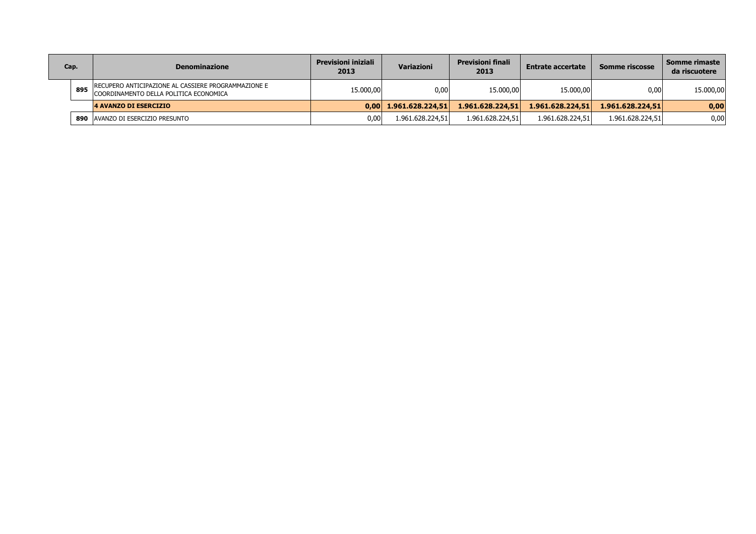| Cap. |     | <b>Denominazione</b>                                                                          | <b>Previsioni iniziali</b><br>2013 | <b>Variazioni</b>       | <b>Previsioni finali</b><br>2013 | <b>Entrate accertate</b> | <b>Somme riscosse</b> | Somme rimaste<br>da riscuotere |
|------|-----|-----------------------------------------------------------------------------------------------|------------------------------------|-------------------------|----------------------------------|--------------------------|-----------------------|--------------------------------|
|      | 895 | RECUPERO ANTICIPAZIONE AL CASSIERE PROGRAMMAZIONE E<br>COORDINAMENTO DELLA POLITICA ECONOMICA | 15.000,00                          | 0,00                    | 15.000,00                        | 15.000,00                | 0,00                  | 15.000,00                      |
|      |     | <b>4 AVANZO DI ESERCIZIO</b>                                                                  |                                    | $0,00$ 1.961.628.224,51 | 1.961.628.224,51                 | 1.961.628.224,51         | 1.961.628.224,51      | 0,00                           |
|      | 890 | AVANZO DI ESERCIZIO PRESUNTO                                                                  | 0,00                               | 1.961.628.224,51        | 1.961.628.224,51                 | 1.961.628.224,51         | 1.961.628.224,51      | 0,00                           |
|      |     |                                                                                               |                                    |                         |                                  |                          |                       |                                |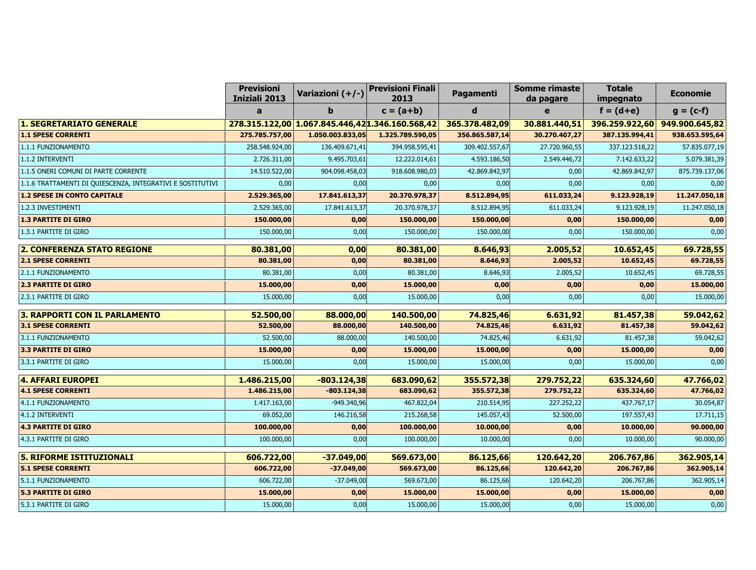|                                                            | <b>Previsioni</b><br><b>Iniziali 2013</b> | Variazioni (+/-) | <b>Previsioni Finali</b><br>2013                | Pagamenti      | <b>Somme rimaste</b><br>da pagare | <b>Totale</b><br>impegnato | <b>Economie</b>               |
|------------------------------------------------------------|-------------------------------------------|------------------|-------------------------------------------------|----------------|-----------------------------------|----------------------------|-------------------------------|
|                                                            | a                                         | b                | $c = (a+b)$                                     | $\mathbf d$    | e                                 | $f = (d+e)$                | $g = (c-f)$                   |
| <b>1. SEGRETARIATO GENERALE</b>                            |                                           |                  | 278.315.122,00 1.067.845.446,421.346.160.568,42 | 365.378.482,09 | 30.881.440,51                     |                            | 396.259.922,60 949.900.645,82 |
| <b>1.1 SPESE CORRENTI</b>                                  | 275.785.757,00                            | 1.050.003.833,05 | 1.325.789.590,05                                | 356.865.587,14 | 30.270.407,27                     | 387.135.994,41             | 938.653.595,64                |
| 1.1.1 FUNZIONAMENTO                                        | 258.548.924,00                            | 136.409.671,41   | 394.958.595,41                                  | 309.402.557,67 | 27.720.960,55                     | 337.123.518,22             | 57.835.077,19                 |
| 1.1.2 INTERVENTI                                           | 2.726.311,00                              | 9.495.703,61     | 12.222.014,61                                   | 4.593.186,50   | 2.549.446,72                      | 7.142.633,22               | 5.079.381,39                  |
| 1.1.5 ONERI COMUNI DI PARTE CORRENTE                       | 14.510.522,00                             | 904.098.458,03   | 918.608.980,03                                  | 42.869.842,97  | 0,00                              | 42.869.842,97              | 875.739.137,06                |
| 1.1.6 TRATTAMENTI DI QUIESCENZA, INTEGRATIVI E SOSTITUTIVI | 0,00                                      | 0,00             | 0,00                                            | 0,00           | 0,00                              | 0,00                       | 0,00                          |
| <b>1.2 SPESE IN CONTO CAPITALE</b>                         | 2.529.365,00                              | 17.841.613,37    | 20.370.978,37                                   | 8.512.894,95   | 611.033,24                        | 9.123.928,19               | 11.247.050,18                 |
| 1.2.3 INVESTIMENTI                                         | 2.529.365,00                              | 17.841.613,37    | 20.370.978,37                                   | 8.512.894,95   | 611.033,24                        | 9.123.928,19               | 11.247.050,18                 |
| <b>1.3 PARTITE DI GIRO</b>                                 | 150.000,00                                | 0,00             | 150.000,00                                      | 150.000,00     | 0,00                              | 150.000,00                 | 0,00                          |
| 1.3.1 PARTITE DI GIRO                                      | 150.000,00                                | 0,00             | 150.000,00                                      | 150.000,00     | 0,00                              | 150.000,00                 | 0,00                          |
| <b>2. CONFERENZA STATO REGIONE</b>                         | 80.381,00                                 | 0,00             | 80.381,00                                       | 8.646,93       | 2.005,52                          | 10.652,45                  | 69.728,55                     |
| <b>2.1 SPESE CORRENTI</b>                                  | 80.381,00                                 | 0,00             | 80.381,00                                       | 8.646,93       | 2.005,52                          | 10.652,45                  | 69.728,55                     |
| 2.1.1 FUNZIONAMENTO                                        | 80.381,00                                 | 0,00             | 80.381,00                                       | 8.646,93       | 2.005,52                          | 10.652,45                  | 69.728,55                     |
| <b>2.3 PARTITE DI GIRO</b>                                 | 15.000,00                                 | 0,00             | 15.000,00                                       | 0,00           | 0,00                              | 0,00                       | 15.000,00                     |
| 2.3.1 PARTITE DI GIRO                                      | 15.000,00                                 | 0,00             | 15.000,00                                       | 0,00           | 0,00                              | 0,00                       | 15.000,00                     |
| 3. RAPPORTI CON IL PARLAMENTO                              | 52.500,00                                 | 88.000,00        | 140.500,00                                      | 74.825,46      | 6.631,92                          | 81.457,38                  | 59.042,62                     |
| 3.1 SPESE CORRENTI                                         | 52.500,00                                 | 88.000,00        | 140.500,00                                      | 74.825,46      | 6.631,92                          | 81.457,38                  | 59.042,62                     |
| 3.1.1 FUNZIONAMENTO                                        | 52.500,00                                 | 88.000,00        | 140.500,00                                      | 74.825,46      | 6.631,92                          | 81.457,38                  | 59.042,62                     |
| 3.3 PARTITE DI GIRO                                        | 15.000,00                                 | 0,00             | 15.000,00                                       | 15.000,00      | 0,00                              | 15.000,00                  | 0,00                          |
| 3.3.1 PARTITE DI GIRO                                      | 15.000,00                                 | 0,00             | 15.000,00                                       | 15.000,00      | 0,00                              | 15.000,00                  | 0,00                          |
| <b>4. AFFARI EUROPEI</b>                                   | 1.486.215,00                              | $-803.124,38$    | 683.090,62                                      | 355.572,38     | 279.752,22                        | 635.324,60                 | 47.766,02                     |
| <b>4.1 SPESE CORRENTI</b>                                  | 1.486.215,00                              | $-803.124,38$    | 683.090,62                                      | 355.572,38     | 279.752,22                        | 635.324,60                 | 47.766,02                     |
| 4.1.1 FUNZIONAMENTO                                        | 1.417.163,00                              | $-949.340,96$    | 467.822,04                                      | 210.514,95     | 227.252,22                        | 437.767,17                 | 30.054,87                     |
| 4.1.2 INTERVENTI                                           | 69.052,00                                 | 146.216,58       | 215.268,58                                      | 145.057,43     | 52.500,00                         | 197.557,43                 | 17.711,15                     |
| <b>4.3 PARTITE DI GIRO</b>                                 | 100.000,00                                | 0,00             | 100.000,00                                      | 10.000,00      | 0,00                              | 10.000,00                  | 90.000,00                     |
| 4.3.1 PARTITE DI GIRO                                      | 100.000,00                                | 0,00             | 100.000,00                                      | 10.000,00      | 0,00                              | 10.000,00                  | 90.000,00                     |
| <b>5. RIFORME ISTITUZIONALI</b>                            | 606.722,00                                | $-37.049,00$     | 569.673,00                                      | 86.125,66      | 120.642,20                        | 206.767,86                 | 362.905,14                    |
| <b>5.1 SPESE CORRENTI</b>                                  | 606.722,00                                | $-37.049,00$     | 569.673,00                                      | 86.125,66      | 120.642,20                        | 206.767,86                 | 362.905,14                    |
| 5.1.1 FUNZIONAMENTO                                        | 606.722,00                                | $-37.049,00$     | 569.673,00                                      | 86.125,66      | 120.642,20                        | 206.767,86                 | 362.905,14                    |
| <b>5.3 PARTITE DI GIRO</b>                                 | 15.000,00                                 | 0,00             | 15.000,00                                       | 15.000,00      | 0,00                              | 15.000,00                  | 0,00                          |
| 5.3.1 PARTITE DI GIRO                                      | 15.000,00                                 | 0,00             | 15.000,00                                       | 15.000,00      | 0,00                              | 15.000,00                  | 0,00                          |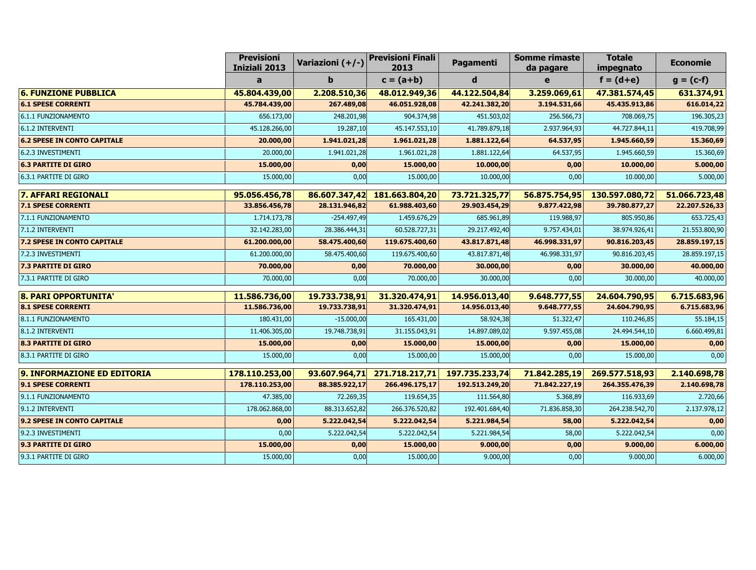|                                    | <b>Previsioni</b><br>Iniziali 2013 | Variazioni (+/-) | <b>Previsioni Finali</b><br>2013 | Pagamenti      | <b>Somme rimaste</b><br>da pagare | <b>Totale</b><br>impegnato | <b>Economie</b> |
|------------------------------------|------------------------------------|------------------|----------------------------------|----------------|-----------------------------------|----------------------------|-----------------|
|                                    | a                                  | b                | $c = (a+b)$                      | d              | e                                 | $f = (d+e)$                | $g = (c-f)$     |
| <b>6. FUNZIONE PUBBLICA</b>        | 45.804.439,00                      | 2.208.510,36     | 48.012.949,36                    | 44.122.504,84  | 3.259.069,61                      | 47.381.574,45              | 631.374,91      |
| <b>6.1 SPESE CORRENTI</b>          | 45.784.439,00                      | 267.489,08       | 46.051.928,08                    | 42.241.382,20  | 3.194.531,66                      | 45.435.913,86              | 616.014,22      |
| 6.1.1 FUNZIONAMENTO                | 656.173,00                         | 248.201,98       | 904.374,98                       | 451.503,02     | 256.566,73                        | 708.069,75                 | 196.305,23      |
| 6.1.2 INTERVENTI                   | 45.128.266,00                      | 19.287,10        | 45.147.553,10                    | 41.789.879,18  | 2.937.964,93                      | 44.727.844,11              | 419.708,99      |
| <b>6.2 SPESE IN CONTO CAPITALE</b> | 20.000,00                          | 1.941.021,28     | 1.961.021,28                     | 1.881.122,64   | 64.537,95                         | 1.945.660,59               | 15.360,69       |
| 6.2.3 INVESTIMENTI                 | 20.000,00                          | 1.941.021,28     | 1.961.021,28                     | 1.881.122,64   | 64.537,95                         | 1.945.660,59               | 15.360,69       |
| <b>6.3 PARTITE DI GIRO</b>         | 15.000,00                          | 0,00             | 15.000,00                        | 10.000,00      | 0,00                              | 10.000,00                  | 5.000,00        |
| 6.3.1 PARTITE DI GIRO              | 15.000,00                          | 0,00             | 15.000,00                        | 10.000,00      | 0,00                              | 10.000,00                  | 5.000,00        |
| <b>7. AFFARI REGIONALI</b>         | 95.056.456,78                      | 86.607.347,42    | 181.663.804,20                   | 73.721.325,77  | 56.875.754,95                     | 130.597.080,72             | 51.066.723,48   |
| <b>7.1 SPESE CORRENTI</b>          | 33.856.456,78                      | 28.131.946,82    | 61.988.403,60                    | 29.903.454,29  | 9.877.422,98                      | 39.780.877,27              | 22.207.526,33   |
| 7.1.1 FUNZIONAMENTO                | 1.714.173,78                       | $-254.497,49$    | 1.459.676,29                     | 685.961,89     | 119.988,97                        | 805.950,86                 | 653.725,43      |
| 7.1.2 INTERVENTI                   | 32.142.283,00                      | 28.386.444,31    | 60.528.727,31                    | 29.217.492,40  | 9.757.434,01                      | 38.974.926,41              | 21.553.800,90   |
| <b>7.2 SPESE IN CONTO CAPITALE</b> | 61.200.000,00                      | 58.475.400,60    | 119.675.400,60                   | 43.817.871,48  | 46.998.331,97                     | 90.816.203,45              | 28.859.197,15   |
| 7.2.3 INVESTIMENTI                 | 61.200.000,00                      | 58.475.400,60    | 119.675.400,60                   | 43.817.871,48  | 46.998.331,97                     | 90.816.203,45              | 28.859.197,15   |
| <b>7.3 PARTITE DI GIRO</b>         | 70.000,00                          | 0,00             | 70.000,00                        | 30.000,00      | 0,00                              | 30.000,00                  | 40.000,00       |
| 7.3.1 PARTITE DI GIRO              | 70.000,00                          | 0,00             | 70.000,00                        | 30.000,00      | 0,00                              | 30.000,00                  | 40.000,00       |
| 8. PARI OPPORTUNITA'               | 11.586.736,00                      | 19.733.738,91    | 31.320.474,91                    | 14.956.013,40  | 9.648.777,55                      | 24.604.790,95              | 6.715.683,96    |
| <b>8.1 SPESE CORRENTI</b>          | 11.586.736,00                      | 19.733.738,91    | 31.320.474,91                    | 14.956.013,40  | 9.648.777,55                      | 24.604.790,95              | 6.715.683,96    |
| 8.1.1 FUNZIONAMENTO                | 180.431,00                         | $-15.000,00$     | 165.431,00                       | 58.924,38      | 51.322,47                         | 110.246,85                 | 55.184,15       |
| 8.1.2 INTERVENTI                   | 11.406.305,00                      | 19.748.738,91    | 31.155.043,91                    | 14.897.089,02  | 9.597.455,08                      | 24.494.544,10              | 6.660.499,81    |
| <b>8.3 PARTITE DI GIRO</b>         | 15.000,00                          | 0,00             | 15.000,00                        | 15.000,00      | 0,00                              | 15.000,00                  | 0,00            |
| 8.3.1 PARTITE DI GIRO              | 15.000,00                          | 0,00             | 15.000,00                        | 15.000,00      | 0,00                              | 15.000,00                  | 0,00            |
| 9. INFORMAZIONE ED EDITORIA        | 178.110.253,00                     | 93.607.964,71    | 271.718.217,71                   | 197.735.233,74 | 71.842.285,19                     | 269.577.518,93             | 2.140.698,78    |
| 9.1 SPESE CORRENTI                 | 178.110.253,00                     | 88.385.922,17    | 266.496.175,17                   | 192.513.249,20 | 71.842.227,19                     | 264.355.476,39             | 2.140.698,78    |
| 9.1.1 FUNZIONAMENTO                | 47.385,00                          | 72.269,35        | 119.654,35                       | 111.564,80     | 5.368,89                          | 116.933,69                 | 2.720,66        |
| 9.1.2 INTERVENTI                   | 178.062.868,00                     | 88.313.652,82    | 266.376.520,82                   | 192.401.684,40 | 71.836.858,30                     | 264.238.542,70             | 2.137.978,12    |
| 9.2 SPESE IN CONTO CAPITALE        | 0,00                               | 5.222.042,54     | 5.222.042,54                     | 5.221.984,54   | 58,00                             | 5.222.042,54               | 0,00            |
| 9.2.3 INVESTIMENTI                 | 0,00                               | 5.222.042,54     | 5.222.042,54                     | 5.221.984,54   | 58,00                             | 5.222.042,54               | 0,00            |
| 9.3 PARTITE DI GIRO                | 15.000,00                          | 0,00             | 15.000,00                        | 9.000,00       | 0,00                              | 9.000,00                   | 6.000,00        |
| 9.3.1 PARTITE DI GIRO              | 15.000,00                          | 0,00             | 15.000,00                        | 9.000,00       | 0,00                              | 9.000,00                   | 6.000,00        |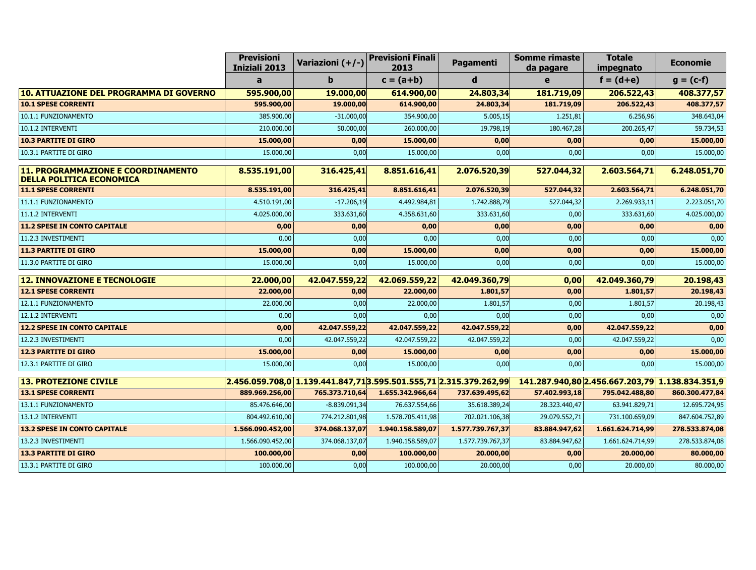|                                                                              | <b>Previsioni</b><br>Iniziali 2013 | Variazioni (+/-)                                                                                                | <b>Previsioni Finali</b><br>2013 | Pagamenti        | <b>Somme rimaste</b><br>da pagare               | <b>Totale</b><br>impegnato | <b>Economie</b> |
|------------------------------------------------------------------------------|------------------------------------|-----------------------------------------------------------------------------------------------------------------|----------------------------------|------------------|-------------------------------------------------|----------------------------|-----------------|
|                                                                              | a                                  | b                                                                                                               | $c = (a+b)$                      | d                | e                                               | $f = (d+e)$                | $g = (c-f)$     |
| 10. ATTUAZIONE DEL PROGRAMMA DI GOVERNO                                      | 595.900,00                         | 19.000,00                                                                                                       | 614.900,00                       | 24.803,34        | 181.719,09                                      | 206.522,43                 | 408.377,57      |
| <b>10.1 SPESE CORRENTI</b>                                                   | 595.900,00                         | 19.000,00                                                                                                       | 614.900,00                       | 24.803,34        | 181.719,09                                      | 206.522,43                 | 408.377,57      |
| 10.1.1 FUNZIONAMENTO                                                         | 385.900,00                         | $-31.000,00$                                                                                                    | 354.900,00                       | 5.005, 15        | 1.251,81                                        | 6.256,96                   | 348.643,04      |
| 10.1.2 INTERVENTI                                                            | 210.000,00                         | 50.000,00                                                                                                       | 260.000,00                       | 19.798,19        | 180.467,28                                      | 200.265,47                 | 59.734,53       |
| <b>10.3 PARTITE DI GIRO</b>                                                  | 15.000,00                          | 0,00                                                                                                            | 15.000,00                        | 0,00             | 0,00                                            | 0,00                       | 15.000,00       |
| 10.3.1 PARTITE DI GIRO                                                       | 15.000,00                          | 0,00                                                                                                            | 15.000,00                        | 0,00             | 0,00                                            | 0,00                       | 15.000,00       |
| <b>11. PROGRAMMAZIONE E COORDINAMENTO</b><br><b>DELLA POLITICA ECONOMICA</b> | 8.535.191,00                       | 316.425,41                                                                                                      | 8.851.616,41                     | 2.076.520,39     | 527.044,32                                      | 2.603.564,71               | 6.248.051,70    |
| <b>11.1 SPESE CORRENTI</b>                                                   | 8.535.191,00                       | 316.425,41                                                                                                      | 8.851.616,41                     | 2.076.520,39     | 527.044,32                                      | 2.603.564,71               | 6.248.051,70    |
| 11.1.1 FUNZIONAMENTO                                                         | 4.510.191,00                       | $-17.206,19$                                                                                                    | 4.492.984,81                     | 1.742.888,79     | 527.044,32                                      | 2.269.933,11               | 2.223.051,70    |
| 11.1.2 INTERVENTI                                                            | 4.025.000,00                       | 333.631,60                                                                                                      | 4.358.631,60                     | 333.631,60       | 0,00                                            | 333.631,60                 | 4.025.000,00    |
| <b>11.2 SPESE IN CONTO CAPITALE</b>                                          | 0,00                               | 0,00                                                                                                            | 0,00                             | 0,00             | 0,00                                            | 0,00                       | 0,00            |
| 11.2.3 INVESTIMENTI                                                          | 0,00                               | 0,00                                                                                                            | 0,00                             | 0,00             | 0,00                                            | 0,00                       | 0,00            |
| <b>11.3 PARTITE DI GIRO</b>                                                  | 15.000,00                          | 0,00                                                                                                            | 15.000,00                        | 0,00             | 0,00                                            | 0,00                       | 15.000,00       |
| 11.3.0 PARTITE DI GIRO                                                       | 15.000,00                          | 0,00                                                                                                            | 15.000,00                        | 0,00             | 0,00                                            | 0,00                       | 15.000,00       |
| <b>12. INNOVAZIONE E TECNOLOGIE</b>                                          | 22.000,00                          | 42.047.559,22                                                                                                   | 42.069.559,22                    | 42.049.360,79    | 0,00                                            | 42.049.360,79              | 20.198,43       |
| <b>12.1 SPESE CORRENTI</b>                                                   | 22.000,00                          | 0,00                                                                                                            | 22.000,00                        | 1.801,57         | 0,00                                            | 1.801,57                   | 20.198,43       |
| 12.1.1 FUNZIONAMENTO                                                         | 22.000,00                          | 0,00                                                                                                            | 22.000,00                        | 1.801,57         | 0,00                                            | 1.801,57                   | 20.198,43       |
| 12.1.2 INTERVENTI                                                            | 0,00                               | 0,00                                                                                                            | 0,00                             | 0,00             | 0,00                                            | 0,00                       | 0,00            |
| <b>12.2 SPESE IN CONTO CAPITALE</b>                                          | 0,00                               | 42.047.559,22                                                                                                   | 42.047.559,22                    | 42.047.559,22    | 0,00                                            | 42.047.559,22              | 0,00            |
| 12.2.3 INVESTIMENTI                                                          | 0.00                               | 42.047.559,22                                                                                                   | 42.047.559,22                    | 42.047.559,22    | 0,00                                            | 42.047.559,22              | 0,00            |
| <b>12.3 PARTITE DI GIRO</b>                                                  | 15.000,00                          | 0,00                                                                                                            | 15.000,00                        | 0,00             | 0,00                                            | 0,00                       | 15.000,00       |
| 12.3.1 PARTITE DI GIRO                                                       | 15.000,00                          | 0,00                                                                                                            | 15.000,00                        | 0,00             | 0,00                                            | 0,00                       | 15.000,00       |
| <b>13. PROTEZIONE CIVILE</b>                                                 |                                    | $\overline{ 2.456.059.708,0 }$ 1.139.441.847,71 $\overline{ 3.595.501.555,71 }$ 2.315.379.262,99 $\overline{ }$ |                                  |                  | 141.287.940,80 2.456.667.203,79 1.138.834.351,9 |                            |                 |
| <b>13.1 SPESE CORRENTI</b>                                                   | 889.969.256,00                     | 765.373.710,64                                                                                                  | 1.655.342.966,64                 | 737.639.495,62   | 57.402.993,18                                   | 795.042.488,80             | 860.300.477,84  |
| 13.1.1 FUNZIONAMENTO                                                         | 85.476.646,00                      | $-8.839.091,34$                                                                                                 | 76.637.554,66                    | 35.618.389,24    | 28.323.440,47                                   | 63.941.829,71              | 12.695.724,95   |
| 13.1.2 INTERVENTI                                                            | 804.492.610,00                     | 774.212.801,98                                                                                                  | 1.578.705.411,98                 | 702.021.106,38   | 29.079.552,71                                   | 731.100.659,09             | 847.604.752,89  |
| <b>13.2 SPESE IN CONTO CAPITALE</b>                                          | 1.566.090.452,00                   | 374.068.137,07                                                                                                  | 1.940.158.589,07                 | 1.577.739.767,37 | 83.884.947,62                                   | 1.661.624.714,99           | 278.533.874,08  |
| 13.2.3 INVESTIMENTI                                                          | 1.566.090.452,00                   | 374.068.137,07                                                                                                  | 1.940.158.589,07                 | 1.577.739.767,37 | 83.884.947,62                                   | 1.661.624.714,99           | 278.533.874,08  |
| <b>13.3 PARTITE DI GIRO</b>                                                  | 100.000,00                         | 0,00                                                                                                            | 100.000,00                       | 20.000,00        | 0,00                                            | 20.000,00                  | 80.000,00       |
| 13.3.1 PARTITE DI GIRO                                                       | 100.000,00                         | 0,00                                                                                                            | 100.000,00                       | 20.000,00        | 0,00                                            | 20.000,00                  | 80.000,00       |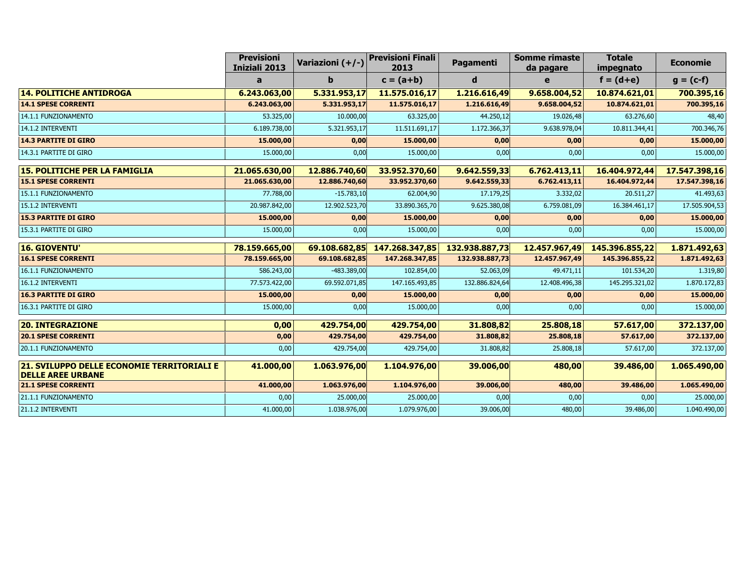|                                                                        | <b>Previsioni</b><br>Iniziali 2013 | Variazioni (+/-) | <b>Previsioni Finali</b><br>2013 | Pagamenti      | <b>Somme rimaste</b><br>da pagare | <b>Totale</b><br>impegnato | <b>Economie</b> |
|------------------------------------------------------------------------|------------------------------------|------------------|----------------------------------|----------------|-----------------------------------|----------------------------|-----------------|
|                                                                        | a                                  | b                | $c = (a+b)$                      | d              | e                                 | $f = (d+e)$                | $g = (c-f)$     |
| <b>14. POLITICHE ANTIDROGA</b>                                         | 6.243.063,00                       | 5.331.953,17     | 11.575.016,17                    | 1.216.616,49   | 9.658.004,52                      | 10.874.621,01              | 700.395,16      |
| <b>14.1 SPESE CORRENTI</b>                                             | 6.243.063,00                       | 5.331.953,17     | 11.575.016,17                    | 1.216.616,49   | 9.658.004,52                      | 10.874.621,01              | 700.395,16      |
| 14.1.1 FUNZIONAMENTO                                                   | 53.325,00                          | 10.000,00        | 63.325,00                        | 44.250,12      | 19.026,48                         | 63.276,60                  | 48,40           |
| 14.1.2 INTERVENTI                                                      | 6.189.738,00                       | 5.321.953,17     | 11.511.691,17                    | 1.172.366,37   | 9.638.978,04                      | 10.811.344,41              | 700.346,76      |
| <b>14.3 PARTITE DI GIRO</b>                                            | 15.000,00                          | 0,00             | 15.000,00                        | 0,00           | 0,00                              | 0,00                       | 15.000,00       |
| 14.3.1 PARTITE DI GIRO                                                 | 15.000,00                          | 0,00             | 15.000,00                        | 0,00           | 0,00                              | 0,00                       | 15.000,00       |
| <b>15. POLITICHE PER LA FAMIGLIA</b>                                   | 21.065.630,00                      | 12.886.740,60    | 33.952.370,60                    | 9.642.559,33   | 6.762.413,11                      | 16.404.972,44              | 17.547.398,16   |
| <b>15.1 SPESE CORRENTI</b>                                             | 21.065.630,00                      | 12.886.740,60    | 33.952.370,60                    | 9.642.559,33   | 6.762.413,11                      | 16.404.972,44              | 17.547.398,16   |
| 15.1.1 FUNZIONAMENTO                                                   | 77.788,00                          | $-15.783,10$     | 62.004,90                        | 17.179,25      | 3.332,02                          | 20.511,27                  | 41.493,63       |
| 15.1.2 INTERVENTI                                                      | 20.987.842,00                      | 12.902.523,70    | 33.890.365,70                    | 9.625.380,08   | 6.759.081,09                      | 16.384.461,17              | 17.505.904,53   |
| <b>15.3 PARTITE DI GIRO</b>                                            | 15.000,00                          | 0,00             | 15.000,00                        | 0,00           | 0,00                              | 0,00                       | 15.000,00       |
| 15.3.1 PARTITE DI GIRO                                                 | 15.000,00                          | 0,00             | 15.000,00                        | 0,00           | 0,00                              | 0,00                       | 15.000,00       |
| <b>16. GIOVENTU'</b>                                                   | 78.159.665,00                      | 69.108.682,85    | 147.268.347,85                   | 132.938.887,73 | 12.457.967,49                     | 145.396.855,22             | 1.871.492,63    |
| <b>16.1 SPESE CORRENTI</b>                                             | 78.159.665,00                      | 69.108.682,85    | 147.268.347,85                   | 132.938.887,73 | 12.457.967,49                     | 145.396.855,22             | 1.871.492,63    |
| 16.1.1 FUNZIONAMENTO                                                   | 586.243,00                         | $-483.389,00$    | 102.854,00                       | 52.063,09      | 49.471,11                         | 101.534,20                 | 1.319,80        |
| 16.1.2 INTERVENTI                                                      | 77.573.422,00                      | 69.592.071,85    | 147.165.493,85                   | 132.886.824,64 | 12.408.496,38                     | 145.295.321,02             | 1.870.172,83    |
| <b>16.3 PARTITE DI GIRO</b>                                            | 15.000,00                          | 0,00             | 15.000,00                        | 0,00           | 0,00                              | 0,00                       | 15.000,00       |
| 16.3.1 PARTITE DI GIRO                                                 | 15.000,00                          | 0,00             | 15.000,00                        | 0,00           | 0,00                              | 0,00                       | 15.000,00       |
| <b>20. INTEGRAZIONE</b>                                                | 0,00                               | 429.754,00       | 429.754,00                       | 31.808,82      | 25.808,18                         | 57.617,00                  | 372.137,00      |
| <b>20.1 SPESE CORRENTI</b>                                             | 0,00                               | 429.754,00       | 429.754,00                       | 31.808,82      | 25.808,18                         | 57.617,00                  | 372.137,00      |
| 20.1.1 FUNZIONAMENTO                                                   | 0,00                               | 429.754,00       | 429.754,00                       | 31.808,82      | 25.808,18                         | 57.617,00                  | 372.137,00      |
| 21. SVILUPPO DELLE ECONOMIE TERRITORIALI E<br><b>DELLE AREE URBANE</b> | 41.000,00                          | 1.063.976,00     | 1.104.976,00                     | 39.006,00      | 480,00                            | 39.486,00                  | 1.065.490,00    |
| <b>21.1 SPESE CORRENTI</b>                                             | 41.000,00                          | 1.063.976,00     | 1.104.976,00                     | 39.006,00      | 480,00                            | 39.486,00                  | 1.065.490,00    |
| 21.1.1 FUNZIONAMENTO                                                   | 0,00                               | 25.000,00        | 25.000,00                        | 0,00           | 0,00                              | 0,00                       | 25.000,00       |
| 21.1.2 INTERVENTI                                                      | 41.000,00                          | 1.038.976,00     | 1.079.976,00                     | 39.006,00      | 480,00                            | 39.486,00                  | 1.040.490,00    |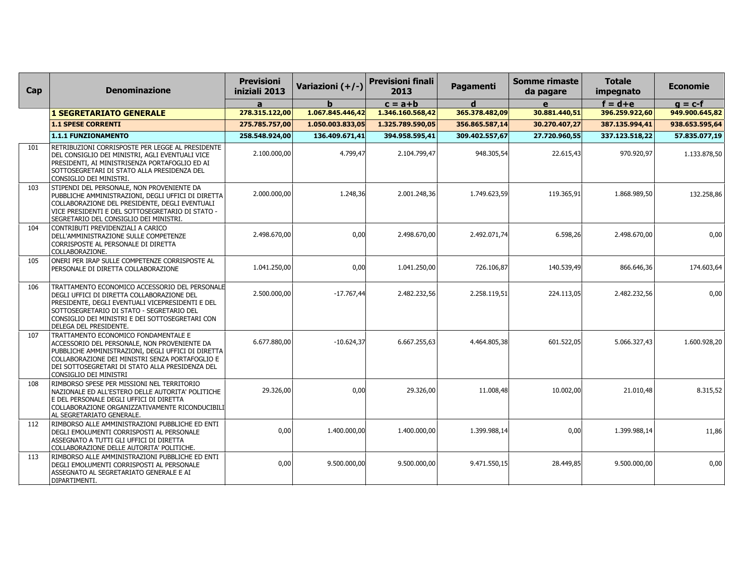| Cap | <b>Denominazione</b>                                                                                                                                                                                                                                                       | <b>Previsioni</b><br>iniziali 2013 | Variazioni (+/-) | <b>Previsioni finali</b><br>2013 | Pagamenti      | <b>Somme rimaste</b><br>da pagare | <b>Totale</b><br>impegnato | <b>Economie</b> |
|-----|----------------------------------------------------------------------------------------------------------------------------------------------------------------------------------------------------------------------------------------------------------------------------|------------------------------------|------------------|----------------------------------|----------------|-----------------------------------|----------------------------|-----------------|
|     |                                                                                                                                                                                                                                                                            | a                                  |                  | $c = a + b$                      | d              | e                                 | $f = d + e$                | $g = c-f$       |
|     | <b>1 SEGRETARIATO GENERALE</b>                                                                                                                                                                                                                                             | 278.315.122,00                     | 1.067.845.446,42 | 1.346.160.568,42                 | 365.378.482,09 | 30.881.440,51                     | 396.259.922,60             | 949.900.645,82  |
|     | <b>1.1 SPESE CORRENTI</b>                                                                                                                                                                                                                                                  | 275.785.757,00                     | 1.050.003.833,05 | 1.325.789.590,05                 | 356.865.587,14 | 30.270.407,27                     | 387.135.994,41             | 938.653.595,64  |
|     | 1.1.1 FUNZIONAMENTO                                                                                                                                                                                                                                                        | 258.548.924,00                     | 136.409.671,41   | 394.958.595,41                   | 309.402.557,67 | 27.720.960,55                     | 337.123.518,22             | 57.835.077,19   |
| 101 | RETRIBUZIONI CORRISPOSTE PER LEGGE AL PRESIDENTE<br>DEL CONSIGLIO DEI MINISTRI, AGLI EVENTUALI VICE<br>PRESIDENTI, AI MINISTRISENZA PORTAFOGLIO ED AI<br>SOTTOSEGRETARI DI STATO ALLA PRESIDENZA DEL<br>CONSIGLIO DEI MINISTRI.                                            | 2.100.000,00                       | 4.799.47         | 2.104.799.47                     | 948.305,54     | 22.615,43                         | 970.920,97                 | 1.133.878,50    |
| 103 | STIPENDI DEL PERSONALE, NON PROVENIENTE DA<br>PUBBLICHE AMMINISTRAZIONI, DEGLI UFFICI DI DIRETTA<br>COLLABORAZIONE DEL PRESIDENTE, DEGLI EVENTUALI<br>VICE PRESIDENTI E DEL SOTTOSEGRETARIO DI STATO -<br>SEGRETARIO DEL CONSIGLIO DEI MINISTRI.                           | 2.000.000,00                       | 1.248,36         | 2.001.248,36                     | 1.749.623,59   | 119.365,91                        | 1.868.989,50               | 132.258,86      |
| 104 | CONTRIBUTI PREVIDENZIALI A CARICO<br>DELL'AMMINISTRAZIONE SULLE COMPETENZE<br>CORRISPOSTE AL PERSONALE DI DIRETTA<br>COLLABORAZIONE.                                                                                                                                       | 2.498.670.00                       | 0.00             | 2.498.670,00                     | 2.492.071,74   | 6.598,26                          | 2.498.670.00               | 0,00            |
| 105 | ONERI PER IRAP SULLE COMPETENZE CORRISPOSTE AL<br>PERSONALE DI DIRETTA COLLABORAZIONE                                                                                                                                                                                      | 1.041.250,00                       | 0,00             | 1.041.250,00                     | 726.106,87     | 140.539,49                        | 866.646,36                 | 174.603,64      |
| 106 | TRATTAMENTO ECONOMICO ACCESSORIO DEL PERSONALE<br>DEGLI UFFICI DI DIRETTA COLLABORAZIONE DEL<br>PRESIDENTE, DEGLI EVENTUALI VICEPRESIDENTI E DEL<br>SOTTOSEGRETARIO DI STATO - SEGRETARIO DEL<br>CONSIGLIO DEI MINISTRI E DEI SOTTOSEGRETARI CON<br>DELEGA DEL PRESIDENTE. | 2.500.000,00                       | $-17.767,44$     | 2.482.232,56                     | 2.258.119,51   | 224.113,05                        | 2.482.232,56               | 0,00            |
| 107 | TRATTAMENTO ECONOMICO FONDAMENTALE E<br>ACCESSORIO DEL PERSONALE, NON PROVENIENTE DA<br>PUBBLICHE AMMINISTRAZIONI, DEGLI UFFICI DI DIRETTA<br>COLLABORAZIONE DEI MINISTRI SENZA PORTAFOGLIO E<br>DEI SOTTOSEGRETARI DI STATO ALLA PRESIDENZA DEL<br>CONSIGLIO DEI MINISTRI | 6.677.880,00                       | $-10.624,37$     | 6.667.255,63                     | 4.464.805,38   | 601.522,05                        | 5.066.327,43               | 1.600.928,20    |
| 108 | RIMBORSO SPESE PER MISSIONI NEL TERRITORIO<br>NAZIONALE ED ALL'ESTERO DELLE AUTORITA' POLITICHE<br>E DEL PERSONALE DEGLI UFFICI DI DIRETTA<br>COLLABORAZIONE ORGANIZZATIVAMENTE RICONDUCIBILI<br>AL SEGRETARIATO GENERALE.                                                 | 29.326,00                          | 0,00             | 29.326,00                        | 11.008,48      | 10.002,00                         | 21.010,48                  | 8.315,52        |
| 112 | RIMBORSO ALLE AMMINISTRAZIONI PUBBLICHE ED ENTI<br>DEGLI EMOLUMENTI CORRISPOSTI AL PERSONALE<br>ASSEGNATO A TUTTI GLI UFFICI DI DIRETTA<br>COLLABORAZIONE DELLE AUTORITA' POLITICHE.                                                                                       | 0,00                               | 1.400.000,00     | 1.400.000,00                     | 1.399.988,14   | 0,00                              | 1.399.988,14               | 11,86           |
| 113 | RIMBORSO ALLE AMMINISTRAZIONI PUBBLICHE ED ENTI<br>DEGLI EMOLUMENTI CORRISPOSTI AL PERSONALE<br>ASSEGNATO AL SEGRETARIATO GENERALE E AI<br>DIPARTIMENTI.                                                                                                                   | 0,00                               | 9.500.000,00     | 9.500.000,00                     | 9.471.550,15   | 28.449,85                         | 9.500.000,00               | 0,00            |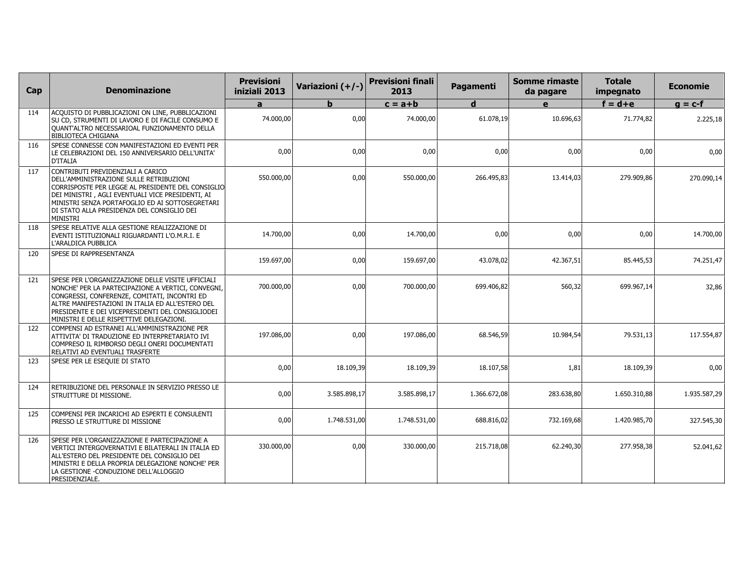| Cap | <b>Denominazione</b>                                                                                                                                                                                                                                                                                        | <b>Previsioni</b><br>iniziali 2013 | Variazioni (+/-) | <b>Previsioni finali</b><br>2013 | Pagamenti    | <b>Somme rimaste</b><br>da pagare | <b>Totale</b><br>impegnato | <b>Economie</b> |
|-----|-------------------------------------------------------------------------------------------------------------------------------------------------------------------------------------------------------------------------------------------------------------------------------------------------------------|------------------------------------|------------------|----------------------------------|--------------|-----------------------------------|----------------------------|-----------------|
|     |                                                                                                                                                                                                                                                                                                             | $\mathbf{a}$                       | h                | $c = a + b$                      | $\mathbf d$  | $\mathbf{e}$                      | $f = d + e$                | $g = c-f$       |
| 114 | ACQUISTO DI PUBBLICAZIONI ON LINE, PUBBLICAZIONI<br>SU CD, STRUMENTI DI LAVORO E DI FACILE CONSUMO E<br>QUANT'ALTRO NECESSARIOAL FUNZIONAMENTO DELLA<br><b>BIBLIOTECA CHIGIANA</b>                                                                                                                          | 74.000,00                          | 0,00             | 74.000,00                        | 61.078.19    | 10.696,63                         | 71.774,82                  | 2.225,18        |
| 116 | SPESE CONNESSE CON MANIFESTAZIONI ED EVENTI PER<br>LE CELEBRAZIONI DEL 150 ANNIVERSARIO DELL'UNITA'<br>D'ITALIA                                                                                                                                                                                             | 0,00                               | 0,00             | 0,00                             | 0,00         | 0,00                              | 0,00                       | 0,00            |
| 117 | CONTRIBUTI PREVIDENZIALI A CARICO<br>DELL'AMMINISTRAZIONE SULLE RETRIBUZIONI<br>CORRISPOSTE PER LEGGE AL PRESIDENTE DEL CONSIGLIO<br>DEI MINISTRI, AGLI EVENTUALI VICE PRESIDENTI, AI<br>MINISTRI SENZA PORTAFOGLIO ED AI SOTTOSEGRETARI<br>DI STATO ALLA PRESIDENZA DEL CONSIGLIO DEI<br><b>MINISTRI</b>   | 550.000,00                         | 0.00             | 550.000,00                       | 266.495,83   | 13.414,03                         | 279.909,86                 | 270.090,14      |
| 118 | SPESE RELATIVE ALLA GESTIONE REALIZZAZIONE DI<br>EVENTI ISTITUZIONALI RIGUARDANTI L'O.M.R.I. E<br>L'ARALDICA PUBBLICA                                                                                                                                                                                       | 14.700,00                          | 0,00             | 14.700,00                        | 0,00         | 0,00                              | 0,00                       | 14.700,00       |
| 120 | SPESE DI RAPPRESENTANZA                                                                                                                                                                                                                                                                                     | 159.697,00                         | 0,00             | 159.697,00                       | 43.078,02    | 42.367,51                         | 85.445,53                  | 74.251,47       |
| 121 | SPESE PER L'ORGANIZZAZIONE DELLE VISITE UFFICIALI<br>NONCHE' PER LA PARTECIPAZIONE A VERTICI, CONVEGNI,<br>CONGRESSI, CONFERENZE, COMITATI, INCONTRI ED<br>ALTRE MANIFESTAZIONI IN ITALIA ED ALL'ESTERO DEL<br>PRESIDENTE E DEI VICEPRESIDENTI DEL CONSIGLIODEI<br>MINISTRI E DELLE RISPETTIVE DELEGAZIONI. | 700.000,00                         | 0,00             | 700.000,00                       | 699.406,82   | 560,32                            | 699.967,14                 | 32,86           |
| 122 | COMPENSI AD ESTRANEI ALL'AMMINISTRAZIONE PER<br>ATTIVITA' DI TRADUZIONE ED INTERPRETARIATO IVI<br>COMPRESO IL RIMBORSO DEGLI ONERI DOCUMENTATI<br>RELATIVI AD EVENTUALI TRASFERTE                                                                                                                           | 197.086,00                         | 0,00             | 197.086,00                       | 68.546,59    | 10.984,54                         | 79.531,13                  | 117.554,87      |
| 123 | SPESE PER LE ESEQUIE DI STATO                                                                                                                                                                                                                                                                               | 0,00                               | 18.109,39        | 18.109,39                        | 18.107,58    | 1,81                              | 18.109,39                  | 0,00            |
| 124 | RETRIBUZIONE DEL PERSONALE IN SERVIZIO PRESSO LE<br>STRUITTURE DI MISSIONE.                                                                                                                                                                                                                                 | 0,00                               | 3.585.898,17     | 3.585.898,17                     | 1.366.672,08 | 283.638,80                        | 1.650.310,88               | 1.935.587,29    |
| 125 | COMPENSI PER INCARICHI AD ESPERTI E CONSULENTI<br>PRESSO LE STRUTTURE DI MISSIONE                                                                                                                                                                                                                           | 0,00                               | 1.748.531,00     | 1.748.531,00                     | 688.816,02   | 732.169,68                        | 1.420.985,70               | 327.545,30      |
| 126 | SPESE PER L'ORGANIZZAZIONE E PARTECIPAZIONE A<br>VERTICI INTERGOVERNATIVI E BILATERALI IN ITALIA ED<br>ALL'ESTERO DEL PRESIDENTE DEL CONSIGLIO DEI<br>MINISTRI E DELLA PROPRIA DELEGAZIONE NONCHE' PER<br>LA GESTIONE -CONDUZIONE DELL'ALLOGGIO<br>PRESIDENZIALE.                                           | 330.000,00                         | 0,00             | 330.000,00                       | 215.718,08   | 62.240,30                         | 277.958,38                 | 52.041,62       |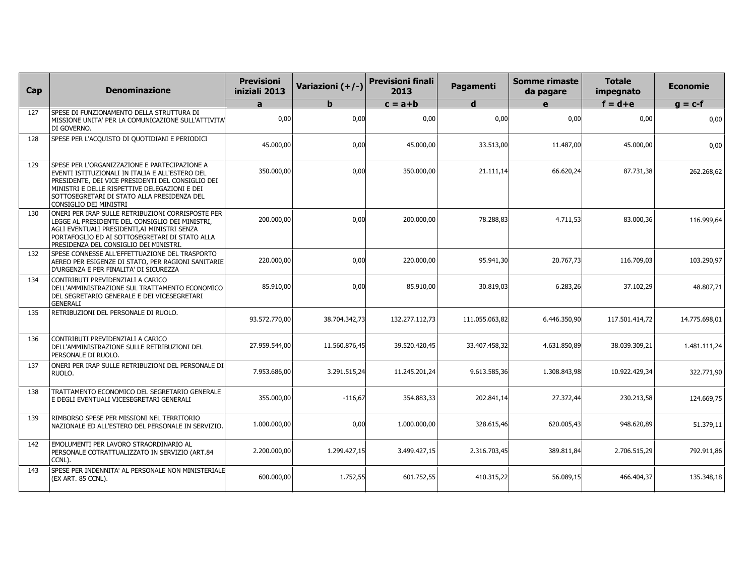| Cap | <b>Denominazione</b>                                                                                                                                                                                                                                                            | <b>Previsioni</b><br>iniziali 2013 | Variazioni (+/-) | <b>Previsioni finali</b><br>2013 | Pagamenti      | <b>Somme rimaste</b><br>da pagare | <b>Totale</b><br>impegnato | <b>Economie</b> |
|-----|---------------------------------------------------------------------------------------------------------------------------------------------------------------------------------------------------------------------------------------------------------------------------------|------------------------------------|------------------|----------------------------------|----------------|-----------------------------------|----------------------------|-----------------|
|     |                                                                                                                                                                                                                                                                                 | a                                  | h                | $c = a + b$                      | d              | $\mathbf e$                       | $f = d + e$                | $g = c-f$       |
| 127 | SPESE DI FUNZIONAMENTO DELLA STRUTTURA DI<br>MISSIONE UNITA' PER LA COMUNICAZIONE SULL'ATTIVITA!<br>DI GOVERNO.                                                                                                                                                                 | 0,00                               | 0,00             | 0,00                             | 0,00           | 0,00                              | 0,00                       | 0,00            |
| 128 | SPESE PER L'ACQUISTO DI QUOTIDIANI E PERIODICI                                                                                                                                                                                                                                  | 45.000,00                          | 0,00             | 45.000,00                        | 33.513,00      | 11.487,00                         | 45.000,00                  | 0,00            |
| 129 | SPESE PER L'ORGANIZZAZIONE E PARTECIPAZIONE A<br>EVENTI ISTITUZIONALI IN ITALIA E ALL'ESTERO DEL<br>PRESIDENTE, DEI VICE PRESIDENTI DEL CONSIGLIO DEI<br>MINISTRI E DELLE RISPETTIVE DELEGAZIONI E DEI<br>SOTTOSEGRETARI DI STATO ALLA PRESIDENZA DEL<br>CONSIGLIO DEI MINISTRI | 350.000,00                         | 0.00             | 350.000,00                       | 21.111,14      | 66.620,24                         | 87.731,38                  | 262.268,62      |
| 130 | ONERI PER IRAP SULLE RETRIBUZIONI CORRISPOSTE PER<br>LEGGE AL PRESIDENTE DEL CONSIGLIO DEI MINISTRI,<br>AGLI EVENTUALI PRESIDENTI,AI MINISTRI SENZA<br>PORTAFOGLIO ED AI SOTTOSEGRETARI DI STATO ALLA<br>PRESIDENZA DEL CONSIGLIO DEI MINISTRI.                                 | 200.000,00                         | 0,00             | 200.000,00                       | 78.288,83      | 4.711,53                          | 83.000,36                  | 116.999,64      |
| 132 | SPESE CONNESSE ALL'EFFETTUAZIONE DEL TRASPORTO<br>AEREO PER ESIGENZE DI STATO, PER RAGIONI SANITARIE<br>D'URGENZA E PER FINALITA' DI SICUREZZA                                                                                                                                  | 220.000,00                         | 0,00             | 220.000,00                       | 95.941,30      | 20.767,73                         | 116.709,03                 | 103.290,97      |
| 134 | CONTRIBUTI PREVIDENZIALI A CARICO<br>DELL'AMMINISTRAZIONE SUL TRATTAMENTO ECONOMICO<br>DEL SEGRETARIO GENERALE E DEI VICESEGRETARI<br><b>GENERALI</b>                                                                                                                           | 85.910,00                          | 0,00             | 85.910,00                        | 30.819,03      | 6.283,26                          | 37.102,29                  | 48.807,71       |
| 135 | RETRIBUZIONI DEL PERSONALE DI RUOLO.                                                                                                                                                                                                                                            | 93.572.770,00                      | 38.704.342,73    | 132.277.112,73                   | 111.055.063,82 | 6.446.350,90                      | 117.501.414,72             | 14.775.698,01   |
| 136 | CONTRIBUTI PREVIDENZIALI A CARICO<br>DELL'AMMINISTRAZIONE SULLE RETRIBUZIONI DEL<br>PERSONALE DI RUOLO.                                                                                                                                                                         | 27.959.544.00                      | 11.560.876.45    | 39.520.420,45                    | 33.407.458,32  | 4.631.850,89                      | 38.039.309,21              | 1.481.111,24    |
| 137 | ONERI PER IRAP SULLE RETRIBUZIONI DEL PERSONALE DI<br>RUOLO.                                                                                                                                                                                                                    | 7.953.686,00                       | 3.291.515,24     | 11.245.201,24                    | 9.613.585,36   | 1.308.843,98                      | 10.922.429,34              | 322.771,90      |
| 138 | TRATTAMENTO ECONOMICO DEL SEGRETARIO GENERALE<br>E DEGLI EVENTUALI VICESEGRETARI GENERALI                                                                                                                                                                                       | 355.000,00                         | $-116,67$        | 354.883,33                       | 202.841,14     | 27.372,44                         | 230.213,58                 | 124.669,75      |
| 139 | RIMBORSO SPESE PER MISSIONI NEL TERRITORIO<br>NAZIONALE ED ALL'ESTERO DEL PERSONALE IN SERVIZIO.                                                                                                                                                                                | 1.000.000,00                       | 0,00             | 1.000.000,00                     | 328.615,46     | 620.005,43                        | 948.620,89                 | 51.379,11       |
| 142 | EMOLUMENTI PER LAVORO STRAORDINARIO AL<br>PERSONALE COTRATTUALIZZATO IN SERVIZIO (ART.84<br>CCNL).                                                                                                                                                                              | 2.200.000,00                       | 1.299.427,15     | 3.499.427,15                     | 2.316.703,45   | 389.811,84                        | 2.706.515,29               | 792.911,86      |
| 143 | SPESE PER INDENNITA' AL PERSONALE NON MINISTERIALE<br>(EX ART. 85 CCNL).                                                                                                                                                                                                        | 600.000,00                         | 1.752,55         | 601.752,55                       | 410.315,22     | 56.089,15                         | 466.404,37                 | 135.348,18      |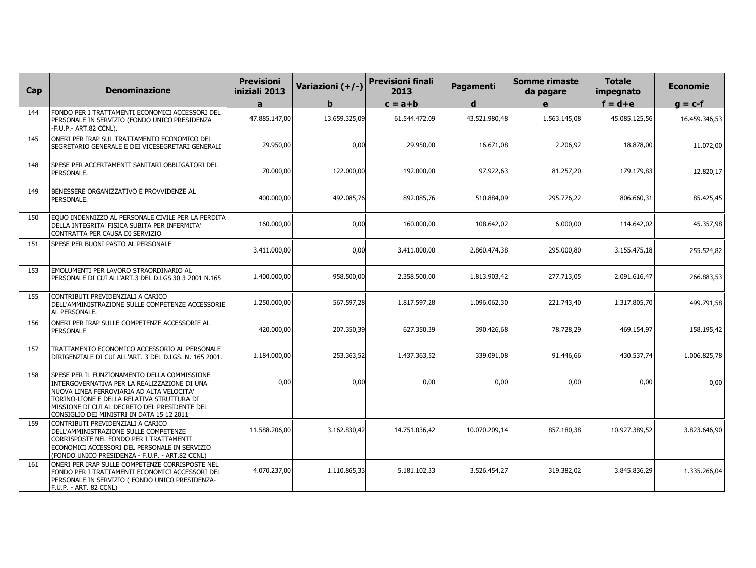| Cap | <b>Denominazione</b>                                                                                                                                                                                                                                                                  | <b>Previsioni</b><br>iniziali 2013 | Variazioni (+/-) | <b>Previsioni finali</b><br>2013 | Pagamenti     | Somme rimaste<br>da pagare | <b>Totale</b><br>impegnato | <b>Economie</b> |
|-----|---------------------------------------------------------------------------------------------------------------------------------------------------------------------------------------------------------------------------------------------------------------------------------------|------------------------------------|------------------|----------------------------------|---------------|----------------------------|----------------------------|-----------------|
|     |                                                                                                                                                                                                                                                                                       | a                                  | h                | $c = a + b$                      | d             | e                          | $f = d + e$                | $g = c-f$       |
| 144 | FONDO PER I TRATTAMENTI ECONOMICI ACCESSORI DEL<br>PERSONALE IN SERVIZIO (FONDO UNICO PRESIDENZA<br>-F.U.P.- ART.82 CCNL).                                                                                                                                                            | 47.885.147,00                      | 13.659.325,09    | 61.544.472,09                    | 43.521.980,48 | 1.563.145,08               | 45.085.125,56              | 16.459.346,53   |
| 145 | ONERI PER IRAP SUL TRATTAMENTO ECONOMICO DEL<br>SEGRETARIO GENERALE E DEI VICESEGRETARI GENERALI                                                                                                                                                                                      | 29.950,00                          | 0,00             | 29.950,00                        | 16.671,08     | 2.206,92                   | 18.878,00                  | 11.072,00       |
| 148 | SPESE PER ACCERTAMENTI SANITARI OBBLIGATORI DEL<br>PERSONALE.                                                                                                                                                                                                                         | 70.000,00                          | 122,000,00       | 192.000,00                       | 97.922,63     | 81.257,20                  | 179.179.83                 | 12.820,17       |
| 149 | BENESSERE ORGANIZZATIVO E PROVVIDENZE AL<br>PERSONALE.                                                                                                                                                                                                                                | 400.000,00                         | 492.085,76       | 892.085,76                       | 510.884,09    | 295.776,22                 | 806.660,31                 | 85.425,45       |
| 150 | EQUO INDENNIZZO AL PERSONALE CIVILE PER LA PERDITA<br>DELLA INTEGRITA' FISICA SUBITA PER INFERMITA'<br>CONTRATTA PER CAUSA DI SERVIZIO                                                                                                                                                | 160.000,00                         | 0,00             | 160.000,00                       | 108.642,02    | 6.000,00                   | 114.642,02                 | 45.357,98       |
| 151 | SPESE PER BUONI PASTO AL PERSONALE                                                                                                                                                                                                                                                    | 3.411.000.00                       | 0,00             | 3.411.000.00                     | 2.860,474,38  | 295.000,80                 | 3.155.475.18               | 255.524,82      |
| 153 | EMOLUMENTI PER LAVORO STRAORDINARIO AL<br>PERSONALE DI CUI ALL'ART.3 DEL D.LGS 30 3 2001 N.165                                                                                                                                                                                        | 1.400.000,00                       | 958.500,00       | 2.358.500,00                     | 1.813.903,42  | 277.713,05                 | 2.091.616,47               | 266.883,53      |
| 155 | CONTRIBUTI PREVIDENZIALI A CARICO<br>DELL'AMMINISTRAZIONE SULLE COMPETENZE ACCESSORIE<br>AL PERSONALE.                                                                                                                                                                                | 1.250.000,00                       | 567.597,28       | 1.817.597,28                     | 1.096.062,30  | 221.743,40                 | 1.317.805,70               | 499.791,58      |
| 156 | ONERI PER IRAP SULLE COMPETENZE ACCESSORIE AL<br><b>PERSONALE</b>                                                                                                                                                                                                                     | 420,000,00                         | 207.350.39       | 627.350.39                       | 390.426,68    | 78.728,29                  | 469.154.97                 | 158.195,42      |
| 157 | TRATTAMENTO ECONOMICO ACCESSORIO AL PERSONALE<br>DIRIGENZIALE DI CUI ALL'ART. 3 DEL D.LGS. N. 165 2001.                                                                                                                                                                               | 1.184.000,00                       | 253.363,52       | 1.437.363,52                     | 339.091,08    | 91.446,66                  | 430.537,74                 | 1.006.825,78    |
| 158 | SPESE PER IL FUNZIONAMENTO DELLA COMMISSIONE<br>INTERGOVERNATIVA PER LA REALIZZAZIONE DI UNA<br>NUOVA LINEA FERROVIARIA AD ALTA VELOCITA'<br>TORINO-LIONE E DELLA RELATIVA STRUTTURA DI<br>MISSIONE DI CUI AL DECRETO DEL PRESIDENTE DEL<br>CONSIGLIO DEI MINISTRI IN DATA 15 12 2011 | 0,00                               | 0,00             | 0,00                             | 0,00          | 0,00                       | 0,00                       | 0,00            |
| 159 | CONTRIBUTI PREVIDENZIALI A CARICO<br>DELL'AMMINISTRAZIONE SULLE COMPETENZE<br>CORRISPOSTE NEL FONDO PER I TRATTAMENTI<br>ECONOMICI ACCESSORI DEL PERSONALE IN SERVIZIO<br>(FONDO UNICO PRESIDENZA - F.U.P. - ART.82 CCNL)                                                             | 11.588.206,00                      | 3.162.830,42     | 14.751.036,42                    | 10.070.209,14 | 857.180,38                 | 10.927.389,52              | 3.823.646,90    |
| 161 | ONERI PER IRAP SULLE COMPETENZE CORRISPOSTE NEL<br>FONDO PER I TRATTAMENTI ECONOMICI ACCESSORI DEL<br>PERSONALE IN SERVIZIO ( FONDO UNICO PRESIDENZA-<br>F.U.P. - ART. 82 CCNL)                                                                                                       | 4.070.237,00                       | 1.110.865,33     | 5.181.102,33                     | 3.526.454,27  | 319.382,02                 | 3.845.836,29               | 1.335.266,04    |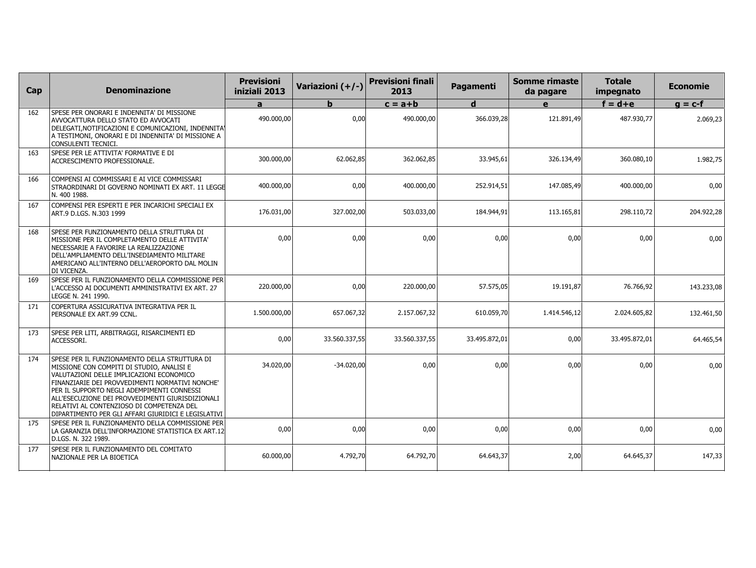| Cap | <b>Denominazione</b>                                                                                                                                                                                                                                                                                                                                                                            | <b>Previsioni</b><br>iniziali 2013 | Variazioni (+/-) | <b>Previsioni finali</b><br>2013 | Pagamenti     | <b>Somme rimaste</b><br>da pagare | <b>Totale</b><br>impegnato | <b>Economie</b> |
|-----|-------------------------------------------------------------------------------------------------------------------------------------------------------------------------------------------------------------------------------------------------------------------------------------------------------------------------------------------------------------------------------------------------|------------------------------------|------------------|----------------------------------|---------------|-----------------------------------|----------------------------|-----------------|
|     |                                                                                                                                                                                                                                                                                                                                                                                                 | a                                  | b                | $c = a + b$                      | d             | e                                 | $f = d + e$                | $g = c-f$       |
| 162 | SPESE PER ONORARI E INDENNITA' DI MISSIONE<br>AVVOCATTURA DELLO STATO ED AVVOCATI<br>DELEGATI, NOTIFICAZIONI E COMUNICAZIONI, INDENNITA!<br>A TESTIMONI, ONORARI E DI INDENNITA' DI MISSIONE A<br>CONSULENTI TECNICI.                                                                                                                                                                           | 490.000.00                         | 0,00             | 490.000,00                       | 366.039,28    | 121.891,49                        | 487.930,77                 | 2.069,23        |
| 163 | SPESE PER LE ATTIVITA' FORMATIVE E DI<br>ACCRESCIMENTO PROFESSIONALE.                                                                                                                                                                                                                                                                                                                           | 300.000.00                         | 62.062.85        | 362.062.85                       | 33.945.61     | 326.134,49                        | 360.080.10                 | 1.982,75        |
| 166 | COMPENSI AI COMMISSARI E AI VICE COMMISSARI<br>STRAORDINARI DI GOVERNO NOMINATI EX ART. 11 LEGGE<br>N. 400 1988.                                                                                                                                                                                                                                                                                | 400.000,00                         | 0,00             | 400.000,00                       | 252.914,51    | 147.085,49                        | 400.000,00                 | 0,00            |
| 167 | COMPENSI PER ESPERTI E PER INCARICHI SPECIALI EX<br>ART.9 D.LGS. N.303 1999                                                                                                                                                                                                                                                                                                                     | 176.031,00                         | 327.002,00       | 503.033,00                       | 184.944,91    | 113.165,81                        | 298.110,72                 | 204.922,28      |
| 168 | SPESE PER FUNZIONAMENTO DELLA STRUTTURA DI<br>MISSIONE PER IL COMPLETAMENTO DELLE ATTIVITA'<br>NECESSARIE A FAVORIRE LA REALIZZAZIONE<br>DELL'AMPLIAMENTO DELL'INSEDIAMENTO MILITARE<br>AMERICANO ALL'INTERNO DELL'AEROPORTO DAL MOLIN<br>DI VICENZA.                                                                                                                                           | 0,00                               | 0,00             | 0,00                             | 0,00          | 0,00                              | 0,00                       | 0,00            |
| 169 | SPESE PER IL FUNZIONAMENTO DELLA COMMISSIONE PER<br>L'ACCESSO AI DOCUMENTI AMMINISTRATIVI EX ART. 27<br>LEGGE N. 241 1990.                                                                                                                                                                                                                                                                      | 220.000,00                         | 0,00             | 220.000,00                       | 57.575,05     | 19.191,87                         | 76.766,92                  | 143.233,08      |
| 171 | COPERTURA ASSICURATIVA INTEGRATIVA PER IL<br>PERSONALE EX ART.99 CCNL.                                                                                                                                                                                                                                                                                                                          | 1.500.000,00                       | 657.067,32       | 2.157.067,32                     | 610.059,70    | 1.414.546,12                      | 2.024.605,82               | 132.461,50      |
| 173 | SPESE PER LITI, ARBITRAGGI, RISARCIMENTI ED<br>ACCESSORI.                                                                                                                                                                                                                                                                                                                                       | 0,00                               | 33.560.337,55    | 33.560.337,55                    | 33.495.872,01 | 0,00                              | 33.495.872,01              | 64.465,54       |
| 174 | SPESE PER IL FUNZIONAMENTO DELLA STRUTTURA DI<br>MISSIONE CON COMPITI DI STUDIO, ANALISI E<br>VALUTAZIONI DELLE IMPLICAZIONI ECONOMICO<br>FINANZIARIE DEI PROVVEDIMENTI NORMATIVI NONCHE'<br>PER IL SUPPORTO NEGLI ADEMPIMENTI CONNESSI<br>ALL'ESECUZIONE DEI PROVVEDIMENTI GIURISDIZIONALI<br>RELATIVI AL CONTENZIOSO DI COMPETENZA DEL<br>DIPARTIMENTO PER GLI AFFARI GIURIDICI E LEGISLATIVI | 34.020,00                          | $-34.020,00$     | 0,00                             | 0,00          | 0,00                              | 0,00                       | 0,00            |
| 175 | SPESE PER IL FUNZIONAMENTO DELLA COMMISSIONE PER<br>LA GARANZIA DELL'INFORMAZIONE STATISTICA EX ART.12<br>D.LGS. N. 322 1989.                                                                                                                                                                                                                                                                   | 0,00                               | 0,00             | 0,00                             | 0,00          | 0,00                              | 0,00                       | 0,00            |
| 177 | SPESE PER IL FUNZIONAMENTO DEL COMITATO<br>NAZIONALE PER LA BIOETICA                                                                                                                                                                                                                                                                                                                            | 60.000,00                          | 4.792,70         | 64.792,70                        | 64.643,37     | 2,00                              | 64.645,37                  | 147,33          |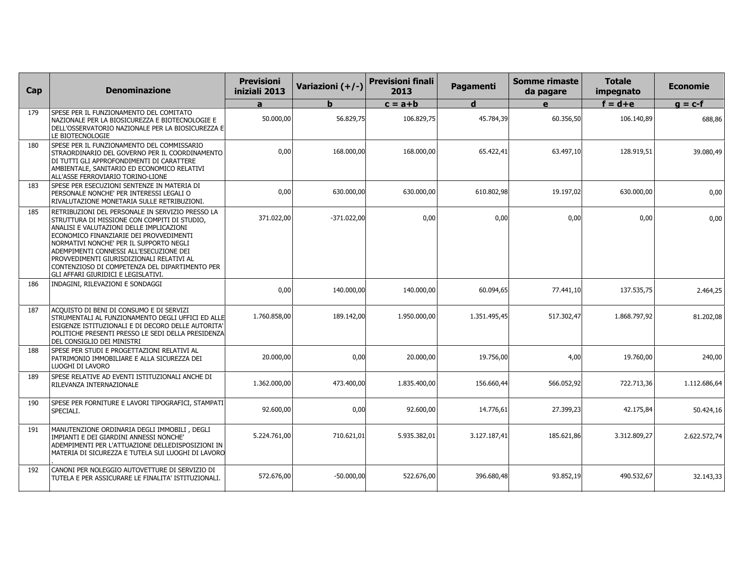| Cap | <b>Denominazione</b>                                                                                                                                                                                                                                                                                                                                                                                                | <b>Previsioni</b><br>iniziali 2013 | Variazioni (+/-) | <b>Previsioni finali</b><br>2013 | Pagamenti    | <b>Somme rimaste</b><br>da pagare | <b>Totale</b><br>impegnato | <b>Economie</b> |
|-----|---------------------------------------------------------------------------------------------------------------------------------------------------------------------------------------------------------------------------------------------------------------------------------------------------------------------------------------------------------------------------------------------------------------------|------------------------------------|------------------|----------------------------------|--------------|-----------------------------------|----------------------------|-----------------|
|     |                                                                                                                                                                                                                                                                                                                                                                                                                     | a                                  | $\mathbf{h}$     | $c = a + b$                      | d            | e                                 | $f = d + e$                | $q = c-f$       |
| 179 | SPESE PER IL FUNZIONAMENTO DEL COMITATO<br>NAZIONALE PER LA BIOSICUREZZA E BIOTECNOLOGIE E<br>DELL'OSSERVATORIO NAZIONALE PER LA BIOSICUREZZA E<br>LE BIOTECNOLOGIE                                                                                                                                                                                                                                                 | 50.000,00                          | 56.829,75        | 106.829,75                       | 45.784,39    | 60.356,50                         | 106.140,89                 | 688,86          |
| 180 | SPESE PER IL FUNZIONAMENTO DEL COMMISSARIO<br>STRAORDINARIO DEL GOVERNO PER IL COORDINAMENTO<br>DI TUTTI GLI APPROFONDIMENTI DI CARATTERE<br>AMBIENTALE, SANITARIO ED ECONOMICO RELATIVI<br>ALL'ASSE FERROVIARIO TORINO-LIONE                                                                                                                                                                                       | 0,00                               | 168.000,00       | 168.000,00                       | 65.422,41    | 63.497,10                         | 128.919,51                 | 39.080,49       |
| 183 | SPESE PER ESECUZIONI SENTENZE IN MATERIA DI<br>PERSONALE NONCHE' PER INTERESSI LEGALI O<br>RIVALUTAZIONE MONETARIA SULLE RETRIBUZIONI.                                                                                                                                                                                                                                                                              | 0,00                               | 630.000,00       | 630.000,00                       | 610.802,98   | 19.197,02                         | 630.000,00                 | 0,00            |
| 185 | RETRIBUZIONI DEL PERSONALE IN SERVIZIO PRESSO LA<br>STRUTTURA DI MISSIONE CON COMPITI DI STUDIO,<br>ANALISI E VALUTAZIONI DELLE IMPLICAZIONI<br>ECONOMICO FINANZIARIE DEI PROVVEDIMENTI<br>NORMATIVI NONCHE' PER IL SUPPORTO NEGLI<br>ADEMPIMENTI CONNESSI ALL'ESECUZIONE DEI<br>PROVVEDIMENTI GIURISDIZIONALI RELATIVI AL<br>CONTENZIOSO DI COMPETENZA DEL DIPARTIMENTO PER<br>GLI AFFARI GIURIDICI E LEGISLATIVI. | 371.022,00                         | $-371.022,00$    | 0,00                             | 0,00         | 0,00                              | 0,00                       | 0,00            |
| 186 | INDAGINI, RILEVAZIONI E SONDAGGI                                                                                                                                                                                                                                                                                                                                                                                    | 0,00                               | 140.000,00       | 140.000,00                       | 60.094,65    | 77.441,10                         | 137.535,75                 | 2.464,25        |
| 187 | ACQUISTO DI BENI DI CONSUMO E DI SERVIZI<br>STRUMENTALI AL FUNZIONAMENTO DEGLI UFFICI ED ALLE<br>ESIGENZE ISTITUZIONALI E DI DECORO DELLE AUTORITA'<br>POLITICHE PRESENTI PRESSO LE SEDI DELLA PRESIDENZA<br>DEL CONSIGLIO DEI MINISTRI                                                                                                                                                                             | 1.760.858,00                       | 189.142,00       | 1.950.000,00                     | 1.351.495,45 | 517.302,47                        | 1.868.797,92               | 81.202,08       |
| 188 | SPESE PER STUDI E PROGETTAZIONI RELATIVI AL<br>PATRIMONIO IMMOBILIARE E ALLA SICUREZZA DEI<br>LUOGHI DI LAVORO                                                                                                                                                                                                                                                                                                      | 20.000,00                          | 0,00             | 20.000,00                        | 19.756,00    | 4,00                              | 19.760,00                  | 240,00          |
| 189 | SPESE RELATIVE AD EVENTI ISTITUZIONALI ANCHE DI<br>RILEVANZA INTERNAZIONALE                                                                                                                                                                                                                                                                                                                                         | 1.362.000,00                       | 473.400,00       | 1.835.400,00                     | 156.660,44   | 566.052,92                        | 722.713,36                 | 1.112.686.64    |
| 190 | SPESE PER FORNITURE E LAVORI TIPOGRAFICI, STAMPATI<br>SPECIALI.                                                                                                                                                                                                                                                                                                                                                     | 92.600,00                          | 0,00             | 92.600,00                        | 14.776,61    | 27.399,23                         | 42.175,84                  | 50.424,16       |
| 191 | MANUTENZIONE ORDINARIA DEGLI IMMOBILI, DEGLI<br>IMPIANTI E DEI GIARDINI ANNESSI NONCHE'<br>ADEMPIMENTI PER L'ATTUAZIONE DELLEDISPOSIZIONI IN<br>MATERIA DI SICUREZZA E TUTELA SUI LUOGHI DI LAVORO                                                                                                                                                                                                                  | 5.224.761,00                       | 710.621,01       | 5.935.382,01                     | 3.127.187,41 | 185.621,86                        | 3.312.809,27               | 2.622.572,74    |
| 192 | CANONI PER NOLEGGIO AUTOVETTURE DI SERVIZIO DI<br>TUTELA E PER ASSICURARE LE FINALITA' ISTITUZIONALI.                                                                                                                                                                                                                                                                                                               | 572.676,00                         | $-50.000,00$     | 522.676,00                       | 396.680,48   | 93.852,19                         | 490.532,67                 | 32.143,33       |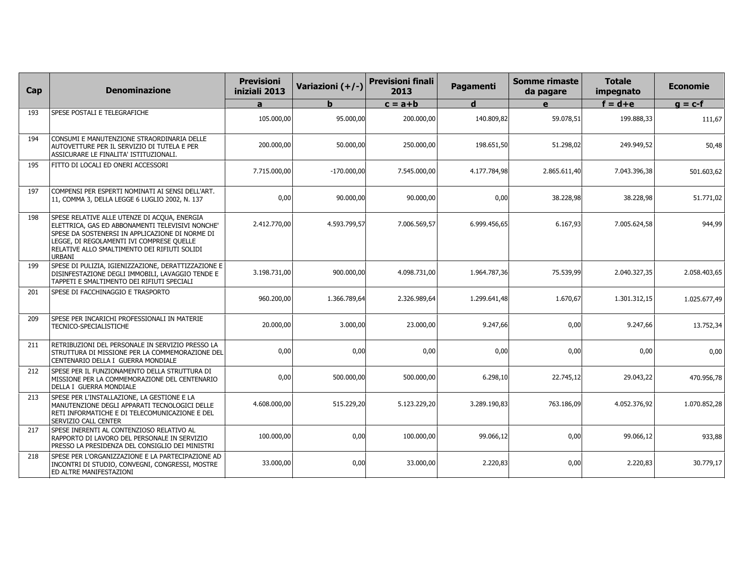| Cap | <b>Denominazione</b>                                                                                                                                                                                                                                       | <b>Previsioni</b><br>iniziali 2013 | Variazioni (+/-) | <b>Previsioni finali</b><br>2013 | Pagamenti    | <b>Somme rimaste</b><br>da pagare | <b>Totale</b><br>impegnato | <b>Economie</b> |
|-----|------------------------------------------------------------------------------------------------------------------------------------------------------------------------------------------------------------------------------------------------------------|------------------------------------|------------------|----------------------------------|--------------|-----------------------------------|----------------------------|-----------------|
|     |                                                                                                                                                                                                                                                            | a                                  | h                | $c = a + b$                      | d            | e                                 | $f = d + e$                | $g = c-f$       |
| 193 | SPESE POSTALI E TELEGRAFICHE                                                                                                                                                                                                                               | 105.000,00                         | 95.000,00        | 200.000,00                       | 140.809,82   | 59.078,51                         | 199.888,33                 | 111,67          |
| 194 | CONSUMI E MANUTENZIONE STRAORDINARIA DELLE<br>AUTOVETTURE PER IL SERVIZIO DI TUTELA E PER<br>ASSICURARE LE FINALITA' ISTITUZIONALI.                                                                                                                        | 200.000,00                         | 50.000,00        | 250.000,00                       | 198.651,50   | 51.298,02                         | 249.949,52                 | 50,48           |
| 195 | FITTO DI LOCALI ED ONERI ACCESSORI                                                                                                                                                                                                                         | 7.715.000,00                       | $-170.000,00$    | 7.545.000,00                     | 4.177.784,98 | 2.865.611,40                      | 7.043.396,38               | 501.603,62      |
| 197 | COMPENSI PER ESPERTI NOMINATI AI SENSI DELL'ART.<br>11, COMMA 3, DELLA LEGGE 6 LUGLIO 2002, N. 137                                                                                                                                                         | 0,00                               | 90.000,00        | 90.000,00                        | 0,00         | 38.228,98                         | 38.228,98                  | 51.771,02       |
| 198 | SPESE RELATIVE ALLE UTENZE DI ACQUA, ENERGIA<br>ELETTRICA, GAS ED ABBONAMENTI TELEVISIVI NONCHE'<br>SPESE DA SOSTENERSI IN APPLICAZIONE DI NORME DI<br>LEGGE, DI REGOLAMENTI IVI COMPRESE QUELLE<br>RELATIVE ALLO SMALTIMENTO DEI RIFIUTI SOLIDI<br>URBANI | 2.412.770,00                       | 4.593.799,57     | 7.006.569,57                     | 6.999.456,65 | 6.167,93                          | 7.005.624,58               | 944,99          |
| 199 | SPESE DI PULIZIA, IGIENIZZAZIONE, DERATTIZZAZIONE E<br>DISINFESTAZIONE DEGLI IMMOBILI, LAVAGGIO TENDE E<br>TAPPETI E SMALTIMENTO DEI RIFIUTI SPECIALI                                                                                                      | 3.198.731,00                       | 900.000,00       | 4.098.731,00                     | 1.964.787,36 | 75.539,99                         | 2.040.327,35               | 2.058.403,65    |
| 201 | SPESE DI FACCHINAGGIO E TRASPORTO                                                                                                                                                                                                                          | 960.200,00                         | 1.366.789,64     | 2.326.989,64                     | 1.299.641,48 | 1.670,67                          | 1.301.312,15               | 1.025.677,49    |
| 209 | SPESE PER INCARICHI PROFESSIONALI IN MATERIE<br>TECNICO-SPECIALISTICHE                                                                                                                                                                                     | 20.000,00                          | 3.000,00         | 23.000,00                        | 9.247,66     | 0,00                              | 9.247,66                   | 13.752,34       |
| 211 | RETRIBUZIONI DEL PERSONALE IN SERVIZIO PRESSO LA<br>STRUTTURA DI MISSIONE PER LA COMMEMORAZIONE DEL<br>CENTENARIO DELLA I GUERRA MONDIALE                                                                                                                  | 0,00                               | 0.00             | 0,00                             | 0,00         | 0,00                              | 0,00                       | 0,00            |
| 212 | SPESE PER IL FUNZIONAMENTO DELLA STRUTTURA DI<br>MISSIONE PER LA COMMEMORAZIONE DEL CENTENARIO<br>DELLA I GUERRA MONDIALE                                                                                                                                  | 0,00                               | 500.000,00       | 500.000,00                       | 6.298,10     | 22.745,12                         | 29.043,22                  | 470.956,78      |
| 213 | SPESE PER L'INSTALLAZIONE, LA GESTIONE E LA<br>MANUTENZIONE DEGLI APPARATI TECNOLOGICI DELLE<br>RETI INFORMATICHE E DI TELECOMUNICAZIONE E DEL<br>SERVIZIO CALL CENTER                                                                                     | 4.608.000,00                       | 515.229,20       | 5.123.229,20                     | 3.289.190,83 | 763.186,09                        | 4.052.376,92               | 1.070.852,28    |
| 217 | SPESE INERENTI AL CONTENZIOSO RELATIVO AL<br>RAPPORTO DI LAVORO DEL PERSONALE IN SERVIZIO<br>PRESSO LA PRESIDENZA DEL CONSIGLIO DEI MINISTRI                                                                                                               | 100.000,00                         | 0,00             | 100.000,00                       | 99.066.12    | 0,00                              | 99.066,12                  | 933,88          |
| 218 | SPESE PER L'ORGANIZZAZIONE E LA PARTECIPAZIONE AD<br>INCONTRI DI STUDIO, CONVEGNI, CONGRESSI, MOSTRE<br>ED ALTRE MANIFESTAZIONI                                                                                                                            | 33.000,00                          | 0,00             | 33.000,00                        | 2.220,83     | 0,00                              | 2.220,83                   | 30.779,17       |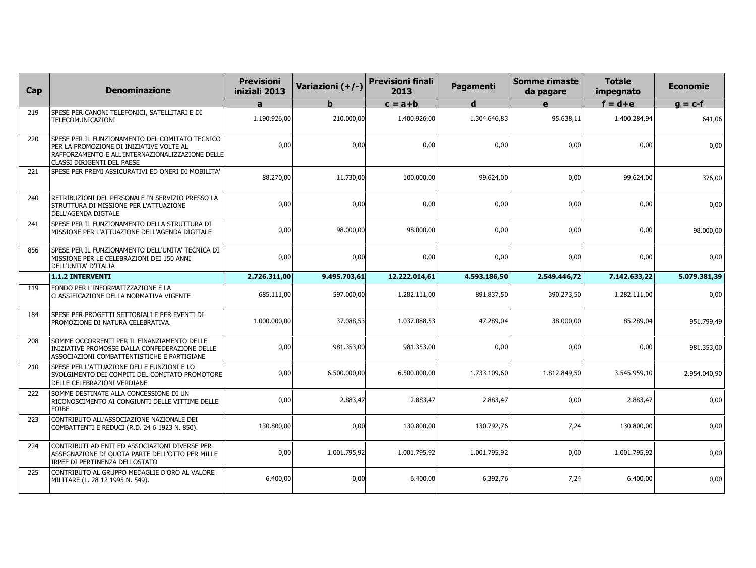| Cap | <b>Denominazione</b>                                                                                                                                                          | <b>Previsioni</b><br>iniziali 2013 | Variazioni (+/-) | <b>Previsioni finali</b><br>2013 | Pagamenti    | <b>Somme rimaste</b><br>da pagare | <b>Totale</b><br>impegnato | <b>Economie</b> |
|-----|-------------------------------------------------------------------------------------------------------------------------------------------------------------------------------|------------------------------------|------------------|----------------------------------|--------------|-----------------------------------|----------------------------|-----------------|
|     |                                                                                                                                                                               | a                                  | h.               | $c = a + b$                      | d            | e                                 | $f = d + e$                | $g = c-f$       |
| 219 | SPESE PER CANONI TELEFONICI, SATELLITARI E DI<br>TELECOMUNICAZIONI                                                                                                            | 1.190.926,00                       | 210.000,00       | 1.400.926,00                     | 1.304.646,83 | 95.638,11                         | 1.400.284,94               | 641,06          |
| 220 | SPESE PER IL FUNZIONAMENTO DEL COMITATO TECNICO<br>PER LA PROMOZIONE DI INIZIATIVE VOLTE AL<br>RAFFORZAMENTO E ALL'INTERNAZIONALIZZAZIONE DELLE<br>CLASSI DIRIGENTI DEL PAESE | 0,00                               | 0,00             | 0,00                             | 0,00         | 0,00                              | 0,00                       | 0,00            |
| 221 | SPESE PER PREMI ASSICURATIVI ED ONERI DI MOBILITA'                                                                                                                            | 88.270,00                          | 11.730,00        | 100.000,00                       | 99.624,00    | 0,00                              | 99.624,00                  | 376,00          |
| 240 | RETRIBUZIONI DEL PERSONALE IN SERVIZIO PRESSO LA<br>STRUTTURA DI MISSIONE PER L'ATTUAZIONE<br><b>DELL'AGENDA DIGTALE</b>                                                      | 0,00                               | 0,00             | 0,00                             | 0,00         | 0,00                              | 0,00                       | 0,00            |
| 241 | SPESE PER IL FUNZIONAMENTO DELLA STRUTTURA DI<br>MISSIONE PER L'ATTUAZIONE DELL'AGENDA DIGITALE                                                                               | 0,00                               | 98.000,00        | 98.000,00                        | 0,00         | 0,00                              | 0,00                       | 98.000,00       |
| 856 | SPESE PER IL FUNZIONAMENTO DELL'UNITA' TECNICA DI<br>MISSIONE PER LE CELEBRAZIONI DEI 150 ANNI<br>DELL'UNITA' D'ITALIA                                                        | 0,00                               | 0,00             | 0,00                             | 0,00         | 0,00                              | 0,00                       | 0,00            |
|     | 1.1.2 INTERVENTI                                                                                                                                                              | 2.726.311,00                       | 9.495.703,61     | 12.222.014,61                    | 4.593.186.50 | 2.549.446,72                      | 7.142.633,22               | 5.079.381,39    |
| 119 | FONDO PER L'INFORMATIZZAZIONE E LA<br>CLASSIFICAZIONE DELLA NORMATIVA VIGENTE                                                                                                 | 685.111,00                         | 597.000,00       | 1.282.111,00                     | 891.837,50   | 390.273,50                        | 1.282.111,00               | 0,00            |
| 184 | SPESE PER PROGETTI SETTORIALI E PER EVENTI DI<br>PROMOZIONE DI NATURA CELEBRATIVA.                                                                                            | 1.000.000,00                       | 37.088,53        | 1.037.088,53                     | 47.289,04    | 38.000,00                         | 85.289,04                  | 951.799,49      |
| 208 | SOMME OCCORRENTI PER IL FINANZIAMENTO DELLE<br>INIZIATIVE PROMOSSE DALLA CONFEDERAZIONE DELLE<br>ASSOCIAZIONI COMBATTENTISTICHE E PARTIGIANE                                  | 0,00                               | 981.353,00       | 981.353,00                       | 0,00         | 0,00                              | 0,00                       | 981.353,00      |
| 210 | SPESE PER L'ATTUAZIONE DELLE FUNZIONI E LO<br>SVOLGIMENTO DEI COMPITI DEL COMITATO PROMOTORE<br>DELLE CELEBRAZIONI VERDIANE                                                   | 0,00                               | 6.500.000,00     | 6.500.000,00                     | 1.733.109,60 | 1.812.849,50                      | 3.545.959,10               | 2.954.040,90    |
| 222 | SOMME DESTINATE ALLA CONCESSIONE DI UN<br>RICONOSCIMENTO AI CONGIUNTI DELLE VITTIME DELLE<br><b>FOIBE</b>                                                                     | 0,00                               | 2.883,47         | 2.883,47                         | 2.883,47     | 0,00                              | 2.883,47                   | 0,00            |
| 223 | CONTRIBUTO ALL'ASSOCIAZIONE NAZIONALE DEI<br>COMBATTENTI E REDUCI (R.D. 24 6 1923 N. 850).                                                                                    | 130,800,00                         | 0,00             | 130,800,00                       | 130.792.76   | 7,24                              | 130,800,00                 | 0,00            |
| 224 | CONTRIBUTI AD ENTI ED ASSOCIAZIONI DIVERSE PER<br>ASSEGNAZIONE DI QUOTA PARTE DELL'OTTO PER MILLE<br>IRPEF DI PERTINENZA DELLOSTATO                                           | 0,00                               | 1.001.795,92     | 1.001.795,92                     | 1.001.795,92 | 0,00                              | 1.001.795,92               | 0,00            |
| 225 | CONTRIBUTO AL GRUPPO MEDAGLIE D'ORO AL VALORE<br>MILITARE (L. 28 12 1995 N. 549).                                                                                             | 6.400,00                           | 0,00             | 6.400,00                         | 6.392,76     | 7,24                              | 6.400,00                   | 0,00            |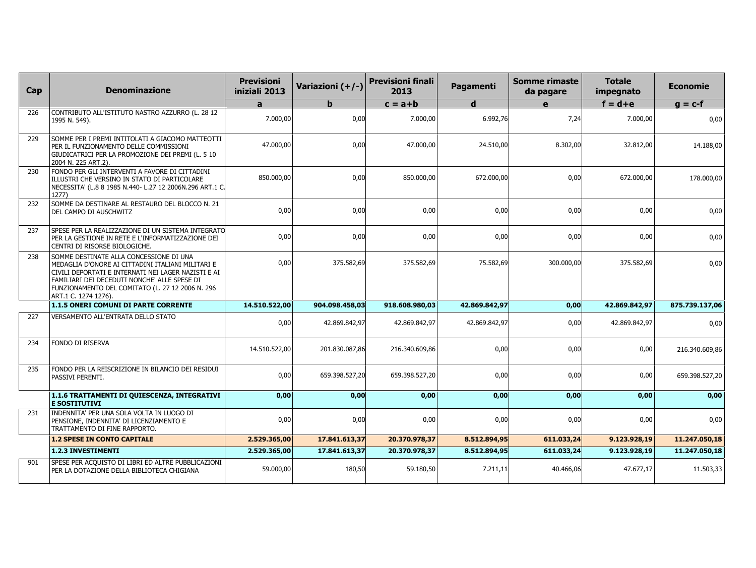| Cap | <b>Denominazione</b>                                                                                                                                                                                                                                                            | <b>Previsioni</b><br>iniziali 2013 | Variazioni (+/-) | <b>Previsioni finali</b><br>2013 | Pagamenti     | <b>Somme rimaste</b><br>da pagare | <b>Totale</b><br>impegnato | <b>Economie</b> |
|-----|---------------------------------------------------------------------------------------------------------------------------------------------------------------------------------------------------------------------------------------------------------------------------------|------------------------------------|------------------|----------------------------------|---------------|-----------------------------------|----------------------------|-----------------|
|     |                                                                                                                                                                                                                                                                                 | $\mathbf{a}$                       | h                | $c = a + b$                      | $\mathbf d$   | e                                 | $f = d + e$                | $g = c-f$       |
| 226 | CONTRIBUTO ALL'ISTITUTO NASTRO AZZURRO (L. 28 12<br>1995 N. 549).                                                                                                                                                                                                               | 7.000,00                           | 0,00             | 7.000,00                         | 6.992,76      | 7,24                              | 7.000,00                   | 0,00            |
| 229 | SOMME PER I PREMI INTITOLATI A GIACOMO MATTEOTTI<br>PER IL FUNZIONAMENTO DELLE COMMISSIONI<br>GIUDICATRICI PER LA PROMOZIONE DEI PREMI (L. 5 10<br>2004 N. 225 ART.2).                                                                                                          | 47.000,00                          | 0,00             | 47.000,00                        | 24.510,00     | 8.302,00                          | 32.812,00                  | 14.188,00       |
| 230 | FONDO PER GLI INTERVENTI A FAVORE DI CITTADINI<br>ILLUSTRI CHE VERSINO IN STATO DI PARTICOLARE<br>NECESSITA' (L.8 8 1985 N.440- L.27 12 2006N.296 ART.1 C.<br>1277                                                                                                              | 850.000,00                         | 0,00             | 850.000,00                       | 672.000,00    | 0,00                              | 672.000,00                 | 178.000,00      |
| 232 | SOMME DA DESTINARE AL RESTAURO DEL BLOCCO N. 21<br>DEL CAMPO DI AUSCHWITZ                                                                                                                                                                                                       | 0,00                               | 0,00             | 0,00                             | 0,00          | 0,00                              | 0,00                       | 0,00            |
| 237 | SPESE PER LA REALIZZAZIONE DI UN SISTEMA INTEGRATO<br>PER LA GESTIONE IN RETE E L'INFORMATIZZAZIONE DEI<br>CENTRI DI RISORSE BIOLOGICHE.                                                                                                                                        | 0,00                               | 0,00             | 0,00                             | 0,00          | 0,00                              | 0,00                       | 0,00            |
| 238 | SOMME DESTINATE ALLA CONCESSIONE DI UNA<br>MEDAGLIA D'ONORE AI CITTADINI ITALIANI MILITARI E<br>CIVILI DEPORTATI E INTERNATI NEI LAGER NAZISTI E AI<br>FAMILIARI DEI DECEDUTI NONCHE' ALLE SPESE DI<br>FUNZIONAMENTO DEL COMITATO (L. 27 12 2006 N. 296<br>ART.1 C. 1274 1276). | 0,00                               | 375.582,69       | 375.582,69                       | 75.582,69     | 300.000,00                        | 375.582,69                 | 0,00            |
|     | 1.1.5 ONERI COMUNI DI PARTE CORRENTE                                                                                                                                                                                                                                            | 14.510.522.00                      | 904.098.458,03   | 918.608.980.03                   | 42.869.842,97 | 0,00                              | 42.869.842,97              | 875.739.137,06  |
| 227 | VERSAMENTO ALL'ENTRATA DELLO STATO                                                                                                                                                                                                                                              | 0,00                               | 42.869.842,97    | 42.869.842,97                    | 42.869.842,97 | 0,00                              | 42.869.842,97              | 0,00            |
| 234 | <b>FONDO DI RISERVA</b>                                                                                                                                                                                                                                                         | 14.510.522,00                      | 201.830.087,86   | 216.340.609,86                   | 0,00          | 0,00                              | 0,00                       | 216.340.609,86  |
| 235 | FONDO PER LA REISCRIZIONE IN BILANCIO DEI RESIDUI<br>PASSIVI PERENTI.                                                                                                                                                                                                           | 0,00                               | 659.398.527,20   | 659.398.527,20                   | 0,00          | 0,00                              | 0,00                       | 659.398.527,20  |
|     | 1.1.6 TRATTAMENTI DI QUIESCENZA, INTEGRATIVI<br><b>E SOSTITUTIVI</b>                                                                                                                                                                                                            | 0,00                               | 0,00             | 0,00                             | 0,00          | 0,00                              | 0,00                       | 0,00            |
| 231 | INDENNITA' PER UNA SOLA VOLTA IN LUOGO DI<br>PENSIONE, INDENNITA' DI LICENZIAMENTO E<br>TRATTAMENTO DI FINE RAPPORTO.                                                                                                                                                           | 0,00                               | 0,00             | 0,00                             | 0,00          | 0,00                              | 0,00                       | 0,00            |
|     | <b>1.2 SPESE IN CONTO CAPITALE</b>                                                                                                                                                                                                                                              | 2.529.365,00                       | 17.841.613,37    | 20.370.978,37                    | 8.512.894,95  | 611.033,24                        | 9.123.928,19               | 11.247.050,18   |
|     | 1.2.3 INVESTIMENTI                                                                                                                                                                                                                                                              | 2.529.365,00                       | 17.841.613,37    | 20.370.978,37                    | 8.512.894,95  | 611.033,24                        | 9.123.928,19               | 11.247.050,18   |
| 901 | SPESE PER ACQUISTO DI LIBRI ED ALTRE PUBBLICAZIONI<br>PER LA DOTAZIONE DELLA BIBLIOTECA CHIGIANA                                                                                                                                                                                | 59.000,00                          | 180,50           | 59.180,50                        | 7.211,11      | 40.466,06                         | 47.677,17                  | 11.503,33       |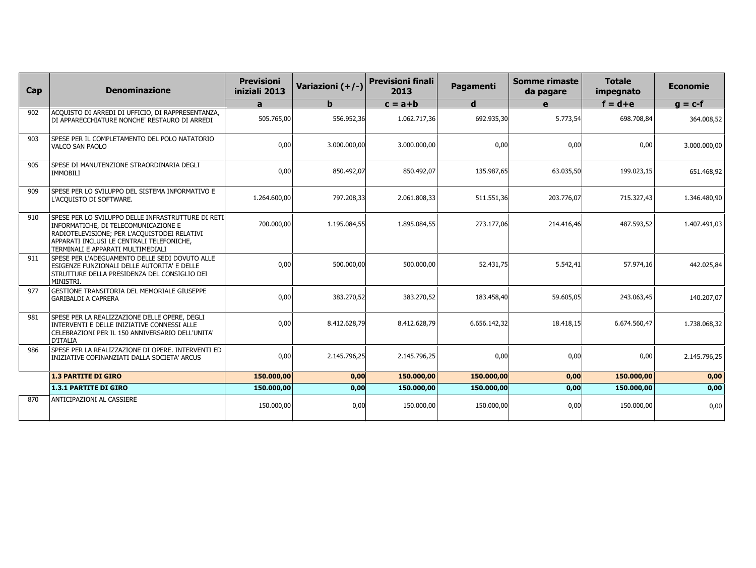| Cap | <b>Denominazione</b>                                                                                                                                                                                                         | <b>Previsioni</b><br>iniziali 2013 | Variazioni (+/-) | <b>Previsioni finali</b><br>2013 | Pagamenti    | Somme rimaste<br>da pagare | <b>Totale</b><br>impegnato | <b>Economie</b> |
|-----|------------------------------------------------------------------------------------------------------------------------------------------------------------------------------------------------------------------------------|------------------------------------|------------------|----------------------------------|--------------|----------------------------|----------------------------|-----------------|
|     |                                                                                                                                                                                                                              | a                                  |                  | $c = a + b$                      | d            | e                          | $f = d + e$                | $q = c-f$       |
| 902 | ACQUISTO DI ARREDI DI UFFICIO, DI RAPPRESENTANZA,<br>DI APPARECCHIATURE NONCHE' RESTAURO DI ARREDI                                                                                                                           | 505.765,00                         | 556.952,36       | 1.062.717,36                     | 692.935,30   | 5.773,54                   | 698.708,84                 | 364.008,52      |
| 903 | SPESE PER IL COMPLETAMENTO DEL POLO NATATORIO<br>VALCO SAN PAOLO                                                                                                                                                             | 0,00                               | 3.000.000,00     | 3.000.000,00                     | 0,00         | 0,00                       | 0,00                       | 3.000.000,00    |
| 905 | SPESE DI MANUTENZIONE STRAORDINARIA DEGLI<br><b>IMMOBILI</b>                                                                                                                                                                 | 0,00                               | 850.492,07       | 850.492,07                       | 135.987,65   | 63.035,50                  | 199.023,15                 | 651.468,92      |
| 909 | SPESE PER LO SVILUPPO DEL SISTEMA INFORMATIVO E<br>L'ACQUISTO DI SOFTWARE.                                                                                                                                                   | 1.264.600,00                       | 797.208,33       | 2.061.808,33                     | 511.551,36   | 203.776,07                 | 715.327,43                 | 1.346.480,90    |
| 910 | SPESE PER LO SVILUPPO DELLE INFRASTRUTTURE DI RETI<br>INFORMATICHE, DI TELECOMUNICAZIONE E<br>RADIOTELEVISIONE; PER L'ACQUISTODEI RELATIVI<br>APPARATI INCLUSI LE CENTRALI TELEFONICHE.<br>TERMINALI E APPARATI MULTIMEDIALI | 700,000,00                         | 1.195.084.55     | 1.895.084,55                     | 273.177.06   | 214.416,46                 | 487.593,52                 | 1.407.491,03    |
| 911 | SPESE PER L'ADEGUAMENTO DELLE SEDI DOVUTO ALLE<br>ESIGENZE FUNZIONALI DELLE AUTORITA' E DELLE<br>STRUTTURE DELLA PRESIDENZA DEL CONSIGLIO DEI<br>MINISTRI.                                                                   | 0,00                               | 500.000,00       | 500.000,00                       | 52.431,75    | 5.542,41                   | 57.974,16                  | 442.025,84      |
| 977 | GESTIONE TRANSITORIA DEL MEMORIALE GIUSEPPE<br><b>GARIBALDI A CAPRERA</b>                                                                                                                                                    | 0,00                               | 383.270,52       | 383.270,52                       | 183.458,40   | 59.605,05                  | 243.063,45                 | 140.207,07      |
| 981 | SPESE PER LA REALIZZAZIONE DELLE OPERE, DEGLI<br>INTERVENTI E DELLE INIZIATIVE CONNESSI ALLE<br>CELEBRAZIONI PER IL 150 ANNIVERSARIO DELL'UNITA'<br><b>D'ITALIA</b>                                                          | 0,00                               | 8.412.628,79     | 8.412.628,79                     | 6.656.142,32 | 18.418,15                  | 6.674.560,47               | 1.738.068,32    |
| 986 | SPESE PER LA REALIZZAZIONE DI OPERE. INTERVENTI ED<br>INIZIATIVE COFINANZIATI DALLA SOCIETA' ARCUS                                                                                                                           | 0,00                               | 2.145.796,25     | 2.145.796,25                     | 0,00         | 0,00                       | 0,00                       | 2.145.796,25    |
|     | <b>1.3 PARTITE DI GIRO</b>                                                                                                                                                                                                   | 150.000,00                         | 0,00             | 150.000,00                       | 150.000,00   | 0,00                       | 150.000,00                 | 0,00            |
|     | <b>1.3.1 PARTITE DI GIRO</b>                                                                                                                                                                                                 | 150.000,00                         | 0,00             | 150.000,00                       | 150.000,00   | 0,00                       | 150.000,00                 | 0,00            |
| 870 | ANTICIPAZIONI AL CASSIERE                                                                                                                                                                                                    | 150.000,00                         | 0,00             | 150.000,00                       | 150.000,00   | 0,00                       | 150.000,00                 | 0,00            |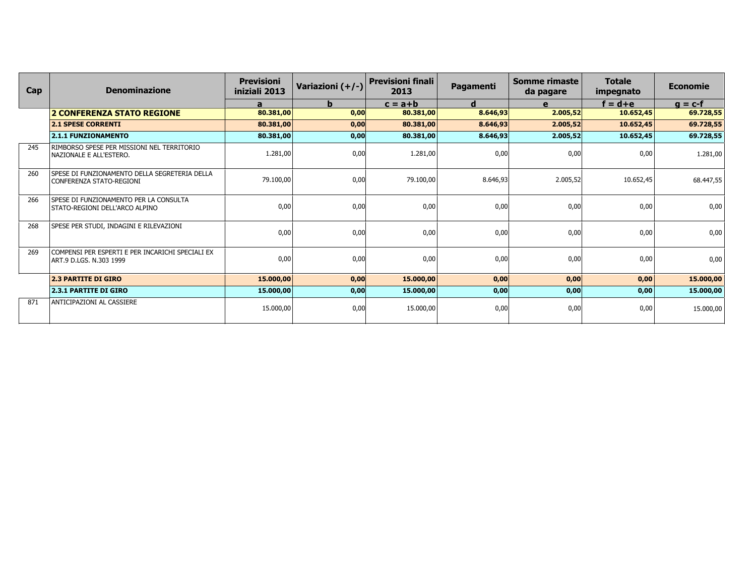| Cap | <b>Denominazione</b>                                                        | <b>Previsioni</b><br>iniziali 2013 | Variazioni (+/-) | <b>Previsioni finali</b><br>2013 | <b>Pagamenti</b> | Somme rimaste<br>da pagare | <b>Totale</b><br>impegnato | <b>Economie</b> |
|-----|-----------------------------------------------------------------------------|------------------------------------|------------------|----------------------------------|------------------|----------------------------|----------------------------|-----------------|
|     |                                                                             | a                                  | b                | $c = a + b$                      | d                | e                          | $f = d + e$                | $q = c-f$       |
|     | <b>2 CONFERENZA STATO REGIONE</b>                                           | 80.381,00                          | 0,00             | 80.381,00                        | 8.646,93         | 2.005,52                   | 10.652,45                  | 69.728,55       |
|     | <b>2.1 SPESE CORRENTI</b>                                                   | 80.381,00                          | 0,00             | 80.381,00                        | 8.646,93         | 2.005,52                   | 10.652,45                  | 69.728,55       |
|     | <b>2.1.1 FUNZIONAMENTO</b>                                                  | 80.381,00                          | 0,00             | 80.381,00                        | 8.646,93         | 2.005,52                   | 10.652,45                  | 69.728,55       |
| 245 | RIMBORSO SPESE PER MISSIONI NEL TERRITORIO<br>NAZIONALE E ALL'ESTERO.       | 1.281,00                           | 0,00             | 1.281,00                         | 0,00             | 0,00                       | 0,00                       | 1.281,00        |
| 260 | SPESE DI FUNZIONAMENTO DELLA SEGRETERIA DELLA<br>CONFERENZA STATO-REGIONI   | 79.100,00                          | 0,00             | 79.100,00                        | 8.646,93         | 2.005,52                   | 10.652,45                  | 68.447,55       |
| 266 | SPESE DI FUNZIONAMENTO PER LA CONSULTA<br>STATO-REGIONI DELL'ARCO ALPINO    | 0,00                               | 0,00             | 0,00                             | 0,00             | 0,00                       | 0,00                       | 0,00            |
| 268 | SPESE PER STUDI, INDAGINI E RILEVAZIONI                                     | 0,00                               | 0,00             | 0,00                             | 0,00             | 0,00                       | 0,00                       | 0,00            |
| 269 | COMPENSI PER ESPERTI E PER INCARICHI SPECIALI EX<br>ART.9 D.LGS. N.303 1999 | 0,00                               | 0,00             | 0,00                             | 0,00             | 0,00                       | 0,00                       | 0,00            |
|     | <b>2.3 PARTITE DI GIRO</b>                                                  | 15.000,00                          | 0,00             | 15.000,00                        | 0,00             | 0,00                       | 0,00                       | 15.000,00       |
|     | <b>2.3.1 PARTITE DI GIRO</b>                                                | 15.000,00                          | 0,00             | 15.000,00                        | 0,00             | 0,00                       | 0,00                       | 15.000,00       |
| 871 | <b>ANTICIPAZIONI AL CASSIERE</b>                                            | 15.000,00                          | 0,00             | 15.000,00                        | 0,00             | 0,00                       | 0,00                       | 15.000,00       |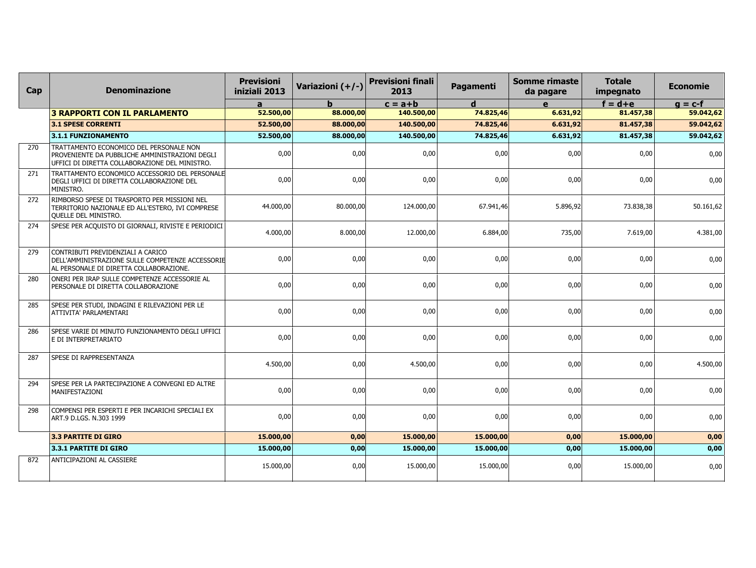| Cap | <b>Denominazione</b>                                                                                                                        | <b>Previsioni</b><br>iniziali 2013 | Variazioni (+/-) | <b>Previsioni finali</b><br>2013 | Pagamenti | <b>Somme rimaste</b><br>da pagare | <b>Totale</b><br>impegnato | <b>Economie</b> |
|-----|---------------------------------------------------------------------------------------------------------------------------------------------|------------------------------------|------------------|----------------------------------|-----------|-----------------------------------|----------------------------|-----------------|
|     |                                                                                                                                             | a                                  | b.               | $c = a + b$                      | d         | $\mathbf{e}$                      | $f = d + e$                | $g = c-f$       |
|     | <b>3 RAPPORTI CON IL PARLAMENTO</b>                                                                                                         | 52.500,00                          | 88.000,00        | 140.500,00                       | 74.825,46 | 6.631,92                          | 81.457,38                  | 59.042,62       |
|     | 3.1 SPESE CORRENTI                                                                                                                          | 52.500,00                          | 88.000,00        | 140.500,00                       | 74.825,46 | 6.631,92                          | 81.457,38                  | 59.042,62       |
|     | 3.1.1 FUNZIONAMENTO                                                                                                                         | 52,500,00                          | 88,000,00        | 140.500.00                       | 74.825,46 | 6.631.92                          | 81,457,38                  | 59.042,62       |
| 270 | TRATTAMENTO ECONOMICO DEL PERSONALE NON<br>PROVENIENTE DA PUBBLICHE AMMINISTRAZIONI DEGLI<br>UFFICI DI DIRETTA COLLABORAZIONE DEL MINISTRO. | 0,00                               | 0,00             | 0,00                             | 0,00      | 0,00                              | 0,00                       | 0,00            |
| 271 | TRATTAMENTO ECONOMICO ACCESSORIO DEL PERSONALE<br>DEGLI UFFICI DI DIRETTA COLLABORAZIONE DEL<br>MINISTRO.                                   | 0,00                               | 0,00             | 0,00                             | 0,00      | 0,00                              | 0,00                       | 0,00            |
| 272 | RIMBORSO SPESE DI TRASPORTO PER MISSIONI NEL<br>TERRITORIO NAZIONALE ED ALL'ESTERO, IVI COMPRESE<br>QUELLE DEL MINISTRO.                    | 44.000,00                          | 80.000,00        | 124.000,00                       | 67.941,46 | 5.896,92                          | 73.838,38                  | 50.161,62       |
| 274 | SPESE PER ACQUISTO DI GIORNALI, RIVISTE E PERIODICI                                                                                         | 4.000,00                           | 8.000,00         | 12.000,00                        | 6.884,00  | 735,00                            | 7.619,00                   | 4.381,00        |
| 279 | CONTRIBUTI PREVIDENZIALI A CARICO<br>DELL'AMMINISTRAZIONE SULLE COMPETENZE ACCESSORIE<br>AL PERSONALE DI DIRETTA COLLABORAZIONE.            | 0,00                               | 0,00             | 0,00                             | 0,00      | 0,00                              | 0,00                       | 0,00            |
| 280 | ONERI PER IRAP SULLE COMPETENZE ACCESSORIE AL<br>PERSONALE DI DIRETTA COLLABORAZIONE                                                        | 0,00                               | 0,00             | 0,00                             | 0,00      | 0,00                              | 0,00                       | 0,00            |
| 285 | SPESE PER STUDI, INDAGINI E RILEVAZIONI PER LE<br>ATTIVITA' PARLAMENTARI                                                                    | 0,00                               | 0,00             | 0,00                             | 0,00      | 0,00                              | 0,00                       | 0,00            |
| 286 | SPESE VARIE DI MINUTO FUNZIONAMENTO DEGLI UFFICI<br>E DI INTERPRETARIATO                                                                    | 0,00                               | 0,00             | 0,00                             | 0,00      | 0,00                              | 0,00                       | 0,00            |
| 287 | SPESE DI RAPPRESENTANZA                                                                                                                     | 4.500,00                           | 0,00             | 4.500,00                         | 0,00      | 0,00                              | 0,00                       | 4.500,00        |
| 294 | SPESE PER LA PARTECIPAZIONE A CONVEGNI ED ALTRE<br>MANIFESTAZIONI                                                                           | 0,00                               | 0,00             | 0,00                             | 0,00      | 0,00                              | 0,00                       | 0,00            |
| 298 | COMPENSI PER ESPERTI E PER INCARICHI SPECIALI EX<br>ART.9 D.LGS. N.303 1999                                                                 | 0,00                               | 0,00             | 0,00                             | 0,00      | 0,00                              | 0,00                       | 0,00            |
|     | <b>3.3 PARTITE DI GIRO</b>                                                                                                                  | 15,000,00                          | 0,00             | 15.000,00                        | 15.000,00 | 0,00                              | 15.000,00                  | 0,00            |
|     | 3.3.1 PARTITE DI GIRO                                                                                                                       | 15.000,00                          | 0,00             | 15.000,00                        | 15.000,00 | 0,00                              | 15.000,00                  | 0,00            |
| 872 | ANTICIPAZIONI AL CASSIERE                                                                                                                   | 15.000,00                          | 0,00             | 15.000,00                        | 15.000,00 | 0,00                              | 15.000,00                  | 0,00            |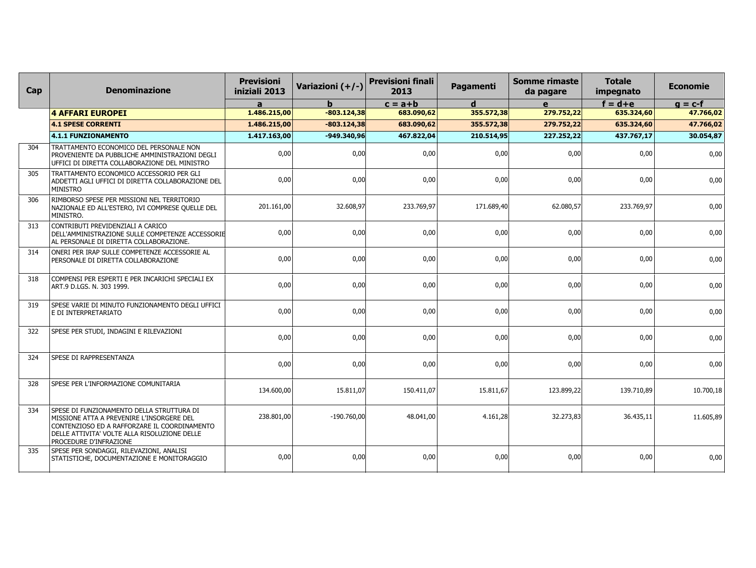| Cap | <b>Denominazione</b>                                                                                                                                                                                                    | <b>Previsioni</b><br>iniziali 2013 | Variazioni (+/-) | <b>Previsioni finali</b><br>2013 | Pagamenti   | <b>Somme rimaste</b><br>da pagare | <b>Totale</b><br>impegnato | <b>Economie</b> |
|-----|-------------------------------------------------------------------------------------------------------------------------------------------------------------------------------------------------------------------------|------------------------------------|------------------|----------------------------------|-------------|-----------------------------------|----------------------------|-----------------|
|     |                                                                                                                                                                                                                         | a                                  | b                | $c = a + b$                      | $\mathbf d$ | e                                 | $f = d + e$                | $g = c-f$       |
|     | <b>4 AFFARI EUROPEI</b>                                                                                                                                                                                                 | 1.486.215,00                       | $-803.124,38$    | 683.090,62                       | 355.572,38  | 279.752,22                        | 635.324,60                 | 47.766,02       |
|     | <b>4.1 SPESE CORRENTI</b>                                                                                                                                                                                               | 1.486.215,00                       | $-803.124,38$    | 683.090,62                       | 355.572,38  | 279.752,22                        | 635.324,60                 | 47.766,02       |
|     | 4.1.1 FUNZIONAMENTO                                                                                                                                                                                                     | 1.417.163,00                       | $-949.340,96$    | 467.822,04                       | 210.514,95  | 227.252,22                        | 437.767,17                 | 30.054,87       |
| 304 | TRATTAMENTO ECONOMICO DEL PERSONALE NON<br>PROVENIENTE DA PUBBLICHE AMMINISTRAZIONI DEGLI<br>UFFICI DI DIRETTA COLLABORAZIONE DEL MINISTRO                                                                              | 0,00                               | 0,00             | 0,00                             | 0,00        | 0,00                              | 0,00                       | 0,00            |
| 305 | TRATTAMENTO ECONOMICO ACCESSORIO PER GLI<br>ADDETTI AGLI UFFICI DI DIRETTA COLLABORAZIONE DEL<br><b>MINISTRO</b>                                                                                                        | 0,00                               | 0,00             | 0,00                             | 0,00        | 0,00                              | 0,00                       | 0,00            |
| 306 | RIMBORSO SPESE PER MISSIONI NEL TERRITORIO<br>NAZIONALE ED ALL'ESTERO, IVI COMPRESE QUELLE DEL<br>MINISTRO.                                                                                                             | 201.161,00                         | 32.608,97        | 233.769,97                       | 171.689,40  | 62.080,57                         | 233.769,97                 | 0,00            |
| 313 | CONTRIBUTI PREVIDENZIALI A CARICO<br>DELL'AMMINISTRAZIONE SULLE COMPETENZE ACCESSORIE<br>AL PERSONALE DI DIRETTA COLLABORAZIONE.                                                                                        | 0,00                               | 0,00             | 0,00                             | 0,00        | 0,00                              | 0,00                       | 0,00            |
| 314 | ONERI PER IRAP SULLE COMPETENZE ACCESSORIE AL<br>PERSONALE DI DIRETTA COLLABORAZIONE                                                                                                                                    | 0,00                               | 0,00             | 0.00                             | 0.00        | 0,00                              | 0,00                       | 0,00            |
| 318 | COMPENSI PER ESPERTI E PER INCARICHI SPECIALI EX<br>ART.9 D.LGS. N. 303 1999.                                                                                                                                           | 0,00                               | 0,00             | 0,00                             | 0,00        | 0,00                              | 0,00                       | 0,00            |
| 319 | SPESE VARIE DI MINUTO FUNZIONAMENTO DEGLI UFFICI<br>E DI INTERPRETARIATO                                                                                                                                                | 0,00                               | 0,00             | 0,00                             | 0,00        | 0,00                              | 0,00                       | 0,00            |
| 322 | SPESE PER STUDI, INDAGINI E RILEVAZIONI                                                                                                                                                                                 | 0,00                               | 0,00             | 0,00                             | 0,00        | 0,00                              | 0,00                       | 0,00            |
| 324 | SPESE DI RAPPRESENTANZA                                                                                                                                                                                                 | 0,00                               | 0,00             | 0,00                             | 0,00        | 0,00                              | 0,00                       | 0,00            |
| 328 | SPESE PER L'INFORMAZIONE COMUNITARIA                                                                                                                                                                                    | 134.600,00                         | 15.811,07        | 150.411,07                       | 15.811,67   | 123.899,22                        | 139.710,89                 | 10.700,18       |
| 334 | SPESE DI FUNZIONAMENTO DELLA STRUTTURA DI<br>MISSIONE ATTA A PREVENIRE L'INSORGERE DEL<br>CONTENZIOSO ED A RAFFORZARE IL COORDINAMENTO<br>DELLE ATTIVITA' VOLTE ALLA RISOLUZIONE DELLE<br><b>PROCEDURE D'INFRAZIONE</b> | 238.801,00                         | $-190.760,00$    | 48.041,00                        | 4.161,28    | 32.273,83                         | 36.435,11                  | 11.605,89       |
| 335 | SPESE PER SONDAGGI, RILEVAZIONI, ANALISI<br>STATISTICHE, DOCUMENTAZIONE E MONITORAGGIO                                                                                                                                  | 0,00                               | 0,00             | 0,00                             | 0,00        | 0,00                              | 0,00                       | 0,00            |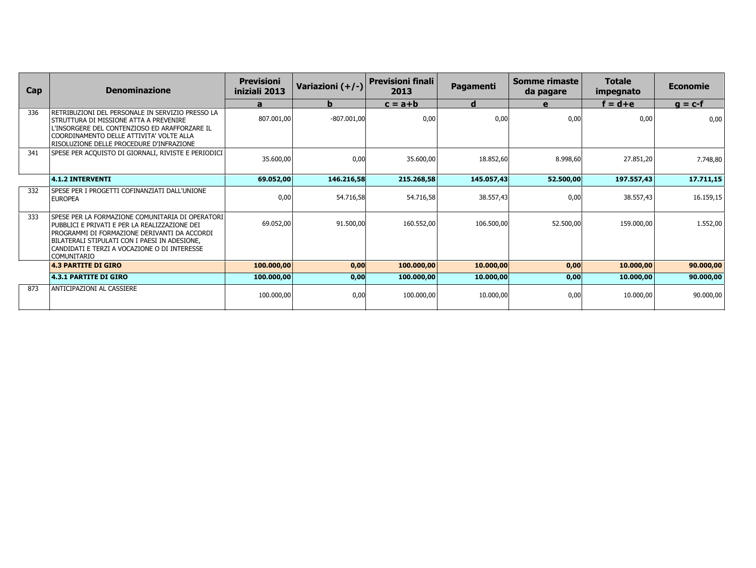| Cap | <b>Denominazione</b>                                                                                                                                                                                                                                                     | <b>Previsioni</b><br>iniziali 2013 | Variazioni (+/-) | <b>Previsioni finali</b><br>2013 | Pagamenti  | Somme rimaste<br>da pagare | <b>Totale</b><br>impegnato | <b>Economie</b> |
|-----|--------------------------------------------------------------------------------------------------------------------------------------------------------------------------------------------------------------------------------------------------------------------------|------------------------------------|------------------|----------------------------------|------------|----------------------------|----------------------------|-----------------|
|     |                                                                                                                                                                                                                                                                          | a                                  | b                | $c = a + b$                      | d          | e                          | $f = d + e$                | $q = c-f$       |
| 336 | retribuzioni del personale in servizio presso la<br><b>STRUTTURA DI MISSIONE ATTA A PREVENIRE</b><br>L'INSORGERE DEL CONTENZIOSO ED ARAFFORZARE IL<br>COORDINAMENTO DELLE ATTIVITA' VOLTE ALLA<br>RISOLUZIONE DELLE PROCEDURE D'INFRAZIONE                               | 807.001,00                         | $-807.001,00$    | 0,00                             | 0,00       | 0,00                       | 0,00                       | 0,00            |
| 341 | SPESE PER ACQUISTO DI GIORNALI, RIVISTE E PERIODICI                                                                                                                                                                                                                      | 35.600,00                          | 0,00             | 35.600,00                        | 18.852,60  | 8.998,60                   | 27.851,20                  | 7.748,80        |
|     | $ 4.1.2$ INTERVENTI                                                                                                                                                                                                                                                      | 69.052,00                          | 146.216,58       | 215.268,58                       | 145.057,43 | 52.500,00                  | 197.557,43                 | 17.711,15       |
| 332 | SPESE PER I PROGETTI COFINANZIATI DALL'UNIONE<br><b>EUROPEA</b>                                                                                                                                                                                                          | 0,00                               | 54.716,58        | 54.716,58                        | 38.557,43  | 0,00                       | 38.557,43                  | 16.159,15       |
| 333 | SPESE PER LA FORMAZIONE COMUNITARIA DI OPERATORI<br>PUBBLICI E PRIVATI E PER LA REALIZZAZIONE DEI<br>PROGRAMMI DI FORMAZIONE DERIVANTI DA ACCORDI<br>BILATERALI STIPULATI CON I PAESI IN ADESIONE.<br>CANDIDATI E TERZI A VOCAZIONE O DI INTERESSE<br><b>COMUNITARIO</b> | 69.052.00                          | 91.500,00        | 160.552.00                       | 106.500,00 | 52.500,00                  | 159,000,00                 | 1.552,00        |
|     | <b>4.3 PARTITE DI GIRO</b>                                                                                                                                                                                                                                               | 100.000,00                         | 0,00             | 100.000,00                       | 10.000,00  | 0,00                       | 10.000,00                  | 90.000,00       |
|     | <b>4.3.1 PARTITE DI GIRO</b>                                                                                                                                                                                                                                             | 100.000,00                         | 0,00             | 100.000,00                       | 10.000,00  | 0,00                       | 10.000,00                  | 90.000,00       |
| 873 | ANTICIPAZIONI AL CASSIERE                                                                                                                                                                                                                                                | 100.000,00                         | 0,00             | 100.000,00                       | 10.000,00  | 0,00                       | 10.000,00                  | 90.000,00       |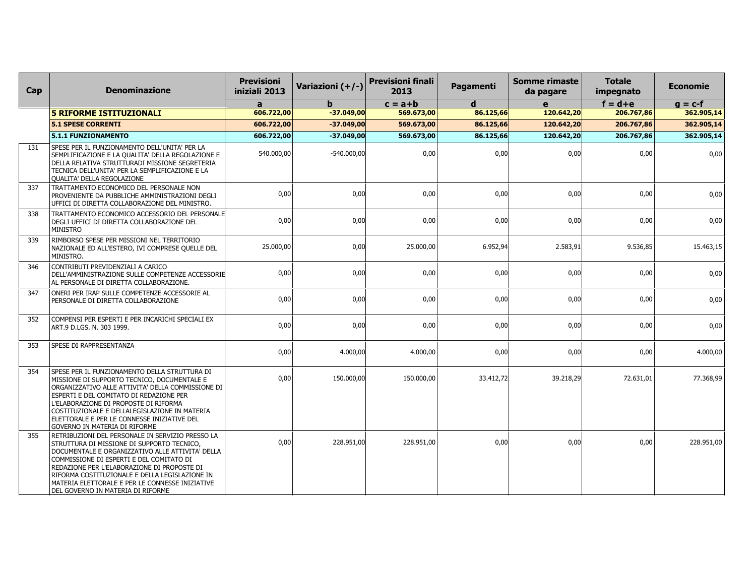| Cap | <b>Denominazione</b>                                                                                                                                                                                                                                                                                                                                                                    | <b>Previsioni</b><br>iniziali 2013 | Variazioni (+/-) | <b>Previsioni finali</b><br>2013 | Pagamenti | <b>Somme rimaste</b><br>da pagare | <b>Totale</b><br>impegnato | <b>Economie</b> |
|-----|-----------------------------------------------------------------------------------------------------------------------------------------------------------------------------------------------------------------------------------------------------------------------------------------------------------------------------------------------------------------------------------------|------------------------------------|------------------|----------------------------------|-----------|-----------------------------------|----------------------------|-----------------|
|     |                                                                                                                                                                                                                                                                                                                                                                                         | a                                  | b.               | $c = a + b$                      | d         | e                                 | $f = d + e$                | $g = c-f$       |
|     | <b>5 RIFORME ISTITUZIONALI</b>                                                                                                                                                                                                                                                                                                                                                          | 606.722,00                         | $-37.049,00$     | 569.673,00                       | 86.125,66 | 120.642,20                        | 206.767,86                 | 362.905,14      |
|     | <b>5.1 SPESE CORRENTI</b>                                                                                                                                                                                                                                                                                                                                                               | 606.722,00                         | $-37.049,00$     | 569.673,00                       | 86.125,66 | 120.642,20                        | 206.767,86                 | 362.905,14      |
|     | 5.1.1 FUNZIONAMENTO                                                                                                                                                                                                                                                                                                                                                                     | 606.722,00                         | $-37.049,00$     | 569.673,00                       | 86.125,66 | 120.642,20                        | 206.767,86                 | 362.905,14      |
| 131 | SPESE PER IL FUNZIONAMENTO DELL'UNITA' PER LA<br>SEMPLIFICAZIONE E LA QUALITA' DELLA REGOLAZIONE E<br>DELLA RELATIVA STRUTTURADI MISSIONE SEGRETERIA<br>TECNICA DELL'UNITA' PER LA SEMPLIFICAZIONE E LA<br><b>QUALITA' DELLA REGOLAZIONE</b>                                                                                                                                            | 540.000,00                         | $-540.000.00$    | 0,00                             | 0,00      | 0,00                              | 0,00                       | 0,00            |
| 337 | TRATTAMENTO ECONOMICO DEL PERSONALE NON<br>PROVENIENTE DA PUBBLICHE AMMINISTRAZIONI DEGLI<br>UFFICI DI DIRETTA COLLABORAZIONE DEL MINISTRO.                                                                                                                                                                                                                                             | 0,00                               | 0.00             | 0,00                             | 0,00      | 0,00                              | 0,00                       | 0,00            |
| 338 | TRATTAMENTO ECONOMICO ACCESSORIO DEL PERSONALE<br>DEGLI UFFICI DI DIRETTA COLLABORAZIONE DEL<br><b>MINISTRO</b>                                                                                                                                                                                                                                                                         | 0,00                               | 0.00             | 0.00                             | 0,00      | 0,00                              | 0,00                       | 0,00            |
| 339 | RIMBORSO SPESE PER MISSIONI NEL TERRITORIO<br>NAZIONALE ED ALL'ESTERO, IVI COMPRESE QUELLE DEL<br>MINISTRO.                                                                                                                                                                                                                                                                             | 25.000,00                          | 0,00             | 25.000,00                        | 6.952,94  | 2.583,91                          | 9.536,85                   | 15.463,15       |
| 346 | CONTRIBUTI PREVIDENZIALI A CARICO<br>DELL'AMMINISTRAZIONE SULLE COMPETENZE ACCESSORIE<br>AL PERSONALE DI DIRETTA COLLABORAZIONE.                                                                                                                                                                                                                                                        | 0,00                               | 0,00             | 0,00                             | 0,00      | 0,00                              | 0,00                       | 0,00            |
| 347 | ONERI PER IRAP SULLE COMPETENZE ACCESSORIE AL<br>PERSONALE DI DIRETTA COLLABORAZIONE                                                                                                                                                                                                                                                                                                    | 0,00                               | 0,00             | 0,00                             | 0,00      | 0,00                              | 0,00                       | 0,00            |
| 352 | COMPENSI PER ESPERTI E PER INCARICHI SPECIALI EX<br>ART.9 D.LGS. N. 303 1999.                                                                                                                                                                                                                                                                                                           | 0,00                               | 0,00             | 0,00                             | 0,00      | 0,00                              | 0,00                       | 0,00            |
| 353 | <b>SPESE DI RAPPRESENTANZA</b>                                                                                                                                                                                                                                                                                                                                                          | 0,00                               | 4.000,00         | 4.000,00                         | 0,00      | 0,00                              | 0,00                       | 4.000,00        |
| 354 | SPESE PER IL FUNZIONAMENTO DELLA STRUTTURA DI<br>MISSIONE DI SUPPORTO TECNICO, DOCUMENTALE E<br>ORGANIZZATIVO ALLE ATTIVITA' DELLA COMMISSIONE DI<br>ESPERTI E DEL COMITATO DI REDAZIONE PER<br>L'ELABORAZIONE DI PROPOSTE DI RIFORMA<br>COSTITUZIONALE E DELLALEGISLAZIONE IN MATERIA<br>ELETTORALE E PER LE CONNESSE INIZIATIVE DEL<br><b>GOVERNO IN MATERIA DI RIFORME</b>           | 0.00                               | 150.000,00       | 150.000,00                       | 33.412,72 | 39.218,29                         | 72.631,01                  | 77.368,99       |
| 355 | RETRIBUZIONI DEL PERSONALE IN SERVIZIO PRESSO LA<br>STRUTTURA DI MISSIONE DI SUPPORTO TECNICO,<br>DOCUMENTALE E ORGANIZZATIVO ALLE ATTIVITA' DELLA<br>COMMISSIONE DI ESPERTI E DEL COMITATO DI<br>REDAZIONE PER L'ELABORAZIONE DI PROPOSTE DI<br>RIFORMA COSTITUZIONALE E DELLA LEGISLAZIONE IN<br>MATERIA ELETTORALE E PER LE CONNESSE INIZIATIVE<br>DEL GOVERNO IN MATERIA DI RIFORME | 0,00                               | 228.951,00       | 228.951,00                       | 0,00      | 0,00                              | 0,00                       | 228.951,00      |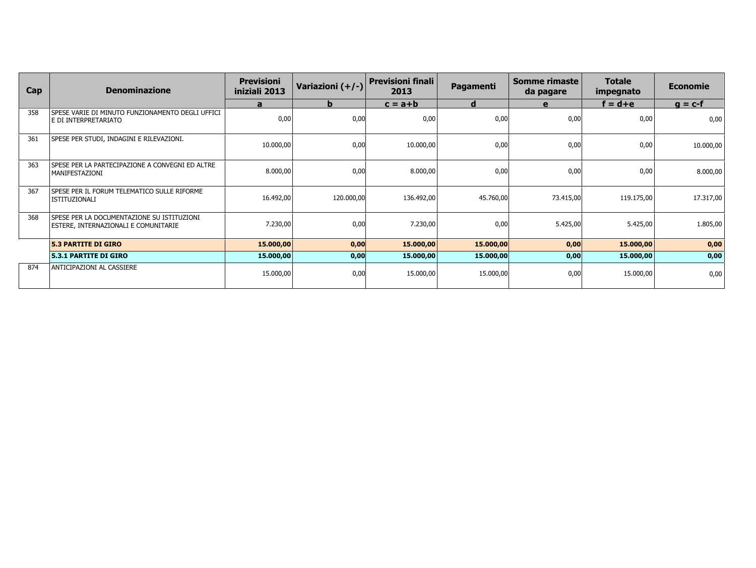| Cap | <b>Denominazione</b>                                                                | <b>Previsioni</b><br>iniziali 2013 | Variazioni (+/-) | <b>Previsioni finali</b><br>2013 | Pagamenti | Somme rimaste<br>da pagare | <b>Totale</b><br>impegnato | <b>Economie</b> |
|-----|-------------------------------------------------------------------------------------|------------------------------------|------------------|----------------------------------|-----------|----------------------------|----------------------------|-----------------|
|     |                                                                                     | a                                  | b                | $c = a + b$                      | d         | e                          | $f = d + e$                | $g = c-f$       |
| 358 | SPESE VARIE DI MINUTO FUNZIONAMENTO DEGLI UFFICI<br>E DI INTERPRETARIATO            | 0,00                               | 0,00             | 0,00                             | 0,00      | 0,00                       | 0,00                       | 0,00            |
| 361 | SPESE PER STUDI, INDAGINI E RILEVAZIONI.                                            | 10.000,00                          | 0,00             | 10.000,00                        | 0,00      | 0,00                       | 0,00                       | 10.000,00       |
| 363 | SPESE PER LA PARTECIPAZIONE A CONVEGNI ED ALTRE<br> MANIFESTAZIONI                  | 8.000,00                           | 0,00             | 8.000,00                         | 0,00      | 0,00                       | 0,00                       | 8.000,00        |
| 367 | SPESE PER IL FORUM TELEMATICO SULLE RIFORME<br>l ISTITUZIONALI                      | 16.492,00                          | 120.000,00       | 136.492,00                       | 45.760,00 | 73.415,00                  | 119.175,00                 | 17.317,00       |
| 368 | ISPESE PER LA DOCUMENTAZIONE SU ISTITUZIONI<br>ESTERE, INTERNAZIONALI E COMUNITARIE | 7.230,00                           | 0,00             | 7.230,00                         | 0,00      | 5.425,00                   | 5.425,00                   | 1.805,00        |
|     | <b>5.3 PARTITE DI GIRO</b>                                                          | 15.000,00                          | 0,00             | 15.000,00                        | 15.000,00 | 0,00                       | 15.000,00                  | 0,00            |
|     | <b>5.3.1 PARTITE DI GIRO</b>                                                        | 15.000,00                          | 0,00             | 15.000,00                        | 15.000,00 | 0,00                       | 15.000,00                  | 0,00            |
| 874 | ANTICIPAZIONI AL CASSIERE                                                           | 15.000,00                          | 0,00             | 15.000,00                        | 15.000,00 | 0,00                       | 15.000,00                  | 0,00            |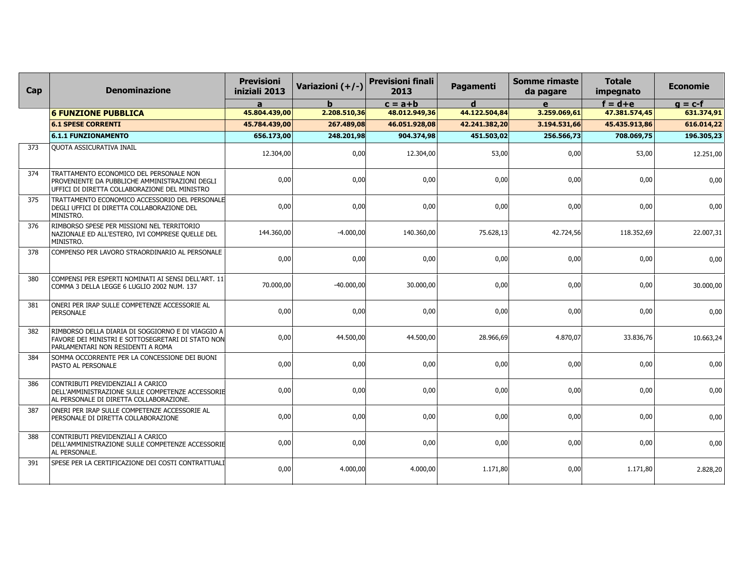| Cap | <b>Denominazione</b>                                                                                                                          | <b>Previsioni</b><br>iniziali 2013 | Variazioni (+/-) | <b>Previsioni finali</b><br>2013 | Pagamenti     | <b>Somme rimaste</b><br>da pagare | <b>Totale</b><br>impegnato | <b>Economie</b> |
|-----|-----------------------------------------------------------------------------------------------------------------------------------------------|------------------------------------|------------------|----------------------------------|---------------|-----------------------------------|----------------------------|-----------------|
|     |                                                                                                                                               | a                                  | h                | $c = a + b$                      | d             | $\mathbf{e}$                      | $f = d + e$                | $g = c-f$       |
|     | <b>6 FUNZIONE PUBBLICA</b>                                                                                                                    | 45.804.439,00                      | 2.208.510,36     | 48.012.949,36                    | 44.122.504,84 | 3.259.069,61                      | 47.381.574,45              | 631.374,91      |
|     | <b>6.1 SPESE CORRENTI</b>                                                                                                                     | 45.784.439,00                      | 267.489,08       | 46.051.928,08                    | 42.241.382,20 | 3.194.531,66                      | 45.435.913,86              | 616.014,22      |
|     | <b>6.1.1 FUNZIONAMENTO</b>                                                                                                                    | 656.173,00                         | 248.201,98       | 904.374,98                       | 451.503,02    | 256.566,73                        | 708.069,75                 | 196.305,23      |
| 373 | <b>QUOTA ASSICURATIVA INAIL</b>                                                                                                               | 12.304,00                          | 0,00             | 12.304,00                        | 53,00         | 0,00                              | 53,00                      | 12.251,00       |
| 374 | TRATTAMENTO ECONOMICO DEL PERSONALE NON<br>PROVENIENTE DA PUBBLICHE AMMINISTRAZIONI DEGLI<br>UFFICI DI DIRETTA COLLABORAZIONE DEL MINISTRO    | 0,00                               | 0,00             | 0,00                             | 0,00          | 0,00                              | 0,00                       | 0,00            |
| 375 | TRATTAMENTO ECONOMICO ACCESSORIO DEL PERSONALE<br>DEGLI UFFICI DI DIRETTA COLLABORAZIONE DEL<br>MINISTRO.                                     | 0,00                               | 0,00             | 0,00                             | 0,00          | 0,00                              | 0,00                       | 0,00            |
| 376 | RIMBORSO SPESE PER MISSIONI NEL TERRITORIO<br>NAZIONALE ED ALL'ESTERO, IVI COMPRESE QUELLE DEL<br>MINISTRO.                                   | 144.360,00                         | $-4.000,00$      | 140.360,00                       | 75.628,13     | 42.724,56                         | 118.352,69                 | 22.007,31       |
| 378 | COMPENSO PER LAVORO STRAORDINARIO AL PERSONALE                                                                                                | 0,00                               | 0,00             | 0,00                             | 0,00          | 0,00                              | 0,00                       | 0,00            |
| 380 | COMPENSI PER ESPERTI NOMINATI AI SENSI DELL'ART. 11 <br>COMMA 3 DELLA LEGGE 6 LUGLIO 2002 NUM. 137                                            | 70.000,00                          | $-40.000,00$     | 30.000,00                        | 0,00          | 0,00                              | 0,00                       | 30.000,00       |
| 381 | ONERI PER IRAP SULLE COMPETENZE ACCESSORIE AL<br>PERSONALE                                                                                    | 0,00                               | 0,00             | 0,00                             | 0,00          | 0,00                              | 0,00                       | 0,00            |
| 382 | rimborso della diaria di soggiorno e di viaggio a l<br>FAVORE DEI MINISTRI E SOTTOSEGRETARI DI STATO NON<br>PARLAMENTARI NON RESIDENTI A ROMA | 0,00                               | 44.500,00        | 44.500,00                        | 28.966,69     | 4.870,07                          | 33.836,76                  | 10.663,24       |
| 384 | SOMMA OCCORRENTE PER LA CONCESSIONE DEI BUONI<br>PASTO AL PERSONALE                                                                           | 0,00                               | 0,00             | 0,00                             | 0,00          | 0,00                              | 0,00                       | 0,00            |
| 386 | CONTRIBUTI PREVIDENZIALI A CARICO<br>DELL'AMMINISTRAZIONE SULLE COMPETENZE ACCESSORIE<br>AL PERSONALE DI DIRETTA COLLABORAZIONE.              | 0,00                               | 0,00             | 0,00                             | 0,00          | 0,00                              | 0,00                       | 0,00            |
| 387 | ONERI PER IRAP SULLE COMPETENZE ACCESSORIE AL<br>PERSONALE DI DIRETTA COLLABORAZIONE                                                          | 0,00                               | 0,00             | 0,00                             | 0,00          | 0,00                              | 0,00                       | 0,00            |
| 388 | CONTRIBUTI PREVIDENZIALI A CARICO<br>DELL'AMMINISTRAZIONE SULLE COMPETENZE ACCESSORIE<br>AL PERSONALE.                                        | 0,00                               | 0,00             | 0.00                             | 0,00          | 0,00                              | 0,00                       | 0,00            |
| 391 | SPESE PER LA CERTIFICAZIONE DEI COSTI CONTRATTUALI                                                                                            | 0,00                               | 4.000,00         | 4.000,00                         | 1.171,80      | 0,00                              | 1.171,80                   | 2.828,20        |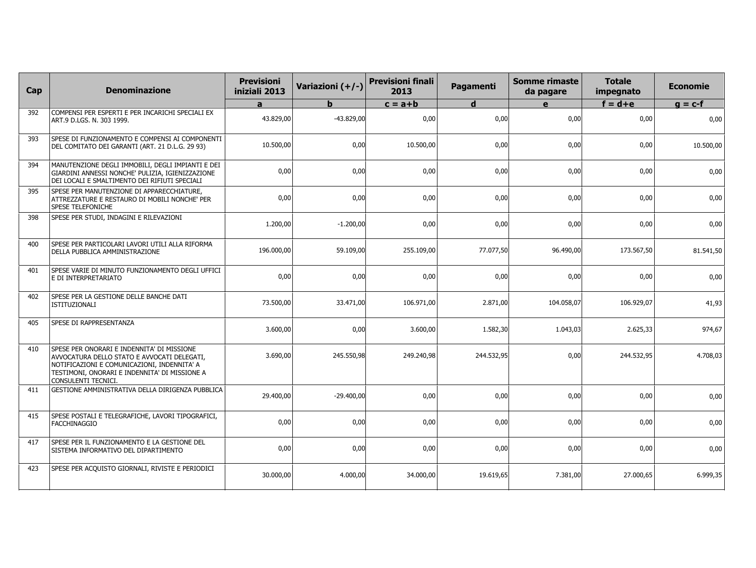| Cap | <b>Denominazione</b>                                                                                                                                                                                             | <b>Previsioni</b><br>iniziali 2013 | Variazioni (+/-) | <b>Previsioni finali</b><br>2013 | Pagamenti   | <b>Somme rimaste</b><br>da pagare | <b>Totale</b><br>impegnato | <b>Economie</b> |
|-----|------------------------------------------------------------------------------------------------------------------------------------------------------------------------------------------------------------------|------------------------------------|------------------|----------------------------------|-------------|-----------------------------------|----------------------------|-----------------|
|     |                                                                                                                                                                                                                  | a                                  | h                | $c = a + b$                      | $\mathbf d$ | e                                 | $f = d + e$                | $g = c-f$       |
| 392 | COMPENSI PER ESPERTI E PER INCARICHI SPECIALI EX<br>ART.9 D.LGS. N. 303 1999.                                                                                                                                    | 43.829,00                          | $-43.829,00$     | 0,00                             | 0,00        | 0,00                              | 0,00                       | 0,00            |
| 393 | SPESE DI FUNZIONAMENTO E COMPENSI AI COMPONENTI<br>DEL COMITATO DEI GARANTI (ART. 21 D.L.G. 29 93)                                                                                                               | 10.500,00                          | 0,00             | 10.500,00                        | 0,00        | 0,00                              | 0,00                       | 10.500,00       |
| 394 | MANUTENZIONE DEGLI IMMOBILI, DEGLI IMPIANTI E DEI<br>GIARDINI ANNESSI NONCHE' PULIZIA, IGIENIZZAZIONE<br>DEI LOCALI E SMALTIMENTO DEI RIFIUTI SPECIALI                                                           | 0,00                               | 0,00             | 0,00                             | 0,00        | 0,00                              | 0,00                       | 0,00            |
| 395 | SPESE PER MANUTENZIONE DI APPARECCHIATURE,<br>ATTREZZATURE E RESTAURO DI MOBILI NONCHE' PER<br><b>SPESE TELEFONICHE</b>                                                                                          | 0,00                               | 0,00             | 0,00                             | 0,00        | 0,00                              | 0,00                       | 0,00            |
| 398 | SPESE PER STUDI, INDAGINI E RILEVAZIONI                                                                                                                                                                          | 1.200,00                           | $-1.200,00$      | 0,00                             | 0,00        | 0,00                              | 0,00                       | 0,00            |
| 400 | SPESE PER PARTICOLARI LAVORI UTILI ALLA RIFORMA<br>DELLA PUBBLICA AMMINISTRAZIONE                                                                                                                                | 196.000,00                         | 59.109,00        | 255.109,00                       | 77.077,50   | 96.490,00                         | 173.567,50                 | 81.541,50       |
| 401 | SPESE VARIE DI MINUTO FUNZIONAMENTO DEGLI UFFICI<br>E DI INTERPRETARIATO                                                                                                                                         | 0,00                               | 0,00             | 0,00                             | 0,00        | 0,00                              | 0,00                       | 0,00            |
| 402 | SPESE PER LA GESTIONE DELLE BANCHE DATI<br><b>ISTITUZIONALI</b>                                                                                                                                                  | 73.500,00                          | 33.471,00        | 106.971,00                       | 2.871,00    | 104.058,07                        | 106.929,07                 | 41,93           |
| 405 | SPESE DI RAPPRESENTANZA                                                                                                                                                                                          | 3.600,00                           | 0,00             | 3.600,00                         | 1.582,30    | 1.043,03                          | 2.625,33                   | 974,67          |
| 410 | SPESE PER ONORARI E INDENNITA' DI MISSIONE<br>AVVOCATURA DELLO STATO E AVVOCATI DELEGATI,<br>NOTIFICAZIONI E COMUNICAZIONI, INDENNITA' A<br>TESTIMONI, ONORARI E INDENNITA' DI MISSIONE A<br>CONSULENTI TECNICI. | 3.690,00                           | 245.550,98       | 249.240.98                       | 244.532,95  | 0,00                              | 244.532,95                 | 4.708,03        |
| 411 | GESTIONE AMMINISTRATIVA DELLA DIRIGENZA PUBBLICA                                                                                                                                                                 | 29.400,00                          | $-29.400,00$     | 0,00                             | 0,00        | 0,00                              | 0,00                       | 0,00            |
| 415 | SPESE POSTALI E TELEGRAFICHE, LAVORI TIPOGRAFICI,<br><b>FACCHINAGGIO</b>                                                                                                                                         | 0,00                               | 0.00             | 0.00                             | 0,00        | 0,00                              | 0,00                       | 0,00            |
| 417 | SPESE PER IL FUNZIONAMENTO E LA GESTIONE DEL<br>SISTEMA INFORMATIVO DEL DIPARTIMENTO                                                                                                                             | 0,00                               | 0,00             | 0,00                             | 0,00        | 0,00                              | 0,00                       | 0,00            |
| 423 | SPESE PER ACQUISTO GIORNALI, RIVISTE E PERIODICI                                                                                                                                                                 | 30.000,00                          | 4.000,00         | 34.000,00                        | 19.619,65   | 7.381,00                          | 27.000,65                  | 6.999,35        |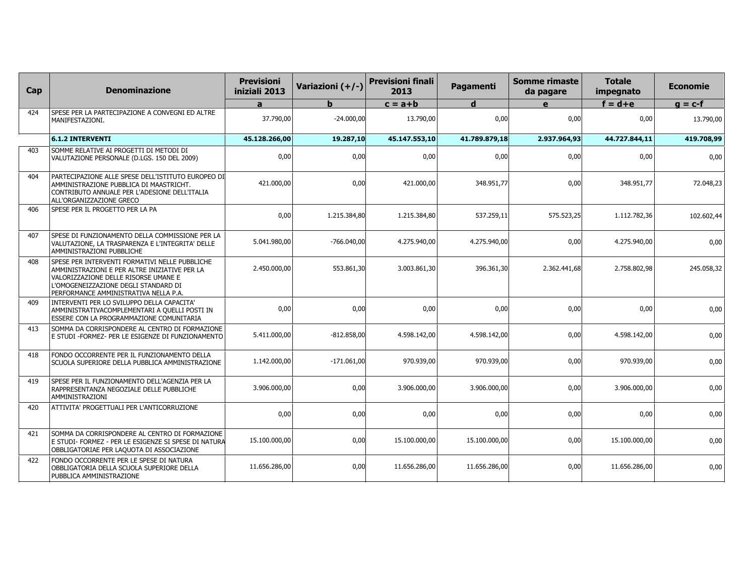| Cap | <b>Denominazione</b>                                                                                                                                                                                                     | <b>Previsioni</b><br>iniziali 2013 | Variazioni (+/-) | <b>Previsioni finali</b><br>2013 | Pagamenti     | <b>Somme rimaste</b><br>da pagare | <b>Totale</b><br>impegnato | <b>Economie</b> |
|-----|--------------------------------------------------------------------------------------------------------------------------------------------------------------------------------------------------------------------------|------------------------------------|------------------|----------------------------------|---------------|-----------------------------------|----------------------------|-----------------|
|     |                                                                                                                                                                                                                          | a                                  | b                | $c = a + b$                      | d             | $\mathbf{e}$                      | $f = d + e$                | $g = c-f$       |
| 424 | SPESE PER LA PARTECIPAZIONE A CONVEGNI ED ALTRE<br>MANIFESTAZIONI.                                                                                                                                                       | 37,790,00                          | $-24.000.00$     | 13.790.00                        | 0,00          | 0,00                              | 0,00                       | 13.790,00       |
|     | <b>6.1.2 INTERVENTI</b>                                                                                                                                                                                                  | 45.128.266,00                      | 19.287,10        | 45.147.553,10                    | 41.789.879,18 | 2.937.964,93                      | 44.727.844,11              | 419.708,99      |
| 403 | SOMME RELATIVE AI PROGETTI DI METODI DI<br>VALUTAZIONE PERSONALE (D.LGS. 150 DEL 2009)                                                                                                                                   | 0,00                               | 0,00             | 0,00                             | 0,00          | 0,00                              | 0,00                       | 0,00            |
| 404 | PARTECIPAZIONE ALLE SPESE DELL'ISTITUTO EUROPEO DI<br>AMMINISTRAZIONE PUBBLICA DI MAASTRICHT.<br>CONTRIBUTO ANNUALE PER L'ADESIONE DELL'ITALIA<br>ALL'ORGANIZZAZIONE GRECO                                               | 421.000,00                         | 0.00             | 421.000,00                       | 348.951.77    | 0,00                              | 348.951,77                 | 72.048,23       |
| 406 | SPESE PER IL PROGETTO PER LA PA                                                                                                                                                                                          | 0,00                               | 1.215.384,80     | 1.215.384,80                     | 537.259,11    | 575.523,25                        | 1.112.782,36               | 102.602,44      |
| 407 | SPESE DI FUNZIONAMENTO DELLA COMMISSIONE PER LA<br>VALUTAZIONE, LA TRASPARENZA E L'INTEGRITA' DELLE<br>AMMINISTRAZIONI PUBBLICHE                                                                                         | 5.041.980,00                       | $-766.040,00$    | 4.275.940,00                     | 4.275.940,00  | 0,00                              | 4.275.940,00               | 0,00            |
| 408 | SPESE PER INTERVENTI FORMATIVI NELLE PUBBLICHE<br>AMMINISTRAZIONI E PER ALTRE INIZIATIVE PER LA<br>VALORIZZAZIONE DELLE RISORSE UMANE E<br>L'OMOGENEIZZAZIONE DEGLI STANDARD DI<br>PERFORMANCE AMMINISTRATIVA NELLA P.A. | 2.450.000,00                       | 553.861,30       | 3.003.861,30                     | 396.361,30    | 2.362.441,68                      | 2.758.802,98               | 245.058,32      |
| 409 | INTERVENTI PER LO SVILUPPO DELLA CAPACITA'<br>AMMINISTRATIVACOMPLEMENTARI A QUELLI POSTI IN<br>ESSERE CON LA PROGRAMMAZIONE COMUNITARIA                                                                                  | 0,00                               | 0,00             | 0,00                             | 0,00          | 0,00                              | 0,00                       | 0,00            |
| 413 | SOMMA DA CORRISPONDERE AL CENTRO DI FORMAZIONE<br>E STUDI -FORMEZ- PER LE ESIGENZE DI FUNZIONAMENTO                                                                                                                      | 5.411.000,00                       | $-812.858,00$    | 4.598.142,00                     | 4.598.142,00  | 0,00                              | 4.598.142,00               | 0,00            |
| 418 | FONDO OCCORRENTE PER IL FUNZIONAMENTO DELLA<br>SCUOLA SUPERIORE DELLA PUBBLICA AMMINISTRAZIONE                                                                                                                           | 1.142.000,00                       | $-171.061,00$    | 970.939,00                       | 970.939,00    | 0,00                              | 970.939,00                 | 0,00            |
| 419 | SPESE PER IL FUNZIONAMENTO DELL'AGENZIA PER LA<br>RAPPRESENTANZA NEGOZIALE DELLE PUBBLICHE<br><b>AMMINISTRAZIONI</b>                                                                                                     | 3.906.000,00                       | 0,00             | 3.906.000,00                     | 3.906.000,00  | 0,00                              | 3.906.000,00               | 0,00            |
| 420 | ATTIVITA' PROGETTUALI PER L'ANTICORRUZIONE                                                                                                                                                                               | 0,00                               | 0,00             | 0,00                             | 0,00          | 0,00                              | 0,00                       | 0,00            |
| 421 | SOMMA DA CORRISPONDERE AL CENTRO DI FORMAZIONE<br>E STUDI- FORMEZ - PER LE ESIGENZE SI SPESE DI NATURA<br>OBBLIGATORIAE PER LAQUOTA DI ASSOCIAZIONE                                                                      | 15.100.000,00                      | 0,00             | 15.100.000,00                    | 15.100.000,00 | 0,00                              | 15.100.000,00              | 0,00            |
| 422 | FONDO OCCORRENTE PER LE SPESE DI NATURA<br>OBBLIGATORIA DELLA SCUOLA SUPERIORE DELLA<br>PUBBLICA AMMINISTRAZIONE                                                                                                         | 11.656.286,00                      | 0,00             | 11.656.286,00                    | 11.656.286,00 | 0,00                              | 11.656.286,00              | 0,00            |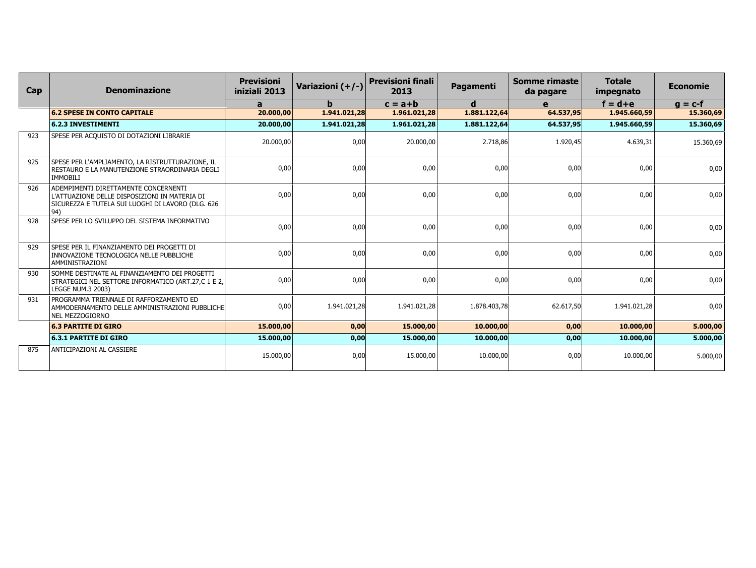| Cap | <b>Denominazione</b>                                                                                                                              | <b>Previsioni</b><br>iniziali 2013 | Variazioni (+/-) | <b>Previsioni finali</b><br>2013 | <b>Pagamenti</b> | Somme rimaste<br>da pagare | <b>Totale</b><br>impegnato | <b>Economie</b> |
|-----|---------------------------------------------------------------------------------------------------------------------------------------------------|------------------------------------|------------------|----------------------------------|------------------|----------------------------|----------------------------|-----------------|
|     |                                                                                                                                                   | a                                  | b.               | $c = a + b$                      | d                | e                          | $f = d + e$                | $g = c-f$       |
|     | <b>6.2 SPESE IN CONTO CAPITALE</b>                                                                                                                | 20.000,00                          | 1.941.021.28     | 1.961.021.28                     | 1.881.122,64     | 64.537,95                  | 1.945.660.59               | 15.360,69       |
|     | <b>6.2.3 INVESTIMENTI</b>                                                                                                                         | 20.000,00                          | 1.941.021.28     | 1.961.021,28                     | 1.881.122,64     | 64.537,95                  | 1.945.660.59               | 15.360,69       |
| 923 | SPESE PER ACQUISTO DI DOTAZIONI LIBRARIE                                                                                                          | 20.000,00                          | 0,00             | 20.000,00                        | 2.718,86         | 1.920,45                   | 4.639,31                   | 15.360,69       |
| 925 | SPESE PER L'AMPLIAMENTO, LA RISTRUTTURAZIONE, IL<br>RESTAURO E LA MANUTENZIONE STRAORDINARIA DEGLI<br><b>IMMOBILI</b>                             | 0,00                               | 0,00             | 0,00                             | 0,00             | 0,00                       | 0,00                       | 0,00            |
| 926 | ADEMPIMENTI DIRETTAMENTE CONCERNENTI<br>L'ATTUAZIONE DELLE DISPOSIZIONI IN MATERIA DI<br>SICUREZZA E TUTELA SUI LUOGHI DI LAVORO (DLG. 626<br>94) | 0,00                               | 0,00             | 0,00                             | 0,00             | 0,00                       | 0,00                       | 0,00            |
| 928 | SPESE PER LO SVILUPPO DEL SISTEMA INFORMATIVO                                                                                                     | 0,00                               | 0,00             | 0,00                             | 0,00             | 0,00                       | 0,00                       | 0,00            |
| 929 | SPESE PER IL FINANZIAMENTO DEI PROGETTI DI<br>INNOVAZIONE TECNOLOGICA NELLE PUBBLICHE<br>AMMINISTRAZIONI                                          | 0,00                               | 0,00             | 0,00                             | 0,00             | 0,00                       | 0,00                       | 0,00            |
| 930 | SOMME DESTINATE AL FINANZIAMENTO DEI PROGETTI<br>STRATEGICI NEL SETTORE INFORMATICO (ART.27,C 1 E 2,<br>LEGGE NUM.3 2003)                         | 0,00                               | 0,00             | 0,00                             | 0,00             | 0,00                       | 0,00                       | 0,00            |
| 931 | PROGRAMMA TRIENNALE DI RAFFORZAMENTO ED<br>AMMODERNAMENTO DELLE AMMINISTRAZIONI PUBBLICHE<br>NEL MEZZOGIORNO                                      | 0,00                               | 1.941.021,28     | 1.941.021,28                     | 1.878.403,78     | 62.617,50                  | 1.941.021,28               | 0,00            |
|     | <b>6.3 PARTITE DI GIRO</b>                                                                                                                        | 15.000,00                          | 0,00             | 15.000,00                        | 10.000,00        | 0,00                       | 10.000,00                  | 5.000,00        |
|     | <b>6.3.1 PARTITE DI GIRO</b>                                                                                                                      | 15.000,00                          | 0,00             | 15.000,00                        | 10.000,00        | 0,00                       | 10.000,00                  | 5.000,00        |
| 875 | ANTICIPAZIONI AL CASSIERE                                                                                                                         | 15.000,00                          | 0,00             | 15.000.00                        | 10.000,00        | 0.00                       | 10.000,00                  | 5.000,00        |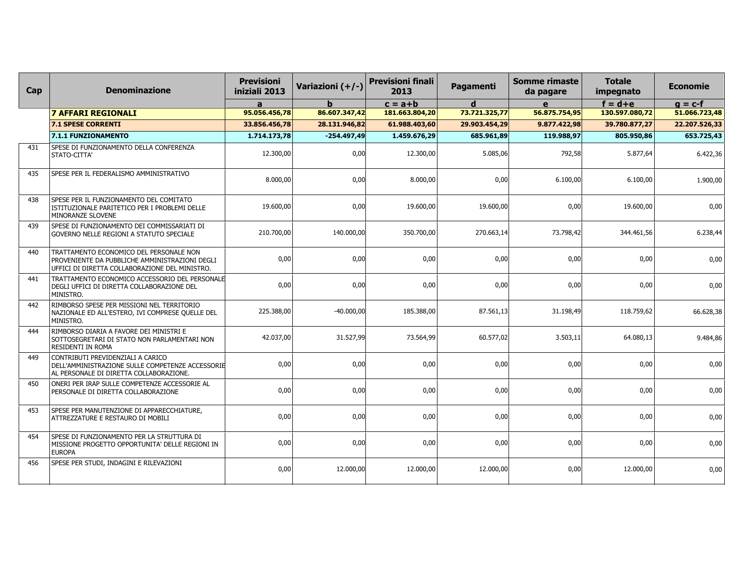| Cap | <b>Denominazione</b>                                                                                                                        | <b>Previsioni</b><br>iniziali 2013 | Variazioni (+/-) | <b>Previsioni finali</b><br>2013 | Pagamenti     | <b>Somme rimaste</b><br>da pagare | <b>Totale</b><br>impegnato | <b>Economie</b> |
|-----|---------------------------------------------------------------------------------------------------------------------------------------------|------------------------------------|------------------|----------------------------------|---------------|-----------------------------------|----------------------------|-----------------|
|     |                                                                                                                                             | $\mathbf{a}$                       |                  | $c = a + b$                      | d             | e                                 | $f = d + e$                | $g = c-f$       |
|     | <b>7 AFFARI REGIONALI</b>                                                                                                                   | 95.056.456,78                      | 86.607.347,42    | 181.663.804,20                   | 73.721.325,77 | 56.875.754,95                     | 130.597.080,72             | 51.066.723,48   |
|     | <b>7.1 SPESE CORRENTI</b>                                                                                                                   | 33.856.456,78                      | 28.131.946,82    | 61.988.403,60                    | 29.903.454,29 | 9.877.422,98                      | 39.780.877,27              | 22.207.526,33   |
|     | 7.1.1 FUNZIONAMENTO                                                                                                                         | 1.714.173,78                       | $-254.497,49$    | 1.459.676,29                     | 685.961,89    | 119.988,97                        | 805.950,86                 | 653.725,43      |
| 431 | SPESE DI FUNZIONAMENTO DELLA CONFERENZA<br>STATO-CITTA'                                                                                     | 12.300,00                          | 0,00             | 12.300,00                        | 5.085,06      | 792,58                            | 5.877,64                   | 6.422,36        |
| 435 | SPESE PER IL FEDERALISMO AMMINISTRATIVO                                                                                                     | 8.000,00                           | 0,00             | 8.000,00                         | 0,00          | 6.100,00                          | 6.100,00                   | 1.900,00        |
| 438 | SPESE PER IL FUNZIONAMENTO DEL COMITATO<br>ISTITUZIONALE PARITETICO PER I PROBLEMI DELLE<br>MINORANZE SLOVENE                               | 19.600,00                          | 0,00             | 19.600,00                        | 19.600,00     | 0,00                              | 19.600,00                  | 0,00            |
| 439 | SPESE DI FUNZIONAMENTO DEI COMMISSARIATI DI<br>GOVERNO NELLE REGIONI A STATUTO SPECIALE                                                     | 210.700,00                         | 140.000,00       | 350.700,00                       | 270.663,14    | 73.798,42                         | 344.461,56                 | 6.238,44        |
| 440 | TRATTAMENTO ECONOMICO DEL PERSONALE NON<br>PROVENIENTE DA PUBBLICHE AMMINISTRAZIONI DEGLI<br>UFFICI DI DIRETTA COLLABORAZIONE DEL MINISTRO. | 0,00                               | 0,00             | 0,00                             | 0,00          | 0,00                              | 0,00                       | 0,00            |
| 441 | TRATTAMENTO ECONOMICO ACCESSORIO DEL PERSONALE<br>DEGLI UFFICI DI DIRETTA COLLABORAZIONE DEL<br>MINISTRO.                                   | 0,00                               | 0,00             | 0,00                             | 0,00          | 0,00                              | 0,00                       | 0,00            |
| 442 | RIMBORSO SPESE PER MISSIONI NEL TERRITORIO<br>NAZIONALE ED ALL'ESTERO, IVI COMPRESE QUELLE DEL<br>MINISTRO.                                 | 225.388,00                         | $-40.000,00$     | 185.388,00                       | 87.561,13     | 31.198,49                         | 118.759,62                 | 66.628,38       |
| 444 | RIMBORSO DIARIA A FAVORE DEI MINISTRI E<br>SOTTOSEGRETARI DI STATO NON PARLAMENTARI NON<br>RESIDENTI IN ROMA                                | 42.037,00                          | 31.527,99        | 73.564,99                        | 60.577,02     | 3.503,11                          | 64.080,13                  | 9.484,86        |
| 449 | CONTRIBUTI PREVIDENZIALI A CARICO<br>DELL'AMMINISTRAZIONE SULLE COMPETENZE ACCESSORIE<br>AL PERSONALE DI DIRETTA COLLABORAZIONE.            | 0,00                               | 0,00             | 0,00                             | 0,00          | 0,00                              | 0,00                       | 0,00            |
| 450 | ONERI PER IRAP SULLE COMPETENZE ACCESSORIE AL<br>PERSONALE DI DIRETTA COLLABORAZIONE                                                        | 0,00                               | 0,00             | 0,00                             | 0,00          | 0,00                              | 0,00                       | 0,00            |
| 453 | SPESE PER MANUTENZIONE DI APPARECCHIATURE,<br>ATTREZZATURE E RESTAURO DI MOBILI                                                             | 0,00                               | 0,00             | 0,00                             | 0,00          | 0,00                              | 0,00                       | 0,00            |
| 454 | SPESE DI FUNZIONAMENTO PER LA STRUTTURA DI<br>MISSIONE PROGETTO OPPORTUNITA' DELLE REGIONI IN<br><b>EUROPA</b>                              | 0,00                               | 0,00             | 0,00                             | 0,00          | 0,00                              | 0,00                       | 0,00            |
| 456 | SPESE PER STUDI, INDAGINI E RILEVAZIONI                                                                                                     | 0,00                               | 12.000,00        | 12.000,00                        | 12.000,00     | 0,00                              | 12.000,00                  | 0,00            |
|     |                                                                                                                                             |                                    |                  |                                  |               |                                   |                            |                 |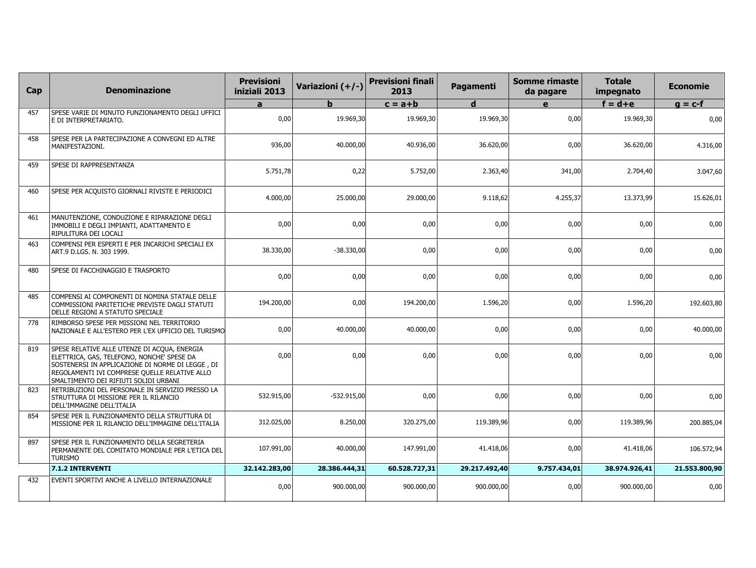| Cap | <b>Denominazione</b>                                                                                                                                                                                                                     | <b>Previsioni</b><br>iniziali 2013 | Variazioni (+/-) | <b>Previsioni finali</b><br>2013 | Pagamenti     | <b>Somme rimaste</b><br>da pagare | <b>Totale</b><br>impegnato | <b>Economie</b> |
|-----|------------------------------------------------------------------------------------------------------------------------------------------------------------------------------------------------------------------------------------------|------------------------------------|------------------|----------------------------------|---------------|-----------------------------------|----------------------------|-----------------|
|     |                                                                                                                                                                                                                                          | a                                  | b                | $c = a + b$                      | d             | $\mathbf{e}$                      | $f = d + e$                | $g = c-f$       |
| 457 | SPESE VARIE DI MINUTO FUNZIONAMENTO DEGLI UFFICI<br>E DI INTERPRETARIATO.                                                                                                                                                                | 0,00                               | 19.969,30        | 19.969,30                        | 19.969,30     | 0,00                              | 19.969,30                  | 0,00            |
| 458 | SPESE PER LA PARTECIPAZIONE A CONVEGNI ED ALTRE<br>MANIFESTAZIONI.                                                                                                                                                                       | 936,00                             | 40.000,00        | 40.936,00                        | 36.620,00     | 0,00                              | 36.620,00                  | 4.316,00        |
| 459 | SPESE DI RAPPRESENTANZA                                                                                                                                                                                                                  | 5.751,78                           | 0,22             | 5.752,00                         | 2.363,40      | 341,00                            | 2.704,40                   | 3.047,60        |
| 460 | SPESE PER ACQUISTO GIORNALI RIVISTE E PERIODICI                                                                                                                                                                                          | 4.000,00                           | 25.000,00        | 29,000,00                        | 9.118,62      | 4.255,37                          | 13.373,99                  | 15.626,01       |
| 461 | MANUTENZIONE, CONDUZIONE E RIPARAZIONE DEGLI<br>IMMOBILI E DEGLI IMPIANTI, ADATTAMENTO E<br>RIPULITURA DEI LOCALI                                                                                                                        | 0,00                               | 0,00             | 0,00                             | 0,00          | 0,00                              | 0,00                       | 0,00            |
| 463 | COMPENSI PER ESPERTI E PER INCARICHI SPECIALI EX<br>ART.9 D.LGS. N. 303 1999.                                                                                                                                                            | 38.330,00                          | $-38.330,00$     | 0,00                             | 0,00          | 0,00                              | 0,00                       | 0,00            |
| 480 | SPESE DI FACCHINAGGIO E TRASPORTO                                                                                                                                                                                                        | 0,00                               | 0,00             | 0,00                             | 0,00          | 0,00                              | 0,00                       | 0,00            |
| 485 | COMPENSI AI COMPONENTI DI NOMINA STATALE DELLE<br>COMMISSIONI PARITETICHE PREVISTE DAGLI STATUTI<br>DELLE REGIONI A STATUTO SPECIALE                                                                                                     | 194.200,00                         | 0,00             | 194.200,00                       | 1.596,20      | 0,00                              | 1.596,20                   | 192.603,80      |
| 778 | RIMBORSO SPESE PER MISSIONI NEL TERRITORIO<br>NAZIONALE E ALL'ESTERO PER L'EX UFFICIO DEL TURISMO                                                                                                                                        | 0,00                               | 40.000,00        | 40.000,00                        | 0,00          | 0,00                              | 0,00                       | 40.000,00       |
| 819 | SPESE RELATIVE ALLE UTENZE DI ACQUA, ENERGIA<br>ELETTRICA, GAS, TELEFONO, NONCHE' SPESE DA<br>SOSTENERSI IN APPLICAZIONE DI NORME DI LEGGE, DI<br>REGOLAMENTI IVI COMPRESE QUELLE RELATIVE ALLO<br>SMALTIMENTO DEI RIFIUTI SOLIDI URBANI | 0,00                               | 0,00             | 0,00                             | 0.00          | 0,00                              | 0,00                       | 0,00            |
| 823 | RETRIBUZIONI DEL PERSONALE IN SERVIZIO PRESSO LA<br>STRUTTURA DI MISSIONE PER IL RILANCIO<br>DELL'IMMAGINE DELL'ITALIA                                                                                                                   | 532.915,00                         | $-532.915,00$    | 0,00                             | 0,00          | 0,00                              | 0,00                       | 0,00            |
| 854 | SPESE PER IL FUNZIONAMENTO DELLA STRUTTURA DI<br>MISSIONE PER IL RILANCIO DELL'IMMAGINE DELL'ITALIA                                                                                                                                      | 312.025,00                         | 8.250,00         | 320.275,00                       | 119.389.96    | 0,00                              | 119.389,96                 | 200.885,04      |
| 897 | SPESE PER IL FUNZIONAMENTO DELLA SEGRETERIA<br>PERMANENTE DEL COMITATO MONDIALE PER L'ETICA DEL<br><b>TURISMO</b>                                                                                                                        | 107.991,00                         | 40.000,00        | 147.991,00                       | 41.418,06     | 0,00                              | 41.418,06                  | 106.572,94      |
|     | 7.1.2 INTERVENTI                                                                                                                                                                                                                         | 32.142.283,00                      | 28.386.444,31    | 60.528.727,31                    | 29.217.492,40 | 9.757.434,01                      | 38.974.926,41              | 21.553.800,90   |
| 432 | EVENTI SPORTIVI ANCHE A LIVELLO INTERNAZIONALE                                                                                                                                                                                           | 0,00                               | 900.000,00       | 900.000,00                       | 900.000,00    | 0,00                              | 900.000,00                 | 0,00            |
|     |                                                                                                                                                                                                                                          |                                    |                  |                                  |               |                                   |                            |                 |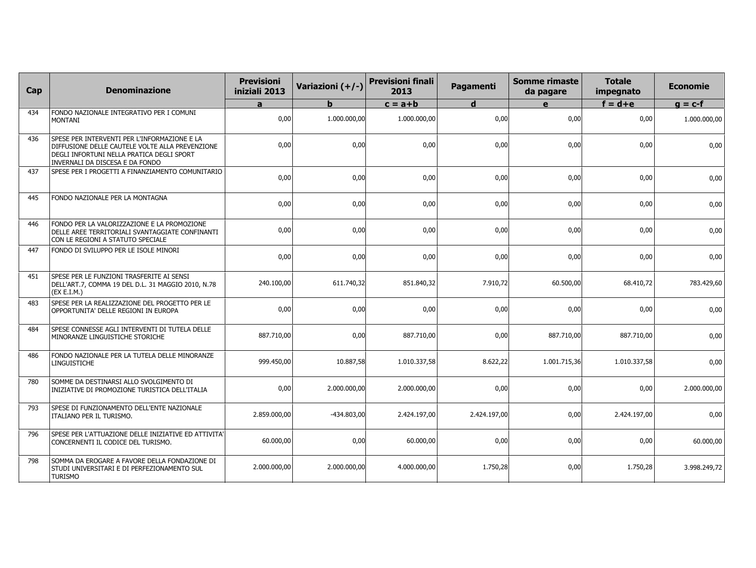| Cap | <b>Denominazione</b>                                                                                                                                                            | <b>Previsioni</b><br>iniziali 2013 | Variazioni (+/-) | <b>Previsioni finali</b><br>2013 | Pagamenti    | <b>Somme rimaste</b><br>da pagare | <b>Totale</b><br>impegnato | <b>Economie</b> |
|-----|---------------------------------------------------------------------------------------------------------------------------------------------------------------------------------|------------------------------------|------------------|----------------------------------|--------------|-----------------------------------|----------------------------|-----------------|
|     |                                                                                                                                                                                 | a                                  | b.               | $c = a + b$                      | $\mathbf d$  | $\mathbf{e}$                      | $f = d + e$                | $g = c-f$       |
| 434 | FONDO NAZIONALE INTEGRATIVO PER I COMUNI<br><b>MONTANI</b>                                                                                                                      | 0,00                               | 1.000.000.00     | 1.000.000,00                     | 0.00         | 0,00                              | 0,00                       | 1.000.000,00    |
| 436 | SPESE PER INTERVENTI PER L'INFORMAZIONE E LA<br>DIFFUSIONE DELLE CAUTELE VOLTE ALLA PREVENZIONE<br>DEGLI INFORTUNI NELLA PRATICA DEGLI SPORT<br>INVERNALI DA DISCESA E DA FONDO | 0,00                               | 0,00             | 0,00                             | 0,00         | 0,00                              | 0,00                       | 0,00            |
| 437 | SPESE PER I PROGETTI A FINANZIAMENTO COMUNITARIO                                                                                                                                | 0,00                               | 0,00             | 0,00                             | 0,00         | 0,00                              | 0,00                       | 0,00            |
| 445 | FONDO NAZIONALE PER LA MONTAGNA                                                                                                                                                 | 0,00                               | 0,00             | 0,00                             | 0,00         | 0,00                              | 0,00                       | 0,00            |
| 446 | FONDO PER LA VALORIZZAZIONE E LA PROMOZIONE<br>DELLE AREE TERRITORIALI SVANTAGGIATE CONFINANTI<br>CON LE REGIONI A STATUTO SPECIALE                                             | 0,00                               | 0,00             | 0,00                             | 0,00         | 0,00                              | 0,00                       | 0,00            |
| 447 | FONDO DI SVILUPPO PER LE ISOLE MINORI                                                                                                                                           | 0,00                               | 0,00             | 0,00                             | 0,00         | 0,00                              | 0,00                       | 0,00            |
| 451 | SPESE PER LE FUNZIONI TRASFERITE AI SENSI<br>DELL'ART.7, COMMA 19 DEL D.L. 31 MAGGIO 2010, N.78<br>(EX E.I.M.)                                                                  | 240.100,00                         | 611.740,32       | 851.840,32                       | 7.910,72     | 60.500,00                         | 68.410,72                  | 783.429,60      |
| 483 | SPESE PER LA REALIZZAZIONE DEL PROGETTO PER LE<br>OPPORTUNITA' DELLE REGIONI IN EUROPA                                                                                          | 0,00                               | 0,00             | 0,00                             | 0,00         | 0,00                              | 0,00                       | 0,00            |
| 484 | SPESE CONNESSE AGLI INTERVENTI DI TUTELA DELLE<br>MINORANZE LINGUISTICHE STORICHE                                                                                               | 887.710,00                         | 0,00             | 887.710,00                       | 0,00         | 887.710,00                        | 887.710,00                 | 0,00            |
| 486 | FONDO NAZIONALE PER LA TUTELA DELLE MINORANZE<br>LINGUISTICHE                                                                                                                   | 999.450,00                         | 10.887,58        | 1.010.337,58                     | 8.622,22     | 1.001.715,36                      | 1.010.337,58               | 0,00            |
| 780 | SOMME DA DESTINARSI ALLO SVOLGIMENTO DI<br>INIZIATIVE DI PROMOZIONE TURISTICA DELL'ITALIA                                                                                       | 0,00                               | 2.000.000,00     | 2.000.000,00                     | 0,00         | 0,00                              | 0,00                       | 2.000.000,00    |
| 793 | SPESE DI FUNZIONAMENTO DELL'ENTE NAZIONALE<br>ITALIANO PER IL TURISMO.                                                                                                          | 2.859.000.00                       | $-434.803,00$    | 2.424.197,00                     | 2.424.197.00 | 0,00                              | 2.424.197,00               | 0,00            |
| 796 | SPESE PER L'ATTUAZIONE DELLE INIZIATIVE ED ATTIVITA' <br>CONCERNENTI IL CODICE DEL TURISMO.                                                                                     | 60.000,00                          | 0,00             | 60.000,00                        | 0,00         | 0,00                              | 0,00                       | 60.000,00       |
| 798 | SOMMA DA EROGARE A FAVORE DELLA FONDAZIONE DI<br>STUDI UNIVERSITARI E DI PERFEZIONAMENTO SUL<br><b>TURISMO</b>                                                                  | 2.000.000,00                       | 2.000.000,00     | 4.000.000,00                     | 1.750,28     | 0,00                              | 1.750,28                   | 3.998.249,72    |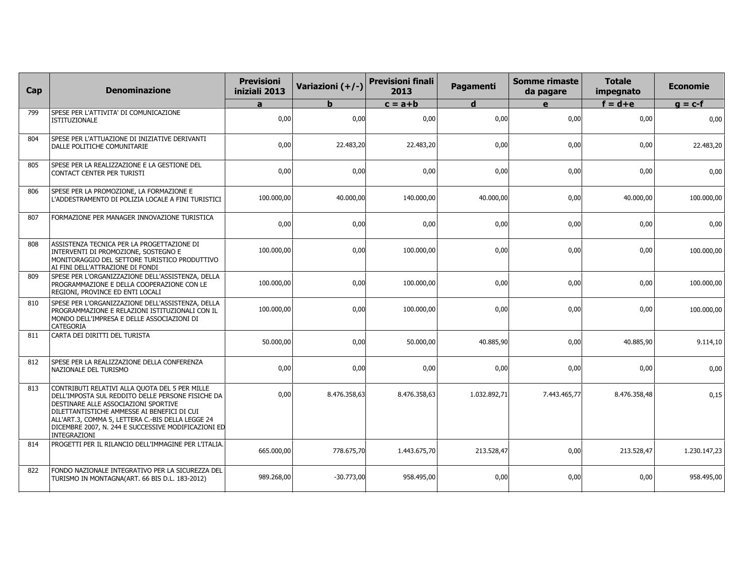| Cap | <b>Denominazione</b>                                                                                                                                                                                                                                                                                                   | <b>Previsioni</b><br>iniziali 2013 | Variazioni (+/-) | <b>Previsioni finali</b><br>2013 | Pagamenti    | <b>Somme rimaste</b><br>da pagare | <b>Totale</b><br>impegnato | <b>Economie</b> |
|-----|------------------------------------------------------------------------------------------------------------------------------------------------------------------------------------------------------------------------------------------------------------------------------------------------------------------------|------------------------------------|------------------|----------------------------------|--------------|-----------------------------------|----------------------------|-----------------|
|     |                                                                                                                                                                                                                                                                                                                        | $\mathbf{a}$                       | $\mathbf b$      | $c = a + b$                      | $\mathbf d$  | $\mathbf{e}$                      | $f = d + e$                | $g = c-f$       |
| 799 | SPESE PER L'ATTIVITA' DI COMUNICAZIONE<br><b>ISTITUZIONALE</b>                                                                                                                                                                                                                                                         | 0,00                               | 0,00             | 0,00                             | 0,00         | 0,00                              | 0,00                       | 0,00            |
| 804 | SPESE PER L'ATTUAZIONE DI INIZIATIVE DERIVANTI<br>DALLE POLITICHE COMUNITARIE                                                                                                                                                                                                                                          | 0,00                               | 22.483,20        | 22.483,20                        | 0,00         | 0,00                              | 0,00                       | 22.483,20       |
| 805 | SPESE PER LA REALIZZAZIONE E LA GESTIONE DEL<br>CONTACT CENTER PER TURISTI                                                                                                                                                                                                                                             | 0,00                               | 0,00             | 0,00                             | 0,00         | 0,00                              | 0,00                       | 0,00            |
| 806 | SPESE PER LA PROMOZIONE, LA FORMAZIONE E<br>L'ADDESTRAMENTO DI POLIZIA LOCALE A FINI TURISTICI                                                                                                                                                                                                                         | 100.000,00                         | 40.000,00        | 140.000,00                       | 40.000,00    | 0,00                              | 40.000,00                  | 100.000,00      |
| 807 | FORMAZIONE PER MANAGER INNOVAZIONE TURISTICA                                                                                                                                                                                                                                                                           | 0,00                               | 0,00             | 0,00                             | 0,00         | 0,00                              | 0,00                       | 0,00            |
| 808 | ASSISTENZA TECNICA PER LA PROGETTAZIONE DI<br>INTERVENTI DI PROMOZIONE, SOSTEGNO E<br>MONITORAGGIO DEL SETTORE TURISTICO PRODUTTIVO<br>AI FINI DELL'ATTRAZIONE DI FONDI                                                                                                                                                | 100.000,00                         | 0,00             | 100.000,00                       | 0,00         | 0,00                              | 0,00                       | 100.000,00      |
| 809 | SPESE PER L'ORGANIZZAZIONE DELL'ASSISTENZA, DELLA<br>PROGRAMMAZIONE E DELLA COOPERAZIONE CON LE<br>REGIONI, PROVINCE ED ENTI LOCALI                                                                                                                                                                                    | 100.000,00                         | 0,00             | 100.000,00                       | 0,00         | 0,00                              | 0,00                       | 100.000,00      |
| 810 | SPESE PER L'ORGANIZZAZIONE DELL'ASSISTENZA, DELLA<br>PROGRAMMAZIONE E RELAZIONI ISTITUZIONALI CON IL<br>MONDO DELL'IMPRESA E DELLE ASSOCIAZIONI DI<br><b>CATEGORIA</b>                                                                                                                                                 | 100.000,00                         | 0,00             | 100.000,00                       | 0,00         | 0,00                              | 0,00                       | 100.000,00      |
| 811 | CARTA DEI DIRITTI DEL TURISTA                                                                                                                                                                                                                                                                                          | 50.000,00                          | 0,00             | 50.000,00                        | 40.885,90    | 0,00                              | 40.885,90                  | 9.114,10        |
| 812 | SPESE PER LA REALIZZAZIONE DELLA CONFERENZA<br>NAZIONALE DEL TURISMO                                                                                                                                                                                                                                                   | 0,00                               | 0,00             | 0,00                             | 0,00         | 0,00                              | 0,00                       | 0,00            |
| 813 | CONTRIBUTI RELATIVI ALLA QUOTA DEL 5 PER MILLE<br>DELL'IMPOSTA SUL REDDITO DELLE PERSONE FISICHE DA<br>DESTINARE ALLE ASSOCIAZIONI SPORTIVE<br>DILETTANTISTICHE AMMESSE AI BENEFICI DI CUI<br>ALL'ART.3, COMMA 5, LETTERA C.-BIS DELLA LEGGE 24<br>DICEMBRE 2007, N. 244 E SUCCESSIVE MODIFICAZIONI ED<br>INTEGRAZIONI | 0,00                               | 8.476.358,63     | 8.476.358,63                     | 1.032.892,71 | 7.443.465,77                      | 8.476.358,48               | 0,15            |
| 814 | PROGETTI PER IL RILANCIO DELL'IMMAGINE PER L'ITALIA.                                                                                                                                                                                                                                                                   | 665.000,00                         | 778.675,70       | 1.443.675,70                     | 213.528,47   | 0,00                              | 213.528,47                 | 1.230.147,23    |
| 822 | FONDO NAZIONALE INTEGRATIVO PER LA SICUREZZA DEL<br>TURISMO IN MONTAGNA(ART. 66 BIS D.L. 183-2012)                                                                                                                                                                                                                     | 989.268,00                         | $-30.773,00$     | 958.495,00                       | 0,00         | 0,00                              | 0,00                       | 958.495,00      |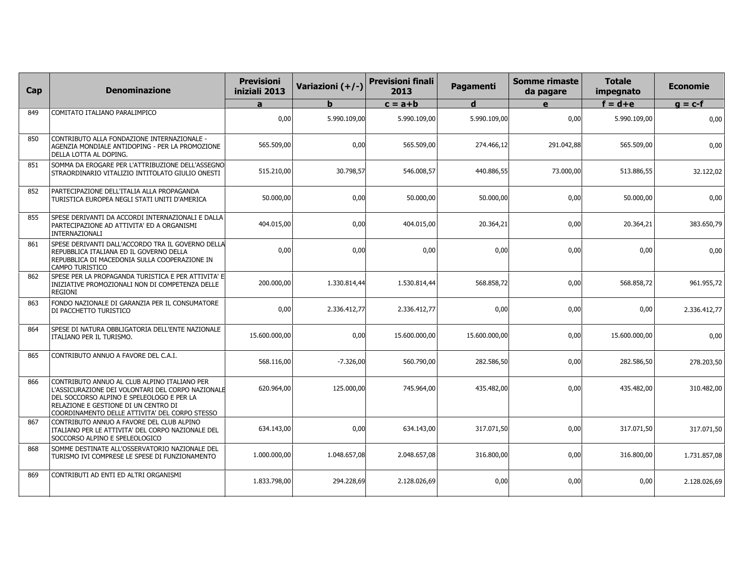| Cap | <b>Denominazione</b>                                                                                                                                                                                                                     | <b>Previsioni</b><br>iniziali 2013 | Variazioni (+/-) | <b>Previsioni finali</b><br>2013 | Pagamenti     | Somme rimaste<br>da pagare | <b>Totale</b><br>impegnato | <b>Economie</b> |
|-----|------------------------------------------------------------------------------------------------------------------------------------------------------------------------------------------------------------------------------------------|------------------------------------|------------------|----------------------------------|---------------|----------------------------|----------------------------|-----------------|
|     |                                                                                                                                                                                                                                          | a                                  | h.               | $c = a + b$                      | d             | e                          | $f = d + e$                | $q = c-f$       |
| 849 | COMITATO ITALIANO PARALIMPICO                                                                                                                                                                                                            | 0,00                               | 5.990.109,00     | 5.990.109,00                     | 5.990.109,00  | 0,00                       | 5.990.109,00               | 0,00            |
| 850 | CONTRIBUTO ALLA FONDAZIONE INTERNAZIONALE -<br>AGENZIA MONDIALE ANTIDOPING - PER LA PROMOZIONE<br>DELLA LOTTA AL DOPING.                                                                                                                 | 565,509.00                         | 0,00             | 565,509,00                       | 274.466.12    | 291.042,88                 | 565.509,00                 | 0,00            |
| 851 | SOMMA DA EROGARE PER L'ATTRIBUZIONE DELL'ASSEGNO<br>STRAORDINARIO VITALIZIO INTITOLATO GIULIO ONESTI                                                                                                                                     | 515.210,00                         | 30.798,57        | 546.008,57                       | 440.886,55    | 73.000,00                  | 513.886,55                 | 32.122,02       |
| 852 | PARTECIPAZIONE DELL'ITALIA ALLA PROPAGANDA<br>TURISTICA EUROPEA NEGLI STATI UNITI D'AMERICA                                                                                                                                              | 50.000,00                          | 0,00             | 50.000,00                        | 50.000,00     | 0,00                       | 50.000,00                  | 0,00            |
| 855 | SPESE DERIVANTI DA ACCORDI INTERNAZIONALI E DALLA<br>PARTECIPAZIONE AD ATTIVITA' ED A ORGANISMI<br>INTERNAZIONALI                                                                                                                        | 404.015,00                         | 0,00             | 404.015,00                       | 20.364,21     | 0,00                       | 20.364,21                  | 383.650,79      |
| 861 | SPESE DERIVANTI DALL'ACCORDO TRA IL GOVERNO DELLA<br>REPUBBLICA ITALIANA ED IL GOVERNO DELLA<br>REPUBBLICA DI MACEDONIA SULLA COOPERAZIONE IN<br>CAMPO TURISTICO                                                                         | 0,00                               | 0,00             | 0,00                             | 0,00          | 0,00                       | 0,00                       | 0,00            |
| 862 | SPESE PER LA PROPAGANDA TURISTICA E PER ATTIVITA' E<br>INIZIATIVE PROMOZIONALI NON DI COMPETENZA DELLE<br><b>REGIONI</b>                                                                                                                 | 200.000,00                         | 1.330.814,44     | 1.530.814,44                     | 568.858,72    | 0,00                       | 568.858,72                 | 961.955,72      |
| 863 | FONDO NAZIONALE DI GARANZIA PER IL CONSUMATORE<br>DI PACCHETTO TURISTICO                                                                                                                                                                 | 0,00                               | 2.336.412,77     | 2.336.412,77                     | 0,00          | 0,00                       | 0,00                       | 2.336.412,77    |
| 864 | SPESE DI NATURA OBBLIGATORIA DELL'ENTE NAZIONALE<br>ITALIANO PER IL TURISMO.                                                                                                                                                             | 15.600.000,00                      | 0,00             | 15.600.000,00                    | 15.600.000,00 | 0,00                       | 15.600.000,00              | 0,00            |
| 865 | CONTRIBUTO ANNUO A FAVORE DEL C.A.I.                                                                                                                                                                                                     | 568.116,00                         | $-7.326,00$      | 560.790,00                       | 282.586,50    | 0,00                       | 282.586,50                 | 278.203,50      |
| 866 | CONTRIBUTO ANNUO AL CLUB ALPINO ITALIANO PER<br>L'ASSICURAZIONE DEI VOLONTARI DEL CORPO NAZIONALE<br>DEL SOCCORSO ALPINO E SPELEOLOGO E PER LA<br>RELAZIONE E GESTIONE DI UN CENTRO DI<br>COORDINAMENTO DELLE ATTIVITA' DEL CORPO STESSO | 620.964,00                         | 125.000,00       | 745.964,00                       | 435.482,00    | 0,00                       | 435.482,00                 | 310.482,00      |
| 867 | CONTRIBUTO ANNUO A FAVORE DEL CLUB ALPINO<br>ITALIANO PER LE ATTIVITA' DEL CORPO NAZIONALE DEL<br>SOCCORSO ALPINO E SPELEOLOGICO                                                                                                         | 634.143,00                         | 0,00             | 634.143,00                       | 317.071,50    | 0,00                       | 317.071,50                 | 317.071,50      |
| 868 | SOMME DESTINATE ALL'OSSERVATORIO NAZIONALE DEL<br>TURISMO IVI COMPRESE LE SPESE DI FUNZIONAMENTO                                                                                                                                         | 1.000.000,00                       | 1.048.657,08     | 2.048.657,08                     | 316.800,00    | 0,00                       | 316.800,00                 | 1.731.857,08    |
| 869 | CONTRIBUTI AD ENTI ED ALTRI ORGANISMI                                                                                                                                                                                                    | 1.833.798,00                       | 294.228,69       | 2.128.026,69                     | 0,00          | 0,00                       | 0,00                       | 2.128.026,69    |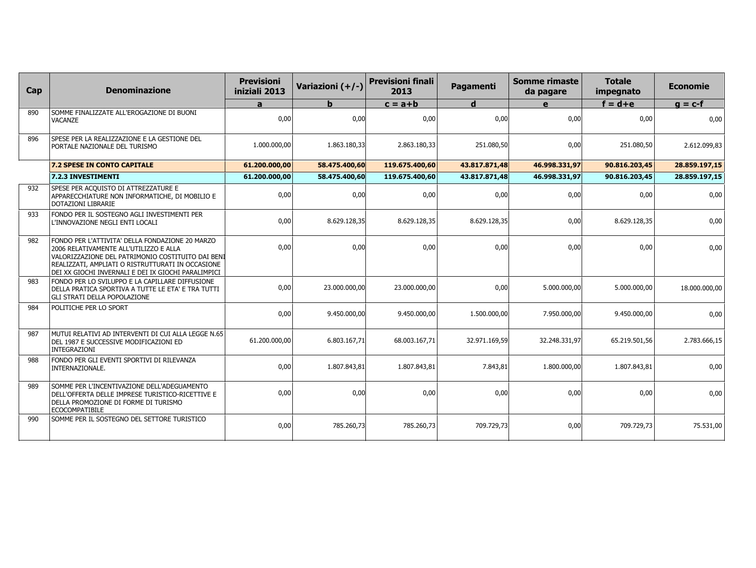| Cap | <b>Denominazione</b>                                                                                                                                                                                                                                       | <b>Previsioni</b><br>iniziali 2013 | Variazioni (+/-) | <b>Previsioni finali</b><br>2013 | Pagamenti     | <b>Somme rimaste</b><br>da pagare | <b>Totale</b><br>impegnato | <b>Economie</b> |
|-----|------------------------------------------------------------------------------------------------------------------------------------------------------------------------------------------------------------------------------------------------------------|------------------------------------|------------------|----------------------------------|---------------|-----------------------------------|----------------------------|-----------------|
|     |                                                                                                                                                                                                                                                            | a                                  | b                | $c = a + b$                      | d             | e                                 | $f = d + e$                | $g = c-f$       |
| 890 | SOMME FINALIZZATE ALL'EROGAZIONE DI BUONI<br><b>VACANZE</b>                                                                                                                                                                                                | 0,00                               | 0,00             | 0,00                             | 0,00          | 0,00                              | 0,00                       | 0,00            |
| 896 | SPESE PER LA REALIZZAZIONE E LA GESTIONE DEL<br>PORTALE NAZIONALE DEL TURISMO                                                                                                                                                                              | 1.000.000,00                       | 1.863.180,33     | 2.863.180,33                     | 251.080,50    | 0,00                              | 251.080,50                 | 2.612.099,83    |
|     | 7.2 SPESE IN CONTO CAPITALE                                                                                                                                                                                                                                | 61.200.000,00                      | 58.475.400,60    | 119.675.400,60                   | 43.817.871,48 | 46.998.331,97                     | 90.816.203,45              | 28.859.197,15   |
|     | 7.2.3 INVESTIMENTI                                                                                                                                                                                                                                         | 61.200.000,00                      | 58.475.400,60    | 119.675.400,60                   | 43.817.871,48 | 46.998.331,97                     | 90.816.203,45              | 28.859.197,15   |
| 932 | SPESE PER ACQUISTO DI ATTREZZATURE E<br>APPARECCHIATURE NON INFORMATICHE, DI MOBILIO E<br>DOTAZIONI LIBRARIE                                                                                                                                               | 0,00                               | 0,00             | 0,00                             | 0,00          | 0,00                              | 0,00                       | 0,00            |
| 933 | FONDO PER IL SOSTEGNO AGLI INVESTIMENTI PER<br>L'INNOVAZIONE NEGLI ENTI LOCALI                                                                                                                                                                             | 0,00                               | 8.629.128,35     | 8.629.128,35                     | 8.629.128,35  | 0,00                              | 8.629.128,35               | 0,00            |
| 982 | FONDO PER L'ATTIVITA' DELLA FONDAZIONE 20 MARZO<br>2006 RELATIVAMENTE ALL'UTILIZZO E ALLA<br>VALORIZZAZIONE DEL PATRIMONIO COSTITUITO DAI BENI<br>REALIZZATI, AMPLIATI O RISTRUTTURATI IN OCCASIONE<br>DEI XX GIOCHI INVERNALI E DEI IX GIOCHI PARALIMPICI | 0,00                               | 0,00             | 0,00                             | 0,00          | 0,00                              | 0,00                       | 0,00            |
| 983 | FONDO PER LO SVILUPPO E LA CAPILLARE DIFFUSIONE<br>DELLA PRATICA SPORTIVA A TUTTE LE ETA' E TRA TUTTI<br><b>GLI STRATI DELLA POPOLAZIONE</b>                                                                                                               | 0,00                               | 23.000.000,00    | 23.000.000,00                    | 0,00          | 5.000.000,00                      | 5.000.000,00               | 18.000.000,00   |
| 984 | POLITICHE PER LO SPORT                                                                                                                                                                                                                                     | 0,00                               | 9.450.000,00     | 9.450.000,00                     | 1.500.000,00  | 7.950.000,00                      | 9.450.000,00               | 0,00            |
| 987 | MUTUI RELATIVI AD INTERVENTI DI CUI ALLA LEGGE N.65<br>DEL 1987 E SUCCESSIVE MODIFICAZIONI ED<br><b>INTEGRAZIONI</b>                                                                                                                                       | 61.200.000,00                      | 6.803.167,71     | 68.003.167,71                    | 32.971.169,59 | 32.248.331,97                     | 65.219.501,56              | 2.783.666,15    |
| 988 | FONDO PER GLI EVENTI SPORTIVI DI RILEVANZA<br>INTERNAZIONALE.                                                                                                                                                                                              | 0,00                               | 1.807.843,81     | 1.807.843,81                     | 7.843,81      | 1.800.000,00                      | 1.807.843,81               | 0,00            |
| 989 | SOMME PER L'INCENTIVAZIONE DELL'ADEGUAMENTO<br>DELL'OFFERTA DELLE IMPRESE TURISTICO-RICETTIVE E<br>DELLA PROMOZIONE DI FORME DI TURISMO<br><b>ECOCOMPATIBILE</b>                                                                                           | 0,00                               | 0,00             | 0,00                             | 0,00          | 0,00                              | 0,00                       | 0,00            |
| 990 | SOMME PER IL SOSTEGNO DEL SETTORE TURISTICO                                                                                                                                                                                                                | 0,00                               | 785.260,73       | 785.260,73                       | 709.729,73    | 0,00                              | 709.729,73                 | 75.531,00       |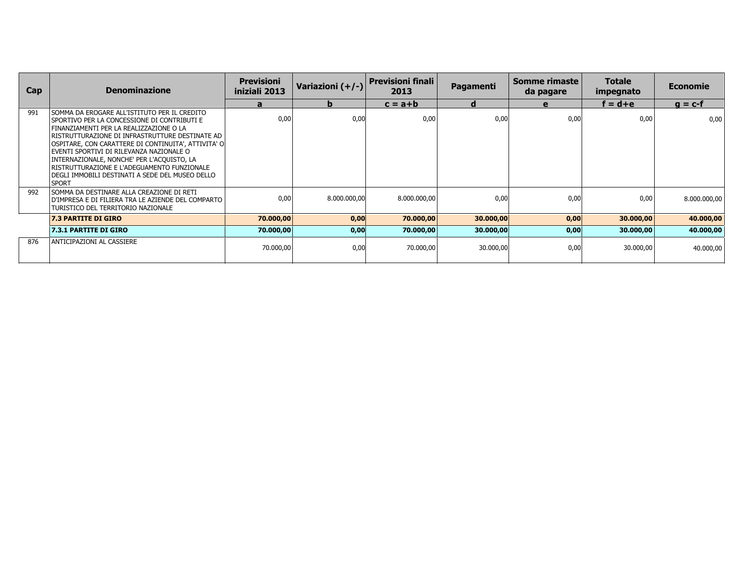| Cap | <b>Denominazione</b>                                                                                                                                                                                                                                                                                                                                                                                                                                              | <b>Previsioni</b><br>iniziali 2013 | Variazioni (+/-) | <b>Previsioni finali</b><br>2013 | Pagamenti | Somme rimaste<br>da pagare | <b>Totale</b><br>impegnato | <b>Economie</b> |
|-----|-------------------------------------------------------------------------------------------------------------------------------------------------------------------------------------------------------------------------------------------------------------------------------------------------------------------------------------------------------------------------------------------------------------------------------------------------------------------|------------------------------------|------------------|----------------------------------|-----------|----------------------------|----------------------------|-----------------|
|     |                                                                                                                                                                                                                                                                                                                                                                                                                                                                   | a                                  | b                | $c = a + b$                      | d         | $\mathbf{e}$               | $f = d + e$                | $q = c-f$       |
| 991 | i somma da erogare all'Istituto per il credito<br>i sportivo per la concessione di contributi e<br>FINANZIAMENTI PER LA REALIZZAZIONE O LA<br>RISTRUTTURAZIONE DI INFRASTRUTTURE DESTINATE AD<br>OSPITARE, CON CARATTERE DI CONTINUITA', ATTIVITA' O<br>EVENTI SPORTIVI DI RILEVANZA NAZIONALE O<br>INTERNAZIONALE, NONCHE' PER L'ACQUISTO, LA<br> RISTRUTTURAZIONE E L'ADEGUAMENTO FUNZIONALE<br>DEGLI IMMOBILI DESTINATI A SEDE DEL MUSEO DELLO<br><b>SPORT</b> | 0,00                               | 0,00             | 0,00                             | 0,00      | 0,00                       | 0,00                       | 0,00            |
| 992 | ISOMMA DA DESTINARE ALLA CREAZIONE DI RETI<br>D'IMPRESA E DI FILIERA TRA LE AZIENDE DEL COMPARTO<br>TURISTICO DEL TERRITORIO NAZIONALE                                                                                                                                                                                                                                                                                                                            | 0,00                               | 8.000.000,00     | 8.000.000,00                     | 0,00      | 0,00                       | 0,00                       | 8.000.000,00    |
|     | <b>7.3 PARTITE DI GIRO</b>                                                                                                                                                                                                                                                                                                                                                                                                                                        | 70.000,00                          | 0,00             | 70.000,00                        | 30.000,00 | 0,00                       | 30.000,00                  | 40.000,00       |
|     | 7.3.1 PARTITE DI GIRO                                                                                                                                                                                                                                                                                                                                                                                                                                             | 70.000,00                          | 0,00             | 70.000,00                        | 30.000,00 | 0,00                       | 30.000,00                  | 40.000,00       |
| 876 | ANTICIPAZIONI AL CASSIERE                                                                                                                                                                                                                                                                                                                                                                                                                                         | 70.000,00                          | 0,00             | 70.000,00                        | 30.000,00 | 0,00                       | 30.000,00                  | 40.000,00       |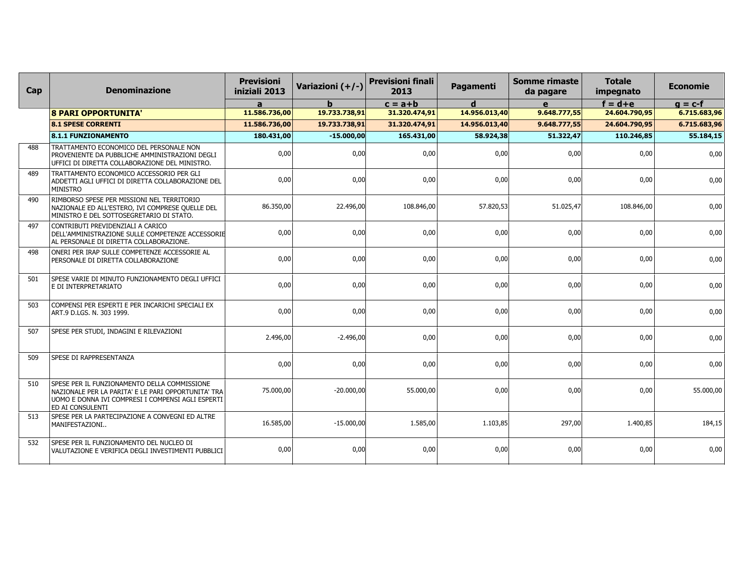| Cap | <b>Denominazione</b>                                                                                                                                                                | <b>Previsioni</b><br>iniziali 2013 | Variazioni (+/-) | <b>Previsioni finali</b><br>2013 | <b>Pagamenti</b> | <b>Somme rimaste</b><br>da pagare | <b>Totale</b><br>impegnato | <b>Economie</b> |
|-----|-------------------------------------------------------------------------------------------------------------------------------------------------------------------------------------|------------------------------------|------------------|----------------------------------|------------------|-----------------------------------|----------------------------|-----------------|
|     |                                                                                                                                                                                     | $\mathbf{a}$                       | $\mathbf b$      | $c = a + b$                      | $\mathbf d$      | e                                 | $f = d + e$                | $g = c-f$       |
|     | <b>8 PARI OPPORTUNITA'</b>                                                                                                                                                          | 11.586.736,00                      | 19.733.738,91    | 31.320.474,91                    | 14.956.013,40    | 9.648.777,55                      | 24.604.790,95              | 6.715.683,96    |
|     | <b>8.1 SPESE CORRENTI</b>                                                                                                                                                           | 11.586.736,00                      | 19.733.738,91    | 31.320.474,91                    | 14.956.013,40    | 9.648.777,55                      | 24.604.790,95              | 6.715.683,96    |
|     | <b>8.1.1 FUNZIONAMENTO</b>                                                                                                                                                          | 180.431,00                         | $-15.000,00$     | 165.431,00                       | 58.924,38        | 51.322,47                         | 110.246,85                 | 55.184,15       |
| 488 | TRATTAMENTO ECONOMICO DEL PERSONALE NON<br>PROVENIENTE DA PUBBLICHE AMMINISTRAZIONI DEGLI<br>UFFICI DI DIRETTA COLLABORAZIONE DEL MINISTRO.                                         | 0,00                               | 0,00             | 0,00                             | 0,00             | 0,00                              | 0,00                       | 0,00            |
| 489 | TRATTAMENTO ECONOMICO ACCESSORIO PER GLI<br>ADDETTI AGLI UFFICI DI DIRETTA COLLABORAZIONE DEL<br><b>MINISTRO</b>                                                                    | 0,00                               | 0,00             | 0,00                             | 0,00             | 0,00                              | 0,00                       | 0,00            |
| 490 | RIMBORSO SPESE PER MISSIONI NEL TERRITORIO<br>NAZIONALE ED ALL'ESTERO, IVI COMPRESE QUELLE DEL<br>MINISTRO E DEL SOTTOSEGRETARIO DI STATO.                                          | 86.350,00                          | 22.496.00        | 108.846.00                       | 57.820,53        | 51.025,47                         | 108.846.00                 | 0,00            |
| 497 | CONTRIBUTI PREVIDENZIALI A CARICO<br>DELL'AMMINISTRAZIONE SULLE COMPETENZE ACCESSORIE<br>AL PERSONALE DI DIRETTA COLLABORAZIONE.                                                    | 0,00                               | 0,00             | 0,00                             | 0,00             | 0,00                              | 0,00                       | 0,00            |
| 498 | ONERI PER IRAP SULLE COMPETENZE ACCESSORIE AL<br>PERSONALE DI DIRETTA COLLABORAZIONE                                                                                                | 0,00                               | 0,00             | 0,00                             | 0,00             | 0,00                              | 0,00                       | 0,00            |
| 501 | SPESE VARIE DI MINUTO FUNZIONAMENTO DEGLI UFFICI<br>E DI INTERPRETARIATO                                                                                                            | 0,00                               | 0,00             | 0,00                             | 0,00             | 0,00                              | 0,00                       | 0,00            |
| 503 | COMPENSI PER ESPERTI E PER INCARICHI SPECIALI EX<br>ART.9 D.LGS. N. 303 1999.                                                                                                       | 0,00                               | 0,00             | 0,00                             | 0,00             | 0,00                              | 0,00                       | 0,00            |
| 507 | SPESE PER STUDI, INDAGINI E RILEVAZIONI                                                                                                                                             | 2.496.00                           | $-2.496.00$      | 0.00                             | 0.00             | 0,00                              | 0.00                       | 0,00            |
| 509 | SPESE DI RAPPRESENTANZA                                                                                                                                                             | 0,00                               | 0,00             | 0,00                             | 0,00             | 0,00                              | 0,00                       | 0,00            |
| 510 | SPESE PER IL FUNZIONAMENTO DELLA COMMISSIONE<br>NAZIONALE PER LA PARITA' E LE PARI OPPORTUNITA' TRA<br>UOMO E DONNA IVI COMPRESI I COMPENSI AGLI ESPERTI<br><b>ED AI CONSULENTI</b> | 75.000,00                          | $-20.000,00$     | 55.000,00                        | 0,00             | 0,00                              | 0,00                       | 55.000,00       |
| 513 | SPESE PER LA PARTECIPAZIONE A CONVEGNI ED ALTRE<br>MANIFESTAZIONI                                                                                                                   | 16.585,00                          | $-15.000,00$     | 1.585,00                         | 1.103,85         | 297,00                            | 1.400,85                   | 184,15          |
| 532 | SPESE PER IL FUNZIONAMENTO DEL NUCLEO DI<br>VALUTAZIONE E VERIFICA DEGLI INVESTIMENTI PUBBLICI                                                                                      | 0,00                               | 0,00             | 0,00                             | 0,00             | 0,00                              | 0,00                       | 0,00            |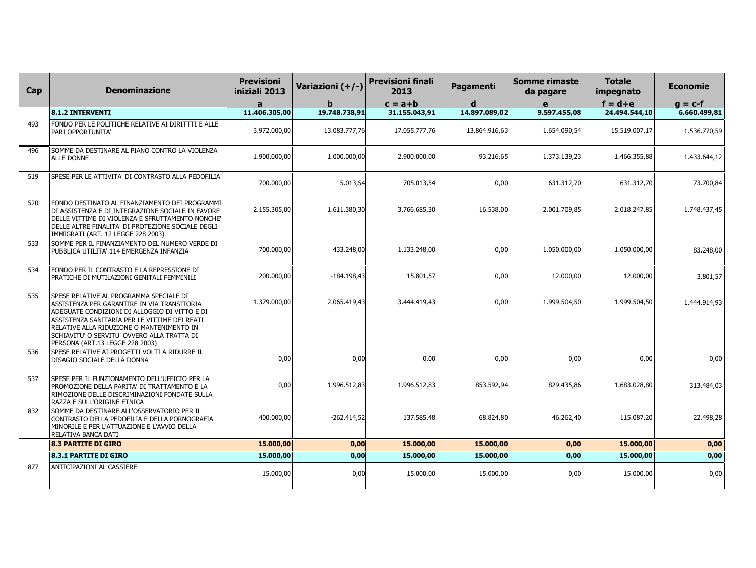| Cap | <b>Denominazione</b>                                                                                                                                                                                                                                                                                                    | <b>Previsioni</b><br>iniziali 2013 | Variazioni (+/-) | <b>Previsioni finali</b><br>2013 | Pagamenti     | Somme rimaste<br>da pagare | <b>Totale</b><br>impegnato | <b>Economie</b> |
|-----|-------------------------------------------------------------------------------------------------------------------------------------------------------------------------------------------------------------------------------------------------------------------------------------------------------------------------|------------------------------------|------------------|----------------------------------|---------------|----------------------------|----------------------------|-----------------|
|     |                                                                                                                                                                                                                                                                                                                         | $\mathbf{a}$                       |                  | $c = a + b$                      | d             | e                          | $f = d + e$                | $g = c-f$       |
|     | <b>8.1.2 INTERVENTI</b>                                                                                                                                                                                                                                                                                                 | 11.406.305,00                      | 19.748.738,91    | 31.155.043,91                    | 14.897.089,02 | 9.597.455,08               | 24.494.544,10              | 6.660.499,81    |
| 493 | FONDO PER LE POLITICHE RELATIVE AI DIRITTTI E ALLE<br>PARI OPPORTUNITA'                                                                                                                                                                                                                                                 | 3.972.000,00                       | 13.083.777,76    | 17.055.777,76                    | 13.864.916,63 | 1.654.090,54               | 15.519.007,17              | 1.536.770,59    |
| 496 | SOMME DA DESTINARE AL PIANO CONTRO LA VIOLENZA<br><b>ALLE DONNE</b>                                                                                                                                                                                                                                                     | 1.900.000,00                       | 1.000.000,00     | 2.900.000,00                     | 93.216,65     | 1.373.139,23               | 1.466.355,88               | 1.433.644,12    |
| 519 | SPESE PER LE ATTIVITA' DI CONTRASTO ALLA PEDOFILIA                                                                                                                                                                                                                                                                      | 700.000,00                         | 5.013,54         | 705.013,54                       | 0,00          | 631.312,70                 | 631.312,70                 | 73.700,84       |
| 520 | FONDO DESTINATO AL FINANZIAMENTO DEI PROGRAMMI<br>DI ASSISTENZA E DI INTEGRAZIONE SOCIALE IN FAVORE<br>DELLE VITTIME DI VIOLENZA E SFRUTTAMENTO NONCHE'<br>DELLE ALTRE FINALITA' DI PROTEZIONE SOCIALE DEGLI<br>IMMIGRATI (ART. 12 LEGGE 228 2003)                                                                      | 2.155.305,00                       | 1.611.380,30     | 3.766.685,30                     | 16.538,00     | 2.001.709,85               | 2.018.247,85               | 1.748.437,45    |
| 533 | SOMME PER IL FINANZIAMENTO DEL NUMERO VERDE DI<br>PUBBLICA UTILITA' 114 EMERGENZA INFANZIA                                                                                                                                                                                                                              | 700.000,00                         | 433.248,00       | 1.133.248,00                     | 0,00          | 1.050.000,00               | 1.050.000,00               | 83.248,00       |
| 534 | FONDO PER IL CONTRASTO E LA REPRESSIONE DI<br>PRATICHE DI MUTILAZIONI GENITALI FEMMINILI                                                                                                                                                                                                                                | 200.000,00                         | $-184.198,43$    | 15.801,57                        | 0,00          | 12.000,00                  | 12.000,00                  | 3.801,57        |
| 535 | SPESE RELATIVE AL PROGRAMMA SPECIALE DI<br>ASSISTENZA PER GARANTIRE IN VIA TRANSITORIA<br>ADEGUATE CONDIZIONI DI ALLOGGIO DI VITTO E DI<br>ASSISTENZA SANITARIA PER LE VITTIME DEI REATI<br>RELATIVE ALLA RIDUZIONE O MANTENIMENTO IN<br>SCHIAVITU' O SERVITU' OVVERO ALLA TRATTA DI<br>PERSONA (ART.13 LEGGE 228 2003) | 1.379.000,00                       | 2.065.419,43     | 3.444.419,43                     | 0.001         | 1.999.504,50               | 1.999.504,50               | 1.444.914,93    |
| 536 | SPESE RELATIVE AI PROGETTI VOLTI A RIDURRE IL<br>DISAGIO SOCIALE DELLA DONNA                                                                                                                                                                                                                                            | 0,00                               | 0,00             | 0,00                             | 0,00          | 0,00                       | 0,00                       | 0,00            |
| 537 | SPESE PER IL FUNZIONAMENTO DELL'UFFICIO PER LA<br>PROMOZIONE DELLA PARITA' DI TRATTAMENTO E LA<br>RIMOZIONE DELLE DISCRIMINAZIONI FONDATE SULLA<br>RAZZA E SULL'ORIGINE ETNICA                                                                                                                                          | 0,00                               | 1.996.512,83     | 1.996.512,83                     | 853.592,94    | 829.435,86                 | 1.683.028,80               | 313.484,03      |
| 832 | SOMME DA DESTINARE ALL'OSSERVATORIO PER IL<br>CONTRASTO DELLA PEDOFILIA E DELLA PORNOGRAFIA<br>MINORILE E PER L'ATTUAZIONE E L'AVVIO DELLA<br>RELATIVA BANCA DATI                                                                                                                                                       | 400.000,00                         | $-262.414,52$    | 137.585,48                       | 68.824,80     | 46.262,40                  | 115.087,20                 | 22.498,28       |
|     | <b>8.3 PARTITE DI GIRO</b>                                                                                                                                                                                                                                                                                              | 15.000,00                          | 0,00             | 15.000,00                        | 15.000,00     | 0,00                       | 15.000,00                  | 0,00            |
|     | <b>8.3.1 PARTITE DI GIRO</b>                                                                                                                                                                                                                                                                                            | 15.000,00                          | 0,00             | 15.000,00                        | 15.000,00     | 0,00                       | 15.000,00                  | 0,00            |
| 877 | ANTICIPAZIONI AL CASSIERE                                                                                                                                                                                                                                                                                               | 15.000,00                          | 0,00             | 15.000,00                        | 15.000,00     | 0,00                       | 15.000,00                  | 0,00            |
|     |                                                                                                                                                                                                                                                                                                                         |                                    |                  |                                  |               |                            |                            |                 |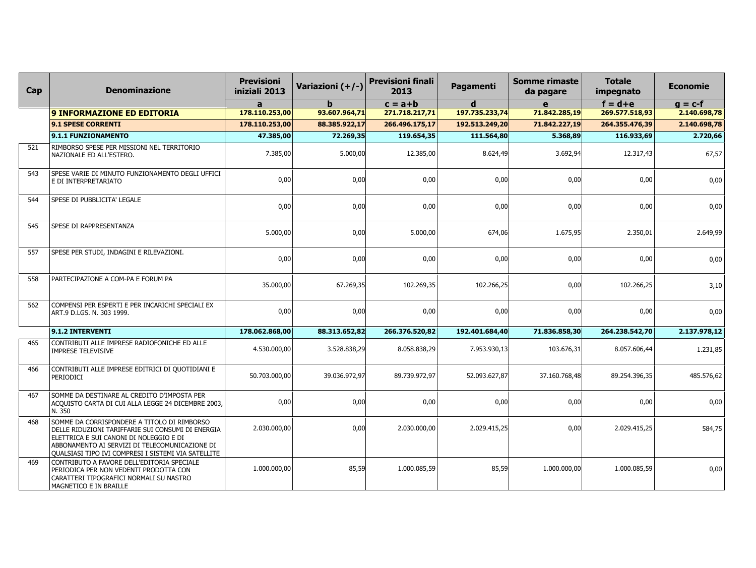| Cap | <b>Denominazione</b>                                                                                                                                                                                                                                        | <b>Previsioni</b><br>iniziali 2013 | Variazioni (+/-) | <b>Previsioni finali</b><br>2013 | Pagamenti      | <b>Somme rimaste</b><br>da pagare | <b>Totale</b><br>impegnato | <b>Economie</b> |
|-----|-------------------------------------------------------------------------------------------------------------------------------------------------------------------------------------------------------------------------------------------------------------|------------------------------------|------------------|----------------------------------|----------------|-----------------------------------|----------------------------|-----------------|
|     |                                                                                                                                                                                                                                                             | a                                  |                  | $c = a + b$                      | d              | e                                 | $f = d + e$                | $g = c-f$       |
|     | <b>9 INFORMAZIONE ED EDITORIA</b>                                                                                                                                                                                                                           | 178.110.253,00                     | 93.607.964,71    | 271.718.217,71                   | 197.735.233,74 | 71.842.285,19                     | 269.577.518,93             | 2.140.698,78    |
|     | <b>9.1 SPESE CORRENTI</b>                                                                                                                                                                                                                                   | 178.110.253,00                     | 88.385.922,17    | 266.496.175,17                   | 192.513.249,20 | 71.842.227,19                     | 264.355.476,39             | 2.140.698,78    |
|     | 9.1.1 FUNZIONAMENTO                                                                                                                                                                                                                                         | 47.385,00                          | 72.269,35        | 119.654,35                       | 111.564,80     | 5.368,89                          | 116.933,69                 | 2.720,66        |
| 521 | RIMBORSO SPESE PER MISSIONI NEL TERRITORIO<br>NAZIONALE ED ALL'ESTERO.                                                                                                                                                                                      | 7.385,00                           | 5.000,00         | 12.385,00                        | 8.624,49       | 3.692,94                          | 12.317,43                  | 67,57           |
| 543 | SPESE VARIE DI MINUTO FUNZIONAMENTO DEGLI UFFICI<br>E DI INTERPRETARIATO                                                                                                                                                                                    | 0,00                               | 0,00             | 0,00                             | 0,00           | 0,00                              | 0,00                       | 0,00            |
| 544 | SPESE DI PUBBLICITA' LEGALE                                                                                                                                                                                                                                 | 0.00                               | 0.00             | 0,00                             | 0,00           | 0,00                              | 0,00                       | 0,00            |
| 545 | SPESE DI RAPPRESENTANZA                                                                                                                                                                                                                                     | 5.000,00                           | 0,00             | 5.000,00                         | 674,06         | 1.675,95                          | 2.350,01                   | 2.649,99        |
| 557 | SPESE PER STUDI, INDAGINI E RILEVAZIONI.                                                                                                                                                                                                                    | 0,00                               | 0,00             | 0,00                             | 0,00           | 0,00                              | 0,00                       | 0,00            |
| 558 | PARTECIPAZIONE A COM-PA E FORUM PA                                                                                                                                                                                                                          | 35.000,00                          | 67.269,35        | 102.269,35                       | 102.266,25     | 0,00                              | 102.266,25                 | 3,10            |
| 562 | COMPENSI PER ESPERTI E PER INCARICHI SPECIALI EX<br>ART.9 D.LGS. N. 303 1999.                                                                                                                                                                               | 0,00                               | 0,00             | 0,00                             | 0,00           | 0,00                              | 0,00                       | 0,00            |
|     | 9.1.2 INTERVENTI                                                                                                                                                                                                                                            | 178.062.868.00                     | 88.313.652.82    | 266.376.520.82                   | 192.401.684.40 | 71.836.858,30                     | 264.238.542.70             | 2.137.978,12    |
| 465 | CONTRIBUTI ALLE IMPRESE RADIOFONICHE ED ALLE<br><b>IMPRESE TELEVISIVE</b>                                                                                                                                                                                   | 4.530.000,00                       | 3.528.838,29     | 8.058.838,29                     | 7.953.930,13   | 103.676,31                        | 8.057.606,44               | 1.231,85        |
| 466 | CONTRIBUTI ALLE IMPRESE EDITRICI DI QUOTIDIANI E<br>PERIODICI                                                                                                                                                                                               | 50.703.000,00                      | 39.036.972,97    | 89.739.972,97                    | 52.093.627,87  | 37.160.768,48                     | 89.254.396,35              | 485.576,62      |
| 467 | SOMME DA DESTINARE AL CREDITO D'IMPOSTA PER<br>ACQUISTO CARTA DI CUI ALLA LEGGE 24 DICEMBRE 2003,<br>N. 350                                                                                                                                                 | 0,00                               | 0,00             | 0,00                             | 0,00           | 0,00                              | 0,00                       | 0,00            |
| 468 | SOMME DA CORRISPONDERE A TITOLO DI RIMBORSO<br>DELLE RIDUZIONI TARIFFARIE SUI CONSUMI DI ENERGIA<br>ELETTRICA E SUI CANONI DI NOLEGGIO E DI<br>ABBONAMENTO AI SERVIZI DI TELECOMUNICAZIONE DI<br><b>QUALSIASI TIPO IVI COMPRESI I SISTEMI VIA SATELLITE</b> | 2.030.000,00                       | 0,00             | 2.030.000,00                     | 2.029.415,25   | 0,00                              | 2.029.415,25               | 584,75          |
| 469 | CONTRIBUTO A FAVORE DELL'EDITORIA SPECIALE<br>PERIODICA PER NON VEDENTI PRODOTTA CON<br>CARATTERI TIPOGRAFICI NORMALI SU NASTRO<br>MAGNETICO E IN BRAILLE                                                                                                   | 1.000.000,00                       | 85,59            | 1.000.085.59                     | 85,59          | 1.000.000,00                      | 1.000.085.59               | 0,00            |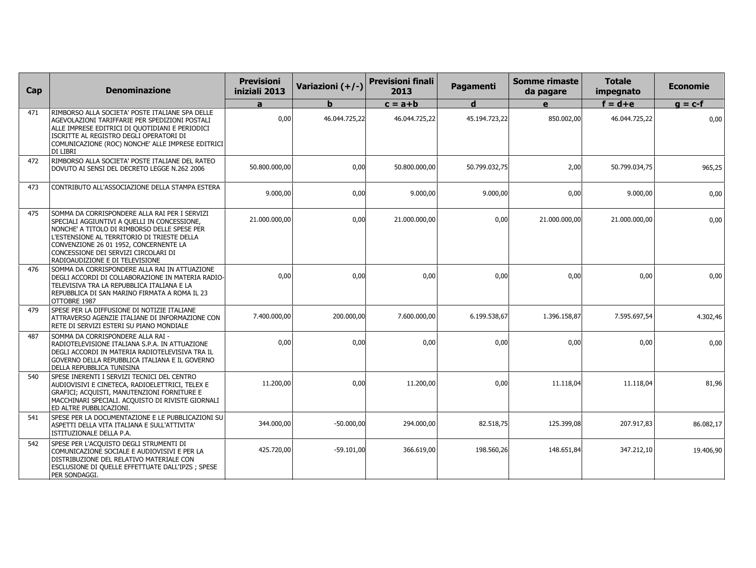| Cap | <b>Denominazione</b>                                                                                                                                                                                                                                                                                              | <b>Previsioni</b><br>iniziali 2013 | Variazioni (+/-) | <b>Previsioni finali</b><br>2013 | <b>Pagamenti</b> | <b>Somme rimaste</b><br>da pagare | <b>Totale</b><br>impegnato | Economie  |
|-----|-------------------------------------------------------------------------------------------------------------------------------------------------------------------------------------------------------------------------------------------------------------------------------------------------------------------|------------------------------------|------------------|----------------------------------|------------------|-----------------------------------|----------------------------|-----------|
|     |                                                                                                                                                                                                                                                                                                                   | a                                  | h                | $c = a + b$                      | d                | e                                 | $f = d + e$                | $q = c-f$ |
| 471 | RIMBORSO ALLA SOCIETA' POSTE ITALIANE SPA DELLE<br>AGEVOLAZIONI TARIFFARIE PER SPEDIZIONI POSTALI<br>ALLE IMPRESE EDITRICI DI QUOTIDIANI E PERIODICI<br>ISCRITTE AL REGISTRO DEGLI OPERATORI DI<br>COMUNICAZIONE (ROC) NONCHE' ALLE IMPRESE EDITRICI<br>DI LIBRI                                                  | 0.00                               | 46.044.725,22    | 46.044.725,22                    | 45.194.723,22    | 850.002,00                        | 46.044.725,22              | 0,00      |
| 472 | RIMBORSO ALLA SOCIETA' POSTE ITALIANE DEL RATEO<br>DOVUTO AI SENSI DEL DECRETO LEGGE N.262 2006                                                                                                                                                                                                                   | 50.800.000.00                      | 0.00             | 50.800.000.00                    | 50.799.032.75    | 2,00                              | 50.799.034.75              | 965,25    |
| 473 | CONTRIBUTO ALL'ASSOCIAZIONE DELLA STAMPA ESTERA                                                                                                                                                                                                                                                                   | 9.000,00                           | 0,00             | 9.000,00                         | 9.000,00         | 0,00                              | 9.000,00                   | 0,00      |
| 475 | SOMMA DA CORRISPONDERE ALLA RAI PER I SERVIZI<br>SPECIALI AGGIUNTIVI A QUELLI IN CONCESSIONE,<br>NONCHE' A TITOLO DI RIMBORSO DELLE SPESE PER<br>L'ESTENSIONE AL TERRITORIO DI TRIESTE DELLA<br>CONVENZIONE 26 01 1952, CONCERNENTE LA<br>CONCESSIONE DEI SERVIZI CIRCOLARI DI<br>RADIOAUDIZIONE E DI TELEVISIONE | 21.000.000,00                      | 0.00             | 21.000.000,00                    | 0,00             | 21.000.000,00                     | 21.000.000,00              | 0,00      |
| 476 | SOMMA DA CORRISPONDERE ALLA RAI IN ATTUAZIONE<br>DEGLI ACCORDI DI COLLABORAZIONE IN MATERIA RADIO-<br>TELEVISIVA TRA LA REPUBBLICA ITALIANA E LA<br>REPUBBLICA DI SAN MARINO FIRMATA A ROMA IL 23<br>OTTOBRE 1987                                                                                                 | 0,00                               | 0,00             | 0,00                             | 0,00             | 0,00                              | 0,00                       | 0,00      |
| 479 | SPESE PER LA DIFFUSIONE DI NOTIZIE ITALIANE<br>ATTRAVERSO AGENZIE ITALIANE DI INFORMAZIONE CON<br>RETE DI SERVIZI ESTERI SU PIANO MONDIALE                                                                                                                                                                        | 7.400.000,00                       | 200.000,00       | 7.600.000,00                     | 6.199.538,67     | 1.396.158,87                      | 7.595.697,54               | 4.302,46  |
| 487 | SOMMA DA CORRISPONDERE ALLA RAI -<br>RADIOTELEVISIONE ITALIANA S.P.A. IN ATTUAZIONE<br>DEGLI ACCORDI IN MATERIA RADIOTELEVISIVA TRA IL<br>GOVERNO DELLA REPUBBLICA ITALIANA E IL GOVERNO<br>DELLA REPUBBLICA TUNISINA                                                                                             | 0,00                               | 0,00             | 0,00                             | 0,00             | 0,00                              | 0,00                       | 0,00      |
| 540 | SPESE INERENTI I SERVIZI TECNICI DEL CENTRO<br>AUDIOVISIVI E CINETECA, RADIOELETTRICI, TELEX E<br>GRAFICI; ACQUISTI, MANUTENZIONI FORNITURE E<br>MACCHINARI SPECIALI. ACQUISTO DI RIVISTE GIORNALI<br>ED ALTRE PUBBLICAZIONI.                                                                                     | 11.200,00                          | 0.00             | 11.200,00                        | 0,00             | 11.118,04                         | 11.118,04                  | 81,96     |
| 541 | SPESE PER LA DOCUMENTAZIONE E LE PUBBLICAZIONI SU<br>ASPETTI DELLA VITA ITALIANA E SULL'ATTIVITA'<br>ISTITUZIONALE DELLA P.A.                                                                                                                                                                                     | 344.000,00                         | $-50.000,00$     | 294.000.00                       | 82.518,75        | 125.399,08                        | 207.917,83                 | 86.082,17 |
| 542 | SPESE PER L'ACQUISTO DEGLI STRUMENTI DI<br>COMUNICAZIONE SOCIALE E AUDIOVISIVI E PER LA<br>DISTRIBUZIONE DEL RELATIVO MATERIALE CON<br>ESCLUSIONE DI QUELLE EFFETTUATE DALL'IPZS ; SPESE<br>PER SONDAGGI.                                                                                                         | 425.720,00                         | $-59.101,00$     | 366.619,00                       | 198.560,26       | 148.651,84                        | 347.212,10                 | 19.406,90 |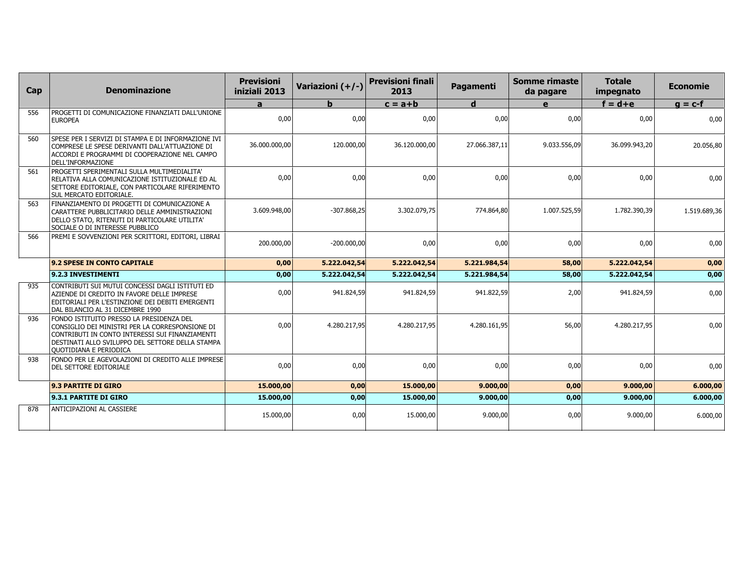| Cap | <b>Denominazione</b>                                                                                                                                                                                                         | <b>Previsioni</b><br>iniziali 2013 | Variazioni (+/-) | <b>Previsioni finali</b><br>2013 | Pagamenti     | <b>Somme rimaste</b><br>da pagare | <b>Totale</b><br>impegnato | <b>Economie</b> |
|-----|------------------------------------------------------------------------------------------------------------------------------------------------------------------------------------------------------------------------------|------------------------------------|------------------|----------------------------------|---------------|-----------------------------------|----------------------------|-----------------|
|     |                                                                                                                                                                                                                              | a                                  | h.               | $c = a + b$                      | $\mathbf d$   | e                                 | $f = d + e$                | $g = c-f$       |
| 556 | PROGETTI DI COMUNICAZIONE FINANZIATI DALL'UNIONE<br><b>EUROPEA</b>                                                                                                                                                           | 0,00                               | 0,00             | 0,00                             | 0,00          | 0,00                              | 0,00                       | 0,00            |
| 560 | SPESE PER I SERVIZI DI STAMPA E DI INFORMAZIONE IVI<br>COMPRESE LE SPESE DERIVANTI DALL'ATTUAZIONE DI<br>ACCORDI E PROGRAMMI DI COOPERAZIONE NEL CAMPO<br>DELL'INFORMAZIONE                                                  | 36.000.000,00                      | 120.000,00       | 36.120.000,00                    | 27.066.387,11 | 9.033.556,09                      | 36.099.943,20              | 20.056,80       |
| 561 | PROGETTI SPERIMENTALI SULLA MULTIMEDIALITA'<br>RELATIVA ALLA COMUNICAZIONE ISTITUZIONALE ED AL<br>SETTORE EDITORIALE, CON PARTICOLARE RIFERIMENTO<br>SUL MERCATO EDITORIALE.                                                 | 0,00                               | 0.00             | 0.00                             | 0,00          | 0,00                              | 0,00                       | 0,00            |
| 563 | FINANZIAMENTO DI PROGETTI DI COMUNICAZIONE A<br>CARATTERE PUBBLICITARIO DELLE AMMINISTRAZIONI<br>DELLO STATO, RITENUTI DI PARTICOLARE UTILITA'<br>SOCIALE O DI INTERESSE PUBBLICO                                            | 3.609.948,00                       | $-307.868,25$    | 3.302.079,75                     | 774.864,80    | 1.007.525,59                      | 1.782.390,39               | 1.519.689,36    |
| 566 | Premi e sovvenzioni per scrittori, editori, librai                                                                                                                                                                           | 200.000,00                         | $-200.000,00$    | 0,00                             | 0,00          | 0,00                              | 0,00                       | 0,00            |
|     | 9.2 SPESE IN CONTO CAPITALE                                                                                                                                                                                                  | 0,00                               | 5.222.042,54     | 5.222.042,54                     | 5.221.984,54  | 58,00                             | 5.222.042,54               | 0,00            |
|     | 9.2.3 INVESTIMENTI                                                                                                                                                                                                           | 0,00                               | 5.222.042,54     | 5.222.042.54                     | 5.221.984,54  | 58,00                             | 5.222.042,54               | 0,00            |
| 935 | CONTRIBUTI SUI MUTUI CONCESSI DAGLI ISTITUTI ED<br>AZIENDE DI CREDITO IN FAVORE DELLE IMPRESE<br>EDITORIALI PER L'ESTINZIONE DEI DEBITI EMERGENTI<br>DAL BILANCIO AL 31 DICEMBRE 1990                                        | 0,00                               | 941.824,59       | 941.824,59                       | 941.822,59    | 2,00                              | 941.824,59                 | 0,00            |
| 936 | FONDO ISTITUITO PRESSO LA PRESIDENZA DEL<br>CONSIGLIO DEI MINISTRI PER LA CORRESPONSIONE DI<br>CONTRIBUTI IN CONTO INTERESSI SUI FINANZIAMENTI<br>DESTINATI ALLO SVILUPPO DEL SETTORE DELLA STAMPA<br>QUOTIDIANA E PERIODICA | 0,00                               | 4.280.217,95     | 4.280.217,95                     | 4.280.161,95  | 56,00                             | 4.280.217,95               | 0,00            |
| 938 | FONDO PER LE AGEVOLAZIONI DI CREDITO ALLE IMPRESE<br><b>DEL SETTORE EDITORIALE</b>                                                                                                                                           | 0,00                               | 0,00             | 0,00                             | 0,00          | 0,00                              | 0,00                       | 0,00            |
|     | 9.3 PARTITE DI GIRO                                                                                                                                                                                                          | 15.000,00                          | 0,00             | 15,000,00                        | 9,000,00      | 0,00                              | 9.000,00                   | 6.000,00        |
|     | 9.3.1 PARTITE DI GIRO                                                                                                                                                                                                        | 15.000,00                          | 0,00             | 15.000,00                        | 9.000,00      | 0,00                              | 9.000,00                   | 6.000,00        |
| 878 | <b>ANTICIPAZIONI AL CASSIERE</b>                                                                                                                                                                                             | 15.000,00                          | 0,00             | 15,000,00                        | 9.000,00      | 0,00                              | 9.000,00                   | 6.000,00        |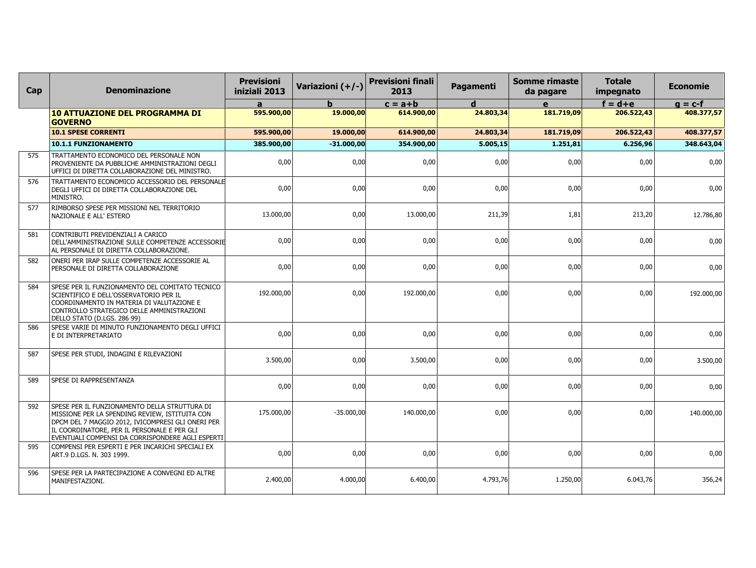| Cap | <b>Denominazione</b>                                                                                                                                                                                                                                    | <b>Previsioni</b><br>iniziali 2013 | Variazioni (+/-) | <b>Previsioni finali</b><br>2013 | Pagamenti | Somme rimaste<br>da pagare | <b>Totale</b><br>impegnato | <b>Economie</b> |
|-----|---------------------------------------------------------------------------------------------------------------------------------------------------------------------------------------------------------------------------------------------------------|------------------------------------|------------------|----------------------------------|-----------|----------------------------|----------------------------|-----------------|
|     |                                                                                                                                                                                                                                                         | a                                  |                  | $c = a + b$                      | d         | e                          | $f = d + e$                | $g = c-f$       |
|     | <b>10 ATTUAZIONE DEL PROGRAMMA DI</b><br><b>GOVERNO</b>                                                                                                                                                                                                 | 595.900,00                         | 19.000,00        | 614.900,00                       | 24.803,34 | 181.719,09                 | 206.522,43                 | 408.377,57      |
|     | <b>10.1 SPESE CORRENTI</b>                                                                                                                                                                                                                              | 595.900,00                         | 19.000,00        | 614.900,00                       | 24.803,34 | 181.719,09                 | 206.522,43                 | 408.377,57      |
|     | 10.1.1 FUNZIONAMENTO                                                                                                                                                                                                                                    | 385.900,00                         | $-31.000,00$     | 354.900,00                       | 5.005,15  | 1.251,81                   | 6.256,96                   | 348.643,04      |
| 575 | TRATTAMENTO ECONOMICO DEL PERSONALE NON<br>PROVENIENTE DA PUBBLICHE AMMINISTRAZIONI DEGLI<br>UFFICI DI DIRETTA COLLABORAZIONE DEL MINISTRO.                                                                                                             | 0,00                               | 0,00             | 0,00                             | 0,00      | 0,00                       | 0,00                       | 0,00            |
| 576 | TRATTAMENTO ECONOMICO ACCESSORIO DEL PERSONALE<br>DEGLI UFFICI DI DIRETTA COLLABORAZIONE DEL<br>MINISTRO.                                                                                                                                               | 0,00                               | 0.00             | 0.00                             | 0,00      | 0,00                       | 0,00                       | 0,00            |
| 577 | RIMBORSO SPESE PER MISSIONI NEL TERRITORIO<br>NAZIONALE E ALL' ESTERO                                                                                                                                                                                   | 13.000,00                          | 0.00             | 13.000,00                        | 211,39    | 1,81                       | 213,20                     | 12.786,80       |
| 581 | CONTRIBUTI PREVIDENZIALI A CARICO<br>DELL'AMMINISTRAZIONE SULLE COMPETENZE ACCESSORIE<br>AL PERSONALE DI DIRETTA COLLABORAZIONE.                                                                                                                        | 0,00                               | 0,00             | 0,00                             | 0,00      | 0,00                       | 0,00                       | 0,00            |
| 582 | ONERI PER IRAP SULLE COMPETENZE ACCESSORIE AL<br>PERSONALE DI DIRETTA COLLABORAZIONE                                                                                                                                                                    | 0.00                               | 0.00             | 0.00                             | 0,00      | 0,00                       | 0,00                       | 0,00            |
| 584 | SPESE PER IL FUNZIONAMENTO DEL COMITATO TECNICO<br>SCIENTIFICO E DELL'OSSERVATORIO PER IL<br>COORDINAMENTO IN MATERIA DI VALUTAZIONE E<br>CONTROLLO STRATEGICO DELLE AMMINISTRAZIONI<br>DELLO STATO (D.LGS. 286 99)                                     | 192.000,00                         | 0,00             | 192.000,00                       | 0,00      | 0,00                       | 0,00                       | 192.000,00      |
| 586 | SPESE VARIE DI MINUTO FUNZIONAMENTO DEGLI UFFICI<br>E DI INTERPRETARIATO                                                                                                                                                                                | 0,00                               | 0,00             | 0,00                             | 0,00      | 0,00                       | 0,00                       | 0,00            |
| 587 | SPESE PER STUDI, INDAGINI E RILEVAZIONI                                                                                                                                                                                                                 | 3.500,00                           | 0,00             | 3.500,00                         | 0,00      | 0,00                       | 0,00                       | 3.500,00        |
| 589 | SPESE DI RAPPRESENTANZA                                                                                                                                                                                                                                 | 0,00                               | 0,00             | 0,00                             | 0,00      | 0,00                       | 0,00                       | 0,00            |
| 592 | SPESE PER IL FUNZIONAMENTO DELLA STRUTTURA DI<br>MISSIONE PER LA SPENDING REVIEW, ISTITUITA CON<br>DPCM DEL 7 MAGGIO 2012, IVICOMPRESI GLI ONERI PER<br>IL COORDINATORE, PER IL PERSONALE E PER GLI<br>EVENTUALI COMPENSI DA CORRISPONDERE AGLI ESPERTI | 175.000,00                         | $-35.000,00$     | 140.000.00                       | 0,00      | 0,00                       | 0,00                       | 140.000,00      |
| 595 | COMPENSI PER ESPERTI E PER INCARICHI SPECIALI EX<br>ART.9 D.LGS. N. 303 1999.                                                                                                                                                                           | 0,00                               | 0,00             | 0,00                             | 0,00      | 0,00                       | 0,00                       | 0,00            |
| 596 | SPESE PER LA PARTECIPAZIONE A CONVEGNI ED ALTRE<br>MANIFESTAZIONI.                                                                                                                                                                                      | 2.400,00                           | 4.000,00         | 6.400,00                         | 4.793,76  | 1.250,00                   | 6.043,76                   | 356,24          |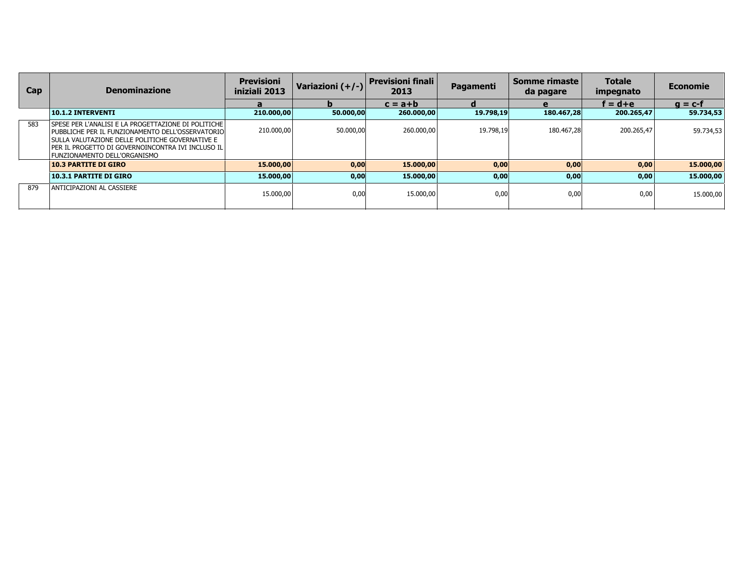| Cap | <b>Denominazione</b>                                                                                                                                                                                                                                      | <b>Previsioni</b><br>iniziali 2013 | Variazioni (+/-) | Previsioni finali<br>2013 | Pagamenti | Somme rimaste<br>da pagare | <b>Totale</b><br>impegnato | Economie  |
|-----|-----------------------------------------------------------------------------------------------------------------------------------------------------------------------------------------------------------------------------------------------------------|------------------------------------|------------------|---------------------------|-----------|----------------------------|----------------------------|-----------|
|     |                                                                                                                                                                                                                                                           | a                                  |                  | $c = a + b$               |           | e                          | $f = d + e$                | $q = c-f$ |
|     | <b>10.1.2 INTERVENTI</b>                                                                                                                                                                                                                                  | 210.000,00                         | 50.000,00        | 260.000,00                | 19.798,19 | 180.467,28                 | 200.265,47                 | 59.734,53 |
| 583 | SPESE PER L'ANALISI E LA PROGETTAZIONE DI POLITICHE I<br>PUBBLICHE PER IL FUNZIONAMENTO DELL'OSSERVATORIO<br>SULLA VALUTAZIONE DELLE POLITICHE GOVERNATIVE E<br><b>PER IL PROGETTO DI GOVERNOINCONTRA IVI INCLUSO ILI</b><br>FUNZIONAMENTO DELL'ORGANISMO | 210,000,00                         | 50.000.00        | 260,000,00                | 19.798.19 | 180.467.28                 | 200.265,47                 | 59.734,53 |
|     | <b>10.3 PARTITE DI GIRO</b>                                                                                                                                                                                                                               | 15,000,00                          | 0,00             | 15,000,00                 | 0,00      | 0,00                       | 0,00                       | 15.000,00 |
|     | 10.3.1 PARTITE DI GIRO                                                                                                                                                                                                                                    | 15,000,00                          | 0,00             | 15.000,00                 | 0,00      | 0,00                       | 0,00                       | 15.000,00 |
| 879 | ANTICIPAZIONI AL CASSIERE                                                                                                                                                                                                                                 | 15,000,00                          | 0,00             | 15,000,00                 | 0.00      | 0,00                       | 0,00                       | 15.000,00 |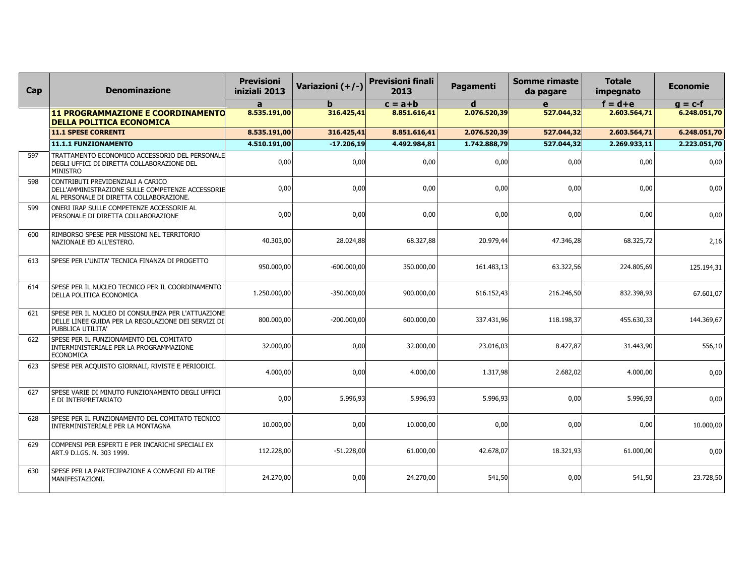| Cap | <b>Denominazione</b>                                                                                                             | <b>Previsioni</b><br>iniziali 2013 | Variazioni (+/-) | <b>Previsioni finali</b><br>2013 | Pagamenti    | <b>Somme rimaste</b><br>da pagare | <b>Totale</b><br>impegnato | <b>Economie</b> |
|-----|----------------------------------------------------------------------------------------------------------------------------------|------------------------------------|------------------|----------------------------------|--------------|-----------------------------------|----------------------------|-----------------|
|     |                                                                                                                                  | $\mathbf{a}$                       |                  | $c = a + b$                      | d            | e                                 | $f = d + e$                | $g = c-f$       |
|     | <b>11 PROGRAMMAZIONE E COORDINAMENTO</b><br><b>DELLA POLITICA ECONOMICA</b>                                                      | 8.535.191,00                       | 316.425,41       | 8.851.616,41                     | 2.076.520,39 | 527.044,32                        | 2.603.564,71               | 6.248.051,70    |
|     | <b>11.1 SPESE CORRENTI</b>                                                                                                       | 8.535.191,00                       | 316.425,41       | 8.851.616,41                     | 2.076.520,39 | 527.044,32                        | 2.603.564,71               | 6.248.051,70    |
|     | 11.1.1 FUNZIONAMENTO                                                                                                             | 4.510.191,00                       | $-17,206,19$     | 4.492.984,81                     | 1.742.888,79 | 527.044,32                        | 2.269.933,11               | 2.223.051,70    |
| 597 | TRATTAMENTO ECONOMICO ACCESSORIO DEL PERSONALE<br>DEGLI UFFICI DI DIRETTA COLLABORAZIONE DEL<br><b>MINISTRO</b>                  | 0,00                               | 0,00             | 0,00                             | 0,00         | 0,00                              | 0,00                       | 0,00            |
| 598 | CONTRIBUTI PREVIDENZIALI A CARICO<br>DELL'AMMINISTRAZIONE SULLE COMPETENZE ACCESSORIE<br>AL PERSONALE DI DIRETTA COLLABORAZIONE. | 0,00                               | 0,00             | 0,00                             | 0,00         | 0,00                              | 0,00                       | 0,00            |
| 599 | ONERI IRAP SULLE COMPETENZE ACCESSORIE AL<br>PERSONALE DI DIRETTA COLLABORAZIONE                                                 | 0,00                               | 0,00             | 0.00                             | 0,00         | 0,00                              | 0,00                       | 0,00            |
| 600 | RIMBORSO SPESE PER MISSIONI NEL TERRITORIO<br>NAZIONALE ED ALL'ESTERO.                                                           | 40.303,00                          | 28.024,88        | 68.327,88                        | 20.979,44    | 47.346,28                         | 68.325,72                  | 2,16            |
| 613 | SPESE PER L'UNITA' TECNICA FINANZA DI PROGETTO                                                                                   | 950.000,00                         | $-600.000,00$    | 350.000,00                       | 161.483,13   | 63.322,56                         | 224.805,69                 | 125.194,31      |
| 614 | SPESE PER IL NUCLEO TECNICO PER IL COORDINAMENTO<br>DELLA POLITICA ECONOMICA                                                     | 1.250.000.00                       | $-350,000,00$    | 900.000,00                       | 616.152,43   | 216.246,50                        | 832.398,93                 | 67.601,07       |
| 621 | SPESE PER IL NUCLEO DI CONSULENZA PER L'ATTUAZIONE<br>DELLE LINEE GUIDA PER LA REGOLAZIONE DEI SERVIZI DI<br>PUBBLICA UTILITA'   | 800.000,00                         | $-200.000,00$    | 600.000,00                       | 337.431,96   | 118.198,37                        | 455.630,33                 | 144.369,67      |
| 622 | SPESE PER IL FUNZIONAMENTO DEL COMITATO<br>INTERMINISTERIALE PER LA PROGRAMMAZIONE<br><b>ECONOMICA</b>                           | 32.000,00                          | 0,00             | 32.000,00                        | 23.016,03    | 8.427,87                          | 31.443,90                  | 556,10          |
| 623 | SPESE PER ACQUISTO GIORNALI, RIVISTE E PERIODICI.                                                                                | 4.000,00                           | 0,00             | 4.000,00                         | 1.317,98     | 2.682,02                          | 4.000,00                   | 0,00            |
| 627 | SPESE VARIE DI MINUTO FUNZIONAMENTO DEGLI UFFICI<br>E DI INTERPRETARIATO                                                         | 0,00                               | 5.996,93         | 5.996,93                         | 5.996,93     | 0,00                              | 5.996,93                   | 0,00            |
| 628 | SPESE PER IL FUNZIONAMENTO DEL COMITATO TECNICO<br>INTERMINISTERIALE PER LA MONTAGNA                                             | 10.000,00                          | 0,00             | 10.000,00                        | 0,00         | 0,00                              | 0,00                       | 10.000,00       |
| 629 | COMPENSI PER ESPERTI E PER INCARICHI SPECIALI EX<br>ART.9 D.LGS. N. 303 1999.                                                    | 112.228,00                         | $-51.228,00$     | 61.000,00                        | 42.678,07    | 18.321,93                         | 61.000,00                  | 0,00            |
| 630 | SPESE PER LA PARTECIPAZIONE A CONVEGNI ED ALTRE<br>MANIFESTAZIONI.                                                               | 24.270,00                          | 0,00             | 24.270,00                        | 541,50       | 0,00                              | 541,50                     | 23.728,50       |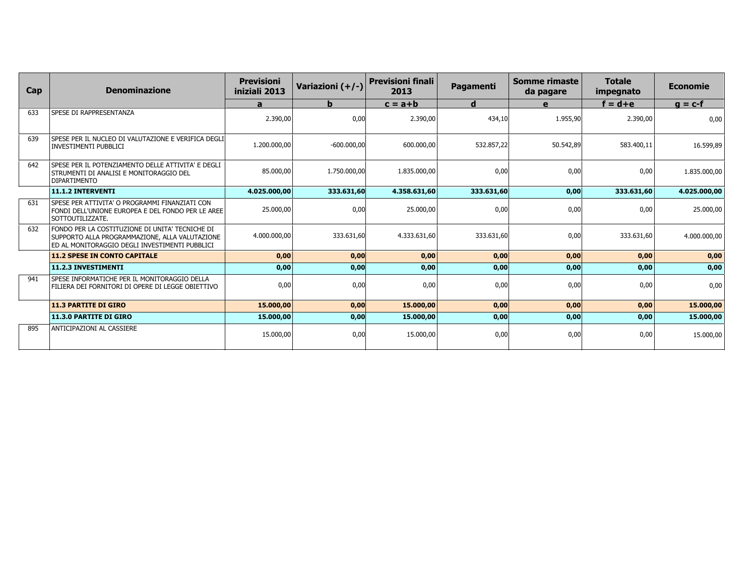| Cap | <b>Denominazione</b>                                                                                                                                | <b>Previsioni</b><br>iniziali 2013 | Variazioni (+/-) | <b>Previsioni finali</b><br>2013 | Pagamenti   | Somme rimaste<br>da pagare | <b>Totale</b><br>impegnato | <b>Economie</b> |
|-----|-----------------------------------------------------------------------------------------------------------------------------------------------------|------------------------------------|------------------|----------------------------------|-------------|----------------------------|----------------------------|-----------------|
|     |                                                                                                                                                     | a                                  | b.               | $c = a + b$                      | $\mathbf d$ | e                          | $f = d + e$                | $g = c-f$       |
| 633 | SPESE DI RAPPRESENTANZA                                                                                                                             | 2.390,00                           | 0,00             | 2.390,00                         | 434,10      | 1.955,90                   | 2.390,00                   | 0.00            |
| 639 | SPESE PER IL NUCLEO DI VALUTAZIONE E VERIFICA DEGLI<br><b>INVESTIMENTI PUBBLICI</b>                                                                 | 1.200.000,00                       | $-600.000,00$    | 600.000.00                       | 532.857,22  | 50.542,89                  | 583.400,11                 | 16.599,89       |
| 642 | SPESE PER IL POTENZIAMENTO DELLE ATTIVITA' E DEGLI<br>STRUMENTI DI ANALISI E MONITORAGGIO DEL<br><b>DIPARTIMENTO</b>                                | 85.000,00                          | 1.750.000,00     | 1.835.000,00                     | 0,00        | 0,00                       | 0,00                       | 1.835.000,00    |
|     | <b>11.1.2 INTERVENTI</b>                                                                                                                            | 4.025.000.00                       | 333.631,60       | 4.358.631,60                     | 333.631,60  | 0,00                       | 333.631,60                 | 4.025.000,00    |
| 631 | SPESE PER ATTIVITA' O PROGRAMMI FINANZIATI CON<br>FONDI DELL'UNIONE EUROPEA E DEL FONDO PER LE AREE<br>SOTTOUTILIZZATE.                             | 25.000,00                          | 0,00             | 25.000,00                        | 0,00        | 0,00                       | 0,00                       | 25.000,00       |
| 632 | FONDO PER LA COSTITUZIONE DI UNITA' TECNICHE DI<br>SUPPORTO ALLA PROGRAMMAZIONE, ALLA VALUTAZIONE<br>ED AL MONITORAGGIO DEGLI INVESTIMENTI PUBBLICI | 4.000.000.00                       | 333.631,60       | 4.333.631,60                     | 333.631,60  | 0,00                       | 333.631,60                 | 4.000.000,00    |
|     | <b>11.2 SPESE IN CONTO CAPITALE</b>                                                                                                                 | 0,00                               | 0,00             | 0,00                             | 0,00        | 0,00                       | 0,00                       | 0,00            |
|     | 11.2.3 INVESTIMENTI                                                                                                                                 | 0,00                               | 0,00             | 0,00                             | 0,00        | 0,00                       | 0,00                       | 0,00            |
| 941 | SPESE INFORMATICHE PER IL MONITORAGGIO DELLA<br>FILIERA DEI FORNITORI DI OPERE DI LEGGE OBIETTIVO                                                   | 0,00                               | 0,00             | 0,00                             | 0,00        | 0,00                       | 0,00                       | 0,00            |
|     | <b>11.3 PARTITE DI GIRO</b>                                                                                                                         | 15,000,00                          | 0,00             | 15,000,00                        | 0,00        | 0,00                       | 0,00                       | 15.000,00       |
|     | <b>11.3.0 PARTITE DI GIRO</b>                                                                                                                       | 15.000,00                          | 0,00             | 15.000,00                        | 0,00        | 0,00                       | 0,00                       | 15.000,00       |
| 895 | ANTICIPAZIONI AL CASSIERE                                                                                                                           | 15.000,00                          | 0,00             | 15.000,00                        | 0,00        | 0,00                       | 0,00                       | 15.000,00       |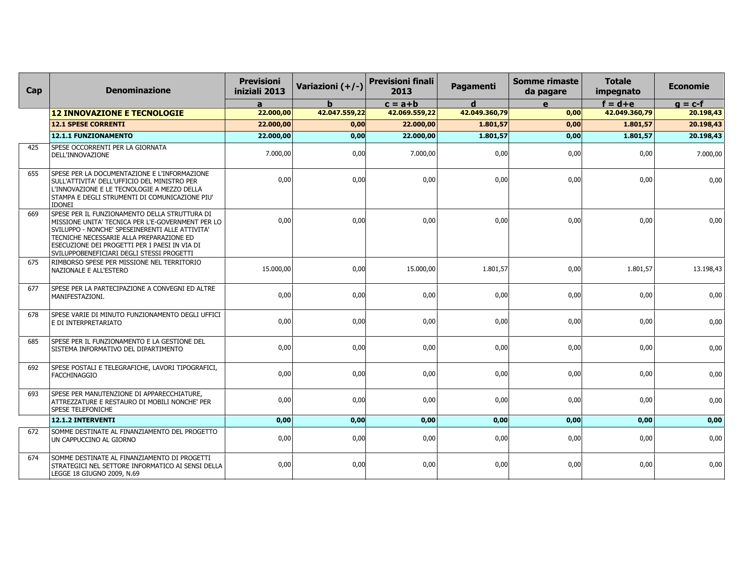| Cap | <b>Denominazione</b>                                                                                                                                                                                                                                                                            | <b>Previsioni</b><br>iniziali 2013 | Variazioni (+/-) | <b>Previsioni finali</b><br>2013 | Pagamenti     | <b>Somme rimaste</b><br>da pagare | <b>Totale</b><br>impegnato | <b>Economie</b> |
|-----|-------------------------------------------------------------------------------------------------------------------------------------------------------------------------------------------------------------------------------------------------------------------------------------------------|------------------------------------|------------------|----------------------------------|---------------|-----------------------------------|----------------------------|-----------------|
|     |                                                                                                                                                                                                                                                                                                 | a                                  | h                | $c = a + b$                      | d             | $\mathbf{e}$                      | $f = d + e$                | $g = c-f$       |
|     | <b>12 INNOVAZIONE E TECNOLOGIE</b>                                                                                                                                                                                                                                                              | 22.000,00                          | 42.047.559,22    | 42.069.559,22                    | 42.049.360,79 | 0,00                              | 42.049.360,79              | 20.198,43       |
|     | 12.1 SPESE CORRENTI                                                                                                                                                                                                                                                                             | 22.000,00                          | 0,00             | 22,000,00                        | 1.801,57      | 0,00                              | 1.801,57                   | 20.198,43       |
|     | 12.1.1 FUNZIONAMENTO                                                                                                                                                                                                                                                                            | 22,000,00                          | 0,00             | 22.000,00                        | 1.801,57      | 0,00                              | 1.801,57                   | 20.198,43       |
| 425 | SPESE OCCORRENTI PER LA GIORNATA<br>DELL'INNOVAZIONE                                                                                                                                                                                                                                            | 7.000,00                           | 0,00             | 7.000,00                         | 0,00          | 0,00                              | 0,00                       | 7.000,00        |
| 655 | SPESE PER LA DOCUMENTAZIONE E L'INFORMAZIONE<br>SULL'ATTIVITA' DELL'UFFICIO DEL MINISTRO PER<br>L'INNOVAZIONE E LE TECNOLOGIE A MEZZO DELLA<br>STAMPA E DEGLI STRUMENTI DI COMUNICAZIONE PIU'<br><b>IDONEI</b>                                                                                  | 0,00                               | 0,00             | 0,00                             | 0,00          | 0,00                              | 0,00                       | 0,00            |
| 669 | SPESE PER IL FUNZIONAMENTO DELLA STRUTTURA DI<br>MISSIONE UNITA' TECNICA PER L'E-GOVERNMENT PER LO<br>SVILUPPO - NONCHE' SPESEINERENTI ALLE ATTIVITA'<br>TECNICHE NECESSARIE ALLA PREPARAZIONE ED<br>ESECUZIONE DEI PROGETTI PER I PAESI IN VIA DI<br>SVILUPPOBENEFICIARI DEGLI STESSI PROGETTI | 0.00                               | 0.00             | 0,00                             | 0.00          | 0,00                              | 0,00                       | 0,00            |
| 675 | RIMBORSO SPESE PER MISSIONE NEL TERRITORIO<br>NAZIONALE E ALL'ESTERO                                                                                                                                                                                                                            | 15.000,00                          | 0,00             | 15.000,00                        | 1.801,57      | 0,00                              | 1.801,57                   | 13.198,43       |
| 677 | SPESE PER LA PARTECIPAZIONE A CONVEGNI ED ALTRE<br>MANIFESTAZIONI.                                                                                                                                                                                                                              | 0,00                               | 0,00             | 0,00                             | 0,00          | 0,00                              | 0,00                       | 0,00            |
| 678 | SPESE VARIE DI MINUTO FUNZIONAMENTO DEGLI UFFICI<br>E DI INTERPRETARIATO                                                                                                                                                                                                                        | 0,00                               | 0,00             | 0,00                             | 0,00          | 0,00                              | 0,00                       | 0,00            |
| 685 | SPESE PER IL FUNZIONAMENTO E LA GESTIONE DEL<br>SISTEMA INFORMATIVO DEL DIPARTIMENTO                                                                                                                                                                                                            | 0,00                               | 0.00             | 0,00                             | 0.00          | 0,00                              | 0,00                       | 0,00            |
| 692 | SPESE POSTALI E TELEGRAFICHE, LAVORI TIPOGRAFICI,<br><b>FACCHINAGGIO</b>                                                                                                                                                                                                                        | 0,00                               | 0,00             | 0,00                             | 0,00          | 0,00                              | 0,00                       | 0,00            |
| 693 | SPESE PER MANUTENZIONE DI APPARECCHIATURE,<br>ATTREZZATURE E RESTAURO DI MOBILI NONCHE' PER<br><b>SPESE TELEFONICHE</b>                                                                                                                                                                         | 0.00                               | 0.00             | 0,00                             | 0.00          | 0,00                              | 0,00                       | 0,00            |
|     | 12.1.2 INTERVENTI                                                                                                                                                                                                                                                                               | 0,00                               | 0,00             | 0,00                             | 0,00          | 0,00                              | 0,00                       | 0,00            |
| 672 | SOMME DESTINATE AL FINANZIAMENTO DEL PROGETTO<br>UN CAPPUCCINO AL GIORNO                                                                                                                                                                                                                        | 0,00                               | 0,00             | 0,00                             | 0,00          | 0,00                              | 0,00                       | 0,00            |
| 674 | SOMME DESTINATE AL FINANZIAMENTO DI PROGETTI<br>STRATEGICI NEL SETTORE INFORMATICO AI SENSI DELLA<br>LEGGE 18 GIUGNO 2009, N.69                                                                                                                                                                 | 0,00                               | 0.00             | 0,00                             | 0.00          | 0,00                              | 0,00                       | 0,00            |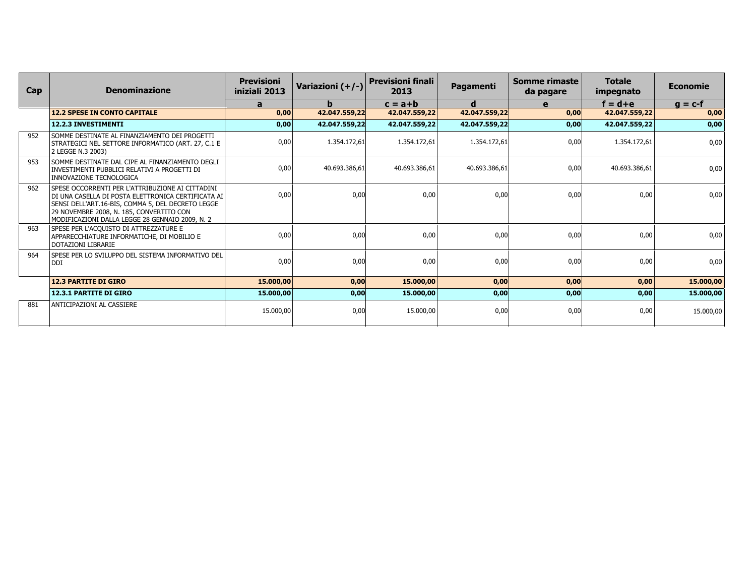| Cap | <b>Denominazione</b>                                                                                                                                                                                                                                       | <b>Previsioni</b><br>iniziali 2013 | Variazioni (+/-) | <b>Previsioni finali</b><br>2013 | <b>Pagamenti</b> | Somme rimaste<br>da pagare | <b>Totale</b><br>impegnato | <b>Economie</b> |
|-----|------------------------------------------------------------------------------------------------------------------------------------------------------------------------------------------------------------------------------------------------------------|------------------------------------|------------------|----------------------------------|------------------|----------------------------|----------------------------|-----------------|
|     |                                                                                                                                                                                                                                                            | a                                  | b.               | $c = a + b$                      | d                | e                          | $f = d + e$                | $q = c-f$       |
|     | <b>12.2 SPESE IN CONTO CAPITALE</b>                                                                                                                                                                                                                        | 0,00                               | 42.047.559,22    | 42.047.559,22                    | 42.047.559,22    | 0,00                       | 42.047.559,22              | 0,00            |
|     | 12.2.3 INVESTIMENTI                                                                                                                                                                                                                                        | 0,00                               | 42.047.559,22    | 42.047.559,22                    | 42.047.559,22    | 0,00                       | 42.047.559,22              | 0,00            |
| 952 | SOMME DESTINATE AL FINANZIAMENTO DEI PROGETTI<br>STRATEGICI NEL SETTORE INFORMATICO (ART. 27, C.1 E<br>2 LEGGE N.3 2003)                                                                                                                                   | 0,00                               | 1.354.172.61     | 1.354.172.61                     | 1.354.172,61     | 0,00                       | 1.354.172.61               | 0,00            |
| 953 | SOMME DESTINATE DAL CIPE AL FINANZIAMENTO DEGLI<br>INVESTIMENTI PUBBLICI RELATIVI A PROGETTI DI<br>INNOVAZIONE TECNOLOGICA                                                                                                                                 | 0,00                               | 40.693.386,61    | 40.693.386,61                    | 40.693.386,61    | 0,00                       | 40.693.386,61              | 0,00            |
| 962 | SPESE OCCORRENTI PER L'ATTRIBUZIONE AI CITTADINI<br>DI UNA CASELLA DI POSTA ELETTRONICA CERTIFICATA AI<br>SENSI DELL'ART.16-BIS, COMMA 5, DEL DECRETO LEGGE<br>29 NOVEMBRE 2008, N. 185, CONVERTITO CON<br>MODIFICAZIONI DALLA LEGGE 28 GENNAIO 2009, N. 2 | 0,00                               | 0,00             | 0,00                             | 0,00             | 0,00                       | 0,00                       | 0,00            |
| 963 | SPESE PER L'ACQUISTO DI ATTREZZATURE E<br>APPARECCHIATURE INFORMATICHE, DI MOBILIO E<br>DOTAZIONI LIBRARIE                                                                                                                                                 | 0,00                               | 0,00             | 0,00                             | 0,00             | 0,00                       | 0,00                       | 0,00            |
| 964 | SPESE PER LO SVILUPPO DEL SISTEMA INFORMATIVO DEL<br>DDI                                                                                                                                                                                                   | 0,00                               | 0,00             | 0,00                             | 0,00             | 0,00                       | 0,00                       | 0,00            |
|     | <b>12.3 PARTITE DI GIRO</b>                                                                                                                                                                                                                                | 15.000,00                          | 0,00             | 15.000,00                        | 0,00             | 0,00                       | 0,00                       | 15.000,00       |
|     | 12.3.1 PARTITE DI GIRO                                                                                                                                                                                                                                     | 15.000,00                          | 0,00             | 15.000,00                        | 0,00             | 0,00                       | 0,00                       | 15.000,00       |
| 881 | ANTICIPAZIONI AL CASSIERE                                                                                                                                                                                                                                  | 15.000,00                          | 0,00             | 15.000,00                        | 0,00             | 0,00                       | 0,00                       | 15.000,00       |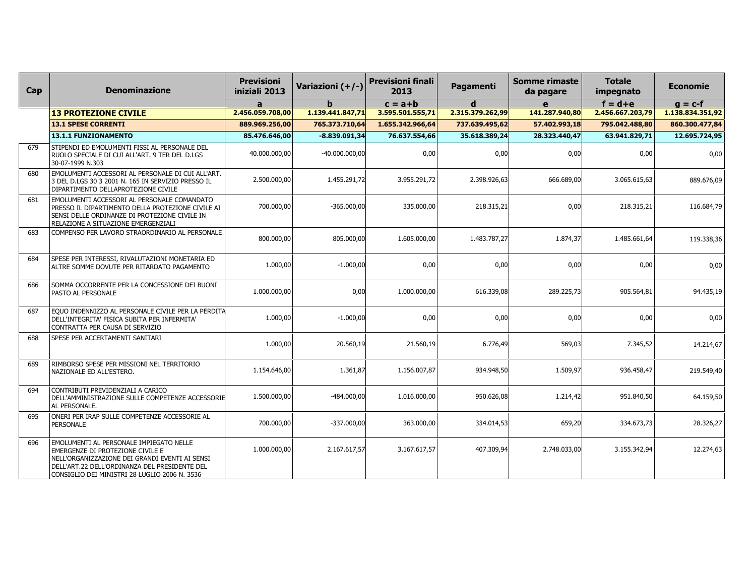| Cap | <b>Denominazione</b>                                                                                                                                                                                                                          | <b>Previsioni</b><br>iniziali 2013 | Variazioni (+/-) | <b>Previsioni finali</b><br>2013 | Pagamenti        | <b>Somme rimaste</b><br>da pagare | <b>Totale</b><br>impegnato | <b>Economie</b>  |
|-----|-----------------------------------------------------------------------------------------------------------------------------------------------------------------------------------------------------------------------------------------------|------------------------------------|------------------|----------------------------------|------------------|-----------------------------------|----------------------------|------------------|
|     |                                                                                                                                                                                                                                               | a                                  |                  | $c = a + b$                      | d                | $\mathbf{e}$                      | $f = d + e$                | $q = c-f$        |
|     | <b>13 PROTEZIONE CIVILE</b>                                                                                                                                                                                                                   | 2.456.059.708,00                   | 1.139.441.847,71 | 3.595.501.555,71                 | 2.315.379.262,99 | 141.287.940,80                    | 2.456.667.203,79           | 1.138.834.351,92 |
|     | <b>13.1 SPESE CORRENTI</b>                                                                                                                                                                                                                    | 889.969.256,00                     | 765.373.710,64   | 1.655.342.966,64                 | 737.639.495,62   | 57.402.993,18                     | 795.042.488,80             | 860.300.477,84   |
|     | 13.1.1 FUNZIONAMENTO                                                                                                                                                                                                                          | 85.476.646,00                      | $-8.839.091,34$  | 76.637.554,66                    | 35.618.389,24    | 28.323.440,47                     | 63.941.829,71              | 12.695.724,95    |
| 679 | STIPENDI ED EMOLUMENTI FISSI AL PERSONALE DEL<br>RUOLO SPECIALE DI CUI ALL'ART. 9 TER DEL D.LGS<br>30-07-1999 N.303                                                                                                                           | 40.000.000,00                      | $-40.000.000,00$ | 0,00                             | 0,00             | 0,00                              | 0,00                       | 0,00             |
| 680 | EMOLUMENTI ACCESSORI AL PERSONALE DI CUI ALL'ART.<br>3 DEL D.LGS 30 3 2001 N. 165 IN SERVIZIO PRESSO IL<br>DIPARTIMENTO DELLAPROTEZIONE CIVILE                                                                                                | 2.500.000,00                       | 1.455.291,72     | 3.955.291,72                     | 2.398.926,63     | 666.689,00                        | 3.065.615,63               | 889.676,09       |
| 681 | EMOLUMENTI ACCESSORI AL PERSONALE COMANDATO<br>PRESSO IL DIPARTIMENTO DELLA PROTEZIONE CIVILE AI<br>SENSI DELLE ORDINANZE DI PROTEZIONE CIVILE IN<br>RELAZIONE A SITUAZIONE EMERGENZIALI                                                      | 700.000,00                         | $-365.000,00$    | 335.000,00                       | 218.315,21       | 0,00                              | 218.315,21                 | 116.684,79       |
| 683 | COMPENSO PER LAVORO STRAORDINARIO AL PERSONALE                                                                                                                                                                                                | 800.000,00                         | 805.000,00       | 1.605.000,00                     | 1.483.787,27     | 1.874,37                          | 1.485.661,64               | 119.338,36       |
| 684 | SPESE PER INTERESSI, RIVALUTAZIONI MONETARIA ED<br>ALTRE SOMME DOVUTE PER RITARDATO PAGAMENTO                                                                                                                                                 | 1.000,00                           | $-1.000,00$      | 0,00                             | 0,00             | 0,00                              | 0,00                       | 0,00             |
| 686 | SOMMA OCCORRENTE PER LA CONCESSIONE DEI BUONI<br><b>PASTO AL PERSONALE</b>                                                                                                                                                                    | 1.000.000,00                       | 0,00             | 1.000.000,00                     | 616.339,08       | 289.225,73                        | 905.564,81                 | 94.435,19        |
| 687 | EQUO INDENNIZZO AL PERSONALE CIVILE PER LA PERDITA<br>DELL'INTEGRITA' FISICA SUBITA PER INFERMITA'<br>CONTRATTA PER CAUSA DI SERVIZIO                                                                                                         | 1.000,00                           | $-1.000,00$      | 0,00                             | 0,00             | 0,00                              | 0,00                       | 0,00             |
| 688 | <b>SPESE PER ACCERTAMENTI SANITARI</b>                                                                                                                                                                                                        | 1.000,00                           | 20.560,19        | 21.560,19                        | 6.776,49         | 569,03                            | 7.345,52                   | 14.214,67        |
| 689 | RIMBORSO SPESE PER MISSIONI NEL TERRITORIO<br>NAZIONALE ED ALL'ESTERO.                                                                                                                                                                        | 1.154.646.00                       | 1.361,87         | 1.156.007,87                     | 934.948,50       | 1.509,97                          | 936.458,47                 | 219.549,40       |
| 694 | CONTRIBUTI PREVIDENZIALI A CARICO<br>DELL'AMMINISTRAZIONE SULLE COMPETENZE ACCESSORIE<br>AL PERSONALE.                                                                                                                                        | 1.500.000,00                       | $-484.000,00$    | 1.016.000,00                     | 950.626,08       | 1.214,42                          | 951.840,50                 | 64.159,50        |
| 695 | ONERI PER IRAP SULLE COMPETENZE ACCESSORIE AL<br><b>PERSONALE</b>                                                                                                                                                                             | 700.000,00                         | $-337.000,00$    | 363.000,00                       | 334.014,53       | 659,20                            | 334.673,73                 | 28.326,27        |
| 696 | <b>EMOLUMENTI AL PERSONALE IMPIEGATO NELLE</b><br><b>EMERGENZE DI PROTEZIONE CIVILE E</b><br>NELL'ORGANIZZAZIONE DEI GRANDI EVENTI AI SENSI<br>DELL'ART.22 DELL'ORDINANZA DEL PRESIDENTE DEL<br>CONSIGLIO DEI MINISTRI 28 LUGLIO 2006 N. 3536 | 1.000.000,00                       | 2.167.617,57     | 3.167.617,57                     | 407.309,94       | 2.748.033,00                      | 3.155.342,94               | 12.274,63        |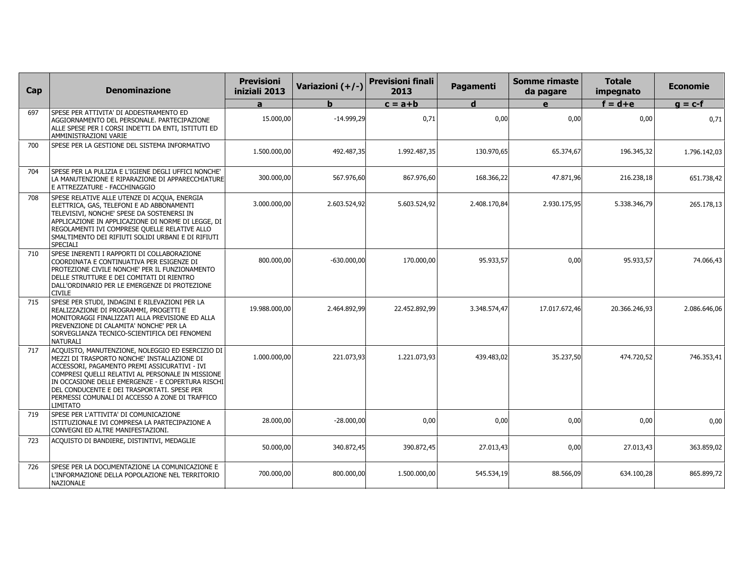| Cap | <b>Denominazione</b>                                                                                                                                                                                                                                                                                                                                                     | <b>Previsioni</b><br>iniziali 2013 | Variazioni (+/-) | <b>Previsioni finali</b><br>2013 | <b>Pagamenti</b> | <b>Somme rimaste</b><br>da pagare | <b>Totale</b><br>impegnato | Economie     |
|-----|--------------------------------------------------------------------------------------------------------------------------------------------------------------------------------------------------------------------------------------------------------------------------------------------------------------------------------------------------------------------------|------------------------------------|------------------|----------------------------------|------------------|-----------------------------------|----------------------------|--------------|
|     |                                                                                                                                                                                                                                                                                                                                                                          | $\mathbf{a}$                       | b                | $c = a + b$                      | d                | $\mathbf{e}$                      | $f = d + e$                | $g = c-f$    |
| 697 | SPESE PER ATTIVITA' DI ADDESTRAMENTO ED<br>AGGIORNAMENTO DEL PERSONALE. PARTECIPAZIONE<br>ALLE SPESE PER I CORSI INDETTI DA ENTI, ISTITUTI ED<br>AMMINISTRAZIONI VARIE                                                                                                                                                                                                   | 15.000,00                          | $-14.999,29$     | 0,71                             | 0,00             | 0,00                              | 0,00                       | 0,71         |
| 700 | SPESE PER LA GESTIONE DEL SISTEMA INFORMATIVO                                                                                                                                                                                                                                                                                                                            | 1.500.000,00                       | 492.487,35       | 1.992.487,35                     | 130.970,65       | 65.374,67                         | 196.345,32                 | 1.796.142,03 |
| 704 | SPESE PER LA PULIZIA E L'IGIENE DEGLI UFFICI NONCHE'<br>LA MANUTENZIONE E RIPARAZIONE DI APPARECCHIATURE<br>E ATTREZZATURE - FACCHINAGGIO                                                                                                                                                                                                                                | 300.000,00                         | 567.976,60       | 867.976,60                       | 168.366,22       | 47.871,96                         | 216.238,18                 | 651.738,42   |
| 708 | SPESE RELATIVE ALLE UTENZE DI ACQUA, ENERGIA<br>ELETTRICA, GAS, TELEFONI E AD ABBONAMENTI<br>TELEVISIVI, NONCHE' SPESE DA SOSTENERSI IN<br>APPLICAZIONE IN APPLICAZIONE DI NORME DI LEGGE, DI<br>REGOLAMENTI IVI COMPRESE QUELLE RELATIVE ALLO<br>SMALTIMENTO DEI RIFIUTI SOLIDI URBANI E DI RIFIUTI<br>SPECIALI                                                         | 3.000.000,00                       | 2.603.524,92     | 5.603.524,92                     | 2.408.170,84     | 2.930.175,95                      | 5.338.346,79               | 265.178,13   |
| 710 | SPESE INERENTI I RAPPORTI DI COLLABORAZIONE<br>COORDINATA E CONTINUATIVA PER ESIGENZE DI<br>PROTEZIONE CIVILE NONCHE' PER IL FUNZIONAMENTO<br>DELLE STRUTTURE E DEI COMITATI DI RIENTRO<br>DALL'ORDINARIO PER LE EMERGENZE DI PROTEZIONE<br><b>CIVILE</b>                                                                                                                | 800.000,00                         | $-630.000,00$    | 170.000,00                       | 95.933,57        | 0,00                              | 95.933,57                  | 74.066,43    |
| 715 | SPESE PER STUDI, INDAGINI E RILEVAZIONI PER LA<br>REALIZZAZIONE DI PROGRAMMI, PROGETTI E<br>MONITORAGGI FINALIZZATI ALLA PREVISIONE ED ALLA<br>PREVENZIONE DI CALAMITA' NONCHE' PER LA<br>SORVEGLIANZA TECNICO-SCIENTIFICA DEI FENOMENI<br><b>NATURALI</b>                                                                                                               | 19.988.000,00                      | 2.464.892,99     | 22.452.892,99                    | 3.348.574,47     | 17.017.672,46                     | 20.366.246,93              | 2.086.646,06 |
| 717 | ACQUISTO, MANUTENZIONE, NOLEGGIO ED ESERCIZIO DI<br>MEZZI DI TRASPORTO NONCHE' INSTALLAZIONE DI<br>ACCESSORI, PAGAMENTO PREMI ASSICURATIVI - IVI<br>COMPRESI QUELLI RELATIVI AL PERSONALE IN MISSIONE<br>IN OCCASIONE DELLE EMERGENZE - E COPERTURA RISCHI<br>DEL CONDUCENTE E DEI TRASPORTATI. SPESE PER<br>PERMESSI COMUNALI DI ACCESSO A ZONE DI TRAFFICO<br>LIMITATO | 1.000.000,00                       | 221.073.93       | 1.221.073,93                     | 439.483.02       | 35.237,50                         | 474.720,52                 | 746.353,41   |
| 719 | SPESE PER L'ATTIVITA' DI COMUNICAZIONE<br>ISTITUZIONALE IVI COMPRESA LA PARTECIPAZIONE A<br>CONVEGNI ED ALTRE MANIFESTAZIONI.                                                                                                                                                                                                                                            | 28.000,00                          | $-28.000,00$     | 0,00                             | 0,00             | 0,00                              | 0,00                       | 0,00         |
| 723 | ACQUISTO DI BANDIERE, DISTINTIVI, MEDAGLIE                                                                                                                                                                                                                                                                                                                               | 50.000,00                          | 340.872,45       | 390.872,45                       | 27.013,43        | 0,00                              | 27.013,43                  | 363.859,02   |
| 726 | SPESE PER LA DOCUMENTAZIONE LA COMUNICAZIONE E<br>L'INFORMAZIONE DELLA POPOLAZIONE NEL TERRITORIO<br><b>NAZIONALE</b>                                                                                                                                                                                                                                                    | 700.000,00                         | 800.000,00       | 1.500.000,00                     | 545.534,19       | 88.566,09                         | 634.100,28                 | 865.899,72   |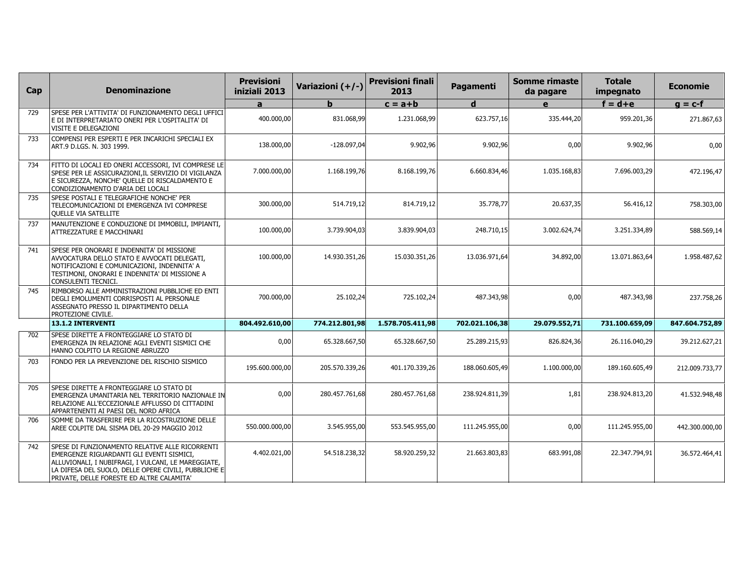| Cap | <b>Denominazione</b>                                                                                                                                                                                                                                     | <b>Previsioni</b><br>iniziali 2013 | Variazioni (+/-) | <b>Previsioni finali</b><br>2013 | Pagamenti      | <b>Somme rimaste</b><br>da pagare | <b>Totale</b><br>impegnato | <b>Economie</b> |
|-----|----------------------------------------------------------------------------------------------------------------------------------------------------------------------------------------------------------------------------------------------------------|------------------------------------|------------------|----------------------------------|----------------|-----------------------------------|----------------------------|-----------------|
|     |                                                                                                                                                                                                                                                          | a                                  | h                | $c = a + b$                      | d              | $\mathbf{e}$                      | $f = d + e$                | $g = c-f$       |
| 729 | SPESE PER L'ATTIVITA' DI FUNZIONAMENTO DEGLI UFFICI<br>E DI INTERPRETARIATO ONERI PER L'OSPITALITA' DI<br>VISITE E DELEGAZIONI                                                                                                                           | 400.000,00                         | 831.068,99       | 1.231.068,99                     | 623.757,16     | 335.444,20                        | 959.201,36                 | 271.867,63      |
| 733 | COMPENSI PER ESPERTI E PER INCARICHI SPECIALI EX<br>ART.9 D.LGS. N. 303 1999.                                                                                                                                                                            | 138.000,00                         | $-128.097,04$    | 9.902,96                         | 9.902,96       | 0,00                              | 9.902,96                   | 0,00            |
| 734 | FITTO DI LOCALI ED ONERI ACCESSORI, IVI COMPRESE LE<br>SPESE PER LE ASSICURAZIONI, IL SERVIZIO DI VIGILANZA<br>E SICUREZZA, NONCHE' QUELLE DI RISCALDAMENTO E<br>CONDIZIONAMENTO D'ARIA DEI LOCALI                                                       | 7.000.000,00                       | 1.168.199,76     | 8.168.199,76                     | 6.660.834,46   | 1.035.168,83                      | 7.696.003,29               | 472.196,47      |
| 735 | SPESE POSTALI E TELEGRAFICHE NONCHE' PER<br>TELECOMUNICAZIONI DI EMERGENZA IVI COMPRESE<br>QUELLE VIA SATELLITE                                                                                                                                          | 300.000,00                         | 514.719,12       | 814.719,12                       | 35.778,77      | 20.637,35                         | 56.416,12                  | 758.303,00      |
| 737 | MANUTENZIONE E CONDUZIONE DI IMMOBILI, IMPIANTI,<br>ATTREZZATURE E MACCHINARI                                                                                                                                                                            | 100.000,00                         | 3.739.904,03     | 3.839.904,03                     | 248.710,15     | 3.002.624,74                      | 3.251.334,89               | 588.569,14      |
| 741 | SPESE PER ONORARI E INDENNITA' DI MISSIONE<br>AVVOCATURA DELLO STATO E AVVOCATI DELEGATI,<br>NOTIFICAZIONI E COMUNICAZIONI, INDENNITA' A<br>TESTIMONI, ONORARI E INDENNITA' DI MISSIONE A<br>CONSULENTI TECNICI.                                         | 100.000,00                         | 14.930.351,26    | 15.030.351,26                    | 13.036.971,64  | 34.892,00                         | 13.071.863,64              | 1.958.487,62    |
| 745 | RIMBORSO ALLE AMMINISTRAZIONI PUBBLICHE ED ENTI<br>DEGLI EMOLUMENTI CORRISPOSTI AL PERSONALE<br>ASSEGNATO PRESSO IL DIPARTIMENTO DELLA<br>PROTEZIONE CIVILE.                                                                                             | 700.000,00                         | 25.102,24        | 725.102,24                       | 487.343,98     | 0,00                              | 487.343,98                 | 237.758,26      |
|     | 13.1.2 INTERVENTI                                                                                                                                                                                                                                        | 804.492.610,00                     | 774.212.801,98   | 1.578.705.411,98                 | 702.021.106,38 | 29.079.552,71                     | 731.100.659,09             | 847.604.752,89  |
| 702 | SPESE DIRETTE A FRONTEGGIARE LO STATO DI<br>EMERGENZA IN RELAZIONE AGLI EVENTI SISMICI CHE<br>HANNO COLPITO LA REGIONE ABRUZZO                                                                                                                           | 0,00                               | 65.328.667,50    | 65.328.667,50                    | 25.289.215,93  | 826.824,36                        | 26.116.040,29              | 39.212.627,21   |
| 703 | FONDO PER LA PREVENZIONE DEL RISCHIO SISMICO                                                                                                                                                                                                             | 195.600.000,00                     | 205.570.339,26   | 401.170.339,26                   | 188.060.605,49 | 1.100.000,00                      | 189.160.605,49             | 212.009.733,77  |
| 705 | SPESE DIRETTE A FRONTEGGIARE LO STATO DI<br>EMERGENZA UMANITARIA NEL TERRITORIO NAZIONALE IN<br>RELAZIONE ALL'ECCEZIONALE AFFLUSSO DI CITTADINI<br>APPARTENENTI AI PAESI DEL NORD AFRICA                                                                 | 0,00                               | 280.457.761,68   | 280.457.761,68                   | 238.924.811.39 | 1,81                              | 238.924.813,20             | 41.532.948,48   |
| 706 | SOMME DA TRASFERIRE PER LA RICOSTRUZIONE DELLE<br>AREE COLPITE DAL SISMA DEL 20-29 MAGGIO 2012                                                                                                                                                           | 550.000.000,00                     | 3.545.955,00     | 553.545.955,00                   | 111.245.955,00 | 0,00                              | 111.245.955,00             | 442.300.000,00  |
| 742 | SPESE DI FUNZIONAMENTO RELATIVE ALLE RICORRENTI<br>EMERGENZE RIGUARDANTI GLI EVENTI SISMICI,<br>ALLUVIONALI, I NUBIFRAGI, I VULCANI, LE MAREGGIATE,<br>LA DIFESA DEL SUOLO, DELLE OPERE CIVILI, PUBBLICHE E<br>PRIVATE, DELLE FORESTE ED ALTRE CALAMITA' | 4.402.021,00                       | 54.518.238,32    | 58.920.259,32                    | 21.663.803,83  | 683.991,08                        | 22.347.794,91              | 36.572.464,41   |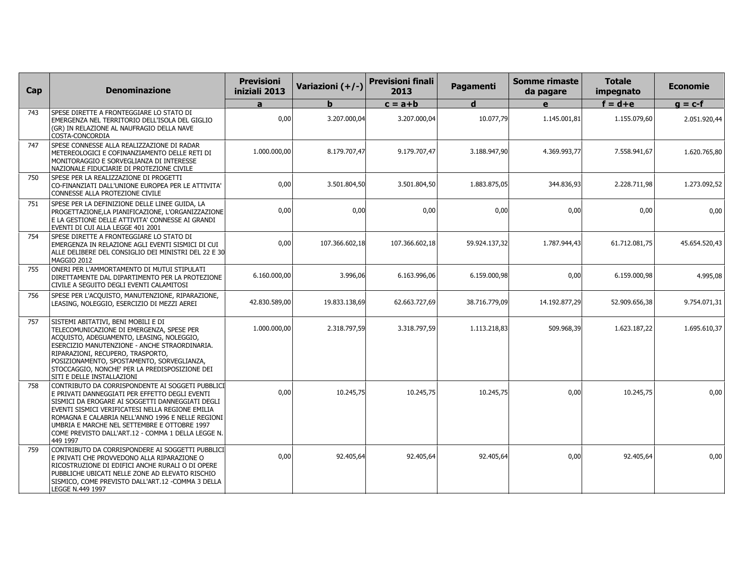| Cap | <b>Denominazione</b>                                                                                                                                                                                                                                                                                                                                                               | <b>Previsioni</b><br>iniziali 2013 | Variazioni (+/-) | <b>Previsioni finali</b><br>2013 | Pagamenti     | Somme rimaste<br>da pagare | <b>Totale</b><br>impegnato | <b>Economie</b> |
|-----|------------------------------------------------------------------------------------------------------------------------------------------------------------------------------------------------------------------------------------------------------------------------------------------------------------------------------------------------------------------------------------|------------------------------------|------------------|----------------------------------|---------------|----------------------------|----------------------------|-----------------|
|     |                                                                                                                                                                                                                                                                                                                                                                                    | a                                  |                  | $c = a + b$                      | d             | e                          | $f = d + e$                | $g = c-f$       |
| 743 | SPESE DIRETTE A FRONTEGGIARE LO STATO DI<br>EMERGENZA NEL TERRITORIO DELL'ISOLA DEL GIGLIO<br>(GR) IN RELAZIONE AL NAUFRAGIO DELLA NAVE<br>COSTA-CONCORDIA                                                                                                                                                                                                                         | 0,00                               | 3.207.000,04     | 3.207.000,04                     | 10.077,79     | 1.145.001,81               | 1.155.079,60               | 2.051.920,44    |
| 747 | SPESE CONNESSE ALLA REALIZZAZIONE DI RADAR<br>METEREOLOGICI E COFINANZIAMENTO DELLE RETI DI<br>MONITORAGGIO E SORVEGLIANZA DI INTERESSE<br>NAZIONALE FIDUCIARIE DI PROTEZIONE CIVILE                                                                                                                                                                                               | 1.000.000,00                       | 8.179.707,47     | 9.179.707,47                     | 3.188.947,90  | 4.369.993,77               | 7.558.941,67               | 1.620.765,80    |
| 750 | SPESE PER LA REALIZZAZIONE DI PROGETTI<br>CO-FINANZIATI DALL'UNIONE EUROPEA PER LE ATTIVITA'<br>CONNESSE ALLA PROTEZIONE CIVILE                                                                                                                                                                                                                                                    | 0,00                               | 3.501.804,50     | 3.501.804,50                     | 1.883.875,05  | 344.836,93                 | 2.228.711,98               | 1.273.092,52    |
| 751 | SPESE PER LA DEFINIZIONE DELLE LINEE GUIDA, LA<br>PROGETTAZIONE,LA PIANIFICAZIONE, L'ORGANIZZAZIONE<br>E LA GESTIONE DELLE ATTIVITA' CONNESSE AI GRANDI<br>EVENTI DI CUI ALLA LEGGE 401 2001                                                                                                                                                                                       | 0,00                               | 0,00             | 0,00                             | 0,00          | 0,00                       | 0,00                       | 0,00            |
| 754 | SPESE DIRETTE A FRONTEGGIARE LO STATO DI<br>EMERGENZA IN RELAZIONE AGLI EVENTI SISMICI DI CUI<br>ALLE DELIBERE DEL CONSIGLIO DEI MINISTRI DEL 22 E 30<br>MAGGIO 2012                                                                                                                                                                                                               | 0,00                               | 107.366.602,18   | 107.366.602,18                   | 59.924.137,32 | 1.787.944,43               | 61.712.081,75              | 45.654.520,43   |
| 755 | ONERI PER L'AMMORTAMENTO DI MUTUI STIPULATI<br>DIRETTAMENTE DAL DIPARTIMENTO PER LA PROTEZIONE<br>CIVILE A SEGUITO DEGLI EVENTI CALAMITOSI                                                                                                                                                                                                                                         | 6.160.000,00                       | 3.996,06         | 6.163.996,06                     | 6.159.000,98  | 0,00                       | 6.159.000,98               | 4.995,08        |
| 756 | SPESE PER L'ACQUISTO, MANUTENZIONE, RIPARAZIONE,<br>LEASING, NOLEGGIO, ESERCIZIO DI MEZZI AEREI                                                                                                                                                                                                                                                                                    | 42.830.589.00                      | 19.833.138.69    | 62.663.727.69                    | 38.716.779,09 | 14.192.877,29              | 52.909.656,38              | 9.754.071,31    |
| 757 | SISTEMI ABITATIVI, BENI MOBILI E DI<br>TELECOMUNICAZIONE DI EMERGENZA, SPESE PER<br>ACQUISTO, ADEGUAMENTO, LEASING, NOLEGGIO,<br>ESERCIZIO MANUTENZIONE - ANCHE STRAORDINARIA.<br>RIPARAZIONI, RECUPERO, TRASPORTO,<br>POSIZIONAMENTO, SPOSTAMENTO, SORVEGLIANZA,<br>STOCCAGGIO, NONCHE' PER LA PREDISPOSIZIONE DEI<br>SITI E DELLE INSTALLAZIONI                                  | 1.000.000,00                       | 2.318.797,59     | 3.318.797,59                     | 1.113.218,83  | 509.968,39                 | 1.623.187,22               | 1.695.610,37    |
| 758 | CONTRIBUTO DA CORRISPONDENTE AI SOGGETI PUBBLICI<br>E PRIVATI DANNEGGIATI PER EFFETTO DEGLI EVENTI<br>SISMICI DA EROGARE AI SOGGETTI DANNEGGIATI DEGLI<br>EVENTI SISMICI VERIFICATESI NELLA REGIONE EMILIA<br>ROMAGNA E CALABRIA NELL'ANNO 1996 E NELLE REGIONI<br>UMBRIA E MARCHE NEL SETTEMBRE E OTTOBRE 1997<br>COME PREVISTO DALL'ART.12 - COMMA 1 DELLA LEGGE N. <br>449 1997 | 0,00                               | 10.245,75        | 10.245.75                        | 10.245,75     | 0,00                       | 10.245,75                  | 0,00            |
| 759 | CONTRIBUTO DA CORRISPONDERE AI SOGGETTI PUBBLICI<br>E PRIVATI CHE PROVVEDONO ALLA RIPARAZIONE O<br>RICOSTRUZIONE DI EDIFICI ANCHE RURALI O DI OPERE<br>PUBBLICHE UBICATI NELLE ZONE AD ELEVATO RISCHIO<br>SISMICO, COME PREVISTO DALL'ART.12 -COMMA 3 DELLA<br>LEGGE N.449 1997                                                                                                    | 0,00                               | 92.405,64        | 92.405,64                        | 92.405,64     | 0,00                       | 92.405,64                  | 0,00            |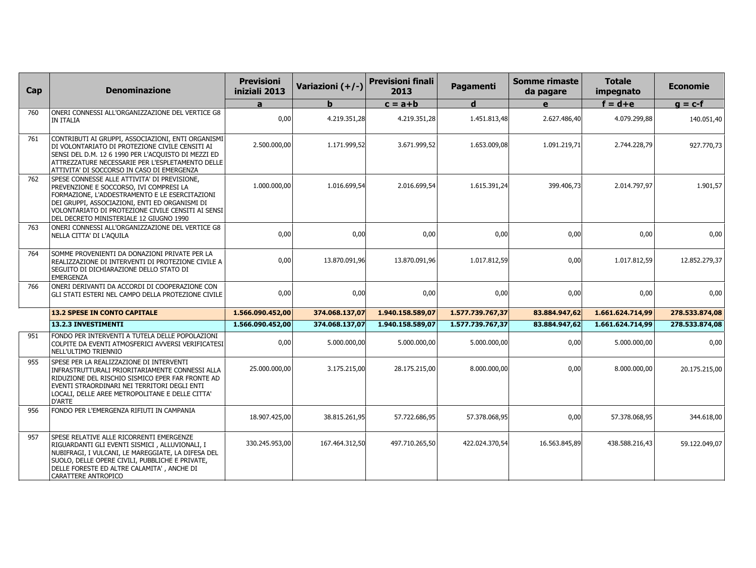| Cap | <b>Denominazione</b>                                                                                                                                                                                                                                                                         | <b>Previsioni</b><br>iniziali 2013 | Variazioni (+/-) | <b>Previsioni finali</b><br>2013 | Pagamenti        | Somme rimaste<br>da pagare | <b>Totale</b><br>impegnato | <b>Economie</b> |
|-----|----------------------------------------------------------------------------------------------------------------------------------------------------------------------------------------------------------------------------------------------------------------------------------------------|------------------------------------|------------------|----------------------------------|------------------|----------------------------|----------------------------|-----------------|
|     |                                                                                                                                                                                                                                                                                              | $\mathbf{a}$                       | $\mathbf b$      | $c = a + b$                      | $\mathbf d$      | $\mathbf{e}$               | $f = d + e$                | $g = c-f$       |
| 760 | ONERI CONNESSI ALL'ORGANIZZAZIONE DEL VERTICE G8<br>IN ITALIA                                                                                                                                                                                                                                | 0,00                               | 4.219.351,28     | 4.219.351,28                     | 1.451.813,48     | 2.627.486,40               | 4.079.299,88               | 140.051,40      |
| 761 | CONTRIBUTI AI GRUPPI, ASSOCIAZIONI, ENTI ORGANISMI<br>DI VOLONTARIATO DI PROTEZIONE CIVILE CENSITI AI<br>SENSI DEL D.M. 12 6 1990 PER L'ACQUISTO DI MEZZI ED<br>ATTREZZATURE NECESSARIE PER L'ESPLETAMENTO DELLE<br>ATTIVITA' DI SOCCORSO IN CASO DI EMERGENZA                               | 2.500.000,00                       | 1.171.999,52     | 3.671.999,52                     | 1.653.009,08     | 1.091.219,71               | 2.744.228,79               | 927.770,73      |
| 762 | SPESE CONNESSE ALLE ATTIVITA' DI PREVISIONE.<br>PREVENZIONE E SOCCORSO, IVI COMPRESI LA<br>FORMAZIONE, L'ADDESTRAMENTO E LE ESERCITAZIONI<br>DEI GRUPPI, ASSOCIAZIONI, ENTI ED ORGANISMI DI<br>VOLONTARIATO DI PROTEZIONE CIVILE CENSITI AI SENSI<br>DEL DECRETO MINISTERIALE 12 GIUGNO 1990 | 1.000.000,00                       | 1.016.699,54     | 2.016.699,54                     | 1.615.391,24     | 399.406,73                 | 2.014.797,97               | 1.901,57        |
| 763 | ONERI CONNESSI ALL'ORGANIZZAZIONE DEL VERTICE G8<br>NELLA CITTA' DI L'AQUILA                                                                                                                                                                                                                 | 0,00                               | 0,00             | 0,00                             | 0,00             | 0,00                       | 0,00                       | 0,00            |
| 764 | SOMME PROVENIENTI DA DONAZIONI PRIVATE PER LA<br>REALIZZAZIONE DI INTERVENTI DI PROTEZIONE CIVILE A<br>SEGUITO DI DICHIARAZIONE DELLO STATO DI<br><b>EMERGENZA</b>                                                                                                                           | 0,00                               | 13.870.091,96    | 13.870.091,96                    | 1.017.812,59     | 0,00                       | 1.017.812,59               | 12.852.279,37   |
| 766 | ONERI DERIVANTI DA ACCORDI DI COOPERAZIONE CON<br>GLI STATI ESTERI NEL CAMPO DELLA PROTEZIONE CIVILE                                                                                                                                                                                         | 0,00                               | 0,00             | 0,00                             | 0,00             | 0,00                       | 0,00                       | 0,00            |
|     | <b>13.2 SPESE IN CONTO CAPITALE</b>                                                                                                                                                                                                                                                          | 1.566.090.452,00                   | 374.068.137,07   | 1.940.158.589,07                 | 1.577.739.767,37 | 83.884.947,62              | 1.661.624.714,99           | 278.533.874,08  |
|     | 13.2.3 INVESTIMENTI                                                                                                                                                                                                                                                                          | 1.566.090.452,00                   | 374.068.137,07   | 1.940.158.589,07                 | 1.577.739.767,37 | 83.884.947,62              | 1.661.624.714,99           | 278.533.874,08  |
| 951 | FONDO PER INTERVENTI A TUTELA DELLE POPOLAZIONI<br>COLPITE DA EVENTI ATMOSFERICI AVVERSI VERIFICATESI<br>NELL'ULTIMO TRIENNIO                                                                                                                                                                | 0,00                               | 5.000.000,00     | 5.000.000,00                     | 5.000.000,00     | 0,00                       | 5.000.000,00               | 0,00            |
| 955 | SPESE PER LA REALIZZAZIONE DI INTERVENTI<br>INFRASTRUTTURALI PRIORITARIAMENTE CONNESSI ALLA<br>RIDUZIONE DEL RISCHIO SISMICO EPER FAR FRONTE AD<br>EVENTI STRAORDINARI NEI TERRITORI DEGLI ENTI<br>LOCALI, DELLE AREE METROPOLITANE E DELLE CITTA'<br>D'ARTE                                 | 25.000.000,00                      | 3.175.215,00     | 28.175.215,00                    | 8.000.000,00     | 0,00                       | 8.000.000,00               | 20.175.215,00   |
| 956 | FONDO PER L'EMERGENZA RIFIUTI IN CAMPANIA                                                                                                                                                                                                                                                    | 18.907.425,00                      | 38.815.261,95    | 57.722.686,95                    | 57.378.068,95    | 0,00                       | 57.378.068,95              | 344.618,00      |
| 957 | SPESE RELATIVE ALLE RICORRENTI EMERGENZE<br>RIGUARDANTI GLI EVENTI SISMICI, ALLUVIONALI, I<br>NUBIFRAGI, I VULCANI, LE MAREGGIATE, LA DIFESA DEL<br>SUOLO, DELLE OPERE CIVILI, PUBBLICHE E PRIVATE,<br>DELLE FORESTE ED ALTRE CALAMITA', ANCHE DI<br>CARATTERE ANTROPICO                     | 330.245.953,00                     | 167.464.312,50   | 497.710.265,50                   | 422.024.370,54   | 16.563.845,89              | 438.588.216,43             | 59.122.049,07   |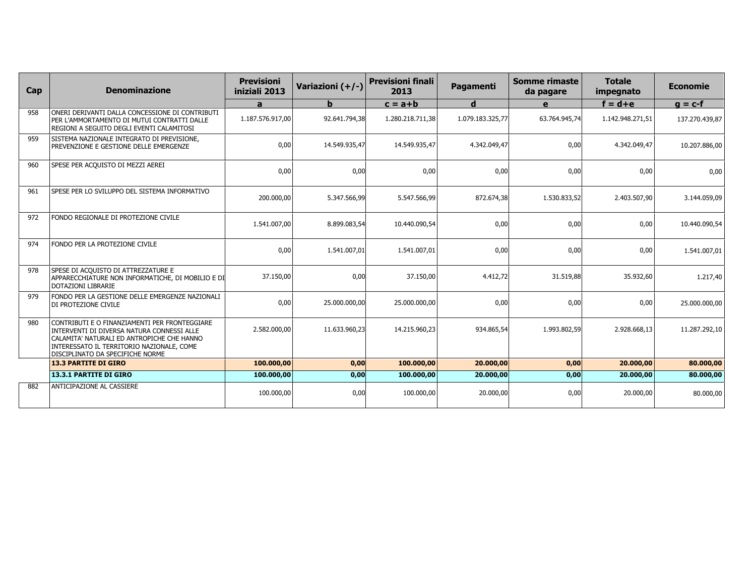| Cap | <b>Denominazione</b>                                                                                                                                                                                                       | <b>Previsioni</b><br>iniziali 2013 | Variazioni (+/-) | <b>Previsioni finali</b><br>2013 | Pagamenti        | Somme rimaste<br>da pagare | <b>Totale</b><br>impegnato | <b>Economie</b> |
|-----|----------------------------------------------------------------------------------------------------------------------------------------------------------------------------------------------------------------------------|------------------------------------|------------------|----------------------------------|------------------|----------------------------|----------------------------|-----------------|
|     |                                                                                                                                                                                                                            | a                                  | b                | $c = a + b$                      | $\mathbf d$      | e                          | $f = d + e$                | $g = c-f$       |
| 958 | ONERI DERIVANTI DALLA CONCESSIONE DI CONTRIBUTI<br>PER L'AMMORTAMENTO DI MUTUI CONTRATTI DALLE<br>REGIONI A SEGUITO DEGLI EVENTI CALAMITOSI                                                                                | 1.187.576.917,00                   | 92.641.794,38    | 1.280.218.711,38                 | 1.079.183.325,77 | 63.764.945.74              | 1.142.948.271,51           | 137.270.439,87  |
| 959 | SISTEMA NAZIONALE INTEGRATO DI PREVISIONE,<br>PREVENZIONE E GESTIONE DELLE EMERGENZE                                                                                                                                       | 0,00                               | 14.549.935,47    | 14.549.935,47                    | 4.342.049,47     | 0,00                       | 4.342.049,47               | 10.207.886,00   |
| 960 | SPESE PER ACQUISTO DI MEZZI AEREI                                                                                                                                                                                          | 0,00                               | 0,00             | 0,00                             | 0,00             | 0,00                       | 0,00                       | 0,00            |
| 961 | SPESE PER LO SVILUPPO DEL SISTEMA INFORMATIVO                                                                                                                                                                              | 200.000,00                         | 5.347.566,99     | 5.547.566,99                     | 872.674,38       | 1.530.833,52               | 2.403.507,90               | 3.144.059,09    |
| 972 | FONDO REGIONALE DI PROTEZIONE CIVILE                                                                                                                                                                                       | 1.541.007,00                       | 8.899.083,54     | 10.440.090,54                    | 0,00             | 0,00                       | 0,00                       | 10.440.090,54   |
| 974 | FONDO PER LA PROTEZIONE CIVILE                                                                                                                                                                                             | 0,00                               | 1.541.007,01     | 1.541.007,01                     | 0,00             | 0,00                       | 0,00                       | 1.541.007,01    |
| 978 | SPESE DI ACQUISTO DI ATTREZZATURE E<br>APPARECCHIATURE NON INFORMATICHE, DI MOBILIO E DI<br>DOTAZIONI LIBRARIE                                                                                                             | 37.150,00                          | 0,00             | 37.150,00                        | 4.412,72         | 31.519,88                  | 35.932,60                  | 1.217,40        |
| 979 | FONDO PER LA GESTIONE DELLE EMERGENZE NAZIONALI<br>DI PROTEZIONE CIVILE                                                                                                                                                    | 0,00                               | 25.000.000,00    | 25.000.000,00                    | 0,00             | 0,00                       | 0,00                       | 25.000.000,00   |
| 980 | CONTRIBUTI E O FINANZIAMENTI PER FRONTEGGIARE<br>INTERVENTI DI DIVERSA NATURA CONNESSI ALLE<br>CALAMITA' NATURALI ED ANTROPICHE CHE HANNO<br>INTERESSATO IL TERRITORIO NAZIONALE, COME<br>DISCIPLINATO DA SPECIFICHE NORME | 2.582.000,00                       | 11.633.960,23    | 14.215.960,23                    | 934.865,54       | 1.993.802,59               | 2.928.668,13               | 11.287.292,10   |
|     | <b>13.3 PARTITE DI GIRO</b>                                                                                                                                                                                                | 100.000,00                         | 0,00             | 100,000,00                       | 20.000,00        | 0,00                       | 20.000,00                  | 80.000,00       |
|     | <b>13.3.1 PARTITE DI GIRO</b>                                                                                                                                                                                              | 100.000,00                         | 0,00             | 100.000,00                       | 20.000,00        | 0,00                       | 20.000,00                  | 80.000,00       |
| 882 | ANTICIPAZIONE AL CASSIERE                                                                                                                                                                                                  | 100.000,00                         | 0,00             | 100.000,00                       | 20.000,00        | 0,00                       | 20.000,00                  | 80.000,00       |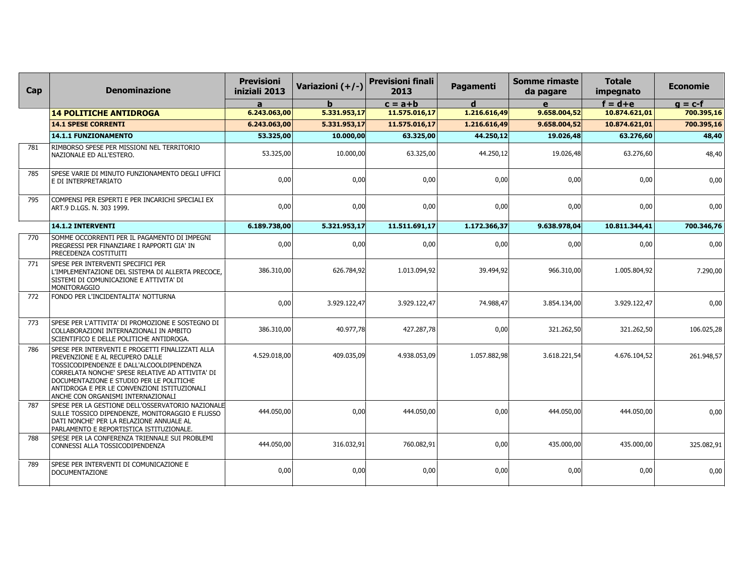| Cap | <b>Denominazione</b>                                                                                                                                                                                                                                                                                                   | <b>Previsioni</b><br>iniziali 2013 | Variazioni (+/-) | <b>Previsioni finali</b><br>2013 | <b>Pagamenti</b> | <b>Somme rimaste</b><br>da pagare | <b>Totale</b><br>impegnato | <b>Economie</b> |
|-----|------------------------------------------------------------------------------------------------------------------------------------------------------------------------------------------------------------------------------------------------------------------------------------------------------------------------|------------------------------------|------------------|----------------------------------|------------------|-----------------------------------|----------------------------|-----------------|
|     |                                                                                                                                                                                                                                                                                                                        | a                                  | h                | $c = a + b$                      | d                | $\mathbf{e}$                      | $f = d + e$                | $g = c-f$       |
|     | <b>14 POLITICHE ANTIDROGA</b>                                                                                                                                                                                                                                                                                          | 6.243.063,00                       | 5.331.953,17     | 11.575.016,17                    | 1.216.616,49     | 9.658.004,52                      | 10.874.621,01              | 700.395,16      |
|     | <b>14.1 SPESE CORRENTI</b>                                                                                                                                                                                                                                                                                             | 6.243.063,00                       | 5.331.953,17     | 11.575.016,17                    | 1.216.616,49     | 9.658.004,52                      | 10.874.621,01              | 700.395,16      |
|     | 14.1.1 FUNZIONAMENTO                                                                                                                                                                                                                                                                                                   | 53.325,00                          | 10.000,00        | 63.325,00                        | 44.250,12        | 19.026,48                         | 63.276,60                  | 48,40           |
| 781 | RIMBORSO SPESE PER MISSIONI NEL TERRITORIO<br>NAZIONALE ED ALL'ESTERO.                                                                                                                                                                                                                                                 | 53.325,00                          | 10.000,00        | 63.325,00                        | 44.250,12        | 19.026,48                         | 63.276,60                  | 48,40           |
| 785 | SPESE VARIE DI MINUTO FUNZIONAMENTO DEGLI UFFICI<br>E DI INTERPRETARIATO                                                                                                                                                                                                                                               | 0,00                               | 0,00             | 0,00                             | 0,00             | 0,00                              | 0,00                       | 0,00            |
| 795 | COMPENSI PER ESPERTI E PER INCARICHI SPECIALI EX<br>ART.9 D.LGS. N. 303 1999.                                                                                                                                                                                                                                          | 0,00                               | 0,00             | 0,00                             | 0,00             | 0,00                              | 0,00                       | 0,00            |
|     | 14.1.2 INTERVENTI                                                                                                                                                                                                                                                                                                      | 6.189.738,00                       | 5.321.953,17     | 11.511.691,17                    | 1.172.366,37     | 9.638.978,04                      | 10.811.344,41              | 700.346,76      |
| 770 | SOMME OCCORRENTI PER IL PAGAMENTO DI IMPEGNI<br>PREGRESSI PER FINANZIARE I RAPPORTI GIA' IN<br>PRECEDENZA COSTITUITI                                                                                                                                                                                                   | 0,00                               | 0,00             | 0,00                             | 0,00             | 0,00                              | 0,00                       | 0,00            |
| 771 | SPESE PER INTERVENTI SPECIFICI PER<br>L'IMPLEMENTAZIONE DEL SISTEMA DI ALLERTA PRECOCE,<br>SISTEMI DI COMUNICAZIONE E ATTIVITA' DI<br>MONITORAGGIO                                                                                                                                                                     | 386.310,00                         | 626.784,92       | 1.013.094,92                     | 39.494,92        | 966.310,00                        | 1.005.804,92               | 7.290,00        |
| 772 | FONDO PER L'INCIDENTALITA' NOTTURNA                                                                                                                                                                                                                                                                                    | 0,00                               | 3.929.122,47     | 3.929.122,47                     | 74.988,47        | 3.854.134,00                      | 3.929.122,47               | 0,00            |
| 773 | SPESE PER L'ATTIVITA' DI PROMOZIONE E SOSTEGNO DI<br>COLLABORAZIONI INTERNAZIONALI IN AMBITO<br>SCIENTIFICO E DELLE POLITICHE ANTIDROGA.                                                                                                                                                                               | 386.310,00                         | 40.977,78        | 427.287,78                       | 0,00             | 321.262,50                        | 321.262,50                 | 106.025,28      |
| 786 | SPESE PER INTERVENTI E PROGETTI FINALIZZATI ALLA<br>PREVENZIONE E AL RECUPERO DALLE<br>TOSSICODIPENDENZE E DALL'ALCOOLDIPENDENZA<br>CORRELATA NONCHE' SPESE RELATIVE AD ATTIVITA' DI<br>DOCUMENTAZIONE E STUDIO PER LE POLITICHE<br>ANTIDROGA E PER LE CONVENZIONI ISTITUZIONALI<br>ANCHE CON ORGANISMI INTERNAZIONALI | 4.529.018,00                       | 409.035,09       | 4.938.053,09                     | 1.057.882,98     | 3.618.221,54                      | 4.676.104,52               | 261.948,57      |
| 787 | SPESE PER LA GESTIONE DELL'OSSERVATORIO NAZIONALE<br>SULLE TOSSICO DIPENDENZE, MONITORAGGIO E FLUSSO<br>DATI NONCHE' PER LA RELAZIONE ANNUALE AL<br>PARLAMENTO E REPORTISTICA ISTITUZIONALE.                                                                                                                           | 444.050,00                         | 0,00             | 444.050,00                       | 0,00             | 444.050,00                        | 444.050,00                 | 0,00            |
| 788 | SPESE PER LA CONFERENZA TRIENNALE SUI PROBLEMI<br>CONNESSI ALLA TOSSICODIPENDENZA                                                                                                                                                                                                                                      | 444.050,00                         | 316.032,91       | 760.082,91                       | 0,00             | 435.000,00                        | 435.000,00                 | 325.082,91      |
| 789 | SPESE PER INTERVENTI DI COMUNICAZIONE E<br><b>DOCUMENTAZIONE</b>                                                                                                                                                                                                                                                       | 0,00                               | 0,00             | 0,00                             | 0,00             | 0,00                              | 0,00                       | 0,00            |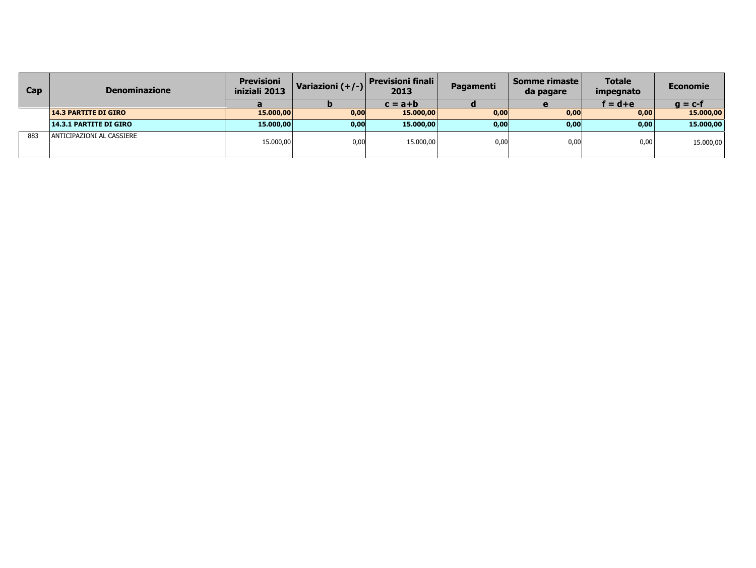| <b>Cap</b> | <b>Denominazione</b>          | <b>Previsioni</b><br>iniziali 2013 | Variazioni $(+/-)$ | <b>Previsioni finali</b><br>2013 | Pagamenti | Somme rimaste<br>da pagare | <b>Totale</b><br>impegnato | Economie  |
|------------|-------------------------------|------------------------------------|--------------------|----------------------------------|-----------|----------------------------|----------------------------|-----------|
|            |                               |                                    |                    | $c = a + b$                      |           |                            | f = d+e                    | $q = c-f$ |
|            | <b>14.3 PARTITE DI GIRO</b>   | 15.000,00                          | 0,00               | 15.000,00                        | 0,00      | 0,00                       | 0,00                       | 15.000,00 |
|            | <b>14.3.1 PARTITE DI GIRO</b> | 15,000,00                          | 0,00               | 15.000,00                        | 0,00      | 0,00                       | 0,00                       | 15.000,00 |
| 883        | ANTICIPAZIONI AL CASSIERE     | 15.000,00                          | 0,00               | 15.000,00                        | 0.00      | 0,00                       | 0,00                       | 15.000,00 |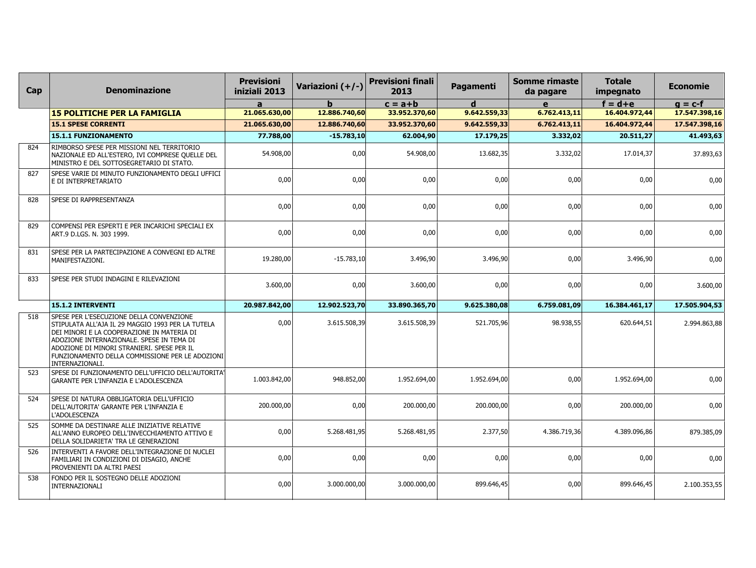| Cap | <b>Denominazione</b>                                                                                                                                                                                                                                                                                         | <b>Previsioni</b><br>iniziali 2013 | Variazioni (+/-) | <b>Previsioni finali</b><br>2013 | Pagamenti    | <b>Somme rimaste</b><br>da pagare | <b>Totale</b><br>impegnato | <b>Economie</b> |
|-----|--------------------------------------------------------------------------------------------------------------------------------------------------------------------------------------------------------------------------------------------------------------------------------------------------------------|------------------------------------|------------------|----------------------------------|--------------|-----------------------------------|----------------------------|-----------------|
|     |                                                                                                                                                                                                                                                                                                              | a                                  | h.               | $c = a + b$                      | d            | e                                 | $f = d + e$                | $q = c-f$       |
|     | <b>15 POLITICHE PER LA FAMIGLIA</b>                                                                                                                                                                                                                                                                          | 21.065.630,00                      | 12.886.740,60    | 33.952.370,60                    | 9.642.559,33 | 6.762.413,11                      | 16.404.972,44              | 17.547.398,16   |
|     | <b>15.1 SPESE CORRENTI</b>                                                                                                                                                                                                                                                                                   | 21.065.630,00                      | 12.886.740,60    | 33.952.370,60                    | 9.642.559,33 | 6.762.413,11                      | 16.404.972,44              | 17.547.398,16   |
|     | 15.1.1 FUNZIONAMENTO                                                                                                                                                                                                                                                                                         | 77.788,00                          | $-15.783,10$     | 62.004,90                        | 17.179,25    | 3.332,02                          | 20.511,27                  | 41.493,63       |
| 824 | RIMBORSO SPESE PER MISSIONI NEL TERRITORIO<br>NAZIONALE ED ALL'ESTERO, IVI COMPRESE QUELLE DEL<br>MINISTRO E DEL SOTTOSEGRETARIO DI STATO.                                                                                                                                                                   | 54.908,00                          | 0,00             | 54.908,00                        | 13.682,35    | 3.332,02                          | 17.014,37                  | 37.893,63       |
| 827 | SPESE VARIE DI MINUTO FUNZIONAMENTO DEGLI UFFICI<br>E DI INTERPRETARIATO                                                                                                                                                                                                                                     | 0,00                               | 0,00             | 0,00                             | 0,00         | 0,00                              | 0,00                       | 0,00            |
| 828 | <b>SPESE DI RAPPRESENTANZA</b>                                                                                                                                                                                                                                                                               | 0,00                               | 0,00             | 0,00                             | 0,00         | 0,00                              | 0,00                       | 0,00            |
| 829 | COMPENSI PER ESPERTI E PER INCARICHI SPECIALI EX<br>ART.9 D.LGS. N. 303 1999.                                                                                                                                                                                                                                | 0,00                               | 0,00             | 0,00                             | 0,00         | 0,00                              | 0,00                       | 0,00            |
| 831 | SPESE PER LA PARTECIPAZIONE A CONVEGNI ED ALTRE<br>MANIFESTAZIONI.                                                                                                                                                                                                                                           | 19.280,00                          | $-15.783,10$     | 3.496,90                         | 3.496,90     | 0,00                              | 3.496,90                   | 0,00            |
| 833 | SPESE PER STUDI INDAGINI E RILEVAZIONI                                                                                                                                                                                                                                                                       | 3.600,00                           | 0,00             | 3.600,00                         | 0,00         | 0,00                              | 0,00                       | 3.600,00        |
|     | 15.1.2 INTERVENTI                                                                                                                                                                                                                                                                                            | 20.987.842,00                      | 12.902.523,70    | 33.890.365,70                    | 9.625.380,08 | 6.759.081,09                      | 16.384.461,17              | 17.505.904,53   |
| 518 | SPESE PER L'ESECUZIONE DELLA CONVENZIONE<br>STIPULATA ALL'AJA IL 29 MAGGIO 1993 PER LA TUTELA<br>DEI MINORI E LA COOPERAZIONE IN MATERIA DI<br>ADOZIONE INTERNAZIONALE. SPESE IN TEMA DI<br>ADOZIONE DI MINORI STRANIERI. SPESE PER IL<br>FUNZIONAMENTO DELLA COMMISSIONE PER LE ADOZIONI<br>INTERNAZIONALI. | 0,00                               | 3.615.508,39     | 3.615.508,39                     | 521.705,96   | 98.938,55                         | 620.644,51                 | 2.994.863,88    |
| 523 | SPESE DI FUNZIONAMENTO DELL'UFFICIO DELL'AUTORITA'<br>GARANTE PER L'INFANZIA E L'ADOLESCENZA                                                                                                                                                                                                                 | 1.003.842,00                       | 948.852,00       | 1.952.694,00                     | 1.952.694,00 | 0,00                              | 1.952.694,00               | 0,00            |
| 524 | SPESE DI NATURA OBBLIGATORIA DELL'UFFICIO<br>DELL'AUTORITA' GARANTE PER L'INFANZIA E<br>L'ADOLESCENZA                                                                                                                                                                                                        | 200.000,00                         | 0,00             | 200.000,00                       | 200.000,00   | 0,00                              | 200.000,00                 | 0,00            |
| 525 | SOMME DA DESTINARE ALLE INIZIATIVE RELATIVE<br>ALL'ANNO EUROPEO DELL'INVECCHIAMENTO ATTIVO E<br>DELLA SOLIDARIETA' TRA LE GENERAZIONI                                                                                                                                                                        | 0,00                               | 5.268.481,95     | 5.268.481,95                     | 2.377,50     | 4.386.719,36                      | 4.389.096,86               | 879.385,09      |
| 526 | INTERVENTI A FAVORE DELL'INTEGRAZIONE DI NUCLEI<br>FAMILIARI IN CONDIZIONI DI DISAGIO, ANCHE<br>PROVENIENTI DA ALTRI PAESI                                                                                                                                                                                   | 0,00                               | 0,00             | 0,00                             | 0,00         | 0,00                              | 0,00                       | 0,00            |
| 538 | FONDO PER IL SOSTEGNO DELLE ADOZIONI<br>INTERNAZIONALI                                                                                                                                                                                                                                                       | 0,00                               | 3.000.000,00     | 3.000.000,00                     | 899.646,45   | 0,00                              | 899.646,45                 | 2.100.353,55    |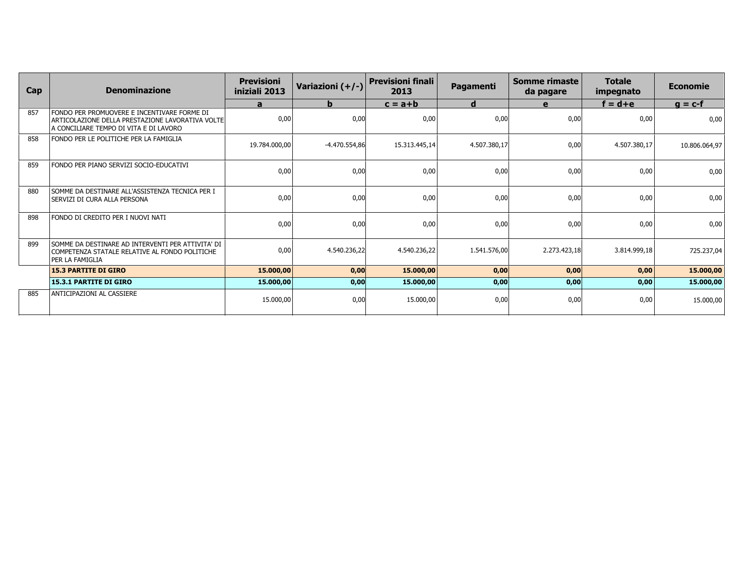| Cap | <b>Denominazione</b>                                                                                                                      | <b>Previsioni</b><br>iniziali 2013 | Variazioni (+/-) | <b>Previsioni finali</b><br>2013 | Pagamenti    | Somme rimaste<br>da pagare | <b>Totale</b><br>impegnato | <b>Economie</b> |
|-----|-------------------------------------------------------------------------------------------------------------------------------------------|------------------------------------|------------------|----------------------------------|--------------|----------------------------|----------------------------|-----------------|
|     |                                                                                                                                           | a                                  | b.               | $c = a + b$                      | d            | e                          | $f = d + e$                | $q = c-f$       |
| 857 | FONDO PER PROMUOVERE E INCENTIVARE FORME DI<br>ARTICOLAZIONE DELLA PRESTAZIONE LAVORATIVA VOLTE<br>A CONCILIARE TEMPO DI VITA E DI LAVORO | 0,00                               | 0,00             | 0,00                             | 0,00         | 0,00                       | 0,00                       | 0,00            |
| 858 | FONDO PER LE POLITICHE PER LA FAMIGLIA                                                                                                    | 19.784.000.00                      | $-4.470.554,86$  | 15.313.445,14                    | 4.507.380,17 | 0,00                       | 4.507.380,17               | 10.806.064,97   |
| 859 | FONDO PER PIANO SERVIZI SOCIO-EDUCATIVI                                                                                                   | 0,00                               | 0,00             | 0,00                             | 0,00         | 0,00                       | 0,00                       | 0,00            |
| 880 | SOMME DA DESTINARE ALL'ASSISTENZA TECNICA PER I<br>  SERVIZI DI CURA ALLA PERSONA                                                         | 0,00                               | 0,00             | 0,00                             | 0,00         | 0,00                       | 0,00                       | 0,00            |
| 898 | FONDO DI CREDITO PER I NUOVI NATI                                                                                                         | 0,00                               | 0,00             | 0,00                             | 0,00         | 0,00                       | 0,00                       | 0,00            |
| 899 | SOMME DA DESTINARE AD INTERVENTI PER ATTIVITA' DI<br>COMPETENZA STATALE RELATIVE AL FONDO POLITICHE<br>l per la famiglia                  | 0,00                               | 4.540.236,22     | 4.540.236,22                     | 1.541.576,00 | 2.273.423,18               | 3.814.999,18               | 725.237,04      |
|     | <b>15.3 PARTITE DI GIRO</b>                                                                                                               | 15.000,00                          | 0,00             | 15.000,00                        | 0,00         | 0,00                       | 0,00                       | 15.000,00       |
|     | <b>15.3.1 PARTITE DI GIRO</b>                                                                                                             | 15.000,00                          | 0,00             | 15.000,00                        | 0,00         | 0,00                       | 0,00                       | 15.000,00       |
| 885 | ANTICIPAZIONI AL CASSIERE                                                                                                                 | 15.000,00                          | 0,00             | 15.000,00                        | 0,00         | 0,00                       | 0,00                       | 15.000,00       |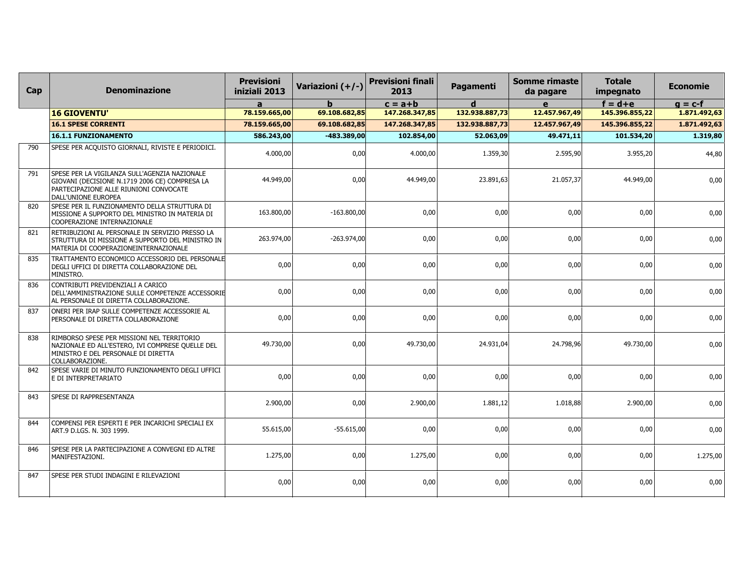| Cap | <b>Denominazione</b>                                                                                                                                             | <b>Previsioni</b><br>iniziali 2013 | Variazioni (+/-) | <b>Previsioni finali</b><br>2013 | Pagamenti      | <b>Somme rimaste</b><br>da pagare | <b>Totale</b><br>impegnato | <b>Economie</b> |
|-----|------------------------------------------------------------------------------------------------------------------------------------------------------------------|------------------------------------|------------------|----------------------------------|----------------|-----------------------------------|----------------------------|-----------------|
|     |                                                                                                                                                                  | $\mathbf{a}$                       |                  | $c = a + b$                      | d              | $\mathbf{e}$                      | $f = d + e$                | $g = c-f$       |
|     | <b>16 GIOVENTU'</b>                                                                                                                                              | 78.159.665,00                      | 69.108.682,85    | 147.268.347,85                   | 132.938.887,73 | 12.457.967,49                     | 145.396.855,22             | 1.871.492,63    |
|     | <b>16.1 SPESE CORRENTI</b>                                                                                                                                       | 78.159.665,00                      | 69.108.682,85    | 147.268.347,85                   | 132.938.887,73 | 12.457.967,49                     | 145.396.855,22             | 1.871.492,63    |
|     | <b>16.1.1 FUNZIONAMENTO</b>                                                                                                                                      | 586.243,00                         | $-483.389,00$    | 102.854,00                       | 52.063,09      | 49.471,11                         | 101.534,20                 | 1.319,80        |
| 790 | SPESE PER ACQUISTO GIORNALI, RIVISTE E PERIODICI.                                                                                                                | 4.000,00                           | 0,00             | 4.000,00                         | 1.359,30       | 2.595,90                          | 3.955,20                   | 44,80           |
| 791 | SPESE PER LA VIGILANZA SULL'AGENZIA NAZIONALE<br>GIOVANI (DECISIONE N.1719 2006 CE) COMPRESA LA<br>PARTECIPAZIONE ALLE RIUNIONI CONVOCATE<br>DALL'UNIONE EUROPEA | 44.949,00                          | 0,00             | 44.949,00                        | 23.891,63      | 21.057,37                         | 44.949,00                  | 0,00            |
| 820 | SPESE PER IL FUNZIONAMENTO DELLA STRUTTURA DI<br>MISSIONE A SUPPORTO DEL MINISTRO IN MATERIA DI<br>COOPERAZIONE INTERNAZIONALE                                   | 163.800,00                         | $-163.800,00$    | 0,00                             | 0,00           | 0,00                              | 0,00                       | 0,00            |
| 821 | RETRIBUZIONI AL PERSONALE IN SERVIZIO PRESSO LA<br>STRUTTURA DI MISSIONE A SUPPORTO DEL MINISTRO IN<br>MATERIA DI COOPERAZIONEINTERNAZIONALE                     | 263.974,00                         | $-263.974.00$    | 0.00                             | 0,00           | 0,00                              | 0,00                       | 0,00            |
| 835 | TRATTAMENTO ECONOMICO ACCESSORIO DEL PERSONALE<br>DEGLI UFFICI DI DIRETTA COLLABORAZIONE DEL<br>MINISTRO.                                                        | 0,00                               | 0,00             | 0,00                             | 0,00           | 0,00                              | 0,00                       | 0,00            |
| 836 | CONTRIBUTI PREVIDENZIALI A CARICO<br>DELL'AMMINISTRAZIONE SULLE COMPETENZE ACCESSORIE<br>AL PERSONALE DI DIRETTA COLLABORAZIONE.                                 | 0,00                               | 0,00             | 0,00                             | 0,00           | 0,00                              | 0,00                       | 0,00            |
| 837 | ONERI PER IRAP SULLE COMPETENZE ACCESSORIE AL<br>PERSONALE DI DIRETTA COLLABORAZIONE                                                                             | 0,00                               | 0,00             | 0,00                             | 0.00           | 0,00                              | 0,00                       | 0,00            |
| 838 | RIMBORSO SPESE PER MISSIONI NEL TERRITORIO<br>NAZIONALE ED ALL'ESTERO, IVI COMPRESE QUELLE DEL<br>MINISTRO E DEL PERSONALE DI DIRETTA<br>COLLABORAZIONE.         | 49.730,00                          | 0,00             | 49.730,00                        | 24.931,04      | 24.798,96                         | 49.730,00                  | 0,00            |
| 842 | SPESE VARIE DI MINUTO FUNZIONAMENTO DEGLI UFFICI<br>E DI INTERPRETARIATO                                                                                         | 0,00                               | 0,00             | 0.00                             | 0,00           | 0,00                              | 0,00                       | 0,00            |
| 843 | SPESE DI RAPPRESENTANZA                                                                                                                                          | 2.900,00                           | 0,00             | 2.900,00                         | 1.881,12       | 1.018,88                          | 2.900,00                   | 0,00            |
| 844 | COMPENSI PER ESPERTI E PER INCARICHI SPECIALI EX<br>ART.9 D.LGS. N. 303 1999.                                                                                    | 55.615,00                          | $-55.615,00$     | 0.00                             | 0,00           | 0,00                              | 0,00                       | 0,00            |
| 846 | SPESE PER LA PARTECIPAZIONE A CONVEGNI ED ALTRE<br>MANIFESTAZIONI.                                                                                               | 1.275,00                           | 0,00             | 1.275,00                         | 0,00           | 0,00                              | 0,00                       | 1.275,00        |
| 847 | SPESE PER STUDI INDAGINI E RILEVAZIONI                                                                                                                           | 0,00                               | 0,00             | 0,00                             | 0,00           | 0,00                              | 0,00                       | 0,00            |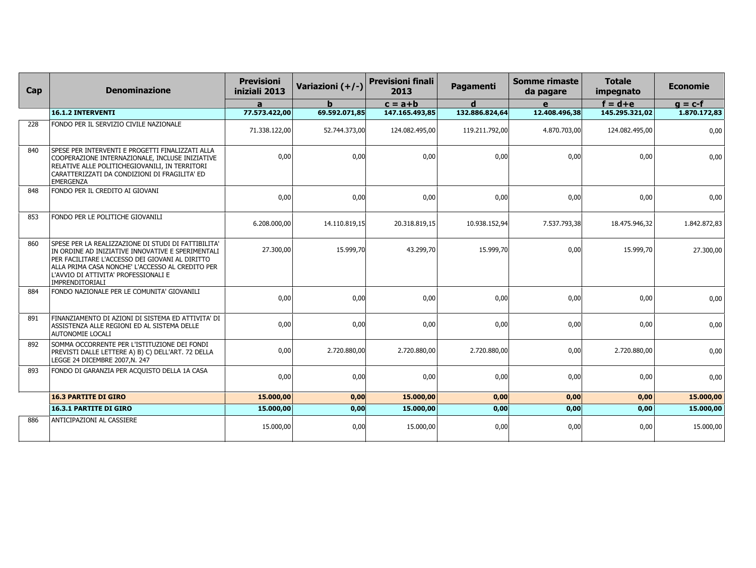| <b>Denominazione</b>                                                                                                                                                                                                                                                       | <b>Previsioni</b><br>iniziali 2013 | Variazioni (+/-) | <b>Previsioni finali</b><br>2013 | Pagamenti                                                                                                      | <b>Somme rimaste</b><br>da pagare | <b>Totale</b><br>impegnato                                                                                                                     | <b>Economie</b>                                                                                                                                 |
|----------------------------------------------------------------------------------------------------------------------------------------------------------------------------------------------------------------------------------------------------------------------------|------------------------------------|------------------|----------------------------------|----------------------------------------------------------------------------------------------------------------|-----------------------------------|------------------------------------------------------------------------------------------------------------------------------------------------|-------------------------------------------------------------------------------------------------------------------------------------------------|
|                                                                                                                                                                                                                                                                            | a                                  | h.               | $c = a + b$                      | d                                                                                                              | e                                 | $f = d + e$                                                                                                                                    | $g = c-f$                                                                                                                                       |
| <b>16.1.2 INTERVENTI</b>                                                                                                                                                                                                                                                   | 77.573.422,00                      |                  |                                  |                                                                                                                |                                   |                                                                                                                                                | 1.870.172,83                                                                                                                                    |
| FONDO PER IL SERVIZIO CIVILE NAZIONALE                                                                                                                                                                                                                                     | 71.338.122,00                      |                  | 124.082.495,00                   |                                                                                                                |                                   | 124.082.495,00                                                                                                                                 | 0,00                                                                                                                                            |
| SPESE PER INTERVENTI E PROGETTI FINALIZZATI ALLA<br>COOPERAZIONE INTERNAZIONALE, INCLUSE INIZIATIVE<br>RELATIVE ALLE POLITICHEGIOVANILI, IN TERRITORI<br>CARATTERIZZATI DA CONDIZIONI DI FRAGILITA' ED<br><b>EMERGENZA</b>                                                 | 0.00                               |                  | 0,00                             |                                                                                                                |                                   | 0,00                                                                                                                                           | 0,00                                                                                                                                            |
| FONDO PER IL CREDITO AI GIOVANI                                                                                                                                                                                                                                            | 0,00                               | 0.00             | 0,00                             |                                                                                                                |                                   | 0,00                                                                                                                                           | 0,00                                                                                                                                            |
| FONDO PER LE POLITICHE GIOVANILI                                                                                                                                                                                                                                           | 6.208.000,00                       |                  | 20.318.819,15                    |                                                                                                                |                                   | 18.475.946,32                                                                                                                                  | 1.842.872,83                                                                                                                                    |
| SPESE PER LA REALIZZAZIONE DI STUDI DI FATTIBILITA'<br>IN ORDINE AD INIZIATIVE INNOVATIVE E SPERIMENTALI<br>PER FACILITARE L'ACCESSO DEI GIOVANI AL DIRITTO<br>ALLA PRIMA CASA NONCHE' L'ACCESSO AL CREDITO PER<br>L'AVVIO DI ATTIVITA' PROFESSIONALI E<br>IMPRENDITORIALI | 27.300,00                          |                  | 43.299,70                        |                                                                                                                |                                   | 15.999,70                                                                                                                                      | 27.300,00                                                                                                                                       |
| FONDO NAZIONALE PER LE COMUNITA' GIOVANILI                                                                                                                                                                                                                                 | 0,00                               | 0,00             | 0,00                             |                                                                                                                |                                   | 0,00                                                                                                                                           | 0,00                                                                                                                                            |
| FINANZIAMENTO DI AZIONI DI SISTEMA ED ATTIVITA' DI<br>ASSISTENZA ALLE REGIONI ED AL SISTEMA DELLE<br>AUTONOMIE LOCALI                                                                                                                                                      | 0,00                               |                  | 0,00                             |                                                                                                                |                                   | 0,00                                                                                                                                           | 0,00                                                                                                                                            |
| SOMMA OCCORRENTE PER L'ISTITUZIONE DEI FONDI<br>PREVISTI DALLE LETTERE A) B) C) DELL'ART. 72 DELLA<br>LEGGE 24 DICEMBRE 2007, N. 247                                                                                                                                       | 0,00                               | 2.720.880,00     | 2.720.880,00                     |                                                                                                                |                                   | 2.720.880,00                                                                                                                                   | 0,00                                                                                                                                            |
| FONDO DI GARANZIA PER ACQUISTO DELLA 1A CASA                                                                                                                                                                                                                               | 0,00                               | 0,00             | 0,00                             |                                                                                                                |                                   | 0,00                                                                                                                                           | 0,00                                                                                                                                            |
| <b>16.3 PARTITE DI GIRO</b>                                                                                                                                                                                                                                                | 15.000,00                          |                  | 15.000,00                        |                                                                                                                |                                   | 0,00                                                                                                                                           | 15.000,00                                                                                                                                       |
| <b>16.3.1 PARTITE DI GIRO</b>                                                                                                                                                                                                                                              | 15.000,00                          |                  | 15.000,00                        |                                                                                                                |                                   | 0,00                                                                                                                                           | 15.000,00                                                                                                                                       |
| ANTICIPAZIONI AL CASSIERE                                                                                                                                                                                                                                                  | 15.000,00                          | 0,00             | 15.000,00                        |                                                                                                                |                                   | 0,00                                                                                                                                           | 15.000,00                                                                                                                                       |
|                                                                                                                                                                                                                                                                            |                                    |                  |                                  | 147.165.493,85<br>69.592.071,85<br>52.744.373,00<br>0.00<br>14.110.819,15<br>15.999,70<br>0,00<br>0,00<br>0,00 |                                   | 132.886.824,64<br>119.211.792,00<br>0,00<br>0,00<br>10.938.152,94<br>15.999,70<br>0,00<br>0,00<br>2.720.880,00<br>0,00<br>0,00<br>0,00<br>0,00 | 145.295.321,02<br>12.408.496,38<br>4.870.703,00<br>0,00<br>0,00<br>7.537.793,38<br>0,00<br>0,00<br>0,00<br>0,00<br>0,00<br>0,00<br>0,00<br>0,00 |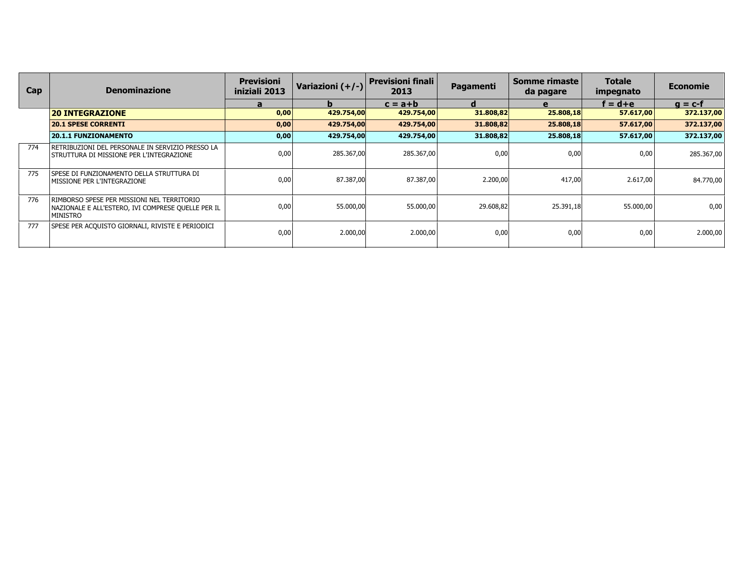| Cap | <b>Denominazione</b>                                                                                          | <b>Previsioni</b><br>iniziali 2013 | Variazioni $(+/-)$ | <b>Previsioni finali</b><br>2013 | Pagamenti | Somme rimaste<br>da pagare | <b>Totale</b><br>impegnato | <b>Economie</b> |
|-----|---------------------------------------------------------------------------------------------------------------|------------------------------------|--------------------|----------------------------------|-----------|----------------------------|----------------------------|-----------------|
|     |                                                                                                               | a                                  | b                  | $c = a + b$                      | a         | e                          | $f = d + e$                | $q = c-f$       |
|     | <b>20 INTEGRAZIONE</b>                                                                                        | 0,00                               | 429.754,00         | 429.754,00                       | 31.808,82 | 25.808,18                  | 57.617,00                  | 372.137,00      |
|     | <b>20.1 SPESE CORRENTI</b>                                                                                    | 0,00                               | 429.754,00         | 429.754,00                       | 31.808,82 | 25.808,18                  | 57.617,00                  | 372.137,00      |
|     | <b>20.1.1 FUNZIONAMENTO</b>                                                                                   | 0,00                               | 429.754,00         | 429.754,00                       | 31.808,82 | 25.808,18                  | 57.617,00                  | 372.137,00      |
| 774 | RETRIBUZIONI DEL PERSONALE IN SERVIZIO PRESSO LA<br>  STRUTTURA DI MISSIONE PER L'INTEGRAZIONE                | 0,00                               | 285.367,00         | 285.367,00                       | 0.00      | 0.00                       | 0,00                       | 285.367,00      |
| 775 | ISPESE DI FUNZIONAMENTO DELLA STRUTTURA DI<br>MISSIONE PER L'INTEGRAZIONE                                     | 0,00                               | 87.387,00          | 87.387,00                        | 2.200,00  | 417,00                     | 2.617,00                   | 84.770,00       |
| 776 | rimborso spese per missioni nel territorio<br>NAZIONALE E ALL'ESTERO, IVI COMPRESE QUELLE PER IL<br> MINISTRO | 0,00                               | 55.000,00          | 55.000,00                        | 29.608,82 | 25.391,18                  | 55.000,00                  | 0,00            |
| 777 | SPESE PER ACQUISTO GIORNALI, RIVISTE E PERIODICI                                                              | 0,00                               | 2.000,00           | 2.000,00                         | 0,00      | 0,00                       | 0,00                       | 2.000,00        |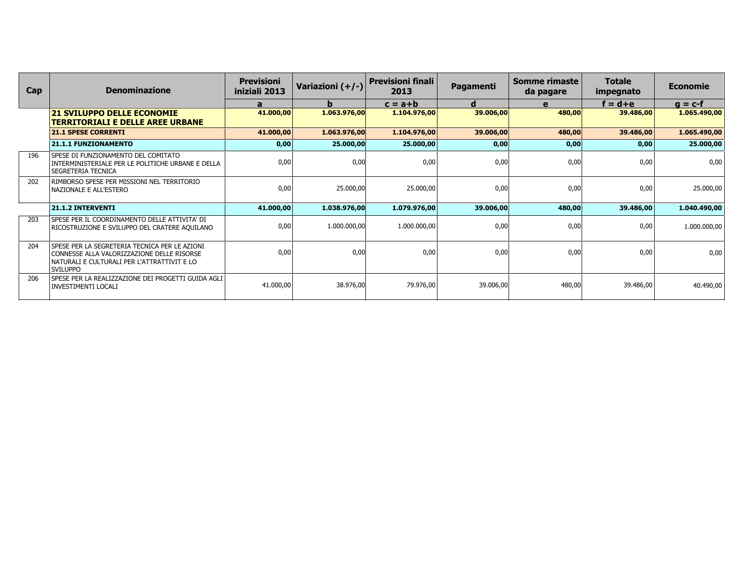| Cap | <b>Denominazione</b>                                                                                                                                          | <b>Previsioni</b><br>iniziali 2013 | Variazioni (+/-) | <b>Previsioni finali</b><br>2013 | <b>Pagamenti</b> | Somme rimaste<br>da pagare | <b>Totale</b><br>impegnato | <b>Economie</b> |
|-----|---------------------------------------------------------------------------------------------------------------------------------------------------------------|------------------------------------|------------------|----------------------------------|------------------|----------------------------|----------------------------|-----------------|
|     |                                                                                                                                                               | a                                  | b.               | $c = a + b$                      | d                | $\mathbf{e}$               | $f = d + e$                | $q = c-f$       |
|     | <b>21 SVILUPPO DELLE ECONOMIE</b><br><b>TERRITORIALI E DELLE AREE URBANE</b>                                                                                  | 41.000,00                          | 1.063.976,00     | 1.104.976,00                     | 39.006,00        | 480,00                     | 39.486,00                  | 1.065.490,00    |
|     | <b>21.1 SPESE CORRENTI</b>                                                                                                                                    | 41.000,00                          | 1.063.976,00     | 1.104.976,00                     | 39.006,00        | 480,00                     | 39.486,00                  | 1.065.490,00    |
|     | <b>21.1.1 FUNZIONAMENTO</b>                                                                                                                                   | 0,00                               | 25.000,00        | 25.000,00                        | 0,00             | 0,00                       | 0,00                       | 25.000,00       |
| 196 | SPESE DI FUNZIONAMENTO DEL COMITATO<br>INTERMINISTERIALE PER LE POLITICHE URBANE E DELLA<br>SEGRETERIA TECNICA                                                | 0,00                               | 0,00             | 0,00                             | 0,00             | 0,00                       | 0,00                       | 0,00            |
| 202 | RIMBORSO SPESE PER MISSIONI NEL TERRITORIO<br>NAZIONALE E ALL'ESTERO                                                                                          | 0,00                               | 25.000,00        | 25.000,00                        | 0,00             | 0,00                       | 0,00                       | 25.000,00       |
|     | 21.1.2 INTERVENTI                                                                                                                                             | 41.000,00                          | 1.038.976,00     | 1.079.976,00                     | 39.006,00        | 480,00                     | 39.486,00                  | 1.040.490,00    |
| 203 | SPESE PER IL COORDINAMENTO DELLE ATTIVITA' DI<br>RICOSTRUZIONE E SVILUPPO DEL CRATERE AQUILANO                                                                | 0,00                               | 1.000.000,00     | 1.000.000,00                     | 0.00             | 0,00                       | 0,00                       | 1.000.000,00    |
| 204 | SPESE PER LA SEGRETERIA TECNICA PER LE AZIONI<br>CONNESSE ALLA VALORIZZAZIONE DELLE RISORSE<br>NATURALI E CULTURALI PER L'ATTRATTIVIT E LO<br><b>SVILUPPO</b> | 0,00                               | 0,00             | 0,00                             | 0,00             | 0,00                       | 0,00                       | 0,00            |
| 206 | SPESE PER LA REALIZZAZIONE DEI PROGETTI GUIDA AGLI<br><b>INVESTIMENTI LOCALI</b>                                                                              | 41.000,00                          | 38.976,00        | 79.976,00                        | 39.006,00        | 480,00                     | 39.486,00                  | 40.490,00       |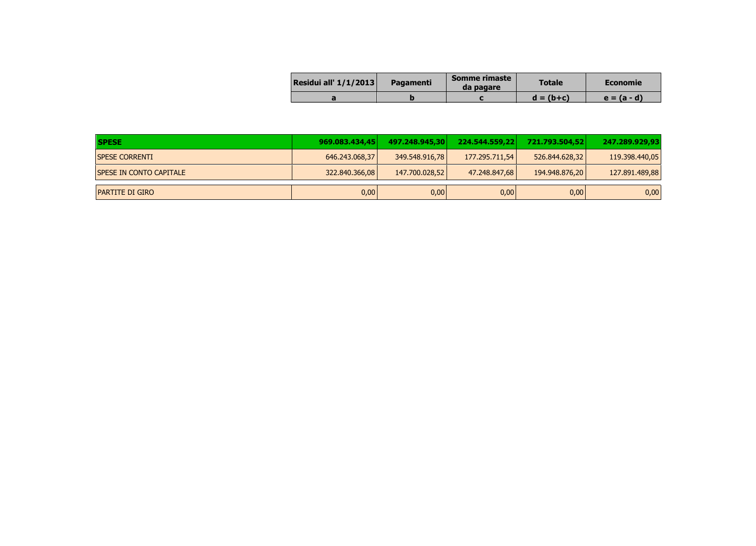| Residui all' $1/1/2013$ | <b>Pagamenti</b> | Somme rimaste<br>da pagare | <b>Totale</b> | <b>Economie</b> |
|-------------------------|------------------|----------------------------|---------------|-----------------|
|                         |                  |                            | $d = (b+c)$   | $e = (a - d)$   |

| <b>SPESE</b>                   | 969.083.434.45 | 497.248.945.30 | 224.544.559.22 | 721.793.504.52 | 247.289.929.93 |
|--------------------------------|----------------|----------------|----------------|----------------|----------------|
| <b>SPESE CORRENTI</b>          | 646.243.068,37 | 349.548.916,78 | 177.295.711,54 | 526.844.628.32 | 119.398.440,05 |
| <b>SPESE IN CONTO CAPITALE</b> | 322.840.366,08 | 147.700.028,52 | 47.248.847,68  | 194.948.876.20 | 127.891.489,88 |
| <b>PARTITE DI GIRO</b>         | 0,00           | 0,00           | 0,00           | 0,00           | 0,00           |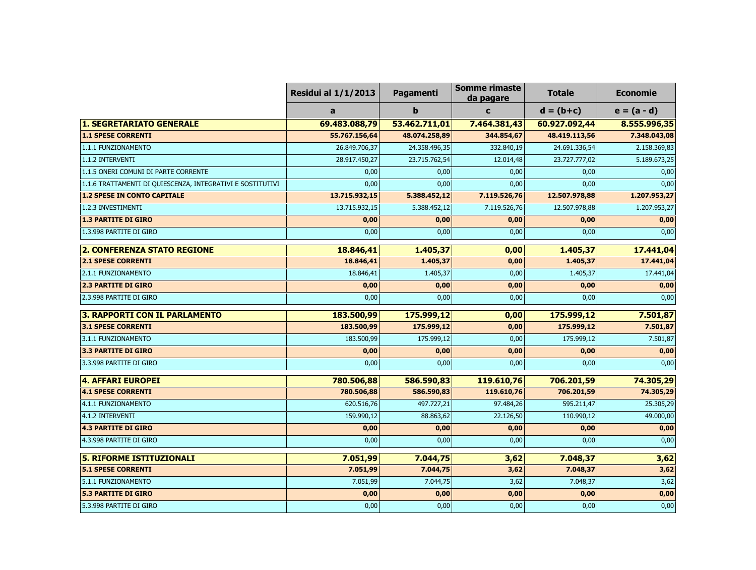|                                                            | <b>Residui al 1/1/2013</b> | Pagamenti     | <b>Somme rimaste</b><br>da pagare | <b>Totale</b> | <b>Economie</b> |
|------------------------------------------------------------|----------------------------|---------------|-----------------------------------|---------------|-----------------|
|                                                            | a                          | b             | $\mathbf c$                       | $d = (b+c)$   | $e = (a - d)$   |
| <b>1. SEGRETARIATO GENERALE</b>                            | 69.483.088,79              | 53.462.711,01 | 7.464.381,43                      | 60.927.092,44 | 8.555.996,35    |
| <b>1.1 SPESE CORRENTI</b>                                  | 55.767.156,64              | 48.074.258,89 | 344.854,67                        | 48.419.113,56 | 7.348.043,08    |
| 1.1.1 FUNZIONAMENTO                                        | 26.849.706,37              | 24.358.496,35 | 332.840,19                        | 24.691.336,54 | 2.158.369,83    |
| 1.1.2 INTERVENTI                                           | 28.917.450,27              | 23.715.762,54 | 12.014,48                         | 23.727.777,02 | 5.189.673,25    |
| 1.1.5 ONERI COMUNI DI PARTE CORRENTE                       | 0,00                       | 0,00          | 0,00                              | 0,00          | 0,00            |
| 1.1.6 TRATTAMENTI DI QUIESCENZA, INTEGRATIVI E SOSTITUTIVI | 0,00                       | 0,00          | 0,00                              | 0,00          | 0,00            |
| <b>1.2 SPESE IN CONTO CAPITALE</b>                         | 13.715.932,15              | 5.388.452,12  | 7.119.526,76                      | 12.507.978,88 | 1.207.953,27    |
| 1.2.3 INVESTIMENTI                                         | 13.715.932,15              | 5.388.452,12  | 7.119.526,76                      | 12.507.978,88 | 1.207.953,27    |
| <b>1.3 PARTITE DI GIRO</b>                                 | 0,00                       | 0,00          | 0,00                              | 0,00          | 0,00            |
| 1.3.998 PARTITE DI GIRO                                    | 0,00                       | 0,00          | 0,00                              | 0,00          | 0,00            |
| <b>2. CONFERENZA STATO REGIONE</b>                         | 18.846,41                  | 1.405,37      | 0,00                              | 1.405,37      | 17.441,04       |
| <b>2.1 SPESE CORRENTI</b>                                  | 18.846,41                  | 1.405,37      | 0,00                              | 1.405,37      | 17.441,04       |
| 2.1.1 FUNZIONAMENTO                                        | 18.846,41                  | 1.405,37      | 0,00                              | 1.405,37      | 17.441,04       |
| <b>2.3 PARTITE DI GIRO</b>                                 | 0,00                       | 0,00          | 0,00                              | 0,00          | 0,00            |
| 2.3.998 PARTITE DI GIRO                                    | 0,00                       | 0,00          | 0,00                              | 0,00          | 0,00            |
| <b>3. RAPPORTI CON IL PARLAMENTO</b>                       | 183.500,99                 | 175.999,12    | 0,00                              | 175.999,12    | 7.501,87        |
| <b>3.1 SPESE CORRENTI</b>                                  | 183.500,99                 | 175.999,12    | 0,00                              | 175.999,12    | 7.501,87        |
| 3.1.1 FUNZIONAMENTO                                        | 183.500,99                 | 175.999,12    | 0,00                              | 175.999,12    | 7.501,87        |
| <b>3.3 PARTITE DI GIRO</b>                                 | 0,00                       | 0,00          | 0,00                              | 0,00          | 0,00            |
| 3.3.998 PARTITE DI GIRO                                    | 0,00                       | 0,00          | 0,00                              | 0,00          | 0,00            |
| <b>4. AFFARI EUROPEI</b>                                   | 780.506,88                 | 586.590,83    | 119.610,76                        | 706.201,59    | 74.305,29       |
| <b>4.1 SPESE CORRENTI</b>                                  | 780.506,88                 | 586.590,83    | 119.610,76                        | 706.201,59    | 74.305,29       |
| 4.1.1 FUNZIONAMENTO                                        | 620.516,76                 | 497.727,21    | 97.484,26                         | 595.211,47    | 25.305,29       |
| 4.1.2 INTERVENTI                                           | 159.990,12                 | 88.863,62     | 22.126,50                         | 110.990,12    | 49.000,00       |
| <b>4.3 PARTITE DI GIRO</b>                                 | 0,00                       | 0,00          | 0,00                              | 0,00          | 0,00            |
| 4.3.998 PARTITE DI GIRO                                    | 0,00                       | 0,00          | 0,00                              | 0,00          | 0,00            |
| <b>5. RIFORME ISTITUZIONALI</b>                            | 7.051,99                   | 7.044,75      | 3,62                              | 7.048,37      | 3,62            |
| <b>5.1 SPESE CORRENTI</b>                                  | 7.051,99                   | 7.044,75      | 3,62                              | 7.048,37      | 3,62            |
| 5.1.1 FUNZIONAMENTO                                        | 7.051,99                   | 7.044,75      | 3,62                              | 7.048,37      | 3,62            |
| <b>5.3 PARTITE DI GIRO</b>                                 | 0,00                       | 0,00          | 0,00                              | 0,00          | 0,00            |
| 5.3.998 PARTITE DI GIRO                                    | 0,00                       | 0,00          | 0,00                              | 0,00          | 0,00            |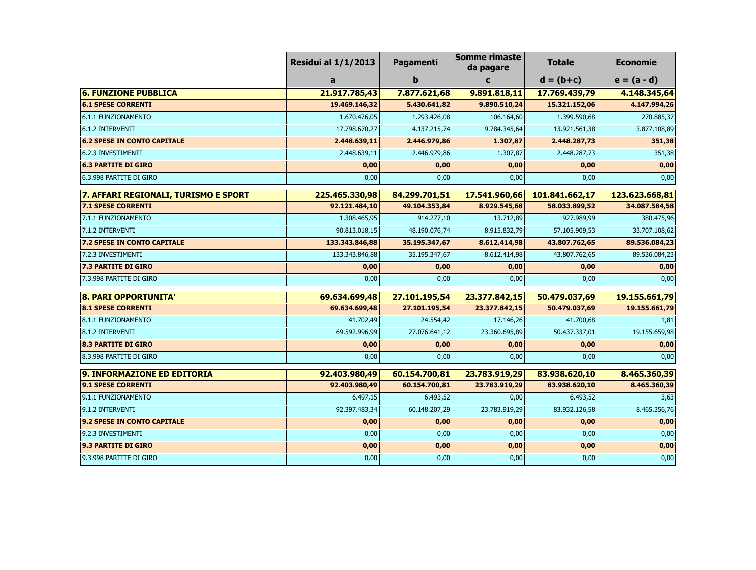|                                      | <b>Residui al 1/1/2013</b> | Pagamenti     | <b>Somme rimaste</b><br>da pagare | <b>Totale</b>  | <b>Economie</b> |
|--------------------------------------|----------------------------|---------------|-----------------------------------|----------------|-----------------|
|                                      | a                          | $\mathbf b$   | $\mathbf c$                       | $d = (b+c)$    | $e = (a - d)$   |
| <b>6. FUNZIONE PUBBLICA</b>          | 21.917.785,43              | 7.877.621,68  | 9.891.818,11                      | 17.769.439,79  | 4.148.345,64    |
| <b>6.1 SPESE CORRENTI</b>            | 19.469.146,32              | 5.430.641,82  | 9.890.510,24                      | 15.321.152,06  | 4.147.994,26    |
| 6.1.1 FUNZIONAMENTO                  | 1.670.476,05               | 1.293.426,08  | 106.164,60                        | 1.399.590,68   | 270.885,37      |
| 6.1.2 INTERVENTI                     | 17.798.670,27              | 4.137.215,74  | 9.784.345,64                      | 13.921.561,38  | 3.877.108,89    |
| <b>6.2 SPESE IN CONTO CAPITALE</b>   | 2.448.639,11               | 2.446.979,86  | 1.307,87                          | 2.448.287,73   | 351,38          |
| 6.2.3 INVESTIMENTI                   | 2.448.639,11               | 2.446.979,86  | 1.307,87                          | 2.448.287,73   | 351,38          |
| <b>6.3 PARTITE DI GIRO</b>           | 0,00                       | 0,00          | 0,00                              | 0,00           | 0,00            |
| 6.3.998 PARTITE DI GIRO              | 0,00                       | 0,00          | 0,00                              | 0,00           | 0,00            |
| 7. AFFARI REGIONALI, TURISMO E SPORT | 225.465.330,98             | 84.299.701,51 | 17.541.960,66                     | 101.841.662,17 | 123.623.668,81  |
| <b>7.1 SPESE CORRENTI</b>            | 92.121.484,10              | 49.104.353,84 | 8.929.545,68                      | 58.033.899,52  | 34.087.584,58   |
| 7.1.1 FUNZIONAMENTO                  | 1.308.465,95               | 914.277,10    | 13.712,89                         | 927.989,99     | 380.475,96      |
| 7.1.2 INTERVENTI                     | 90.813.018,15              | 48.190.076,74 | 8.915.832,79                      | 57.105.909,53  | 33.707.108,62   |
| 7.2 SPESE IN CONTO CAPITALE          | 133.343.846,88             | 35.195.347,67 | 8.612.414,98                      | 43.807.762,65  | 89.536.084,23   |
| 7.2.3 INVESTIMENTI                   | 133.343.846,88             | 35.195.347,67 | 8.612.414,98                      | 43.807.762,65  | 89.536.084,23   |
| <b>7.3 PARTITE DI GIRO</b>           | 0,00                       | 0,00          | 0,00                              | 0,00           | 0,00            |
| 7.3.998 PARTITE DI GIRO              | 0,00                       | 0,00          | 0,00                              | 0,00           | 0,00            |
| 8. PARI OPPORTUNITA'                 | 69.634.699,48              | 27.101.195,54 | 23.377.842,15                     | 50.479.037,69  | 19.155.661,79   |
| <b>8.1 SPESE CORRENTI</b>            | 69.634.699,48              | 27.101.195,54 | 23.377.842,15                     | 50.479.037,69  | 19.155.661,79   |
| 8.1.1 FUNZIONAMENTO                  | 41.702,49                  | 24.554,42     | 17.146,26                         | 41.700,68      | 1,81            |
| 8.1.2 INTERVENTI                     | 69.592.996,99              | 27.076.641,12 | 23.360.695,89                     | 50.437.337,01  | 19.155.659,98   |
| <b>8.3 PARTITE DI GIRO</b>           | 0,00                       | 0,00          | 0,00                              | 0,00           | 0,00            |
| 8.3.998 PARTITE DI GIRO              | 0,00                       | 0,00          | 0,00                              | 0,00           | 0,00            |
| 9. INFORMAZIONE ED EDITORIA          | 92.403.980,49              | 60.154.700,81 | 23.783.919,29                     | 83.938.620,10  | 8.465.360,39    |
| <b>9.1 SPESE CORRENTI</b>            | 92.403.980,49              | 60.154.700,81 | 23.783.919,29                     | 83.938.620,10  | 8.465.360,39    |
| 9.1.1 FUNZIONAMENTO                  | 6.497,15                   | 6.493,52      | 0,00                              | 6.493,52       | 3,63            |
| 9.1.2 INTERVENTI                     | 92.397.483,34              | 60.148.207,29 | 23.783.919,29                     | 83.932.126,58  | 8.465.356,76    |
| 9.2 SPESE IN CONTO CAPITALE          | 0,00                       | 0,00          | 0,00                              | 0,00           | 0,00            |
| 9.2.3 INVESTIMENTI                   | 0,00                       | 0,00          | 0,00                              | 0,00           | 0,00            |
| <b>9.3 PARTITE DI GIRO</b>           | 0,00                       | 0,00          | 0,00                              | 0,00           | 0,00            |
| 9.3.998 PARTITE DI GIRO              | 0,00                       | 0,00          | 0,00                              | 0,00           | 0,00            |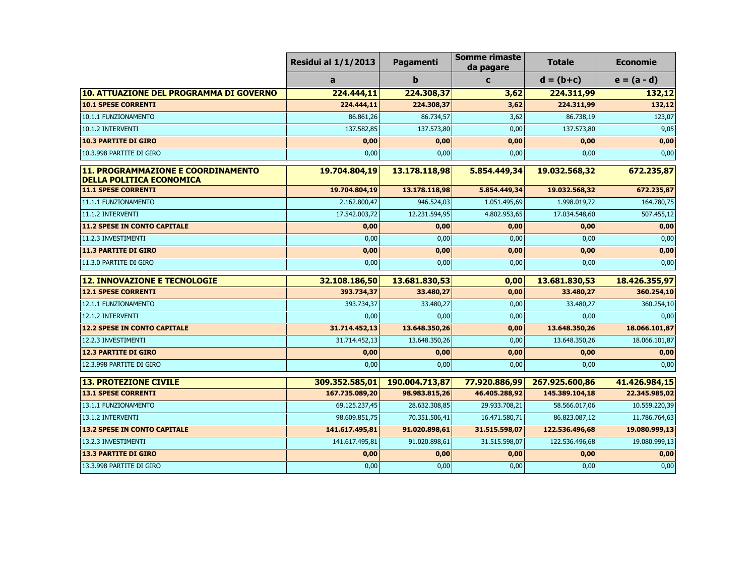|                                                                       | <b>Residui al 1/1/2013</b> | Pagamenti      | <b>Somme rimaste</b><br>da pagare | <b>Totale</b>  | <b>Economie</b> |
|-----------------------------------------------------------------------|----------------------------|----------------|-----------------------------------|----------------|-----------------|
|                                                                       | a                          | $\mathbf b$    | $\mathbf c$                       | $d = (b+c)$    | $e = (a - d)$   |
| 10. ATTUAZIONE DEL PROGRAMMA DI GOVERNO                               | 224.444,11                 | 224.308,37     | 3,62                              | 224.311,99     | 132,12          |
| <b>10.1 SPESE CORRENTI</b>                                            | 224.444,11                 | 224.308,37     | 3,62                              | 224.311,99     | 132,12          |
| 10.1.1 FUNZIONAMENTO                                                  | 86.861,26                  | 86.734,57      | 3,62                              | 86.738,19      | 123,07          |
| 10.1.2 INTERVENTI                                                     | 137.582,85                 | 137.573,80     | 0,00                              | 137.573,80     | 9,05            |
| <b>10.3 PARTITE DI GIRO</b>                                           | 0,00                       | 0,00           | 0,00                              | 0,00           | 0,00            |
| 10.3.998 PARTITE DI GIRO                                              | 0,00                       | 0,00           | 0,00                              | 0,00           | 0,00            |
| 11. PROGRAMMAZIONE E COORDINAMENTO<br><b>DELLA POLITICA ECONOMICA</b> | 19.704.804,19              | 13.178.118,98  | 5.854.449,34                      | 19.032.568,32  | 672.235,87      |
| <b>11.1 SPESE CORRENTI</b>                                            | 19.704.804,19              | 13.178.118,98  | 5.854.449,34                      | 19.032.568,32  | 672.235,87      |
| 11.1.1 FUNZIONAMENTO                                                  | 2.162.800,47               | 946.524,03     | 1.051.495,69                      | 1.998.019,72   | 164.780,75      |
| 11.1.2 INTERVENTI                                                     | 17.542.003,72              | 12.231.594,95  | 4.802.953,65                      | 17.034.548,60  | 507.455,12      |
| <b>11.2 SPESE IN CONTO CAPITALE</b>                                   | 0,00                       | 0,00           | 0,00                              | 0,00           | 0,00            |
| 11.2.3 INVESTIMENTI                                                   | 0,00                       | 0,00           | 0,00                              | 0,00           | 0,00            |
| <b>11.3 PARTITE DI GIRO</b>                                           | 0,00                       | 0,00           | 0,00                              | 0,00           | 0,00            |
| 11.3.0 PARTITE DI GIRO                                                | 0,00                       | 0,00           | 0,00                              | 0,00           | 0,00            |
| <b>12. INNOVAZIONE E TECNOLOGIE</b>                                   | 32.108.186,50              | 13.681.830,53  | 0,00                              | 13.681.830,53  | 18.426.355,97   |
| <b>12.1 SPESE CORRENTI</b>                                            | 393.734,37                 | 33.480,27      | 0,00                              | 33.480,27      | 360.254,10      |
| 12.1.1 FUNZIONAMENTO                                                  | 393.734,37                 | 33.480,27      | 0,00                              | 33.480,27      | 360.254,10      |
| 12.1.2 INTERVENTI                                                     | 0,00                       | 0,00           | 0,00                              | 0,00           | 0,00            |
| <b>12.2 SPESE IN CONTO CAPITALE</b>                                   | 31.714.452,13              | 13.648.350,26  | 0,00                              | 13.648.350,26  | 18.066.101,87   |
| 12.2.3 INVESTIMENTI                                                   | 31.714.452,13              | 13.648.350,26  | 0,00                              | 13.648.350,26  | 18.066.101,87   |
| <b>12.3 PARTITE DI GIRO</b>                                           | 0,00                       | 0,00           | 0,00                              | 0,00           | 0,00            |
| 12.3.998 PARTITE DI GIRO                                              | 0,00                       | 0,00           | 0,00                              | 0,00           | 0,00            |
| <b>13. PROTEZIONE CIVILE</b>                                          | 309.352.585,01             | 190.004.713,87 | 77.920.886,99                     | 267.925.600,86 | 41.426.984,15   |
| <b>13.1 SPESE CORRENTI</b>                                            | 167.735.089,20             | 98.983.815,26  | 46.405.288,92                     | 145.389.104,18 | 22.345.985,02   |
| 13.1.1 FUNZIONAMENTO                                                  | 69.125.237,45              | 28.632.308,85  | 29.933.708,21                     | 58.566.017,06  | 10.559.220,39   |
| 13.1.2 INTERVENTI                                                     | 98.609.851,75              | 70.351.506,41  | 16.471.580,71                     | 86.823.087,12  | 11.786.764,63   |
| <b>13.2 SPESE IN CONTO CAPITALE</b>                                   | 141.617.495,81             | 91.020.898,61  | 31.515.598,07                     | 122.536.496,68 | 19.080.999,13   |
| 13.2.3 INVESTIMENTI                                                   | 141.617.495,81             | 91.020.898,61  | 31.515.598,07                     | 122.536.496,68 | 19.080.999,13   |
| <b>13.3 PARTITE DI GIRO</b>                                           | 0,00                       | 0,00           | 0,00                              | 0,00           | 0,00            |
| 13.3.998 PARTITE DI GIRO                                              | 0,00                       | 0,00           | 0,00                              | 0,00           | 0,00            |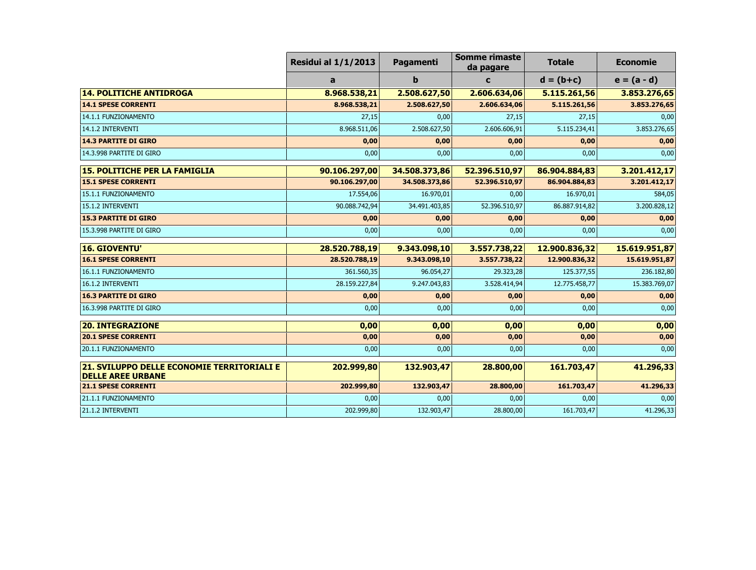|                                                                        | <b>Residui al 1/1/2013</b> | Pagamenti     | Somme rimaste<br>da pagare | <b>Totale</b> | <b>Economie</b> |
|------------------------------------------------------------------------|----------------------------|---------------|----------------------------|---------------|-----------------|
|                                                                        | a                          | b             | $\mathbf c$                | $d = (b+c)$   | $e = (a - d)$   |
| <b>14. POLITICHE ANTIDROGA</b>                                         | 8.968.538,21               | 2.508.627,50  | 2.606.634,06               | 5.115.261,56  | 3.853.276,65    |
| <b>14.1 SPESE CORRENTI</b>                                             | 8.968.538,21               | 2.508.627,50  | 2.606.634,06               | 5.115.261,56  | 3.853.276,65    |
| 14.1.1 FUNZIONAMENTO                                                   | 27,15                      | 0,00          | 27,15                      | 27,15         | 0,00            |
| 14.1.2 INTERVENTI                                                      | 8.968.511,06               | 2.508.627,50  | 2.606.606,91               | 5.115.234,41  | 3.853.276,65    |
| <b>14.3 PARTITE DI GIRO</b>                                            | 0,00                       | 0,00          | 0,00                       | 0,00          | 0,00            |
| 14.3.998 PARTITE DI GIRO                                               | 0,00                       | 0,00          | 0,00                       | 0,00          | 0,00            |
| <b>15. POLITICHE PER LA FAMIGLIA</b>                                   | 90.106.297,00              | 34.508.373,86 | 52.396.510,97              | 86.904.884,83 | 3.201.412,17    |
| <b>15.1 SPESE CORRENTI</b>                                             | 90.106.297,00              | 34.508.373,86 | 52.396.510,97              | 86.904.884,83 | 3.201.412,17    |
| 15.1.1 FUNZIONAMENTO                                                   | 17.554,06                  | 16.970,01     | 0,00                       | 16.970,01     | 584,05          |
| 15.1.2 INTERVENTI                                                      | 90.088.742,94              | 34.491.403,85 | 52.396.510,97              | 86.887.914,82 | 3.200.828,12    |
| <b>15.3 PARTITE DI GIRO</b>                                            | 0,00                       | 0,00          | 0,00                       | 0,00          | 0,00            |
| 15.3.998 PARTITE DI GIRO                                               | 0,00                       | 0,00          | 0,00                       | 0,00          | 0,00            |
| <b>16. GIOVENTU'</b>                                                   | 28.520.788,19              | 9.343.098,10  | 3.557.738,22               | 12.900.836,32 | 15.619.951,87   |
| <b>16.1 SPESE CORRENTI</b>                                             | 28.520.788,19              | 9.343.098,10  | 3.557.738,22               | 12.900.836,32 | 15.619.951,87   |
| 16.1.1 FUNZIONAMENTO                                                   | 361.560,35                 | 96.054,27     | 29.323,28                  | 125.377,55    | 236.182,80      |
| 16.1.2 INTERVENTI                                                      | 28.159.227,84              | 9.247.043,83  | 3.528.414,94               | 12.775.458,77 | 15.383.769,07   |
| <b>16.3 PARTITE DI GIRO</b>                                            | 0,00                       | 0,00          | 0,00                       | 0,00          | 0,00            |
| 16.3.998 PARTITE DI GIRO                                               | 0,00                       | 0,00          | 0,00                       | 0,00          | 0,00            |
| <b>20. INTEGRAZIONE</b>                                                | 0,00                       | 0,00          | 0,00                       | 0,00          | 0,00            |
| <b>20.1 SPESE CORRENTI</b>                                             | 0,00                       | 0,00          | 0,00                       | 0,00          | 0,00            |
| 20.1.1 FUNZIONAMENTO                                                   | 0,00                       | 0,00          | 0,00                       | 0,00          | 0,00            |
| 21. SVILUPPO DELLE ECONOMIE TERRITORIALI E<br><b>DELLE AREE URBANE</b> | 202.999,80                 | 132.903,47    | 28.800,00                  | 161.703,47    | 41.296,33       |
| <b>21.1 SPESE CORRENTI</b>                                             | 202.999,80                 | 132.903,47    | 28.800,00                  | 161.703,47    | 41.296,33       |
| 21.1.1 FUNZIONAMENTO                                                   | 0,00                       | 0,00          | 0,00                       | 0,00          | 0,00            |
| 21.1.2 INTERVENTI                                                      | 202.999,80                 | 132.903,47    | 28.800,00                  | 161.703,47    | 41.296,33       |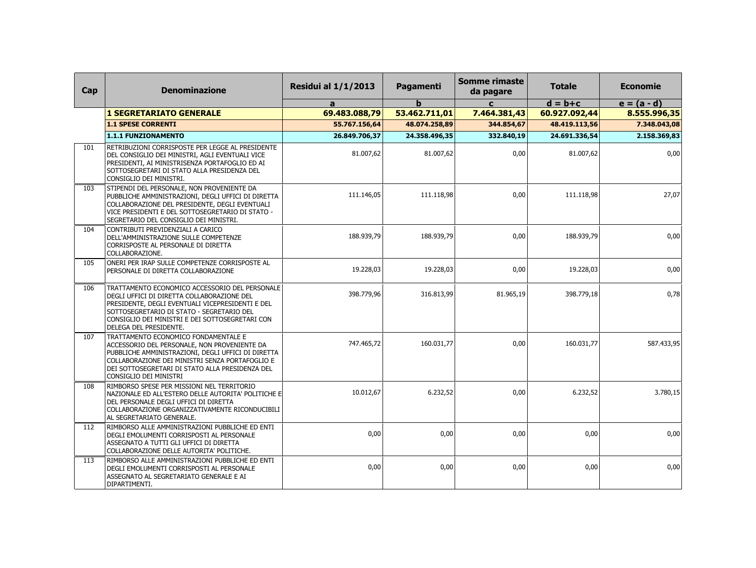| Cap | <b>Denominazione</b>                                                                                                                                                                                                                                                       | <b>Residui al 1/1/2013</b> | Pagamenti     | <b>Somme rimaste</b><br>da pagare | <b>Totale</b> | <b>Economie</b> |
|-----|----------------------------------------------------------------------------------------------------------------------------------------------------------------------------------------------------------------------------------------------------------------------------|----------------------------|---------------|-----------------------------------|---------------|-----------------|
|     |                                                                                                                                                                                                                                                                            | a                          | b             | $\mathbf{C}$                      | $d = b + c$   | $e = (a - d)$   |
|     | <b>1 SEGRETARIATO GENERALE</b>                                                                                                                                                                                                                                             | 69.483.088,79              | 53.462.711,01 | 7.464.381,43                      | 60.927.092,44 | 8.555.996,35    |
|     | <b>1.1 SPESE CORRENTI</b>                                                                                                                                                                                                                                                  | 55.767.156,64              | 48.074.258,89 | 344.854,67                        | 48.419.113,56 | 7.348.043,08    |
|     | 1.1.1 FUNZIONAMENTO                                                                                                                                                                                                                                                        | 26.849.706,37              | 24.358.496,35 | 332.840,19                        | 24.691.336,54 | 2.158.369,83    |
| 101 | RETRIBUZIONI CORRISPOSTE PER LEGGE AL PRESIDENTE<br>DEL CONSIGLIO DEI MINISTRI, AGLI EVENTUALI VICE<br>PRESIDENTI, AI MINISTRISENZA PORTAFOGLIO ED AI<br>SOTTOSEGRETARI DI STATO ALLA PRESIDENZA DEL<br>CONSIGLIO DEI MINISTRI.                                            | 81.007,62                  | 81.007,62     | 0,00                              | 81.007,62     | 0,00            |
| 103 | STIPENDI DEL PERSONALE, NON PROVENIENTE DA<br>PUBBLICHE AMMINISTRAZIONI, DEGLI UFFICI DI DIRETTA<br>COLLABORAZIONE DEL PRESIDENTE, DEGLI EVENTUALI<br>VICE PRESIDENTI E DEL SOTTOSEGRETARIO DI STATO -<br>SEGRETARIO DEL CONSIGLIO DEI MINISTRI.                           | 111.146,05                 | 111.118,98    | 0,00                              | 111.118,98    | 27,07           |
| 104 | CONTRIBUTI PREVIDENZIALI A CARICO<br>DELL'AMMINISTRAZIONE SULLE COMPETENZE<br>CORRISPOSTE AL PERSONALE DI DIRETTA<br>COLLABORAZIONE.                                                                                                                                       | 188.939,79                 | 188.939,79    | 0,00                              | 188.939,79    | 0,00            |
| 105 | ONERI PER IRAP SULLE COMPETENZE CORRISPOSTE AL<br>PERSONALE DI DIRETTA COLLABORAZIONE                                                                                                                                                                                      | 19.228,03                  | 19.228,03     | 0,00                              | 19.228,03     | 0,00            |
| 106 | TRATTAMENTO ECONOMICO ACCESSORIO DEL PERSONALE<br>DEGLI UFFICI DI DIRETTA COLLABORAZIONE DEL<br>PRESIDENTE, DEGLI EVENTUALI VICEPRESIDENTI E DEL<br>SOTTOSEGRETARIO DI STATO - SEGRETARIO DEL<br>CONSIGLIO DEI MINISTRI E DEI SOTTOSEGRETARI CON<br>DELEGA DEL PRESIDENTE. | 398.779,96                 | 316.813,99    | 81.965,19                         | 398.779,18    | 0,78            |
| 107 | TRATTAMENTO ECONOMICO FONDAMENTALE E<br>ACCESSORIO DEL PERSONALE, NON PROVENIENTE DA<br>PUBBLICHE AMMINISTRAZIONI, DEGLI UFFICI DI DIRETTA<br>COLLABORAZIONE DEI MINISTRI SENZA PORTAFOGLIO E<br>DEI SOTTOSEGRETARI DI STATO ALLA PRESIDENZA DEL<br>CONSIGLIO DEI MINISTRI | 747.465,72                 | 160.031,77    | 0,00                              | 160.031,77    | 587.433,95      |
| 108 | RIMBORSO SPESE PER MISSIONI NEL TERRITORIO<br>NAZIONALE ED ALL'ESTERO DELLE AUTORITA' POLITICHE E<br>DEL PERSONALE DEGLI UFFICI DI DIRETTA<br>COLLABORAZIONE ORGANIZZATIVAMENTE RICONDUCIBILI<br>AL SEGRETARIATO GENERALE.                                                 | 10.012,67                  | 6.232,52      | 0,00                              | 6.232,52      | 3.780,15        |
| 112 | RIMBORSO ALLE AMMINISTRAZIONI PUBBLICHE ED ENTI<br>DEGLI EMOLUMENTI CORRISPOSTI AL PERSONALE<br>ASSEGNATO A TUTTI GLI UFFICI DI DIRETTA<br>COLLABORAZIONE DELLE AUTORITA' POLITICHE.                                                                                       | 0.00                       | 0,00          | 0,00                              | 0,00          | 0,00            |
| 113 | RIMBORSO ALLE AMMINISTRAZIONI PUBBLICHE ED ENTI<br>DEGLI EMOLUMENTI CORRISPOSTI AL PERSONALE<br>ASSEGNATO AL SEGRETARIATO GENERALE E AI<br>DIPARTIMENTI.                                                                                                                   | 0,00                       | 0,00          | 0,00                              | 0,00          | 0,00            |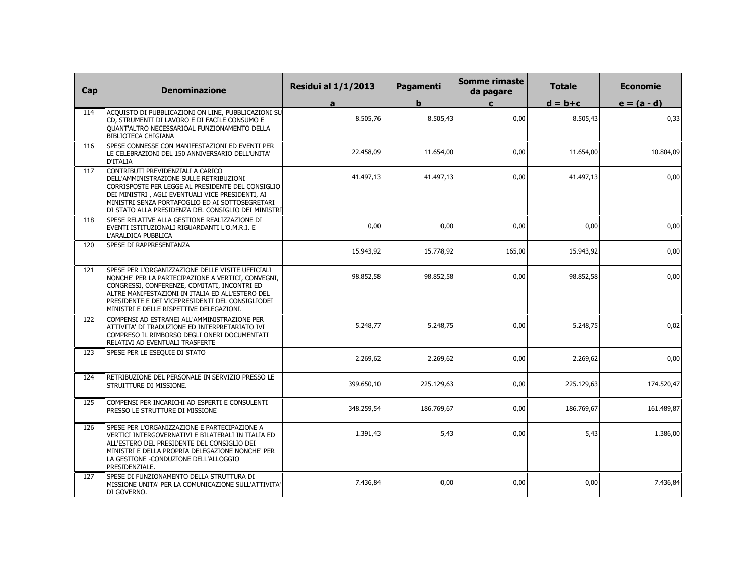| Cap | <b>Denominazione</b>                                                                                                                                                                                                                                                                                        | <b>Residui al 1/1/2013</b> | Pagamenti   | Somme rimaste<br>da pagare | <b>Totale</b> | <b>Economie</b> |
|-----|-------------------------------------------------------------------------------------------------------------------------------------------------------------------------------------------------------------------------------------------------------------------------------------------------------------|----------------------------|-------------|----------------------------|---------------|-----------------|
|     |                                                                                                                                                                                                                                                                                                             | a                          | $\mathbf b$ | $\mathbf{C}$               | $d = b + c$   | $e = (a - d)$   |
| 114 | ACQUISTO DI PUBBLICAZIONI ON LINE, PUBBLICAZIONI SU<br>CD, STRUMENTI DI LAVORO E DI FACILE CONSUMO E<br>QUANT'ALTRO NECESSARIOAL FUNZIONAMENTO DELLA<br><b>BIBLIOTECA CHIGIANA</b>                                                                                                                          | 8.505,76                   | 8.505,43    | 0,00                       | 8.505,43      | 0,33            |
| 116 | SPESE CONNESSE CON MANIFESTAZIONI ED EVENTI PER<br>LE CELEBRAZIONI DEL 150 ANNIVERSARIO DELL'UNITA'<br><b>D'ITALIA</b>                                                                                                                                                                                      | 22.458,09                  | 11.654,00   | 0,00                       | 11.654,00     | 10.804,09       |
| 117 | CONTRIBUTI PREVIDENZIALI A CARICO<br>DELL'AMMINISTRAZIONE SULLE RETRIBUZIONI<br>CORRISPOSTE PER LEGGE AL PRESIDENTE DEL CONSIGLIO<br>DEI MINISTRI, AGLI EVENTUALI VICE PRESIDENTI, AI<br>MINISTRI SENZA PORTAFOGLIO ED AI SOTTOSEGRETARI<br>DI STATO ALLA PRESIDENZA DEL CONSIGLIO DEI MINISTRI             | 41.497,13                  | 41.497.13   | 0,00                       | 41.497.13     | 0,00            |
| 118 | SPESE RELATIVE ALLA GESTIONE REALIZZAZIONE DI<br>EVENTI ISTITUZIONALI RIGUARDANTI L'O.M.R.I. E<br>L'ARALDICA PUBBLICA                                                                                                                                                                                       | 0.00                       | 0,00        | 0,00                       | 0,00          | 0,00            |
| 120 | SPESE DI RAPPRESENTANZA                                                                                                                                                                                                                                                                                     | 15.943,92                  | 15.778,92   | 165,00                     | 15.943,92     | 0,00            |
| 121 | SPESE PER L'ORGANIZZAZIONE DELLE VISITE UFFICIALI<br>NONCHE' PER LA PARTECIPAZIONE A VERTICI, CONVEGNI,<br>CONGRESSI, CONFERENZE, COMITATI, INCONTRI ED<br>ALTRE MANIFESTAZIONI IN ITALIA ED ALL'ESTERO DEL<br>PRESIDENTE E DEI VICEPRESIDENTI DEL CONSIGLIODEI<br>MINISTRI E DELLE RISPETTIVE DELEGAZIONI. | 98.852,58                  | 98.852,58   | 0,00                       | 98.852,58     | 0,00            |
| 122 | COMPENSI AD ESTRANEI ALL'AMMINISTRAZIONE PER<br>ATTIVITA' DI TRADUZIONE ED INTERPRETARIATO IVI<br>COMPRESO IL RIMBORSO DEGLI ONERI DOCUMENTATI<br>RELATIVI AD EVENTUALI TRASFERTE                                                                                                                           | 5.248,77                   | 5.248,75    | 0,00                       | 5.248,75      | 0,02            |
| 123 | SPESE PER LE ESEQUIE DI STATO                                                                                                                                                                                                                                                                               | 2.269,62                   | 2.269,62    | 0,00                       | 2.269,62      | 0,00            |
| 124 | RETRIBUZIONE DEL PERSONALE IN SERVIZIO PRESSO LE<br>STRUITTURE DI MISSIONE.                                                                                                                                                                                                                                 | 399.650.10                 | 225.129,63  | 0,00                       | 225.129.63    | 174.520.47      |
| 125 | COMPENSI PER INCARICHI AD ESPERTI E CONSULENTI<br>PRESSO LE STRUTTURE DI MISSIONE                                                                                                                                                                                                                           | 348.259,54                 | 186.769,67  | 0,00                       | 186.769,67    | 161.489,87      |
| 126 | SPESE PER L'ORGANIZZAZIONE E PARTECIPAZIONE A<br>VERTICI INTERGOVERNATIVI E BILATERALI IN ITALIA ED<br>ALL'ESTERO DEL PRESIDENTE DEL CONSIGLIO DEI<br>MINISTRI E DELLA PROPRIA DELEGAZIONE NONCHE' PER<br>LA GESTIONE -CONDUZIONE DELL'ALLOGGIO<br>PRESIDENZIALE.                                           | 1.391,43                   | 5,43        | 0,00                       | 5,43          | 1.386,00        |
| 127 | SPESE DI FUNZIONAMENTO DELLA STRUTTURA DI<br>MISSIONE UNITA' PER LA COMUNICAZIONE SULL'ATTIVITA'<br>DI GOVERNO.                                                                                                                                                                                             | 7.436,84                   | 0,00        | 0,00                       | 0,00          | 7.436,84        |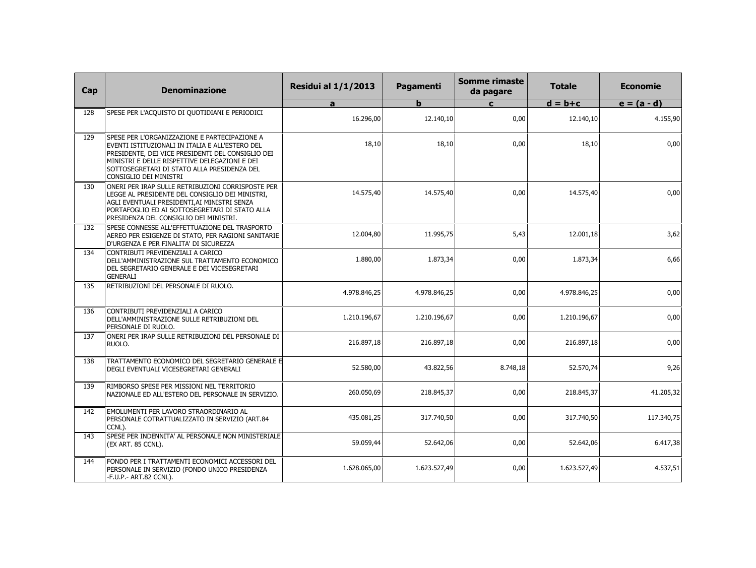| Cap | <b>Denominazione</b>                                                                                                                                                                                                                                                            | <b>Residui al 1/1/2013</b> | Pagamenti    | <b>Somme rimaste</b><br>da pagare | <b>Totale</b> | <b>Economie</b> |
|-----|---------------------------------------------------------------------------------------------------------------------------------------------------------------------------------------------------------------------------------------------------------------------------------|----------------------------|--------------|-----------------------------------|---------------|-----------------|
|     |                                                                                                                                                                                                                                                                                 | a                          | $\mathbf{h}$ | $\mathbf{c}$                      | $d = b + c$   | $e = (a - d)$   |
| 128 | SPESE PER L'ACQUISTO DI QUOTIDIANI E PERIODICI                                                                                                                                                                                                                                  | 16.296,00                  | 12.140,10    | 0,00                              | 12.140,10     | 4.155,90        |
| 129 | SPESE PER L'ORGANIZZAZIONE E PARTECIPAZIONE A<br>EVENTI ISTITUZIONALI IN ITALIA E ALL'ESTERO DEL<br>PRESIDENTE, DEI VICE PRESIDENTI DEL CONSIGLIO DEI<br>MINISTRI E DELLE RISPETTIVE DELEGAZIONI E DEI<br>SOTTOSEGRETARI DI STATO ALLA PRESIDENZA DEL<br>CONSIGLIO DEI MINISTRI | 18,10                      | 18,10        | 0,00                              | 18,10         | 0,00            |
| 130 | ONERI PER IRAP SULLE RETRIBUZIONI CORRISPOSTE PER<br>LEGGE AL PRESIDENTE DEL CONSIGLIO DEI MINISTRI,<br>AGLI EVENTUALI PRESIDENTI,AI MINISTRI SENZA<br>PORTAFOGLIO ED AI SOTTOSEGRETARI DI STATO ALLA<br>PRESIDENZA DEL CONSIGLIO DEI MINISTRI.                                 | 14.575,40                  | 14.575,40    | 0,00                              | 14.575,40     | 0,00            |
| 132 | SPESE CONNESSE ALL'EFFETTUAZIONE DEL TRASPORTO<br>AEREO PER ESIGENZE DI STATO, PER RAGIONI SANITARIE<br>D'URGENZA E PER FINALITA' DI SICUREZZA                                                                                                                                  | 12.004,80                  | 11.995,75    | 5,43                              | 12.001,18     | 3,62            |
| 134 | CONTRIBUTI PREVIDENZIALI A CARICO<br>DELL'AMMINISTRAZIONE SUL TRATTAMENTO ECONOMICO<br>DEL SEGRETARIO GENERALE E DEI VICESEGRETARI<br><b>GENERALI</b>                                                                                                                           | 1.880,00                   | 1.873,34     | 0,00                              | 1.873,34      | 6,66            |
| 135 | RETRIBUZIONI DEL PERSONALE DI RUOLO.                                                                                                                                                                                                                                            | 4.978.846,25               | 4.978.846,25 | 0,00                              | 4.978.846,25  | 0,00            |
| 136 | CONTRIBUTI PREVIDENZIALI A CARICO<br>DELL'AMMINISTRAZIONE SULLE RETRIBUZIONI DEL<br>PERSONALE DI RUOLO.                                                                                                                                                                         | 1.210.196,67               | 1.210.196,67 | 0,00                              | 1.210.196,67  | 0,00            |
| 137 | ONERI PER IRAP SULLE RETRIBUZIONI DEL PERSONALE DI<br>RUOLO.                                                                                                                                                                                                                    | 216.897,18                 | 216.897,18   | 0,00                              | 216.897,18    | 0,00            |
| 138 | TRATTAMENTO ECONOMICO DEL SEGRETARIO GENERALE E<br>DEGLI EVENTUALI VICESEGRETARI GENERALI                                                                                                                                                                                       | 52.580,00                  | 43.822,56    | 8.748,18                          | 52.570,74     | 9,26            |
| 139 | RIMBORSO SPESE PER MISSIONI NEL TERRITORIO<br>NAZIONALE ED ALL'ESTERO DEL PERSONALE IN SERVIZIO.                                                                                                                                                                                | 260.050,69                 | 218.845,37   | 0,00                              | 218.845,37    | 41.205,32       |
| 142 | EMOLUMENTI PER LAVORO STRAORDINARIO AL<br>PERSONALE COTRATTUALIZZATO IN SERVIZIO (ART.84<br>CCNL).                                                                                                                                                                              | 435.081,25                 | 317.740,50   | 0,00                              | 317.740,50    | 117.340,75      |
| 143 | SPESE PER INDENNITA' AL PERSONALE NON MINISTERIALE<br>(EX ART. 85 CCNL).                                                                                                                                                                                                        | 59.059,44                  | 52.642,06    | 0,00                              | 52.642,06     | 6.417,38        |
| 144 | FONDO PER I TRATTAMENTI ECONOMICI ACCESSORI DEL<br>PERSONALE IN SERVIZIO (FONDO UNICO PRESIDENZA<br>-F.U.P.- ART.82 CCNL).                                                                                                                                                      | 1.628.065,00               | 1.623.527,49 | 0,00                              | 1.623.527,49  | 4.537,51        |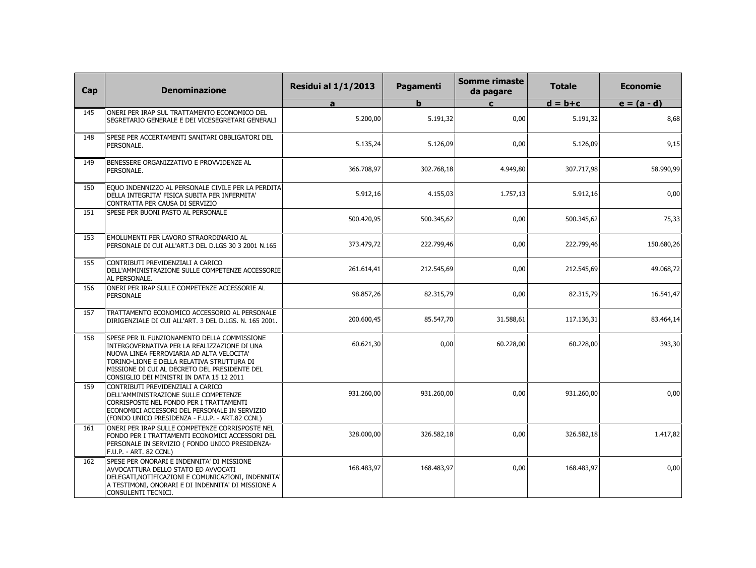| Cap | <b>Denominazione</b>                                                                                                                                                                                                                                                                  | <b>Residui al 1/1/2013</b> | Pagamenti   | <b>Somme rimaste</b><br>da pagare | <b>Totale</b> | <b>Economie</b> |
|-----|---------------------------------------------------------------------------------------------------------------------------------------------------------------------------------------------------------------------------------------------------------------------------------------|----------------------------|-------------|-----------------------------------|---------------|-----------------|
|     |                                                                                                                                                                                                                                                                                       | a                          | $\mathbf b$ | $\mathbf{c}$                      | $d = b + c$   | $e = (a - d)$   |
| 145 | ONERI PER IRAP SUL TRATTAMENTO ECONOMICO DEL<br>SEGRETARIO GENERALE E DEI VICESEGRETARI GENERALI                                                                                                                                                                                      | 5.200,00                   | 5.191,32    | 0,00                              | 5.191,32      | 8,68            |
| 148 | SPESE PER ACCERTAMENTI SANITARI OBBLIGATORI DEL<br>PERSONALE.                                                                                                                                                                                                                         | 5.135,24                   | 5.126,09    | 0,00                              | 5.126,09      | 9,15            |
| 149 | BENESSERE ORGANIZZATIVO E PROVVIDENZE AL<br>PERSONALE.                                                                                                                                                                                                                                | 366.708,97                 | 302.768,18  | 4.949,80                          | 307.717,98    | 58.990,99       |
| 150 | EQUO INDENNIZZO AL PERSONALE CIVILE PER LA PERDITA<br>DELLA INTEGRITA' FISICA SUBITA PER INFERMITA'<br>CONTRATTA PER CAUSA DI SERVIZIO                                                                                                                                                | 5.912,16                   | 4.155,03    | 1.757,13                          | 5.912,16      | 0,00            |
| 151 | SPESE PER BUONI PASTO AL PERSONALE                                                                                                                                                                                                                                                    | 500.420,95                 | 500.345,62  | 0,00                              | 500.345,62    | 75,33           |
| 153 | EMOLUMENTI PER LAVORO STRAORDINARIO AL<br>PERSONALE DI CUI ALL'ART.3 DEL D.LGS 30 3 2001 N.165                                                                                                                                                                                        | 373.479,72                 | 222.799,46  | 0,00                              | 222.799,46    | 150.680,26      |
| 155 | CONTRIBUTI PREVIDENZIALI A CARICO<br>DELL'AMMINISTRAZIONE SULLE COMPETENZE ACCESSORIE<br>AL PERSONALE.                                                                                                                                                                                | 261.614,41                 | 212.545,69  | 0,00                              | 212.545,69    | 49.068,72       |
| 156 | ONERI PER IRAP SULLE COMPETENZE ACCESSORIE AL<br>PERSONALE                                                                                                                                                                                                                            | 98.857,26                  | 82.315,79   | 0,00                              | 82.315,79     | 16.541,47       |
| 157 | TRATTAMENTO ECONOMICO ACCESSORIO AL PERSONALE<br>DIRIGENZIALE DI CUI ALL'ART. 3 DEL D.LGS. N. 165 2001.                                                                                                                                                                               | 200.600,45                 | 85.547,70   | 31.588,61                         | 117.136,31    | 83.464,14       |
| 158 | SPESE PER IL FUNZIONAMENTO DELLA COMMISSIONE<br>INTERGOVERNATIVA PER LA REALIZZAZIONE DI UNA<br>NUOVA LINEA FERROVIARIA AD ALTA VELOCITA'<br>TORINO-LIONE E DELLA RELATIVA STRUTTURA DI<br>MISSIONE DI CUI AL DECRETO DEL PRESIDENTE DEL<br>CONSIGLIO DEI MINISTRI IN DATA 15 12 2011 | 60.621,30                  | 0,00        | 60.228,00                         | 60.228,00     | 393,30          |
| 159 | CONTRIBUTI PREVIDENZIALI A CARICO<br>DELL'AMMINISTRAZIONE SULLE COMPETENZE<br>CORRISPOSTE NEL FONDO PER I TRATTAMENTI<br>ECONOMICI ACCESSORI DEL PERSONALE IN SERVIZIO<br>(FONDO UNICO PRESIDENZA - F.U.P. - ART.82 CCNL)                                                             | 931.260,00                 | 931.260,00  | 0,00                              | 931.260,00    | 0,00            |
| 161 | ONERI PER IRAP SULLE COMPETENZE CORRISPOSTE NEL<br>FONDO PER I TRATTAMENTI ECONOMICI ACCESSORI DEL<br>PERSONALE IN SERVIZIO ( FONDO UNICO PRESIDENZA-<br>F.U.P. - ART. 82 CCNL)                                                                                                       | 328.000,00                 | 326.582,18  | 0,00                              | 326.582,18    | 1.417,82        |
| 162 | SPESE PER ONORARI E INDENNITA' DI MISSIONE<br>AVVOCATTURA DELLO STATO ED AVVOCATI<br>DELEGATI, NOTIFICAZIONI E COMUNICAZIONI, INDENNITA'<br>A TESTIMONI, ONORARI E DI INDENNITA' DI MISSIONE A<br>CONSULENTI TECNICI.                                                                 | 168.483,97                 | 168.483,97  | 0,00                              | 168.483,97    | 0,00            |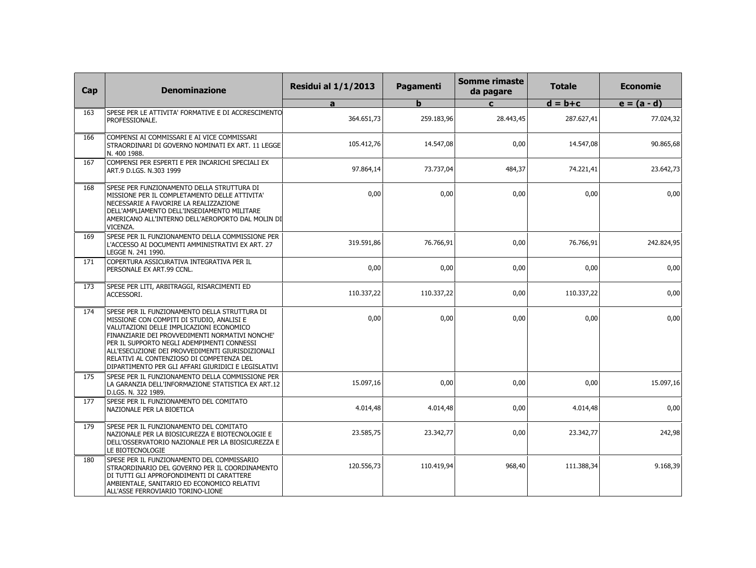| Cap | <b>Denominazione</b>                                                                                                                                                                                                                                                                                                                                                                            | <b>Residui al 1/1/2013</b> | Pagamenti  | <b>Somme rimaste</b><br>da pagare | <b>Totale</b> | <b>Economie</b> |
|-----|-------------------------------------------------------------------------------------------------------------------------------------------------------------------------------------------------------------------------------------------------------------------------------------------------------------------------------------------------------------------------------------------------|----------------------------|------------|-----------------------------------|---------------|-----------------|
|     |                                                                                                                                                                                                                                                                                                                                                                                                 | a                          | b          | $\mathbf{c}$                      | $d = b + c$   | $e = (a - d)$   |
| 163 | SPESE PER LE ATTIVITA' FORMATIVE E DI ACCRESCIMENTO<br>PROFESSIONALE.                                                                                                                                                                                                                                                                                                                           | 364.651,73                 | 259.183,96 | 28.443,45                         | 287.627,41    | 77.024,32       |
| 166 | COMPENSI AI COMMISSARI E AI VICE COMMISSARI<br>STRAORDINARI DI GOVERNO NOMINATI EX ART. 11 LEGGE<br>N. 400 1988.                                                                                                                                                                                                                                                                                | 105.412,76                 | 14.547,08  | 0,00                              | 14.547,08     | 90.865,68       |
| 167 | COMPENSI PER ESPERTI E PER INCARICHI SPECIALI EX<br>ART.9 D.LGS, N.303 1999                                                                                                                                                                                                                                                                                                                     | 97.864.14                  | 73.737,04  | 484,37                            | 74.221,41     | 23.642,73       |
| 168 | SPESE PER FUNZIONAMENTO DELLA STRUTTURA DI<br>MISSIONE PER IL COMPLETAMENTO DELLE ATTIVITA'<br>NECESSARIE A FAVORIRE LA REALIZZAZIONE<br>DELL'AMPLIAMENTO DELL'INSEDIAMENTO MILITARE<br>AMERICANO ALL'INTERNO DELL'AEROPORTO DAL MOLIN DI<br>VICENZA.                                                                                                                                           | 0.00                       | 0.00       | 0,00                              | 0.00          | 0,00            |
| 169 | SPESE PER IL FUNZIONAMENTO DELLA COMMISSIONE PER<br>L'ACCESSO AI DOCUMENTI AMMINISTRATIVI EX ART. 27<br>LEGGE N. 241 1990.                                                                                                                                                                                                                                                                      | 319.591,86                 | 76.766,91  | 0,00                              | 76.766,91     | 242.824,95      |
| 171 | COPERTURA ASSICURATIVA INTEGRATIVA PER IL<br>PERSONALE EX ART.99 CCNL.                                                                                                                                                                                                                                                                                                                          | 0,00                       | 0,00       | 0,00                              | 0,00          | 0,00            |
| 173 | SPESE PER LITI, ARBITRAGGI, RISARCIMENTI ED<br>ACCESSORI.                                                                                                                                                                                                                                                                                                                                       | 110.337,22                 | 110.337,22 | 0,00                              | 110.337,22    | 0,00            |
| 174 | SPESE PER IL FUNZIONAMENTO DELLA STRUTTURA DI<br>MISSIONE CON COMPITI DI STUDIO, ANALISI E<br>VALUTAZIONI DELLE IMPLICAZIONI ECONOMICO<br>FINANZIARIE DEI PROVVEDIMENTI NORMATIVI NONCHE'<br>PER IL SUPPORTO NEGLI ADEMPIMENTI CONNESSI<br>ALL'ESECUZIONE DEI PROVVEDIMENTI GIURISDIZIONALI<br>RELATIVI AL CONTENZIOSO DI COMPETENZA DEL<br>DIPARTIMENTO PER GLI AFFARI GIURIDICI E LEGISLATIVI | 0,00                       | 0,00       | 0,00                              | 0,00          | 0,00            |
| 175 | SPESE PER IL FUNZIONAMENTO DELLA COMMISSIONE PER<br>LA GARANZIA DELL'INFORMAZIONE STATISTICA EX ART.12<br>D.LGS, N. 322 1989.                                                                                                                                                                                                                                                                   | 15.097,16                  | 0.00       | 0,00                              | 0,00          | 15.097,16       |
| 177 | SPESE PER IL FUNZIONAMENTO DEL COMITATO<br>NAZIONALE PER LA BIOETICA                                                                                                                                                                                                                                                                                                                            | 4.014,48                   | 4.014,48   | 0,00                              | 4.014,48      | 0,00            |
| 179 | SPESE PER IL FUNZIONAMENTO DEL COMITATO<br>NAZIONALE PER LA BIOSICUREZZA E BIOTECNOLOGIE E<br>DELL'OSSERVATORIO NAZIONALE PER LA BIOSICUREZZA E<br>LE BIOTECNOLOGIE                                                                                                                                                                                                                             | 23.585,75                  | 23.342,77  | 0,00                              | 23.342,77     | 242,98          |
| 180 | SPESE PER IL FUNZIONAMENTO DEL COMMISSARIO<br>STRAORDINARIO DEL GOVERNO PER IL COORDINAMENTO<br>DI TUTTI GLI APPROFONDIMENTI DI CARATTERE<br>AMBIENTALE, SANITARIO ED ECONOMICO RELATIVI<br>ALL'ASSE FERROVIARIO TORINO-LIONE                                                                                                                                                                   | 120.556,73                 | 110.419,94 | 968,40                            | 111.388,34    | 9.168,39        |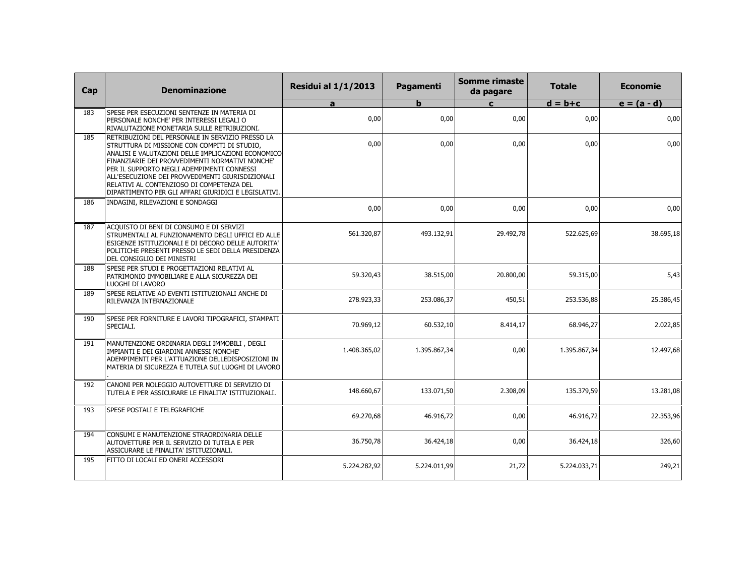| Cap | <b>Denominazione</b>                                                                                                                                                                                                                                                                                                                                                                                             | <b>Residui al 1/1/2013</b> | Pagamenti    | <b>Somme rimaste</b><br>da pagare | <b>Totale</b> | <b>Economie</b> |
|-----|------------------------------------------------------------------------------------------------------------------------------------------------------------------------------------------------------------------------------------------------------------------------------------------------------------------------------------------------------------------------------------------------------------------|----------------------------|--------------|-----------------------------------|---------------|-----------------|
|     |                                                                                                                                                                                                                                                                                                                                                                                                                  | a                          | b            | $\mathbf{c}$                      | $d = b + c$   | $e = (a - d)$   |
| 183 | SPESE PER ESECUZIONI SENTENZE IN MATERIA DI<br>PERSONALE NONCHE' PER INTERESSI LEGALI O<br>RIVALUTAZIONE MONETARIA SULLE RETRIBUZIONI.                                                                                                                                                                                                                                                                           | 0,00                       | 0,00         | 0,00                              | 0,00          | 0,00            |
| 185 | RETRIBUZIONI DEL PERSONALE IN SERVIZIO PRESSO LA<br>STRUTTURA DI MISSIONE CON COMPITI DI STUDIO,<br>ANALISI E VALUTAZIONI DELLE IMPLICAZIONI ECONOMICO<br>FINANZIARIE DEI PROVVEDIMENTI NORMATIVI NONCHE'<br>PER IL SUPPORTO NEGLI ADEMPIMENTI CONNESSI<br>ALL'ESECUZIONE DEI PROVVEDIMENTI GIURISDIZIONALI<br>RELATIVI AL CONTENZIOSO DI COMPETENZA DEL<br>DIPARTIMENTO PER GLI AFFARI GIURIDICI E LEGISLATIVI. | 0,00                       | 0,00         | 0,00                              | 0,00          | 0,00            |
| 186 | INDAGINI, RILEVAZIONI E SONDAGGI                                                                                                                                                                                                                                                                                                                                                                                 | 0,00                       | 0,00         | 0,00                              | 0,00          | 0,00            |
| 187 | ACQUISTO DI BENI DI CONSUMO E DI SERVIZI<br>STRUMENTALI AL FUNZIONAMENTO DEGLI UFFICI ED ALLE<br>ESIGENZE ISTITUZIONALI E DI DECORO DELLE AUTORITA'<br>POLITICHE PRESENTI PRESSO LE SEDI DELLA PRESIDENZA<br>DEL CONSIGLIO DEI MINISTRI                                                                                                                                                                          | 561.320,87                 | 493.132,91   | 29.492,78                         | 522.625,69    | 38.695,18       |
| 188 | SPESE PER STUDI E PROGETTAZIONI RELATIVI AL<br>PATRIMONIO IMMOBILIARE E ALLA SICUREZZA DEI<br>LUOGHI DI LAVORO                                                                                                                                                                                                                                                                                                   | 59.320,43                  | 38.515,00    | 20.800,00                         | 59.315,00     | 5,43            |
| 189 | SPESE RELATIVE AD EVENTI ISTITUZIONALI ANCHE DI<br>RILEVANZA INTERNAZIONALE                                                                                                                                                                                                                                                                                                                                      | 278.923,33                 | 253.086,37   | 450,51                            | 253.536,88    | 25.386,45       |
| 190 | SPESE PER FORNITURE E LAVORI TIPOGRAFICI, STAMPATI<br>SPECIALI.                                                                                                                                                                                                                                                                                                                                                  | 70.969,12                  | 60.532,10    | 8.414,17                          | 68.946,27     | 2.022,85        |
| 191 | MANUTENZIONE ORDINARIA DEGLI IMMOBILI, DEGLI<br>IMPIANTI E DEI GIARDINI ANNESSI NONCHE'<br>ADEMPIMENTI PER L'ATTUAZIONE DELLEDISPOSIZIONI IN<br>MATERIA DI SICUREZZA E TUTELA SUI LUOGHI DI LAVORO                                                                                                                                                                                                               | 1.408.365,02               | 1.395.867,34 | 0,00                              | 1.395.867,34  | 12.497,68       |
| 192 | CANONI PER NOLEGGIO AUTOVETTURE DI SERVIZIO DI<br>TUTELA E PER ASSICURARE LE FINALITA' ISTITUZIONALI.                                                                                                                                                                                                                                                                                                            | 148.660,67                 | 133.071,50   | 2.308,09                          | 135.379,59    | 13.281,08       |
| 193 | SPESE POSTALI E TELEGRAFICHE                                                                                                                                                                                                                                                                                                                                                                                     | 69.270,68                  | 46.916,72    | 0,00                              | 46.916,72     | 22.353,96       |
| 194 | CONSUMI E MANUTENZIONE STRAORDINARIA DELLE<br>AUTOVETTURE PER IL SERVIZIO DI TUTELA E PER<br>ASSICURARE LE FINALITA' ISTITUZIONALI.                                                                                                                                                                                                                                                                              | 36.750,78                  | 36.424,18    | 0,00                              | 36.424,18     | 326,60          |
| 195 | FITTO DI LOCALI ED ONERI ACCESSORI                                                                                                                                                                                                                                                                                                                                                                               | 5.224.282,92               | 5.224.011,99 | 21,72                             | 5.224.033,71  | 249,21          |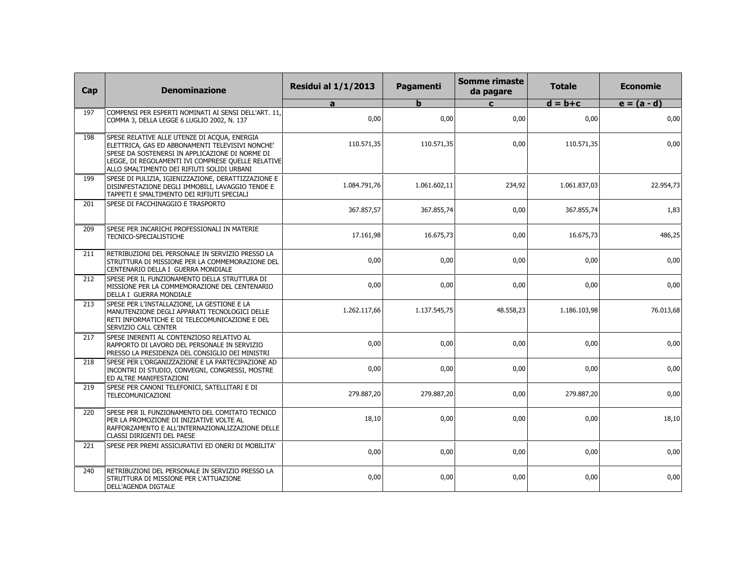| Cap | <b>Denominazione</b>                                                                                                                                                                                                                                    | <b>Residui al 1/1/2013</b> | Pagamenti    | <b>Somme rimaste</b><br>da pagare | <b>Totale</b> | <b>Economie</b> |
|-----|---------------------------------------------------------------------------------------------------------------------------------------------------------------------------------------------------------------------------------------------------------|----------------------------|--------------|-----------------------------------|---------------|-----------------|
|     |                                                                                                                                                                                                                                                         | a                          | b            | $\mathbf{c}$                      | $d = b + c$   | $e = (a - d)$   |
| 197 | COMPENSI PER ESPERTI NOMINATI AI SENSI DELL'ART. 11.<br>COMMA 3, DELLA LEGGE 6 LUGLIO 2002, N. 137                                                                                                                                                      | 0,00                       | 0,00         | 0,00                              | 0,00          | 0,00            |
| 198 | SPESE RELATIVE ALLE UTENZE DI ACQUA, ENERGIA<br>ELETTRICA, GAS ED ABBONAMENTI TELEVISIVI NONCHE'<br>SPESE DA SOSTENERSI IN APPLICAZIONE DI NORME DI<br>LEGGE, DI REGOLAMENTI IVI COMPRESE QUELLE RELATIVE<br>ALLO SMALTIMENTO DEI RIFIUTI SOLIDI URBANI | 110.571,35                 | 110.571,35   | 0,00                              | 110.571,35    | 0,00            |
| 199 | SPESE DI PULIZIA, IGIENIZZAZIONE, DERATTIZZAZIONE E<br>DISINFESTAZIONE DEGLI IMMOBILI, LAVAGGIO TENDE E<br>TAPPETI E SMALTIMENTO DEI RIFIUTI SPECIALI                                                                                                   | 1.084.791,76               | 1.061.602,11 | 234,92                            | 1.061.837,03  | 22.954,73       |
| 201 | SPESE DI FACCHINAGGIO E TRASPORTO                                                                                                                                                                                                                       | 367.857,57                 | 367.855,74   | 0,00                              | 367.855,74    | 1,83            |
| 209 | SPESE PER INCARICHI PROFESSIONALI IN MATERIE<br>TECNICO-SPECIALISTICHE                                                                                                                                                                                  | 17.161,98                  | 16.675,73    | 0,00                              | 16.675,73     | 486,25          |
| 211 | RETRIBUZIONI DEL PERSONALE IN SERVIZIO PRESSO LA<br>STRUTTURA DI MISSIONE PER LA COMMEMORAZIONE DEL<br>CENTENARIO DELLA I GUERRA MONDIALE                                                                                                               | 0,00                       | 0,00         | 0,00                              | 0,00          | 0,00            |
| 212 | SPESE PER IL FUNZIONAMENTO DELLA STRUTTURA DI<br>MISSIONE PER LA COMMEMORAZIONE DEL CENTENARIO<br>DELLA I GUERRA MONDIALE                                                                                                                               | 0,00                       | 0,00         | 0,00                              | 0,00          | 0,00            |
| 213 | SPESE PER L'INSTALLAZIONE, LA GESTIONE E LA<br>MANUTENZIONE DEGLI APPARATI TECNOLOGICI DELLE<br>RETI INFORMATICHE E DI TELECOMUNICAZIONE E DEL<br>SERVIZIO CALL CENTER                                                                                  | 1.262.117,66               | 1.137.545,75 | 48.558,23                         | 1.186.103,98  | 76.013,68       |
| 217 | SPESE INERENTI AL CONTENZIOSO RELATIVO AL<br>RAPPORTO DI LAVORO DEL PERSONALE IN SERVIZIO<br>PRESSO LA PRESIDENZA DEL CONSIGLIO DEI MINISTRI                                                                                                            | 0,00                       | 0,00         | 0,00                              | 0,00          | 0,00            |
| 218 | SPESE PER L'ORGANIZZAZIONE E LA PARTECIPAZIONE AD<br>INCONTRI DI STUDIO, CONVEGNI, CONGRESSI, MOSTRE<br>ED ALTRE MANIFESTAZIONI                                                                                                                         | 0,00                       | 0,00         | 0,00                              | 0,00          | 0,00            |
| 219 | SPESE PER CANONI TELEFONICI, SATELLITARI E DI<br>TELECOMUNICAZIONI                                                                                                                                                                                      | 279.887,20                 | 279.887,20   | 0,00                              | 279.887,20    | 0,00            |
| 220 | SPESE PER IL FUNZIONAMENTO DEL COMITATO TECNICO<br>PER LA PROMOZIONE DI INIZIATIVE VOLTE AL<br>RAFFORZAMENTO E ALL'INTERNAZIONALIZZAZIONE DELLE<br>CLASSI DIRIGENTI DEL PAESE                                                                           | 18,10                      | 0,00         | 0,00                              | 0,00          | 18,10           |
| 221 | SPESE PER PREMI ASSICURATIVI ED ONERI DI MOBILITA'                                                                                                                                                                                                      | 0,00                       | 0,00         | 0,00                              | 0,00          | 0,00            |
| 240 | RETRIBUZIONI DEL PERSONALE IN SERVIZIO PRESSO LA<br>STRUTTURA DI MISSIONE PER L'ATTUAZIONE<br>DELL'AGENDA DIGTALE                                                                                                                                       | 0,00                       | 0,00         | 0,00                              | 0,00          | 0,00            |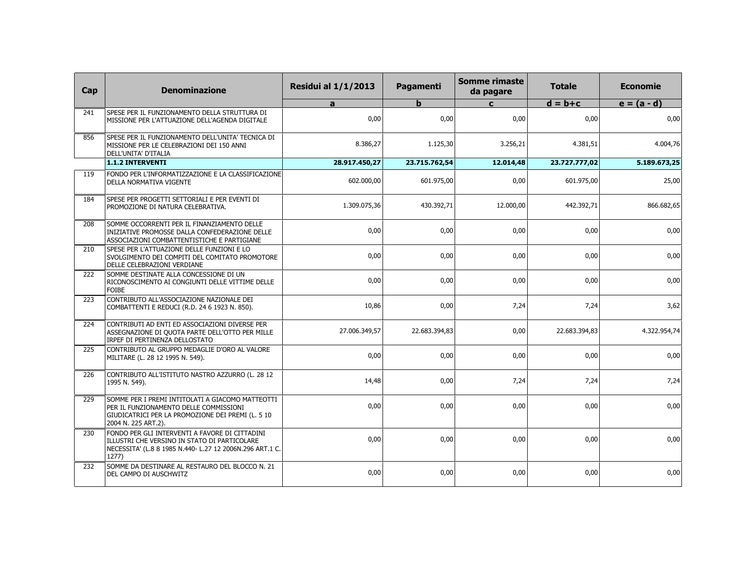| Cap              | <b>Denominazione</b>                                                                                                                                                   | <b>Residui al 1/1/2013</b> | Pagamenti     | <b>Somme rimaste</b><br>da pagare | <b>Totale</b> | <b>Economie</b> |
|------------------|------------------------------------------------------------------------------------------------------------------------------------------------------------------------|----------------------------|---------------|-----------------------------------|---------------|-----------------|
|                  |                                                                                                                                                                        | a                          | $\mathbf b$   | $\mathbf{c}$                      | $d = b + c$   | $e = (a - d)$   |
| 241              | SPESE PER IL FUNZIONAMENTO DELLA STRUTTURA DI<br>MISSIONE PER L'ATTUAZIONE DELL'AGENDA DIGITALE                                                                        | 0,00                       | 0,00          | 0,00                              | 0,00          | 0,00            |
| 856              | SPESE PER IL FUNZIONAMENTO DELL'UNITA' TECNICA DI<br>MISSIONE PER LE CELEBRAZIONI DEI 150 ANNI<br>DELL'UNITA' D'ITALIA                                                 | 8.386,27                   | 1.125,30      | 3.256,21                          | 4.381,51      | 4.004,76        |
|                  | 1.1.2 INTERVENTI                                                                                                                                                       | 28.917.450,27              | 23.715.762,54 | 12.014,48                         | 23.727.777,02 | 5.189.673,25    |
| 119              | FONDO PER L'INFORMATIZZAZIONE E LA CLASSIFICAZIONE<br>DELLA NORMATIVA VIGENTE                                                                                          | 602.000,00                 | 601.975,00    | 0,00                              | 601.975,00    | 25,00           |
| 184              | SPESE PER PROGETTI SETTORIALI E PER EVENTI DI<br>PROMOZIONE DI NATURA CELEBRATIVA.                                                                                     | 1.309.075,36               | 430.392,71    | 12.000,00                         | 442.392,71    | 866.682,65      |
| 208              | SOMME OCCORRENTI PER IL FINANZIAMENTO DELLE<br>INIZIATIVE PROMOSSE DALLA CONFEDERAZIONE DELLE<br>ASSOCIAZIONI COMBATTENTISTICHE E PARTIGIANE                           | 0,00                       | 0,00          | 0,00                              | 0.00          | 0,00            |
| 210              | SPESE PER L'ATTUAZIONE DELLE FUNZIONI E LO<br>SVOLGIMENTO DEI COMPITI DEL COMITATO PROMOTORE<br>DELLE CELEBRAZIONI VERDIANE                                            | 0,00                       | 0,00          | 0,00                              | 0,00          | 0,00            |
| $\overline{222}$ | SOMME DESTINATE ALLA CONCESSIONE DI UN<br>RICONOSCIMENTO AI CONGIUNTI DELLE VITTIME DELLE<br><b>FOIBE</b>                                                              | 0,00                       | 0,00          | 0,00                              | 0,00          | 0,00            |
| 223              | CONTRIBUTO ALL'ASSOCIAZIONE NAZIONALE DEI<br>COMBATTENTI E REDUCI (R.D. 24 6 1923 N. 850).                                                                             | 10,86                      | 0,00          | 7,24                              | 7,24          | 3,62            |
| $\overline{224}$ | CONTRIBUTI AD ENTI ED ASSOCIAZIONI DIVERSE PER<br>ASSEGNAZIONE DI QUOTA PARTE DELL'OTTO PER MILLE<br>IRPEF DI PERTINENZA DELLOSTATO                                    | 27.006.349,57              | 22.683.394,83 | 0,00                              | 22.683.394,83 | 4.322.954,74    |
| 225              | CONTRIBUTO AL GRUPPO MEDAGLIE D'ORO AL VALORE<br>MILITARE (L. 28 12 1995 N. 549).                                                                                      | 0,00                       | 0,00          | 0,00                              | 0,00          | 0,00            |
| 226              | CONTRIBUTO ALL'ISTITUTO NASTRO AZZURRO (L. 28 12<br>1995 N. 549).                                                                                                      | 14,48                      | 0,00          | 7,24                              | 7,24          | 7,24            |
| 229              | SOMME PER I PREMI INTITOLATI A GIACOMO MATTEOTTI<br>PER IL FUNZIONAMENTO DELLE COMMISSIONI<br>GIUDICATRICI PER LA PROMOZIONE DEI PREMI (L. 5 10<br>2004 N. 225 ART.2). | 0,00                       | 0,00          | 0,00                              | 0,00          | 0,00            |
| 230              | FONDO PER GLI INTERVENTI A FAVORE DI CITTADINI<br>ILLUSTRI CHE VERSINO IN STATO DI PARTICOLARE<br>NECESSITA' (L.8 8 1985 N.440- L.27 12 2006N.296 ART.1 C.<br>1277)    | 0,00                       | 0,00          | 0,00                              | 0,00          | 0,00            |
| 232              | SOMME DA DESTINARE AL RESTAURO DEL BLOCCO N. 21<br>DEL CAMPO DI AUSCHWITZ                                                                                              | 0,00                       | 0,00          | 0,00                              | 0,00          | 0,00            |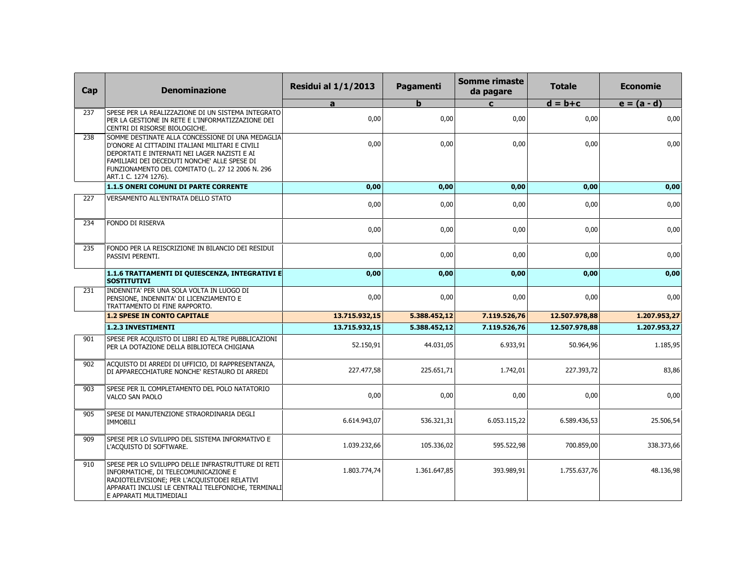| Cap | <b>Denominazione</b>                                                                                                                                                                                                                                                            | <b>Residui al 1/1/2013</b> | Pagamenti    | <b>Somme rimaste</b><br>da pagare | <b>Totale</b> | <b>Economie</b> |
|-----|---------------------------------------------------------------------------------------------------------------------------------------------------------------------------------------------------------------------------------------------------------------------------------|----------------------------|--------------|-----------------------------------|---------------|-----------------|
|     |                                                                                                                                                                                                                                                                                 | a                          | b            | $\mathbf{C}$                      | $d = b + c$   | $e = (a - d)$   |
| 237 | SPESE PER LA REALIZZAZIONE DI UN SISTEMA INTEGRATO<br>PER LA GESTIONE IN RETE E L'INFORMATIZZAZIONE DEI<br>CENTRI DI RISORSE BIOLOGICHE.                                                                                                                                        | 0,00                       | 0,00         | 0,00                              | 0,00          | 0,00            |
| 238 | SOMME DESTINATE ALLA CONCESSIONE DI UNA MEDAGLIA<br>D'ONORE AI CITTADINI ITALIANI MILITARI E CIVILI<br>DEPORTATI E INTERNATI NEI LAGER NAZISTI E AI<br>FAMILIARI DEI DECEDUTI NONCHE' ALLE SPESE DI<br>FUNZIONAMENTO DEL COMITATO (L. 27 12 2006 N. 296<br>ART.1 C. 1274 1276). | 0,00                       | 0,00         | 0,00                              | 0,00          | 0,00            |
|     | 1.1.5 ONERI COMUNI DI PARTE CORRENTE                                                                                                                                                                                                                                            | 0,00                       | 0,00         | 0,00                              | 0,00          | 0,00            |
| 227 | VERSAMENTO ALL'ENTRATA DELLO STATO                                                                                                                                                                                                                                              | 0,00                       | 0,00         | 0,00                              | 0,00          | 0,00            |
| 234 | FONDO DI RISERVA                                                                                                                                                                                                                                                                | 0,00                       | 0,00         | 0,00                              | 0,00          | 0,00            |
| 235 | FONDO PER LA REISCRIZIONE IN BILANCIO DEI RESIDUI<br>PASSIVI PERENTI.                                                                                                                                                                                                           | 0,00                       | 0,00         | 0,00                              | 0,00          | 0,00            |
|     | 1.1.6 TRATTAMENTI DI QUIESCENZA, INTEGRATIVI E<br><b>SOSTITUTIVI</b>                                                                                                                                                                                                            | 0,00                       | 0,00         | 0,00                              | 0,00          | 0,00            |
| 231 | INDENNITA' PER UNA SOLA VOLTA IN LUOGO DI<br>PENSIONE, INDENNITA' DI LICENZIAMENTO E<br>TRATTAMENTO DI FINE RAPPORTO.                                                                                                                                                           | 0,00                       | 0,00         | 0,00                              | 0,00          | 0,00            |
|     | <b>1.2 SPESE IN CONTO CAPITALE</b>                                                                                                                                                                                                                                              | 13.715.932,15              | 5.388.452,12 | 7.119.526,76                      | 12.507.978,88 | 1.207.953,27    |
|     | <b>1.2.3 INVESTIMENTI</b>                                                                                                                                                                                                                                                       | 13.715.932,15              | 5.388.452,12 | 7.119.526,76                      | 12.507.978,88 | 1.207.953,27    |
| 901 | SPESE PER ACQUISTO DI LIBRI ED ALTRE PUBBLICAZIONI<br>PER LA DOTAZIONE DELLA BIBLIOTECA CHIGIANA                                                                                                                                                                                | 52.150,91                  | 44.031,05    | 6.933,91                          | 50.964,96     | 1.185,95        |
| 902 | ACQUISTO DI ARREDI DI UFFICIO, DI RAPPRESENTANZA,<br>DI APPARECCHIATURE NONCHE' RESTAURO DI ARREDI                                                                                                                                                                              | 227.477,58                 | 225.651,71   | 1.742,01                          | 227.393,72    | 83,86           |
| 903 | SPESE PER IL COMPLETAMENTO DEL POLO NATATORIO<br>VALCO SAN PAOLO                                                                                                                                                                                                                | 0,00                       | 0,00         | 0,00                              | 0,00          | 0,00            |
| 905 | SPESE DI MANUTENZIONE STRAORDINARIA DEGLI<br><b>IMMOBILI</b>                                                                                                                                                                                                                    | 6.614.943,07               | 536.321,31   | 6.053.115,22                      | 6.589.436,53  | 25.506,54       |
| 909 | SPESE PER LO SVILUPPO DEL SISTEMA INFORMATIVO E<br>L'ACQUISTO DI SOFTWARE.                                                                                                                                                                                                      | 1.039.232,66               | 105.336,02   | 595.522,98                        | 700.859,00    | 338.373,66      |
| 910 | SPESE PER LO SVILUPPO DELLE INFRASTRUTTURE DI RETI<br>INFORMATICHE, DI TELECOMUNICAZIONE E<br>RADIOTELEVISIONE; PER L'ACQUISTODEI RELATIVI<br>APPARATI INCLUSI LE CENTRALI TELEFONICHE, TERMINALI<br>E APPARATI MULTIMEDIALI                                                    | 1.803.774,74               | 1.361.647,85 | 393.989,91                        | 1.755.637,76  | 48.136,98       |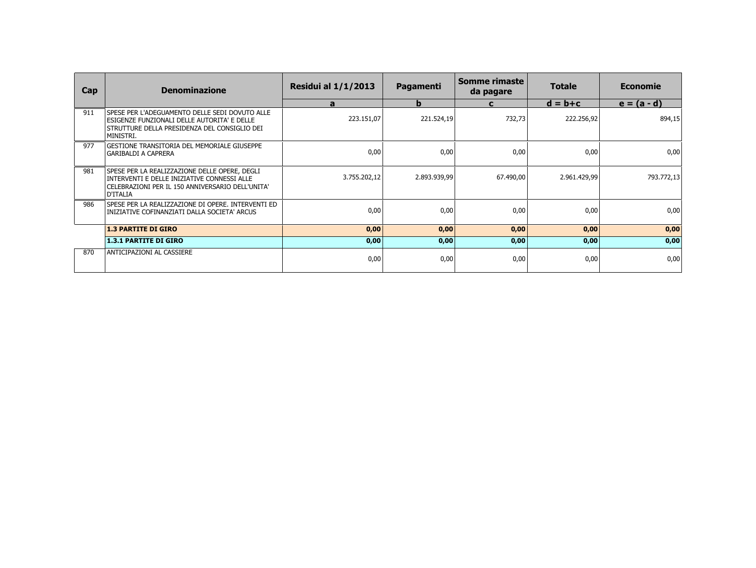| Cap | <b>Denominazione</b>                                                                                                                                          | <b>Residui al 1/1/2013</b> | Pagamenti    | Somme rimaste<br>da pagare | <b>Totale</b> | <b>Economie</b> |
|-----|---------------------------------------------------------------------------------------------------------------------------------------------------------------|----------------------------|--------------|----------------------------|---------------|-----------------|
|     |                                                                                                                                                               | a                          | $\mathbf b$  | C                          | $d = b + c$   | $e = (a - d)$   |
| 911 | ISPESE PER L'ADEGUAMENTO DELLE SEDI DOVUTO ALLE<br>ESIGENZE FUNZIONALI DELLE AUTORITA' E DELLE<br>STRUTTURE DELLA PRESIDENZA DEL CONSIGLIO DEI<br>MINISTRI.   | 223.151,07                 | 221.524,19   | 732,73                     | 222.256,92    | 894,15          |
| 977 | GESTIONE TRANSITORIA DEL MEMORIALE GIUSEPPE<br> GARIBALDI A CAPRERA                                                                                           | 0,00                       | 0,00         | 0,00                       | 0,00          | 0,00            |
| 981 | SPESE PER LA REALIZZAZIONE DELLE OPERE, DEGLI<br>INTERVENTI E DELLE INIZIATIVE CONNESSI ALLE<br> CELEBRAZIONI PER IL 150 ANNIVERSARIO DELL'UNITA'<br>D'ITALIA | 3.755.202,12               | 2.893.939,99 | 67.490,00                  | 2.961.429,99  | 793.772,13      |
| 986 | lspese per la realizzazione di Opere. Interventi ed<br>  INIZIATIVE COFINANZIATI DALLA SOCIETA' ARCUS                                                         | 0,00                       | 0,00         | 0,00                       | 0,00          | 0,00            |
|     | <b>1.3 PARTITE DI GIRO</b>                                                                                                                                    | 0,00                       | 0,00         | 0,00                       | 0,00          | 0,00            |
|     | <b>1.3.1 PARTITE DI GIRO</b>                                                                                                                                  | 0,00                       | 0,00         | 0,00                       | 0,00          | 0,00            |
| 870 | ANTICIPAZIONI AL CASSIERE                                                                                                                                     | 0,00                       | 0,00         | 0,00                       | 0,00          | 0,00            |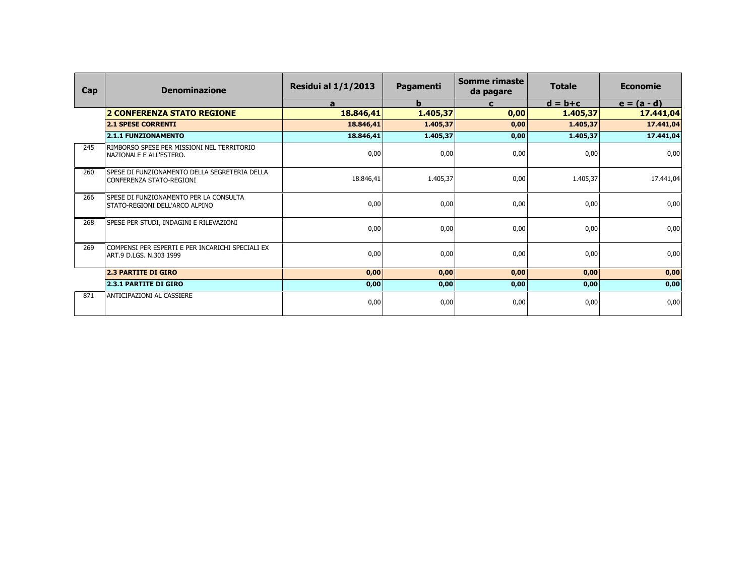| Cap | <b>Denominazione</b>                                                        | <b>Residui al 1/1/2013</b> | <b>Pagamenti</b> | <b>Somme rimaste</b><br>da pagare | <b>Totale</b> | <b>Economie</b> |
|-----|-----------------------------------------------------------------------------|----------------------------|------------------|-----------------------------------|---------------|-----------------|
|     |                                                                             | a                          | $\mathbf b$      | $\mathbf c$                       | $d = b + c$   | $e = (a - d)$   |
|     | <b>2 CONFERENZA STATO REGIONE</b>                                           | 18.846,41                  | 1.405, 37        | 0,00                              | 1.405,37      | 17.441,04       |
|     | <b>2.1 SPESE CORRENTI</b>                                                   | 18.846,41                  | 1.405,37         | 0,00                              | 1.405,37      | 17.441,04       |
|     | <b>2.1.1 FUNZIONAMENTO</b>                                                  | 18.846,41                  | 1.405,37         | 0,00                              | 1.405,37      | 17.441,04       |
| 245 | RIMBORSO SPESE PER MISSIONI NEL TERRITORIO<br>  NAZIONALE E ALL'ESTERO.     | 0,00                       | 0,00             | 0,00                              | 0,00          | 0,00            |
| 260 | SPESE DI FUNZIONAMENTO DELLA SEGRETERIA DELLA<br>CONFERENZA STATO-REGIONI   | 18.846,41                  | 1.405,37         | 0,00                              | 1.405,37      | 17.441,04       |
| 266 | SPESE DI FUNZIONAMENTO PER LA CONSULTA<br>STATO-REGIONI DELL'ARCO ALPINO    | 0,00                       | 0,00             | 0,00                              | 0,00          | 0,00            |
| 268 | SPESE PER STUDI, INDAGINI E RILEVAZIONI                                     | 0,00                       | 0,00             | 0,00                              | 0,00          | 0,00            |
| 269 | Compensi per esperti e per incarichi speciali ex<br>ART.9 D.LGS. N.303 1999 | 0,00                       | 0,00             | 0,00                              | 0,00          | 0,00            |
|     | <b>2.3 PARTITE DI GIRO</b>                                                  | 0,00                       | 0,00             | 0,00                              | 0,00          | 0,00            |
|     | <b>2.3.1 PARTITE DI GIRO</b>                                                | 0,00                       | 0,00             | 0,00                              | 0,00          | 0,00            |
| 871 | ANTICIPAZIONI AL CASSIERE                                                   | 0,00                       | 0,00             | 0,00                              | 0,00          | 0,00            |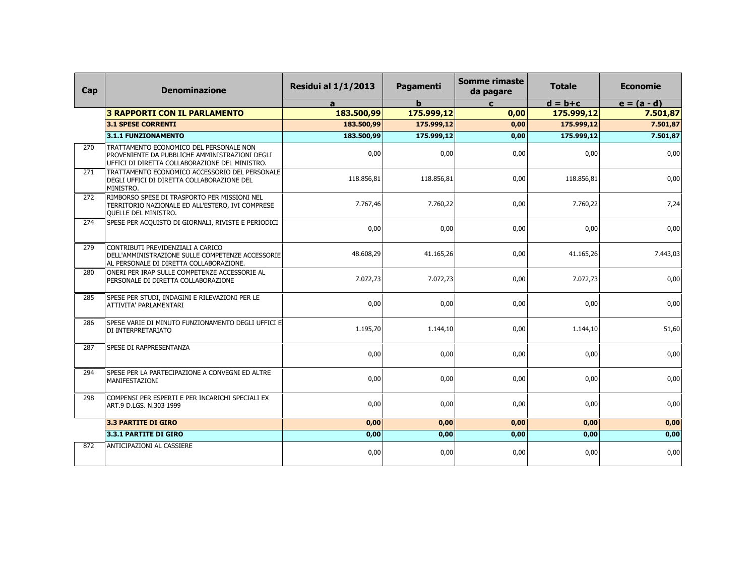| Cap              | <b>Denominazione</b>                                                                                                                        | <b>Residui al 1/1/2013</b> | <b>Pagamenti</b> | Somme rimaste<br>da pagare | <b>Totale</b> | <b>Economie</b> |
|------------------|---------------------------------------------------------------------------------------------------------------------------------------------|----------------------------|------------------|----------------------------|---------------|-----------------|
|                  |                                                                                                                                             | a                          | $\mathbf b$      | $\mathbf{c}$               | $d = b + c$   | $e = (a - d)$   |
|                  | <b>3 RAPPORTI CON IL PARLAMENTO</b>                                                                                                         | 183.500,99                 | 175.999,12       | 0,00                       | 175.999,12    | 7.501,87        |
|                  | <b>3.1 SPESE CORRENTI</b>                                                                                                                   | 183.500,99                 | 175.999,12       | 0,00                       | 175.999,12    | 7.501,87        |
|                  | 3.1.1 FUNZIONAMENTO                                                                                                                         | 183.500,99                 | 175.999,12       | 0,00                       | 175.999,12    | 7.501,87        |
| 270              | TRATTAMENTO ECONOMICO DEL PERSONALE NON<br>PROVENIENTE DA PUBBLICHE AMMINISTRAZIONI DEGLI<br>UFFICI DI DIRETTA COLLABORAZIONE DEL MINISTRO. | 0.00                       | 0.00             | 0,00                       | 0.00          | 0,00            |
| 271              | TRATTAMENTO ECONOMICO ACCESSORIO DEL PERSONALE<br>DEGLI UFFICI DI DIRETTA COLLABORAZIONE DEL<br>MINISTRO.                                   | 118.856,81                 | 118.856.81       | 0,00                       | 118.856,81    | 0,00            |
| 272              | RIMBORSO SPESE DI TRASPORTO PER MISSIONI NEL<br>TERRITORIO NAZIONALE ED ALL'ESTERO, IVI COMPRESE<br><b>OUELLE DEL MINISTRO.</b>             | 7.767,46                   | 7.760,22         | 0,00                       | 7.760,22      | 7,24            |
| 274              | SPESE PER ACQUISTO DI GIORNALI, RIVISTE E PERIODICI                                                                                         | 0,00                       | 0,00             | 0,00                       | 0,00          | 0,00            |
| 279              | CONTRIBUTI PREVIDENZIALI A CARICO<br>DELL'AMMINISTRAZIONE SULLE COMPETENZE ACCESSORIE<br>AL PERSONALE DI DIRETTA COLLABORAZIONE.            | 48.608,29                  | 41.165,26        | 0,00                       | 41.165,26     | 7.443,03        |
| 280              | ONERI PER IRAP SULLE COMPETENZE ACCESSORIE AL<br>PERSONALE DI DIRETTA COLLABORAZIONE                                                        | 7.072,73                   | 7.072,73         | 0,00                       | 7.072,73      | 0,00            |
| 285              | SPESE PER STUDI, INDAGINI E RILEVAZIONI PER LE<br>ATTIVITA' PARLAMENTARI                                                                    | 0,00                       | 0,00             | 0,00                       | 0,00          | 0,00            |
| 286              | SPESE VARIE DI MINUTO FUNZIONAMENTO DEGLI UFFICI E<br>DI INTERPRETARIATO                                                                    | 1.195,70                   | 1.144,10         | 0,00                       | 1.144,10      | 51,60           |
| 287              | SPESE DI RAPPRESENTANZA                                                                                                                     | 0,00                       | 0.00             | 0,00                       | 0.00          | 0,00            |
| $\overline{294}$ | SPESE PER LA PARTECIPAZIONE A CONVEGNI ED ALTRE<br>MANIFESTAZIONI                                                                           | 0,00                       | 0,00             | 0,00                       | 0,00          | 0,00            |
| 298              | COMPENSI PER ESPERTI E PER INCARICHI SPECIALI EX<br>ART.9 D.LGS. N.303 1999                                                                 | 0,00                       | 0,00             | 0,00                       | 0,00          | 0,00            |
|                  | 3.3 PARTITE DI GIRO                                                                                                                         | 0,00                       | 0,00             | 0,00                       | 0,00          | 0,00            |
|                  | 3.3.1 PARTITE DI GIRO                                                                                                                       | 0,00                       | 0,00             | 0,00                       | 0,00          | 0,00            |
| 872              | ANTICIPAZIONI AL CASSIERE                                                                                                                   | 0,00                       | 0,00             | 0,00                       | 0,00          | 0,00            |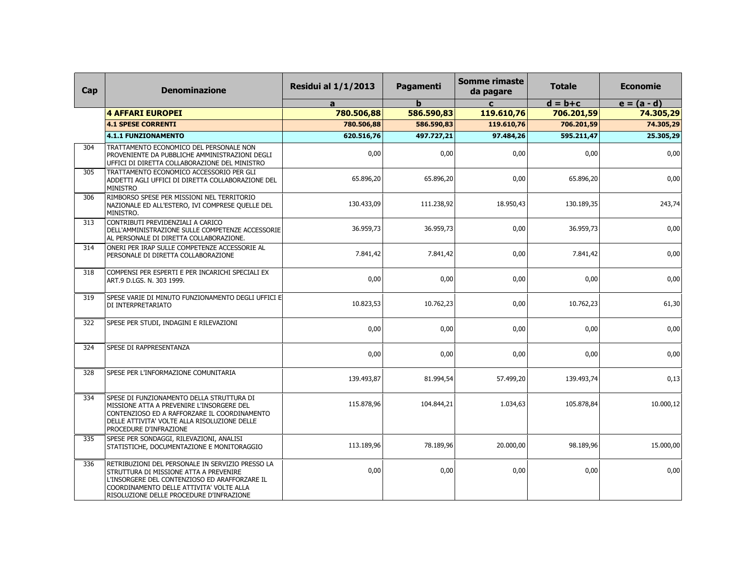| Cap | <b>Denominazione</b>                                                                                                                                                                                                                | <b>Residui al 1/1/2013</b> | Pagamenti  | <b>Somme rimaste</b><br>da pagare | <b>Totale</b> | <b>Economie</b> |
|-----|-------------------------------------------------------------------------------------------------------------------------------------------------------------------------------------------------------------------------------------|----------------------------|------------|-----------------------------------|---------------|-----------------|
|     |                                                                                                                                                                                                                                     | a                          | h          | $\mathbf{C}$                      | $d = b + c$   | $e = (a - d)$   |
|     | <b>4 AFFARI EUROPEI</b>                                                                                                                                                                                                             | 780.506,88                 | 586.590,83 | 119.610,76                        | 706.201,59    | 74.305,29       |
|     | <b>4.1 SPESE CORRENTI</b>                                                                                                                                                                                                           | 780.506,88                 | 586.590,83 | 119.610,76                        | 706.201,59    | 74.305,29       |
|     | <b>4.1.1 FUNZIONAMENTO</b>                                                                                                                                                                                                          | 620.516,76                 | 497.727,21 | 97.484,26                         | 595.211,47    | 25.305,29       |
| 304 | TRATTAMENTO ECONOMICO DEL PERSONALE NON<br>PROVENIENTE DA PUBBLICHE AMMINISTRAZIONI DEGLI<br>UFFICI DI DIRETTA COLLABORAZIONE DEL MINISTRO                                                                                          | 0,00                       | 0,00       | 0,00                              | 0,00          | 0,00            |
| 305 | TRATTAMENTO ECONOMICO ACCESSORIO PER GLI<br>ADDETTI AGLI UFFICI DI DIRETTA COLLABORAZIONE DEL<br><b>MINISTRO</b>                                                                                                                    | 65.896,20                  | 65.896,20  | 0,00                              | 65.896,20     | 0,00            |
| 306 | RIMBORSO SPESE PER MISSIONI NEL TERRITORIO<br>NAZIONALE ED ALL'ESTERO, IVI COMPRESE QUELLE DEL<br>MINISTRO.                                                                                                                         | 130.433,09                 | 111.238,92 | 18.950,43                         | 130.189,35    | 243,74          |
| 313 | CONTRIBUTI PREVIDENZIALI A CARICO<br>DELL'AMMINISTRAZIONE SULLE COMPETENZE ACCESSORIE<br>AL PERSONALE DI DIRETTA COLLABORAZIONE.                                                                                                    | 36.959,73                  | 36.959,73  | 0,00                              | 36.959,73     | 0,00            |
| 314 | ONERI PER IRAP SULLE COMPETENZE ACCESSORIE AL<br>PERSONALE DI DIRETTA COLLABORAZIONE                                                                                                                                                | 7.841,42                   | 7.841,42   | 0,00                              | 7.841,42      | 0,00            |
| 318 | COMPENSI PER ESPERTI E PER INCARICHI SPECIALI EX<br>ART.9 D.LGS. N. 303 1999.                                                                                                                                                       | 0,00                       | 0,00       | 0,00                              | 0,00          | 0,00            |
| 319 | SPESE VARIE DI MINUTO FUNZIONAMENTO DEGLI UFFICI E<br>DI INTERPRETARIATO                                                                                                                                                            | 10.823,53                  | 10.762,23  | 0,00                              | 10.762,23     | 61,30           |
| 322 | SPESE PER STUDI, INDAGINI E RILEVAZIONI                                                                                                                                                                                             | 0,00                       | 0,00       | 0,00                              | 0,00          | 0,00            |
| 324 | SPESE DI RAPPRESENTANZA                                                                                                                                                                                                             | 0,00                       | 0,00       | 0,00                              | 0,00          | 0,00            |
| 328 | SPESE PER L'INFORMAZIONE COMUNITARIA                                                                                                                                                                                                | 139.493,87                 | 81.994,54  | 57.499,20                         | 139.493,74    | 0,13            |
| 334 | SPESE DI FUNZIONAMENTO DELLA STRUTTURA DI<br>MISSIONE ATTA A PREVENIRE L'INSORGERE DEL<br>CONTENZIOSO ED A RAFFORZARE IL COORDINAMENTO<br>DELLE ATTIVITA' VOLTE ALLA RISOLUZIONE DELLE<br>PROCEDURE D'INFRAZIONE                    | 115.878,96                 | 104.844,21 | 1.034,63                          | 105.878,84    | 10.000,12       |
| 335 | SPESE PER SONDAGGI, RILEVAZIONI, ANALISI<br>STATISTICHE, DOCUMENTAZIONE E MONITORAGGIO                                                                                                                                              | 113.189,96                 | 78.189,96  | 20.000,00                         | 98.189,96     | 15.000,00       |
| 336 | RETRIBUZIONI DEL PERSONALE IN SERVIZIO PRESSO LA<br>STRUTTURA DI MISSIONE ATTA A PREVENIRE<br>L'INSORGERE DEL CONTENZIOSO ED ARAFFORZARE IL<br>COORDINAMENTO DELLE ATTIVITA' VOLTE ALLA<br>RISOLUZIONE DELLE PROCEDURE D'INFRAZIONE | 0,00                       | 0,00       | 0,00                              | 0,00          | 0,00            |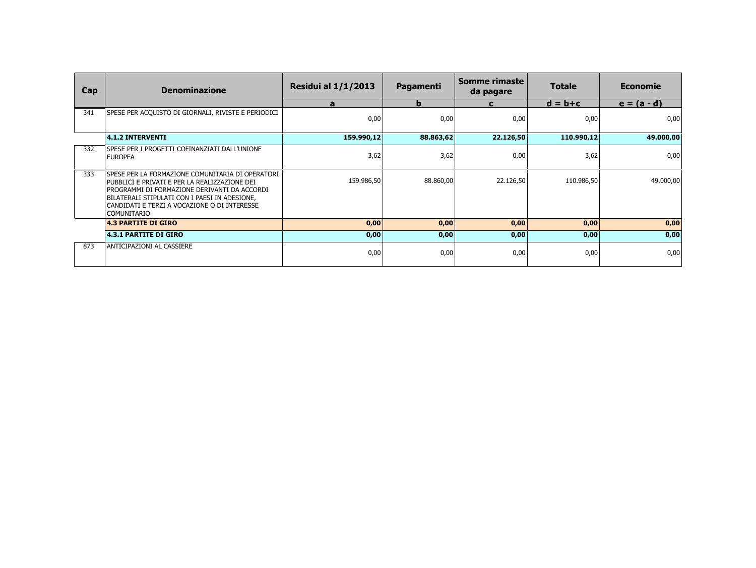| Cap | <b>Denominazione</b>                                                                                                                                                                                                                                                       | <b>Residui al 1/1/2013</b> | Pagamenti | Somme rimaste<br>da pagare | <b>Totale</b> | <b>Economie</b> |
|-----|----------------------------------------------------------------------------------------------------------------------------------------------------------------------------------------------------------------------------------------------------------------------------|----------------------------|-----------|----------------------------|---------------|-----------------|
|     |                                                                                                                                                                                                                                                                            | a                          | b         | C                          | $d = b + c$   | $e = (a - d)$   |
| 341 | SPESE PER ACQUISTO DI GIORNALI, RIVISTE E PERIODICI                                                                                                                                                                                                                        | 0,00                       | 0,00      | 0,00                       | 0,00          | 0,00            |
|     | $ 4.1.2$ INTERVENTI                                                                                                                                                                                                                                                        | 159.990,12                 | 88.863,62 | 22.126,50                  | 110.990,12    | 49.000,00       |
| 332 | lspese per i progetti cofinanziati dall'unione<br><b>EUROPEA</b>                                                                                                                                                                                                           | 3,62                       | 3,62      | 0,00                       | 3,62          | 0,00            |
| 333 | I SPESE PER LA FORMAZIONE COMUNITARIA DI OPERATORI<br>PUBBLICI E PRIVATI E PER LA REALIZZAZIONE DEI<br>PROGRAMMI DI FORMAZIONE DERIVANTI DA ACCORDI<br>BILATERALI STIPULATI CON I PAESI IN ADESIONE,<br>CANDIDATI E TERZI A VOCAZIONE O DI INTERESSE<br><b>COMUNITARIO</b> | 159.986,50                 | 88.860,00 | 22.126,50                  | 110.986,50    | 49.000,00       |
|     | <b>4.3 PARTITE DI GIRO</b>                                                                                                                                                                                                                                                 | 0,00                       | 0,00      | 0,00                       | 0,00          | 0,00            |
|     | <b>4.3.1 PARTITE DI GIRO</b>                                                                                                                                                                                                                                               | 0,00                       | 0,00      | 0,00                       | 0,00          | 0,00            |
| 873 | ANTICIPAZIONI AL CASSIERE                                                                                                                                                                                                                                                  | 0,00                       | 0,00      | 0,00                       | 0,00          | 0,00            |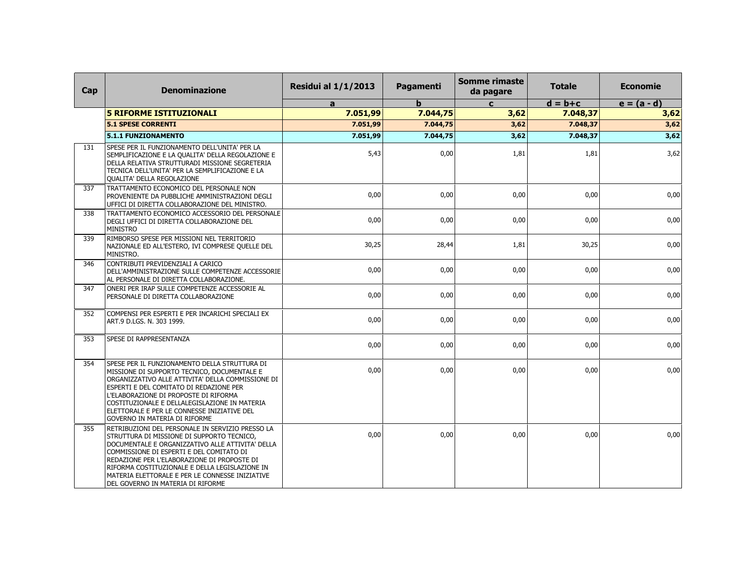| Cap | <b>Denominazione</b>                                                                                                                                                                                                                                                                                                                                                                    | <b>Residui al 1/1/2013</b> | Pagamenti | <b>Somme rimaste</b><br>da pagare | <b>Totale</b> | <b>Economie</b> |
|-----|-----------------------------------------------------------------------------------------------------------------------------------------------------------------------------------------------------------------------------------------------------------------------------------------------------------------------------------------------------------------------------------------|----------------------------|-----------|-----------------------------------|---------------|-----------------|
|     |                                                                                                                                                                                                                                                                                                                                                                                         | a                          | b         | $\mathbf{C}$                      | $d = b + c$   | $e = (a - d)$   |
|     | <b>5 RIFORME ISTITUZIONALI</b>                                                                                                                                                                                                                                                                                                                                                          | 7.051,99                   | 7.044,75  | 3,62                              | 7.048,37      | 3,62            |
|     | <b>5.1 SPESE CORRENTI</b>                                                                                                                                                                                                                                                                                                                                                               | 7.051,99                   | 7.044,75  | 3,62                              | 7.048,37      | 3,62            |
|     | 5.1.1 FUNZIONAMENTO                                                                                                                                                                                                                                                                                                                                                                     | 7.051,99                   | 7.044,75  | 3,62                              | 7.048,37      | 3,62            |
| 131 | SPESE PER IL FUNZIONAMENTO DELL'UNITA' PER LA<br>SEMPLIFICAZIONE E LA QUALITA' DELLA REGOLAZIONE E<br>DELLA RELATIVA STRUTTURADI MISSIONE SEGRETERIA<br>TECNICA DELL'UNITA' PER LA SEMPLIFICAZIONE E LA<br>QUALITA' DELLA REGOLAZIONE                                                                                                                                                   | 5,43                       | 0,00      | 1,81                              | 1,81          | 3,62            |
| 337 | TRATTAMENTO ECONOMICO DEL PERSONALE NON<br>PROVENIENTE DA PUBBLICHE AMMINISTRAZIONI DEGLI<br>UFFICI DI DIRETTA COLLABORAZIONE DEL MINISTRO.                                                                                                                                                                                                                                             | 0,00                       | 0,00      | 0,00                              | 0,00          | 0,00            |
| 338 | TRATTAMENTO ECONOMICO ACCESSORIO DEL PERSONALE<br>DEGLI UFFICI DI DIRETTA COLLABORAZIONE DEL<br><b>MINISTRO</b>                                                                                                                                                                                                                                                                         | 0,00                       | 0,00      | 0,00                              | 0.00          | 0,00            |
| 339 | RIMBORSO SPESE PER MISSIONI NEL TERRITORIO<br>NAZIONALE ED ALL'ESTERO, IVI COMPRESE QUELLE DEL<br>MINISTRO.                                                                                                                                                                                                                                                                             | 30,25                      | 28,44     | 1,81                              | 30,25         | 0,00            |
| 346 | CONTRIBUTI PREVIDENZIALI A CARICO<br>DELL'AMMINISTRAZIONE SULLE COMPETENZE ACCESSORIE<br>AL PERSONALE DI DIRETTA COLLABORAZIONE.                                                                                                                                                                                                                                                        | 0,00                       | 0.00      | 0,00                              | 0.00          | 0,00            |
| 347 | ONERI PER IRAP SULLE COMPETENZE ACCESSORIE AL<br>PERSONALE DI DIRETTA COLLABORAZIONE                                                                                                                                                                                                                                                                                                    | 0,00                       | 0,00      | 0,00                              | 0,00          | 0,00            |
| 352 | COMPENSI PER ESPERTI E PER INCARICHI SPECIALI EX<br>ART.9 D.LGS. N. 303 1999.                                                                                                                                                                                                                                                                                                           | 0,00                       | 0,00      | 0,00                              | 0,00          | 0,00            |
| 353 | SPESE DI RAPPRESENTANZA                                                                                                                                                                                                                                                                                                                                                                 | 0,00                       | 0,00      | 0,00                              | 0,00          | 0,00            |
| 354 | SPESE PER IL FUNZIONAMENTO DELLA STRUTTURA DI<br>MISSIONE DI SUPPORTO TECNICO, DOCUMENTALE E<br>ORGANIZZATIVO ALLE ATTIVITA' DELLA COMMISSIONE DI<br>ESPERTI E DEL COMITATO DI REDAZIONE PER<br>L'ELABORAZIONE DI PROPOSTE DI RIFORMA<br>COSTITUZIONALE E DELLALEGISLAZIONE IN MATERIA<br>ELETTORALE E PER LE CONNESSE INIZIATIVE DEL<br>GOVERNO IN MATERIA DI RIFORME                  | 0,00                       | 0,00      | 0,00                              | 0,00          | 0,00            |
| 355 | RETRIBUZIONI DEL PERSONALE IN SERVIZIO PRESSO LA<br>STRUTTURA DI MISSIONE DI SUPPORTO TECNICO,<br>DOCUMENTALE E ORGANIZZATIVO ALLE ATTIVITA' DELLA<br>COMMISSIONE DI ESPERTI E DEL COMITATO DI<br>REDAZIONE PER L'ELABORAZIONE DI PROPOSTE DI<br>RIFORMA COSTITUZIONALE E DELLA LEGISLAZIONE IN<br>MATERIA ELETTORALE E PER LE CONNESSE INIZIATIVE<br>DEL GOVERNO IN MATERIA DI RIFORME | 0.00                       | 0,00      | 0,00                              | 0,00          | 0,00            |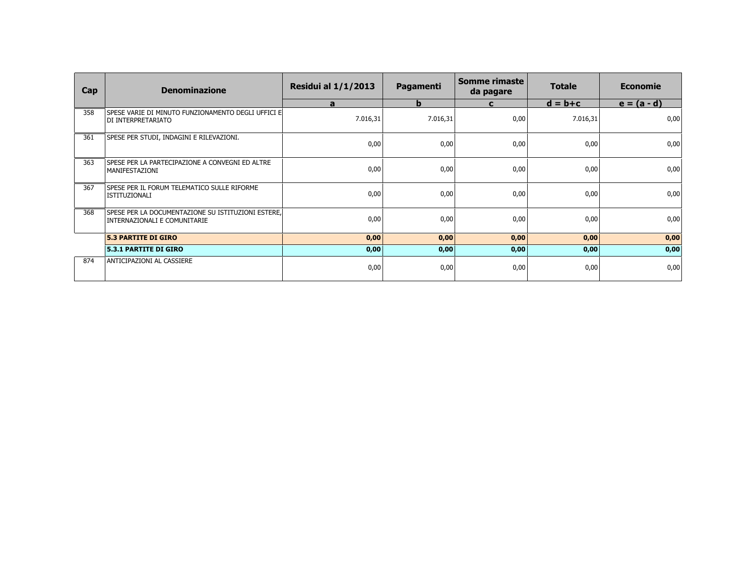| Cap | <b>Denominazione</b>                                                               | <b>Residui al 1/1/2013</b> | Pagamenti   | Somme rimaste<br>da pagare | <b>Totale</b> | <b>Economie</b> |
|-----|------------------------------------------------------------------------------------|----------------------------|-------------|----------------------------|---------------|-----------------|
|     |                                                                                    | a                          | $\mathbf b$ | $\mathbf{C}$               | $d = b + c$   | $e = (a - d)$   |
| 358 | SPESE VARIE DI MINUTO FUNZIONAMENTO DEGLI UFFICI El<br>DI INTERPRETARIATO          | 7.016,31                   | 7.016,31    | 0,00                       | 7.016,31      | 0,00            |
| 361 | SPESE PER STUDI, INDAGINI E RILEVAZIONI.                                           | 0,00                       | 0,00        | 0,00                       | 0,00          | 0,00            |
| 363 | SPESE PER LA PARTECIPAZIONE A CONVEGNI ED ALTRE<br>  MANIFESTAZIONI                | 0,00                       | 0,00        | 0,00                       | 0,00          | 0,00            |
| 367 | SPESE PER IL FORUM TELEMATICO SULLE RIFORME<br>l ISTITUZIONALI                     | 0,00                       | 0,00        | 0,00                       | 0,00          | 0,00            |
| 368 | SPESE PER LA DOCUMENTAZIONE SU ISTITUZIONI ESTERE.<br>INTERNAZIONALI E COMUNITARIE | 0,00                       | 0,00        | 0,00                       | 0,00          | 0,00            |
|     | <b>5.3 PARTITE DI GIRO</b>                                                         | 0,00                       | 0,00        | 0,00                       | 0,00          | 0,00            |
|     | <b>5.3.1 PARTITE DI GIRO</b>                                                       | 0,00                       | 0,00        | 0,00                       | 0,00          | 0,00            |
| 874 | ANTICIPAZIONI AL CASSIERE                                                          | 0,00                       | 0,00        | 0,00                       | 0,00          | 0,00            |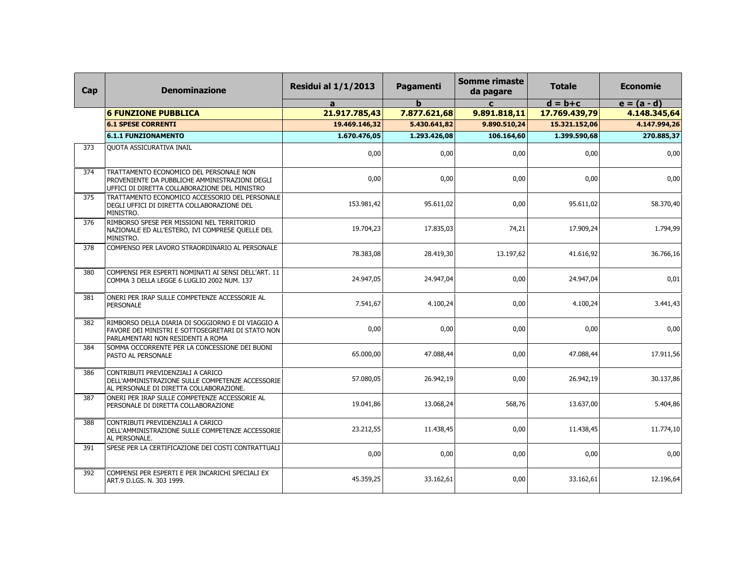| Cap | <b>Denominazione</b>                                                                                                                        | <b>Residui al 1/1/2013</b> | Pagamenti    | <b>Somme rimaste</b><br>da pagare | <b>Totale</b> | <b>Economie</b> |
|-----|---------------------------------------------------------------------------------------------------------------------------------------------|----------------------------|--------------|-----------------------------------|---------------|-----------------|
|     |                                                                                                                                             | a                          | h            | $\mathbf{c}$                      | $d = b + c$   | $e = (a - d)$   |
|     | <b>6 FUNZIONE PUBBLICA</b>                                                                                                                  | 21.917.785,43              | 7.877.621,68 | 9.891.818,11                      | 17.769.439,79 | 4.148.345,64    |
|     | <b>6.1 SPESE CORRENTI</b>                                                                                                                   | 19.469.146,32              | 5.430.641,82 | 9.890.510,24                      | 15.321.152,06 | 4.147.994,26    |
|     | <b>6.1.1 FUNZIONAMENTO</b>                                                                                                                  | 1.670.476,05               | 1.293.426,08 | 106.164,60                        | 1.399.590,68  | 270.885,37      |
| 373 | QUOTA ASSICURATIVA INAIL                                                                                                                    | 0,00                       | 0,00         | 0,00                              | 0,00          | 0,00            |
| 374 | TRATTAMENTO ECONOMICO DEL PERSONALE NON<br>PROVENIENTE DA PUBBLICHE AMMINISTRAZIONI DEGLI<br>UFFICI DI DIRETTA COLLABORAZIONE DEL MINISTRO  | 0,00                       | 0,00         | 0,00                              | 0,00          | 0,00            |
| 375 | TRATTAMENTO ECONOMICO ACCESSORIO DEL PERSONALE<br>DEGLI UFFICI DI DIRETTA COLLABORAZIONE DEL<br>MINISTRO.                                   | 153.981,42                 | 95.611,02    | 0,00                              | 95.611,02     | 58.370,40       |
| 376 | RIMBORSO SPESE PER MISSIONI NEL TERRITORIO<br>NAZIONALE ED ALL'ESTERO, IVI COMPRESE QUELLE DEL<br>MINISTRO.                                 | 19.704,23                  | 17.835,03    | 74,21                             | 17.909,24     | 1.794,99        |
| 378 | COMPENSO PER LAVORO STRAORDINARIO AL PERSONALE                                                                                              | 78.383,08                  | 28.419,30    | 13.197,62                         | 41.616,92     | 36.766,16       |
| 380 | COMPENSI PER ESPERTI NOMINATI AI SENSI DELL'ART. 11<br>COMMA 3 DELLA LEGGE 6 LUGLIO 2002 NUM. 137                                           | 24.947,05                  | 24.947,04    | 0,00                              | 24.947,04     | 0,01            |
| 381 | ONERI PER IRAP SULLE COMPETENZE ACCESSORIE AL<br><b>PERSONALE</b>                                                                           | 7.541,67                   | 4.100,24     | 0,00                              | 4.100,24      | 3.441,43        |
| 382 | RIMBORSO DELLA DIARIA DI SOGGIORNO E DI VIAGGIO A<br>FAVORE DEI MINISTRI E SOTTOSEGRETARI DI STATO NON<br>PARLAMENTARI NON RESIDENTI A ROMA | 0,00                       | 0,00         | 0,00                              | 0,00          | 0,00            |
| 384 | SOMMA OCCORRENTE PER LA CONCESSIONE DEI BUONI<br>PASTO AL PERSONALE                                                                         | 65.000,00                  | 47.088,44    | 0,00                              | 47.088,44     | 17.911,56       |
| 386 | CONTRIBUTI PREVIDENZIALI A CARICO<br>DELL'AMMINISTRAZIONE SULLE COMPETENZE ACCESSORIE<br>AL PERSONALE DI DIRETTA COLLABORAZIONE.            | 57.080,05                  | 26.942,19    | 0,00                              | 26.942,19     | 30.137,86       |
| 387 | ONERI PER IRAP SULLE COMPETENZE ACCESSORIE AL<br>PERSONALE DI DIRETTA COLLABORAZIONE                                                        | 19.041,86                  | 13.068,24    | 568,76                            | 13.637,00     | 5.404,86        |
| 388 | CONTRIBUTI PREVIDENZIALI A CARICO<br>DELL'AMMINISTRAZIONE SULLE COMPETENZE ACCESSORIE<br>AL PERSONALE.                                      | 23.212,55                  | 11.438,45    | 0,00                              | 11.438,45     | 11.774,10       |
| 391 | SPESE PER LA CERTIFICAZIONE DEI COSTI CONTRATTUALI                                                                                          | 0,00                       | 0,00         | 0,00                              | 0,00          | 0,00            |
| 392 | COMPENSI PER ESPERTI E PER INCARICHI SPECIALI EX<br>ART.9 D.LGS. N. 303 1999.                                                               | 45.359,25                  | 33.162,61    | 0,00                              | 33.162.61     | 12.196,64       |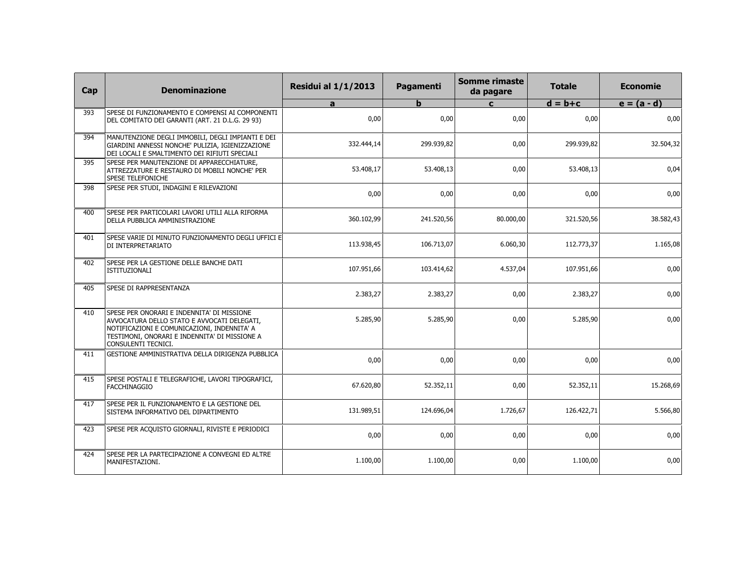| Cap | <b>Denominazione</b>                                                                                                                                                                                             | <b>Residui al 1/1/2013</b> | Pagamenti  | Somme rimaste<br>da pagare | <b>Totale</b> | <b>Economie</b> |
|-----|------------------------------------------------------------------------------------------------------------------------------------------------------------------------------------------------------------------|----------------------------|------------|----------------------------|---------------|-----------------|
|     |                                                                                                                                                                                                                  | a                          | b          | $\mathbf{C}$               | $d = b + c$   | $e = (a - d)$   |
| 393 | SPESE DI FUNZIONAMENTO E COMPENSI AI COMPONENTI<br>DEL COMITATO DEI GARANTI (ART. 21 D.L.G. 29 93)                                                                                                               | 0,00                       | 0.00       | 0,00                       | 0,00          | 0,00            |
| 394 | MANUTENZIONE DEGLI IMMOBILI, DEGLI IMPIANTI E DEI<br>GIARDINI ANNESSI NONCHE' PULIZIA, IGIENIZZAZIONE<br>DEI LOCALI E SMALTIMENTO DEI RIFIUTI SPECIALI                                                           | 332.444,14                 | 299.939,82 | 0,00                       | 299.939,82    | 32.504,32       |
| 395 | SPESE PER MANUTENZIONE DI APPARECCHIATURE,<br>ATTREZZATURE E RESTAURO DI MOBILI NONCHE' PER<br><b>SPESE TELEFONICHE</b>                                                                                          | 53.408,17                  | 53.408,13  | 0,00                       | 53.408,13     | 0,04            |
| 398 | SPESE PER STUDI, INDAGINI E RILEVAZIONI                                                                                                                                                                          | 0,00                       | 0,00       | 0,00                       | 0,00          | 0,00            |
| 400 | SPESE PER PARTICOLARI LAVORI UTILI ALLA RIFORMA<br>DELLA PUBBLICA AMMINISTRAZIONE                                                                                                                                | 360.102,99                 | 241.520,56 | 80.000,00                  | 321.520,56    | 38.582,43       |
| 401 | SPESE VARIE DI MINUTO FUNZIONAMENTO DEGLI UFFICI E<br>DI INTERPRETARIATO                                                                                                                                         | 113.938,45                 | 106.713,07 | 6.060,30                   | 112.773,37    | 1.165,08        |
| 402 | SPESE PER LA GESTIONE DELLE BANCHE DATI<br>ISTITUZIONALI                                                                                                                                                         | 107.951,66                 | 103.414,62 | 4.537,04                   | 107.951,66    | 0,00            |
| 405 | SPESE DI RAPPRESENTANZA                                                                                                                                                                                          | 2.383,27                   | 2.383,27   | 0,00                       | 2.383,27      | 0,00            |
| 410 | SPESE PER ONORARI E INDENNITA' DI MISSIONE<br>AVVOCATURA DELLO STATO E AVVOCATI DELEGATI,<br>NOTIFICAZIONI E COMUNICAZIONI, INDENNITA' A<br>TESTIMONI, ONORARI E INDENNITA' DI MISSIONE A<br>CONSULENTI TECNICI. | 5.285,90                   | 5.285,90   | 0,00                       | 5.285,90      | 0,00            |
| 411 | GESTIONE AMMINISTRATIVA DELLA DIRIGENZA PUBBLICA                                                                                                                                                                 | 0,00                       | 0,00       | 0,00                       | 0,00          | 0,00            |
| 415 | SPESE POSTALI E TELEGRAFICHE, LAVORI TIPOGRAFICI,<br><b>FACCHINAGGIO</b>                                                                                                                                         | 67.620,80                  | 52.352,11  | 0,00                       | 52.352,11     | 15.268,69       |
| 417 | SPESE PER IL FUNZIONAMENTO E LA GESTIONE DEL<br>SISTEMA INFORMATIVO DEL DIPARTIMENTO                                                                                                                             | 131.989,51                 | 124.696,04 | 1.726,67                   | 126.422,71    | 5.566,80        |
| 423 | SPESE PER ACQUISTO GIORNALI, RIVISTE E PERIODICI                                                                                                                                                                 | 0,00                       | 0,00       | 0,00                       | 0,00          | 0,00            |
| 424 | SPESE PER LA PARTECIPAZIONE A CONVEGNI ED ALTRE<br>MANIFESTAZIONI.                                                                                                                                               | 1.100,00                   | 1.100,00   | 0,00                       | 1.100,00      | 0,00            |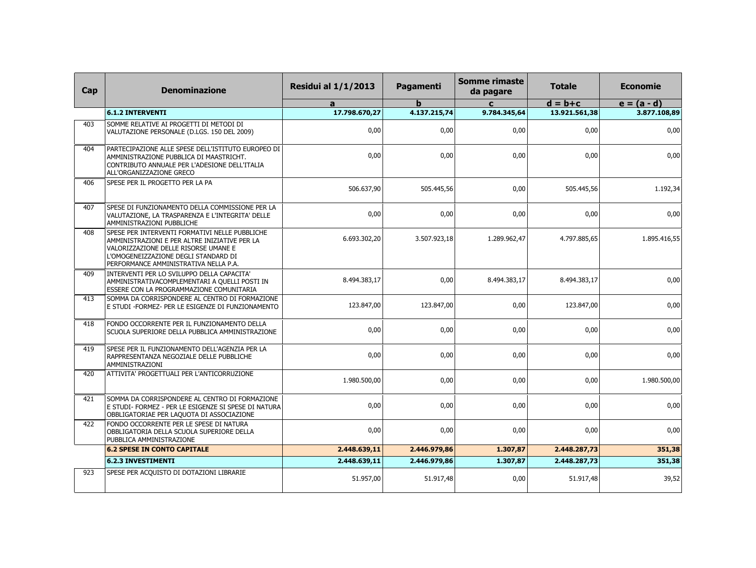| Cap | <b>Denominazione</b>                                                                                                                                                                                                     | <b>Residui al 1/1/2013</b> | Pagamenti    | <b>Somme rimaste</b><br>da pagare | <b>Totale</b> | <b>Economie</b> |
|-----|--------------------------------------------------------------------------------------------------------------------------------------------------------------------------------------------------------------------------|----------------------------|--------------|-----------------------------------|---------------|-----------------|
|     |                                                                                                                                                                                                                          | a                          | h            | $\mathbf{c}$                      | $d = b + c$   | $e = (a - d)$   |
|     | <b>6.1.2 INTERVENTI</b>                                                                                                                                                                                                  | 17.798.670,27              | 4.137.215,74 | 9.784.345,64                      | 13.921.561,38 | 3.877.108,89    |
| 403 | SOMME RELATIVE AI PROGETTI DI METODI DI<br>VALUTAZIONE PERSONALE (D.LGS. 150 DEL 2009)                                                                                                                                   | 0,00                       | 0,00         | 0,00                              | 0,00          | 0,00            |
| 404 | PARTECIPAZIONE ALLE SPESE DELL'ISTITUTO EUROPEO DI<br>AMMINISTRAZIONE PUBBLICA DI MAASTRICHT.<br>CONTRIBUTO ANNUALE PER L'ADESIONE DELL'ITALIA<br>ALL'ORGANIZZAZIONE GRECO                                               | 0,00                       | 0,00         | 0,00                              | 0,00          | 0,00            |
| 406 | SPESE PER IL PROGETTO PER LA PA                                                                                                                                                                                          | 506.637,90                 | 505.445.56   | 0,00                              | 505.445.56    | 1.192,34        |
| 407 | SPESE DI FUNZIONAMENTO DELLA COMMISSIONE PER LA<br>VALUTAZIONE, LA TRASPARENZA E L'INTEGRITA' DELLE<br>AMMINISTRAZIONI PUBBLICHE                                                                                         | 0,00                       | 0,00         | 0,00                              | 0,00          | 0,00            |
| 408 | SPESE PER INTERVENTI FORMATIVI NELLE PUBBLICHE<br>AMMINISTRAZIONI E PER ALTRE INIZIATIVE PER LA<br>VALORIZZAZIONE DELLE RISORSE UMANE E<br>L'OMOGENEIZZAZIONE DEGLI STANDARD DI<br>PERFORMANCE AMMINISTRATIVA NELLA P.A. | 6.693.302,20               | 3.507.923,18 | 1.289.962,47                      | 4.797.885,65  | 1.895.416,55    |
| 409 | INTERVENTI PER LO SVILUPPO DELLA CAPACITA'<br>AMMINISTRATIVACOMPLEMENTARI A QUELLI POSTI IN<br>ESSERE CON LA PROGRAMMAZIONE COMUNITARIA                                                                                  | 8.494.383,17               | 0,00         | 8.494.383,17                      | 8.494.383,17  | 0,00            |
| 413 | SOMMA DA CORRISPONDERE AL CENTRO DI FORMAZIONE<br>E STUDI - FORMEZ- PER LE ESIGENZE DI FUNZIONAMENTO                                                                                                                     | 123.847,00                 | 123.847,00   | 0,00                              | 123.847,00    | 0,00            |
| 418 | FONDO OCCORRENTE PER IL FUNZIONAMENTO DELLA<br>SCUOLA SUPERIORE DELLA PUBBLICA AMMINISTRAZIONE                                                                                                                           | 0,00                       | 0,00         | 0,00                              | 0,00          | 0,00            |
| 419 | SPESE PER IL FUNZIONAMENTO DELL'AGENZIA PER LA<br>RAPPRESENTANZA NEGOZIALE DELLE PUBBLICHE<br>AMMINISTRAZIONI                                                                                                            | 0,00                       | 0,00         | 0,00                              | 0,00          | 0,00            |
| 420 | ATTIVITA' PROGETTUALI PER L'ANTICORRUZIONE                                                                                                                                                                               | 1.980.500,00               | 0,00         | 0,00                              | 0,00          | 1.980.500,00    |
| 421 | SOMMA DA CORRISPONDERE AL CENTRO DI FORMAZIONE<br>E STUDI- FORMEZ - PER LE ESIGENZE SI SPESE DI NATURA<br>OBBLIGATORIAE PER LAQUOTA DI ASSOCIAZIONE                                                                      | 0,00                       | 0.00         | 0,00                              | 0.00          | 0,00            |
| 422 | FONDO OCCORRENTE PER LE SPESE DI NATURA<br>OBBLIGATORIA DELLA SCUOLA SUPERIORE DELLA<br>PUBBLICA AMMINISTRAZIONE                                                                                                         | 0,00                       | 0,00         | 0,00                              | 0,00          | 0,00            |
|     | <b>6.2 SPESE IN CONTO CAPITALE</b>                                                                                                                                                                                       | 2.448.639,11               | 2.446.979,86 | 1.307,87                          | 2.448.287,73  | 351,38          |
|     | <b>6.2.3 INVESTIMENTI</b>                                                                                                                                                                                                | 2.448.639,11               | 2.446.979,86 | 1.307,87                          | 2.448.287,73  | 351,38          |
| 923 | SPESE PER ACQUISTO DI DOTAZIONI LIBRARIE                                                                                                                                                                                 | 51.957,00                  | 51.917,48    | 0,00                              | 51.917,48     | 39,52           |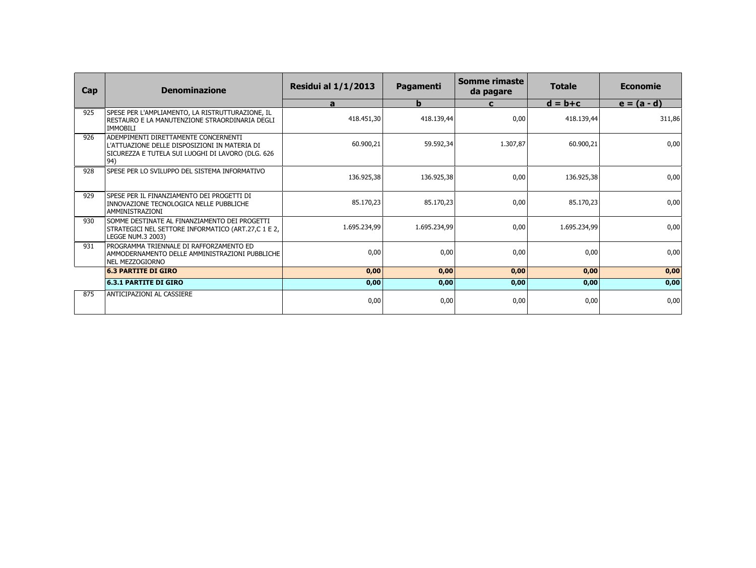| Cap | <b>Denominazione</b>                                                                                                                              | <b>Residui al 1/1/2013</b> | Pagamenti    | Somme rimaste<br>da pagare | <b>Totale</b> | <b>Economie</b> |
|-----|---------------------------------------------------------------------------------------------------------------------------------------------------|----------------------------|--------------|----------------------------|---------------|-----------------|
|     |                                                                                                                                                   | a                          | b            | C                          | $d = b + c$   | $e = (a - d)$   |
| 925 | SPESE PER L'AMPLIAMENTO, LA RISTRUTTURAZIONE, IL<br>RESTAURO E LA MANUTENZIONE STRAORDINARIA DEGLI<br><b>IMMOBILI</b>                             | 418.451,30                 | 418.139,44   | 0,00                       | 418.139,44    | 311,86          |
| 926 | ADEMPIMENTI DIRETTAMENTE CONCERNENTI<br>L'ATTUAZIONE DELLE DISPOSIZIONI IN MATERIA DI<br>SICUREZZA E TUTELA SUI LUOGHI DI LAVORO (DLG. 626<br>94) | 60.900,21                  | 59.592.34    | 1.307,87                   | 60.900,21     | 0,00            |
| 928 | SPESE PER LO SVILUPPO DEL SISTEMA INFORMATIVO                                                                                                     | 136.925,38                 | 136.925,38   | 0,00                       | 136.925,38    | 0,00            |
| 929 | SPESE PER IL FINANZIAMENTO DEI PROGETTI DI<br>INNOVAZIONE TECNOLOGICA NELLE PUBBLICHE<br>AMMINISTRAZIONI                                          | 85.170,23                  | 85.170,23    | 0,00                       | 85.170,23     | 0,00            |
| 930 | SOMME DESTINATE AL FINANZIAMENTO DEI PROGETTI<br>STRATEGICI NEL SETTORE INFORMATICO (ART.27,C 1 E 2,<br>LEGGE NUM.3 2003)                         | 1.695.234,99               | 1.695.234,99 | 0,00                       | 1.695.234,99  | 0,00            |
| 931 | PROGRAMMA TRIENNALE DI RAFFORZAMENTO ED<br>AMMODERNAMENTO DELLE AMMINISTRAZIONI PUBBLICHE<br>NEL MEZZOGIORNO                                      | 0,00                       | 0,00         | 0,00                       | 0,00          | 0,00            |
|     | <b>6.3 PARTITE DI GIRO</b>                                                                                                                        | 0,00                       | 0,00         | 0,00                       | 0,00          | 0,00            |
|     | <b>6.3.1 PARTITE DI GIRO</b>                                                                                                                      | 0,00                       | 0,00         | 0,00                       | 0,00          | 0,00            |
| 875 | ANTICIPAZIONI AL CASSIERE                                                                                                                         | 0,00                       | 0,00         | 0,00                       | 0,00          | 0,00            |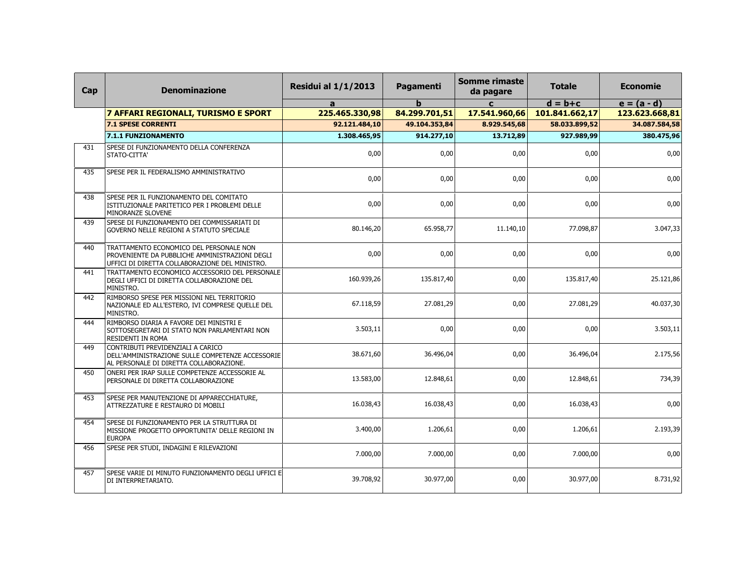| Cap | <b>Denominazione</b>                                                                                                                        | <b>Residui al 1/1/2013</b> | Pagamenti     | <b>Somme rimaste</b><br>da pagare | <b>Totale</b>  | <b>Economie</b> |
|-----|---------------------------------------------------------------------------------------------------------------------------------------------|----------------------------|---------------|-----------------------------------|----------------|-----------------|
|     |                                                                                                                                             | a                          | $\mathbf b$   | $\mathbf{c}$                      | $d = b + c$    | $e = (a - d)$   |
|     | 7 AFFARI REGIONALI, TURISMO E SPORT                                                                                                         | 225.465.330,98             | 84.299.701,51 | 17.541.960,66                     | 101.841.662,17 | 123.623.668,81  |
|     | <b>7.1 SPESE CORRENTI</b>                                                                                                                   | 92.121.484,10              | 49.104.353,84 | 8.929.545,68                      | 58.033.899,52  | 34.087.584,58   |
|     | 7.1.1 FUNZIONAMENTO                                                                                                                         | 1.308.465,95               | 914.277,10    | 13.712,89                         | 927.989,99     | 380.475,96      |
| 431 | SPESE DI FUNZIONAMENTO DELLA CONFERENZA<br>STATO-CITTA'                                                                                     | 0,00                       | 0,00          | 0,00                              | 0,00           | 0,00            |
| 435 | SPESE PER IL FEDERALISMO AMMINISTRATIVO                                                                                                     | 0.00                       | 0.00          | 0,00                              | 0,00           | 0,00            |
| 438 | SPESE PER IL FUNZIONAMENTO DEL COMITATO<br>ISTITUZIONALE PARITETICO PER I PROBLEMI DELLE<br>MINORANZE SLOVENE                               | 0,00                       | 0,00          | 0,00                              | 0,00           | 0,00            |
| 439 | SPESE DI FUNZIONAMENTO DEI COMMISSARIATI DI<br>GOVERNO NELLE REGIONI A STATUTO SPECIALE                                                     | 80.146,20                  | 65.958,77     | 11.140,10                         | 77.098,87      | 3.047,33        |
| 440 | TRATTAMENTO ECONOMICO DEL PERSONALE NON<br>PROVENIENTE DA PUBBLICHE AMMINISTRAZIONI DEGLI<br>UFFICI DI DIRETTA COLLABORAZIONE DEL MINISTRO. | 0,00                       | 0,00          | 0,00                              | 0,00           | 0,00            |
| 441 | TRATTAMENTO ECONOMICO ACCESSORIO DEL PERSONALE<br>DEGLI UFFICI DI DIRETTA COLLABORAZIONE DEL<br>MINISTRO.                                   | 160.939,26                 | 135.817,40    | 0,00                              | 135.817,40     | 25.121,86       |
| 442 | RIMBORSO SPESE PER MISSIONI NEL TERRITORIO<br>NAZIONALE ED ALL'ESTERO, IVI COMPRESE QUELLE DEL<br>MINISTRO.                                 | 67.118,59                  | 27.081,29     | 0,00                              | 27.081,29      | 40.037,30       |
| 444 | RIMBORSO DIARIA A FAVORE DEI MINISTRI E<br>SOTTOSEGRETARI DI STATO NON PARLAMENTARI NON<br>RESIDENTI IN ROMA                                | 3.503,11                   | 0,00          | 0,00                              | 0,00           | 3.503,11        |
| 449 | CONTRIBUTI PREVIDENZIALI A CARICO<br>DELL'AMMINISTRAZIONE SULLE COMPETENZE ACCESSORIE<br>AL PERSONALE DI DIRETTA COLLABORAZIONE.            | 38.671,60                  | 36.496,04     | 0,00                              | 36.496,04      | 2.175,56        |
| 450 | ONERI PER IRAP SULLE COMPETENZE ACCESSORIE AL<br>PERSONALE DI DIRETTA COLLABORAZIONE                                                        | 13.583,00                  | 12.848,61     | 0,00                              | 12.848,61      | 734,39          |
| 453 | SPESE PER MANUTENZIONE DI APPARECCHIATURE,<br>ATTREZZATURE E RESTAURO DI MOBILI                                                             | 16.038,43                  | 16.038,43     | 0,00                              | 16.038,43      | 0,00            |
| 454 | SPESE DI FUNZIONAMENTO PER LA STRUTTURA DI<br>MISSIONE PROGETTO OPPORTUNITA' DELLE REGIONI IN<br><b>EUROPA</b>                              | 3.400,00                   | 1.206,61      | 0,00                              | 1.206,61       | 2.193,39        |
| 456 | SPESE PER STUDI, INDAGINI E RILEVAZIONI                                                                                                     | 7.000,00                   | 7.000,00      | 0,00                              | 7.000,00       | 0,00            |
| 457 | SPESE VARIE DI MINUTO FUNZIONAMENTO DEGLI UFFICI E<br>DI INTERPRETARIATO.                                                                   | 39.708.92                  | 30.977,00     | 0,00                              | 30.977.00      | 8.731,92        |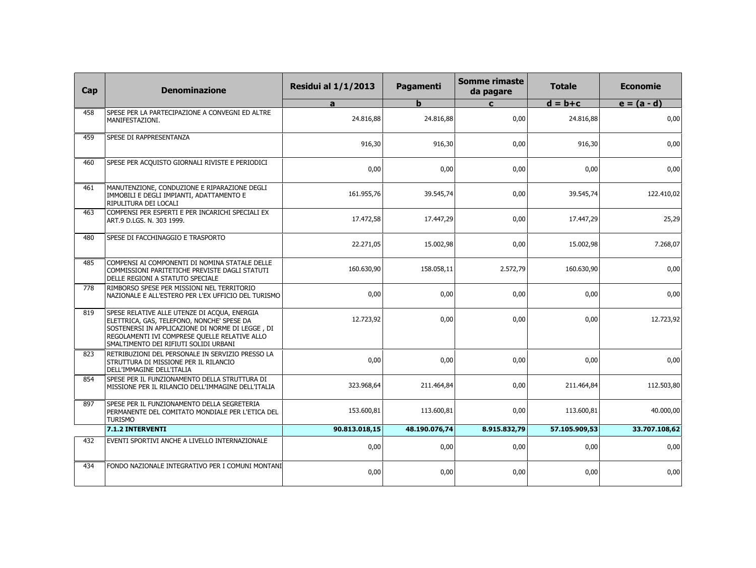| Cap | <b>Denominazione</b>                                                                                                                                                                                                                     | <b>Residui al 1/1/2013</b> | Pagamenti     | <b>Somme rimaste</b><br>da pagare | <b>Totale</b> | <b>Economie</b> |
|-----|------------------------------------------------------------------------------------------------------------------------------------------------------------------------------------------------------------------------------------------|----------------------------|---------------|-----------------------------------|---------------|-----------------|
|     |                                                                                                                                                                                                                                          | a                          | $\mathbf b$   | $\mathbf{C}$                      | $d = b + c$   | $e = (a - d)$   |
| 458 | SPESE PER LA PARTECIPAZIONE A CONVEGNI ED ALTRE<br>MANIFESTAZIONI.                                                                                                                                                                       | 24.816,88                  | 24.816,88     | 0,00                              | 24.816,88     | 0,00            |
| 459 | SPESE DI RAPPRESENTANZA                                                                                                                                                                                                                  | 916,30                     | 916,30        | 0,00                              | 916,30        | 0,00            |
| 460 | SPESE PER ACQUISTO GIORNALI RIVISTE E PERIODICI                                                                                                                                                                                          | 0,00                       | 0,00          | 0,00                              | 0,00          | 0,00            |
| 461 | MANUTENZIONE, CONDUZIONE E RIPARAZIONE DEGLI<br>IMMOBILI E DEGLI IMPIANTI, ADATTAMENTO E<br>RIPULITURA DEI LOCALI                                                                                                                        | 161.955,76                 | 39.545,74     | 0,00                              | 39.545,74     | 122.410,02      |
| 463 | COMPENSI PER ESPERTI E PER INCARICHI SPECIALI EX<br>ART.9 D.LGS. N. 303 1999.                                                                                                                                                            | 17.472,58                  | 17.447,29     | 0,00                              | 17.447,29     | 25,29           |
| 480 | SPESE DI FACCHINAGGIO E TRASPORTO                                                                                                                                                                                                        | 22.271,05                  | 15.002,98     | 0,00                              | 15.002,98     | 7.268,07        |
| 485 | COMPENSI AI COMPONENTI DI NOMINA STATALE DELLE<br>COMMISSIONI PARITETICHE PREVISTE DAGLI STATUTI<br>DELLE REGIONI A STATUTO SPECIALE                                                                                                     | 160.630,90                 | 158.058,11    | 2.572,79                          | 160.630,90    | 0,00            |
| 778 | RIMBORSO SPESE PER MISSIONI NEL TERRITORIO<br>NAZIONALE E ALL'ESTERO PER L'EX UFFICIO DEL TURISMO                                                                                                                                        | 0,00                       | 0,00          | 0,00                              | 0,00          | 0,00            |
| 819 | SPESE RELATIVE ALLE UTENZE DI ACQUA, ENERGIA<br>ELETTRICA, GAS, TELEFONO, NONCHE' SPESE DA<br>SOSTENERSI IN APPLICAZIONE DI NORME DI LEGGE, DI<br>REGOLAMENTI IVI COMPRESE QUELLE RELATIVE ALLO<br>SMALTIMENTO DEI RIFIUTI SOLIDI URBANI | 12.723,92                  | 0,00          | 0,00                              | 0,00          | 12.723,92       |
| 823 | RETRIBUZIONI DEL PERSONALE IN SERVIZIO PRESSO LA<br>STRUTTURA DI MISSIONE PER IL RILANCIO<br>DELL'IMMAGINE DELL'ITALIA                                                                                                                   | 0,00                       | 0,00          | 0,00                              | 0,00          | 0,00            |
| 854 | SPESE PER IL FUNZIONAMENTO DELLA STRUTTURA DI<br>MISSIONE PER IL RILANCIO DELL'IMMAGINE DELL'ITALIA                                                                                                                                      | 323.968,64                 | 211.464,84    | 0,00                              | 211.464,84    | 112.503,80      |
| 897 | SPESE PER IL FUNZIONAMENTO DELLA SEGRETERIA<br>PERMANENTE DEL COMITATO MONDIALE PER L'ETICA DEL<br><b>TURISMO</b>                                                                                                                        | 153.600,81                 | 113.600.81    | 0,00                              | 113.600.81    | 40.000,00       |
|     | 7.1.2 INTERVENTI                                                                                                                                                                                                                         | 90.813.018,15              | 48.190.076,74 | 8.915.832,79                      | 57.105.909,53 | 33.707.108,62   |
| 432 | EVENTI SPORTIVI ANCHE A LIVELLO INTERNAZIONALE                                                                                                                                                                                           | 0,00                       | 0,00          | 0,00                              | 0,00          | 0,00            |
| 434 | FONDO NAZIONALE INTEGRATIVO PER I COMUNI MONTANI                                                                                                                                                                                         | 0,00                       | 0,00          | 0,00                              | 0,00          | 0,00            |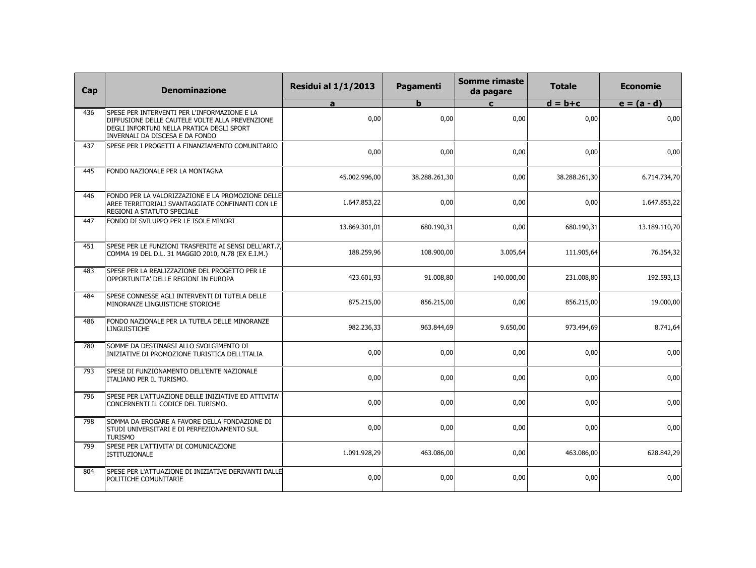| Cap | <b>Denominazione</b>                                                                                                                                                            | <b>Residui al 1/1/2013</b> | Pagamenti     | <b>Somme rimaste</b><br>da pagare | <b>Totale</b> | <b>Economie</b> |
|-----|---------------------------------------------------------------------------------------------------------------------------------------------------------------------------------|----------------------------|---------------|-----------------------------------|---------------|-----------------|
|     |                                                                                                                                                                                 | a                          | $\mathbf b$   | $\mathbf{c}$                      | $d = b + c$   | $e = (a - d)$   |
| 436 | SPESE PER INTERVENTI PER L'INFORMAZIONE E LA<br>DIFFUSIONE DELLE CAUTELE VOLTE ALLA PREVENZIONE<br>DEGLI INFORTUNI NELLA PRATICA DEGLI SPORT<br>INVERNALI DA DISCESA E DA FONDO | 0.00                       | 0.00          | 0,00                              | 0,00          | 0,00            |
| 437 | SPESE PER I PROGETTI A FINANZIAMENTO COMUNITARIO                                                                                                                                | 0,00                       | 0,00          | 0,00                              | 0,00          | 0,00            |
| 445 | FONDO NAZIONALE PER LA MONTAGNA                                                                                                                                                 | 45.002.996,00              | 38.288.261,30 | 0,00                              | 38.288.261,30 | 6.714.734,70    |
| 446 | FONDO PER LA VALORIZZAZIONE E LA PROMOZIONE DELLE<br>AREE TERRITORIALI SVANTAGGIATE CONFINANTI CON LE<br>REGIONI A STATUTO SPECIALE                                             | 1.647.853,22               | 0,00          | 0,00                              | 0,00          | 1.647.853,22    |
| 447 | FONDO DI SVILUPPO PER LE ISOLE MINORI                                                                                                                                           | 13.869.301,01              | 680.190,31    | 0,00                              | 680.190,31    | 13.189.110,70   |
| 451 | SPESE PER LE FUNZIONI TRASFERITE AI SENSI DELL'ART.7.<br>COMMA 19 DEL D.L. 31 MAGGIO 2010, N.78 (EX E.I.M.)                                                                     | 188.259,96                 | 108.900,00    | 3.005,64                          | 111.905,64    | 76.354,32       |
| 483 | SPESE PER LA REALIZZAZIONE DEL PROGETTO PER LE<br>OPPORTUNITA' DELLE REGIONI IN EUROPA                                                                                          | 423.601,93                 | 91.008,80     | 140.000,00                        | 231.008,80    | 192.593,13      |
| 484 | SPESE CONNESSE AGLI INTERVENTI DI TUTELA DELLE<br>MINORANZE LINGUISTICHE STORICHE                                                                                               | 875.215,00                 | 856.215,00    | 0,00                              | 856.215,00    | 19.000,00       |
| 486 | FONDO NAZIONALE PER LA TUTELA DELLE MINORANZE<br>LINGUISTICHE                                                                                                                   | 982.236,33                 | 963.844,69    | 9.650,00                          | 973.494,69    | 8.741,64        |
| 780 | SOMME DA DESTINARSI ALLO SVOLGIMENTO DI<br>INIZIATIVE DI PROMOZIONE TURISTICA DELL'ITALIA                                                                                       | 0,00                       | 0,00          | 0,00                              | 0,00          | 0,00            |
| 793 | SPESE DI FUNZIONAMENTO DELL'ENTE NAZIONALE<br>ITALIANO PER IL TURISMO.                                                                                                          | 0,00                       | 0,00          | 0,00                              | 0.00          | 0,00            |
| 796 | SPESE PER L'ATTUAZIONE DELLE INIZIATIVE ED ATTIVITA'<br>CONCERNENTI IL CODICE DEL TURISMO.                                                                                      | 0,00                       | 0,00          | 0,00                              | 0,00          | 0,00            |
| 798 | SOMMA DA EROGARE A FAVORE DELLA FONDAZIONE DI<br>STUDI UNIVERSITARI E DI PERFEZIONAMENTO SUL<br><b>TURISMO</b>                                                                  | 0,00                       | 0,00          | 0,00                              | 0,00          | 0,00            |
| 799 | SPESE PER L'ATTIVITA' DI COMUNICAZIONE<br>ISTITUZIONALE                                                                                                                         | 1.091.928,29               | 463.086,00    | 0,00                              | 463.086,00    | 628.842,29      |
| 804 | SPESE PER L'ATTUAZIONE DI INIZIATIVE DERIVANTI DALLE<br>POLITICHE COMUNITARIE                                                                                                   | 0,00                       | 0,00          | 0,00                              | 0,00          | 0,00            |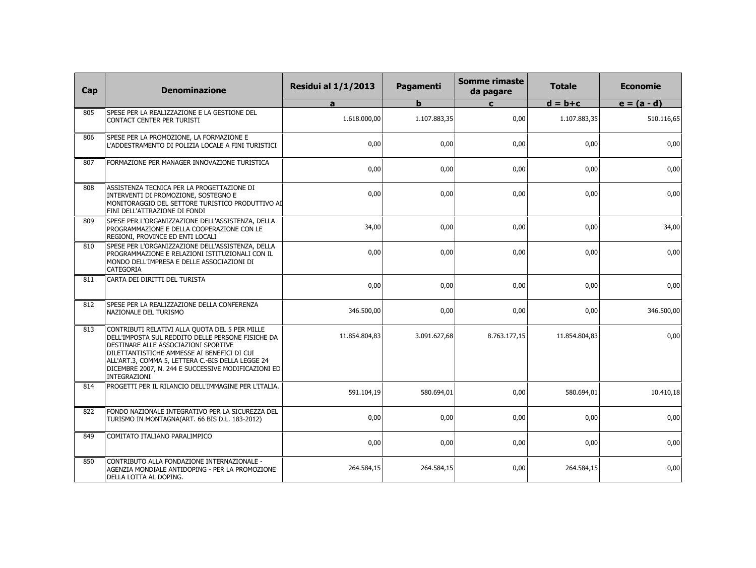| Cap | <b>Denominazione</b>                                                                                                                                                                                                                                                                                                   | <b>Residui al 1/1/2013</b> | Pagamenti    | <b>Somme rimaste</b><br>da pagare | <b>Totale</b> | <b>Economie</b> |
|-----|------------------------------------------------------------------------------------------------------------------------------------------------------------------------------------------------------------------------------------------------------------------------------------------------------------------------|----------------------------|--------------|-----------------------------------|---------------|-----------------|
|     |                                                                                                                                                                                                                                                                                                                        | a                          | $\mathbf b$  | $\mathbf{C}$                      | $d = b + c$   | $e = (a - d)$   |
| 805 | SPESE PER LA REALIZZAZIONE E LA GESTIONE DEL<br>CONTACT CENTER PER TURISTI                                                                                                                                                                                                                                             | 1.618.000.00               | 1.107.883.35 | 0,00                              | 1.107.883,35  | 510.116,65      |
| 806 | SPESE PER LA PROMOZIONE, LA FORMAZIONE E<br>L'ADDESTRAMENTO DI POLIZIA LOCALE A FINI TURISTICI                                                                                                                                                                                                                         | 0,00                       | 0,00         | 0,00                              | 0,00          | 0,00            |
| 807 | FORMAZIONE PER MANAGER INNOVAZIONE TURISTICA                                                                                                                                                                                                                                                                           | 0,00                       | 0,00         | 0,00                              | 0,00          | 0,00            |
| 808 | ASSISTENZA TECNICA PER LA PROGETTAZIONE DI<br>INTERVENTI DI PROMOZIONE, SOSTEGNO E<br>MONITORAGGIO DEL SETTORE TURISTICO PRODUTTIVO AI<br>FINI DELL'ATTRAZIONE DI FONDI                                                                                                                                                | 0,00                       | 0,00         | 0,00                              | 0,00          | 0,00            |
| 809 | SPESE PER L'ORGANIZZAZIONE DELL'ASSISTENZA, DELLA<br>PROGRAMMAZIONE E DELLA COOPERAZIONE CON LE<br>REGIONI, PROVINCE ED ENTI LOCALI                                                                                                                                                                                    | 34,00                      | 0,00         | 0,00                              | 0,00          | 34,00           |
| 810 | SPESE PER L'ORGANIZZAZIONE DELL'ASSISTENZA, DELLA<br>PROGRAMMAZIONE E RELAZIONI ISTITUZIONALI CON IL<br>MONDO DELL'IMPRESA E DELLE ASSOCIAZIONI DI<br>CATEGORIA                                                                                                                                                        | 0,00                       | 0,00         | 0,00                              | 0,00          | 0,00            |
| 811 | CARTA DEI DIRITTI DEL TURISTA                                                                                                                                                                                                                                                                                          | 0,00                       | 0,00         | 0,00                              | 0,00          | 0,00            |
| 812 | SPESE PER LA REALIZZAZIONE DELLA CONFERENZA<br>NAZIONALE DEL TURISMO                                                                                                                                                                                                                                                   | 346.500,00                 | 0,00         | 0,00                              | 0,00          | 346.500,00      |
| 813 | CONTRIBUTI RELATIVI ALLA QUOTA DEL 5 PER MILLE<br>DELL'IMPOSTA SUL REDDITO DELLE PERSONE FISICHE DA<br>DESTINARE ALLE ASSOCIAZIONI SPORTIVE<br>DILETTANTISTICHE AMMESSE AI BENEFICI DI CUI<br>ALL'ART.3, COMMA 5, LETTERA C.-BIS DELLA LEGGE 24<br>DICEMBRE 2007, N. 244 E SUCCESSIVE MODIFICAZIONI ED<br>INTEGRAZIONI | 11.854.804,83              | 3.091.627,68 | 8.763.177,15                      | 11.854.804,83 | 0,00            |
| 814 | PROGETTI PER IL RILANCIO DELL'IMMAGINE PER L'ITALIA.                                                                                                                                                                                                                                                                   | 591.104,19                 | 580.694,01   | 0,00                              | 580.694,01    | 10.410,18       |
| 822 | FONDO NAZIONALE INTEGRATIVO PER LA SICUREZZA DEL<br>TURISMO IN MONTAGNA(ART. 66 BIS D.L. 183-2012)                                                                                                                                                                                                                     | 0,00                       | 0,00         | 0,00                              | 0,00          | 0,00            |
| 849 | COMITATO ITALIANO PARALIMPICO                                                                                                                                                                                                                                                                                          | 0,00                       | 0,00         | 0,00                              | 0,00          | 0,00            |
| 850 | CONTRIBUTO ALLA FONDAZIONE INTERNAZIONALE -<br>AGENZIA MONDIALE ANTIDOPING - PER LA PROMOZIONE<br>DELLA LOTTA AL DOPING.                                                                                                                                                                                               | 264.584,15                 | 264.584,15   | 0,00                              | 264.584,15    | 0,00            |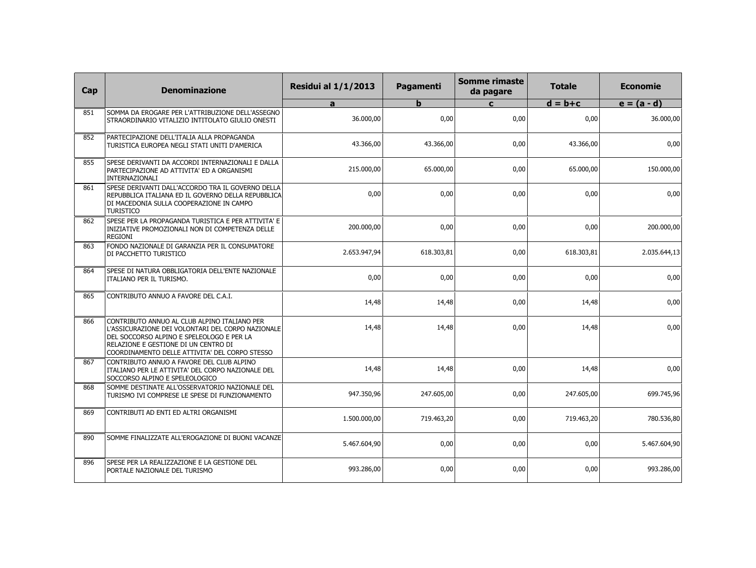| Cap | <b>Denominazione</b>                                                                                                                                                                                                                     | <b>Residui al 1/1/2013</b> | Pagamenti   | <b>Somme rimaste</b><br>da pagare | <b>Totale</b> | <b>Economie</b> |
|-----|------------------------------------------------------------------------------------------------------------------------------------------------------------------------------------------------------------------------------------------|----------------------------|-------------|-----------------------------------|---------------|-----------------|
|     |                                                                                                                                                                                                                                          | a                          | $\mathbf b$ | $\mathbf{c}$                      | $d = b + c$   | $e = (a - d)$   |
| 851 | SOMMA DA EROGARE PER L'ATTRIBUZIONE DELL'ASSEGNO<br>STRAORDINARIO VITALIZIO INTITOLATO GIULIO ONESTI                                                                                                                                     | 36,000,00                  | 0.00        | 0.00                              | 0.00          | 36.000,00       |
| 852 | PARTECIPAZIONE DELL'ITALIA ALLA PROPAGANDA<br>TURISTICA EUROPEA NEGLI STATI UNITI D'AMERICA                                                                                                                                              | 43.366,00                  | 43.366.00   | 0,00                              | 43.366.00     | 0,00            |
| 855 | SPESE DERIVANTI DA ACCORDI INTERNAZIONALI E DALLA<br>PARTECIPAZIONE AD ATTIVITA' ED A ORGANISMI<br>INTERNAZIONALI                                                                                                                        | 215.000,00                 | 65.000,00   | 0,00                              | 65.000,00     | 150.000,00      |
| 861 | SPESE DERIVANTI DALL'ACCORDO TRA IL GOVERNO DELLA<br>REPUBBLICA ITALIANA ED IL GOVERNO DELLA REPUBBLICA<br>DI MACEDONIA SULLA COOPERAZIONE IN CAMPO<br><b>TURISTICO</b>                                                                  | 0.00                       | 0.00        | 0,00                              | 0.00          | 0,00            |
| 862 | SPESE PER LA PROPAGANDA TURISTICA E PER ATTIVITA' E<br>INIZIATIVE PROMOZIONALI NON DI COMPETENZA DELLE<br>REGIONI                                                                                                                        | 200.000,00                 | 0,00        | 0,00                              | 0,00          | 200.000,00      |
| 863 | FONDO NAZIONALE DI GARANZIA PER IL CONSUMATORE<br>DI PACCHETTO TURISTICO                                                                                                                                                                 | 2.653.947,94               | 618.303,81  | 0,00                              | 618.303,81    | 2.035.644,13    |
| 864 | SPESE DI NATURA OBBLIGATORIA DELL'ENTE NAZIONALE<br>ITALIANO PER IL TURISMO.                                                                                                                                                             | 0,00                       | 0,00        | 0,00                              | 0,00          | 0,00            |
| 865 | CONTRIBUTO ANNUO A FAVORE DEL C.A.I.                                                                                                                                                                                                     | 14,48                      | 14,48       | 0,00                              | 14,48         | 0,00            |
| 866 | CONTRIBUTO ANNUO AL CLUB ALPINO ITALIANO PER<br>L'ASSICURAZIONE DEI VOLONTARI DEL CORPO NAZIONALE<br>DEL SOCCORSO ALPINO E SPELEOLOGO E PER LA<br>RELAZIONE E GESTIONE DI UN CENTRO DI<br>COORDINAMENTO DELLE ATTIVITA' DEL CORPO STESSO | 14,48                      | 14,48       | 0,00                              | 14,48         | 0,00            |
| 867 | CONTRIBUTO ANNUO A FAVORE DEL CLUB ALPINO<br>ITALIANO PER LE ATTIVITA' DEL CORPO NAZIONALE DEL<br>SOCCORSO ALPINO E SPELEOLOGICO                                                                                                         | 14,48                      | 14,48       | 0,00                              | 14,48         | 0,00            |
| 868 | SOMME DESTINATE ALL'OSSERVATORIO NAZIONALE DEL<br>TURISMO IVI COMPRESE LE SPESE DI FUNZIONAMENTO                                                                                                                                         | 947.350,96                 | 247.605,00  | 0,00                              | 247.605,00    | 699.745,96      |
| 869 | CONTRIBUTI AD ENTI ED ALTRI ORGANISMI                                                                                                                                                                                                    | 1.500.000,00               | 719.463,20  | 0,00                              | 719.463,20    | 780.536,80      |
| 890 | SOMME FINALIZZATE ALL'EROGAZIONE DI BUONI VACANZE                                                                                                                                                                                        | 5.467.604,90               | 0,00        | 0,00                              | 0,00          | 5.467.604,90    |
| 896 | SPESE PER LA REALIZZAZIONE E LA GESTIONE DEL<br>PORTALE NAZIONALE DEL TURISMO                                                                                                                                                            | 993.286,00                 | 0,00        | 0,00                              | 0,00          | 993.286,00      |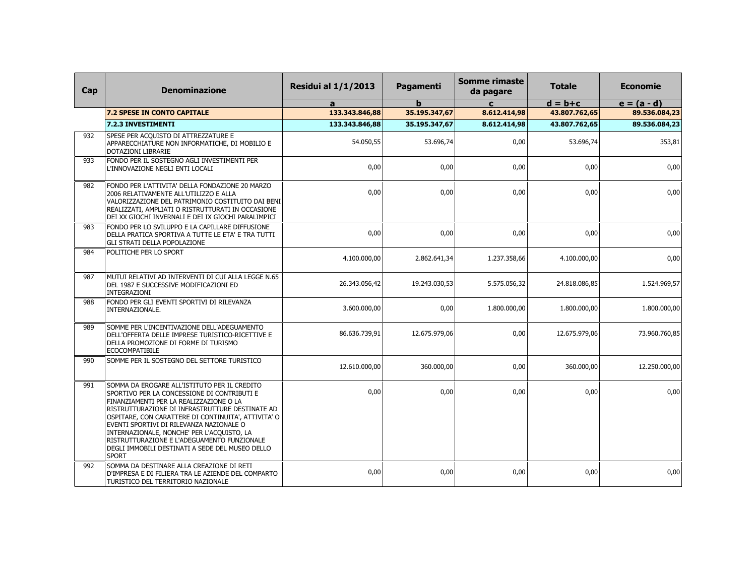| Cap | <b>Denominazione</b>                                                                                                                                                                                                                                                                                                                                                                                                                                         | <b>Residui al 1/1/2013</b> | <b>Pagamenti</b> | Somme rimaste<br>da pagare | <b>Totale</b> | <b>Economie</b> |
|-----|--------------------------------------------------------------------------------------------------------------------------------------------------------------------------------------------------------------------------------------------------------------------------------------------------------------------------------------------------------------------------------------------------------------------------------------------------------------|----------------------------|------------------|----------------------------|---------------|-----------------|
|     |                                                                                                                                                                                                                                                                                                                                                                                                                                                              | a                          |                  | $\mathbf{c}$               | $d = b + c$   | $e = (a - d)$   |
|     | <b>7.2 SPESE IN CONTO CAPITALE</b>                                                                                                                                                                                                                                                                                                                                                                                                                           | 133.343.846,88             | 35.195.347,67    | 8.612.414,98               | 43.807.762,65 | 89.536.084,23   |
|     | 7.2.3 INVESTIMENTI                                                                                                                                                                                                                                                                                                                                                                                                                                           | 133.343.846,88             | 35.195.347,67    | 8.612.414,98               | 43.807.762,65 | 89.536.084,23   |
| 932 | SPESE PER ACQUISTO DI ATTREZZATURE E<br>APPARECCHIATURE NON INFORMATICHE, DI MOBILIO E<br>DOTAZIONI LIBRARIE                                                                                                                                                                                                                                                                                                                                                 | 54.050,55                  | 53.696,74        | 0,00                       | 53.696,74     | 353,81          |
| 933 | FONDO PER IL SOSTEGNO AGLI INVESTIMENTI PER<br>L'INNOVAZIONE NEGLI ENTI LOCALI                                                                                                                                                                                                                                                                                                                                                                               | 0,00                       | 0,00             | 0,00                       | 0,00          | 0,00            |
| 982 | FONDO PER L'ATTIVITA' DELLA FONDAZIONE 20 MARZO<br>2006 RELATIVAMENTE ALL'UTILIZZO E ALLA<br>VALORIZZAZIONE DEL PATRIMONIO COSTITUITO DAI BENI<br>REALIZZATI, AMPLIATI O RISTRUTTURATI IN OCCASIONE<br>DEI XX GIOCHI INVERNALI E DEI IX GIOCHI PARALIMPICI                                                                                                                                                                                                   | 0,00                       | 0,00             | 0,00                       | 0,00          | 0,00            |
| 983 | FONDO PER LO SVILUPPO E LA CAPILLARE DIFFUSIONE<br>DELLA PRATICA SPORTIVA A TUTTE LE ETA' E TRA TUTTI<br><b>GLI STRATI DELLA POPOLAZIONE</b>                                                                                                                                                                                                                                                                                                                 | 0,00                       | 0,00             | 0,00                       | 0,00          | 0,00            |
| 984 | POLITICHE PER LO SPORT                                                                                                                                                                                                                                                                                                                                                                                                                                       | 4.100.000,00               | 2.862.641,34     | 1.237.358,66               | 4.100.000,00  | 0,00            |
| 987 | MUTUI RELATIVI AD INTERVENTI DI CUI ALLA LEGGE N.65<br>DEL 1987 E SUCCESSIVE MODIFICAZIONI ED<br>INTEGRAZIONI                                                                                                                                                                                                                                                                                                                                                | 26.343.056,42              | 19.243.030,53    | 5.575.056,32               | 24.818.086,85 | 1.524.969,57    |
| 988 | FONDO PER GLI EVENTI SPORTIVI DI RILEVANZA<br>INTERNAZIONALE.                                                                                                                                                                                                                                                                                                                                                                                                | 3.600.000,00               | 0,00             | 1.800.000,00               | 1.800.000,00  | 1.800.000,00    |
| 989 | SOMME PER L'INCENTIVAZIONE DELL'ADEGUAMENTO<br>DELL'OFFERTA DELLE IMPRESE TURISTICO-RICETTIVE E<br>DELLA PROMOZIONE DI FORME DI TURISMO<br><b>ECOCOMPATIBILE</b>                                                                                                                                                                                                                                                                                             | 86.636.739,91              | 12.675.979,06    | 0,00                       | 12.675.979,06 | 73.960.760,85   |
| 990 | SOMME PER IL SOSTEGNO DEL SETTORE TURISTICO                                                                                                                                                                                                                                                                                                                                                                                                                  | 12.610.000,00              | 360.000,00       | 0,00                       | 360.000,00    | 12.250.000,00   |
| 991 | SOMMA DA EROGARE ALL'ISTITUTO PER IL CREDITO<br>SPORTIVO PER LA CONCESSIONE DI CONTRIBUTI E<br>FINANZIAMENTI PER LA REALIZZAZIONE O LA<br>RISTRUTTURAZIONE DI INFRASTRUTTURE DESTINATE AD<br>OSPITARE, CON CARATTERE DI CONTINUITA', ATTIVITA' O<br>EVENTI SPORTIVI DI RILEVANZA NAZIONALE O<br>INTERNAZIONALE, NONCHE' PER L'ACQUISTO, LA<br>RISTRUTTURAZIONE E L'ADEGUAMENTO FUNZIONALE<br>DEGLI IMMOBILI DESTINATI A SEDE DEL MUSEO DELLO<br><b>SPORT</b> | 0,00                       | 0,00             | 0,00                       | 0,00          | 0,00            |
| 992 | SOMMA DA DESTINARE ALLA CREAZIONE DI RETI<br>D'IMPRESA E DI FILIERA TRA LE AZIENDE DEL COMPARTO<br>TURISTICO DEL TERRITORIO NAZIONALE                                                                                                                                                                                                                                                                                                                        | 0,00                       | 0,00             | 0,00                       | 0,00          | 0,00            |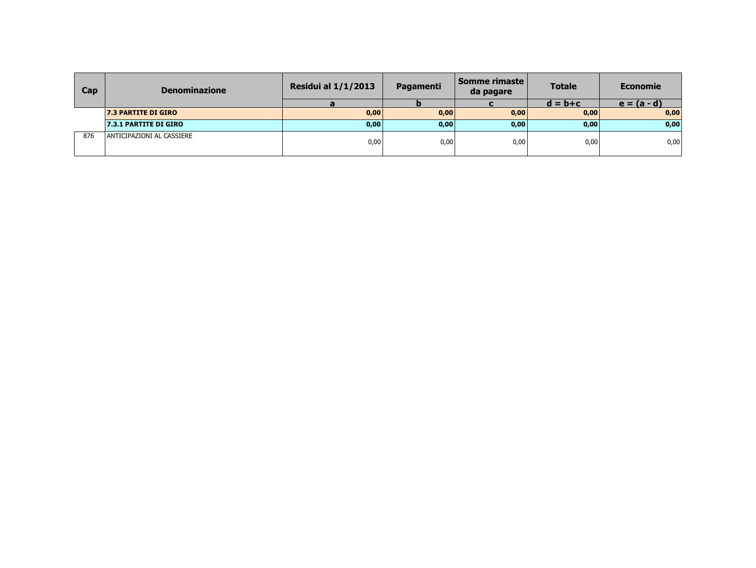| Cap | <b>Denominazione</b>       | <b>Residui al 1/1/2013</b> | Pagamenti | Somme rimaste l<br>da pagare | <b>Totale</b> | <b>Economie</b> |
|-----|----------------------------|----------------------------|-----------|------------------------------|---------------|-----------------|
|     |                            |                            |           |                              | $d = b + c$   | $e = (a - d)$   |
|     | <b>7.3 PARTITE DI GIRO</b> | 0,00                       | 0,00      | 0,00                         | 0,00          | 0,00            |
|     | 7.3.1 PARTITE DI GIRO      | 0,00                       | 0,00      | 0,00                         | 0,00          | 0,00            |
| 876 | ANTICIPAZIONI AL CASSIERE  | 0,00                       | 0,00      | 0,00                         | 0,00          | 0,00            |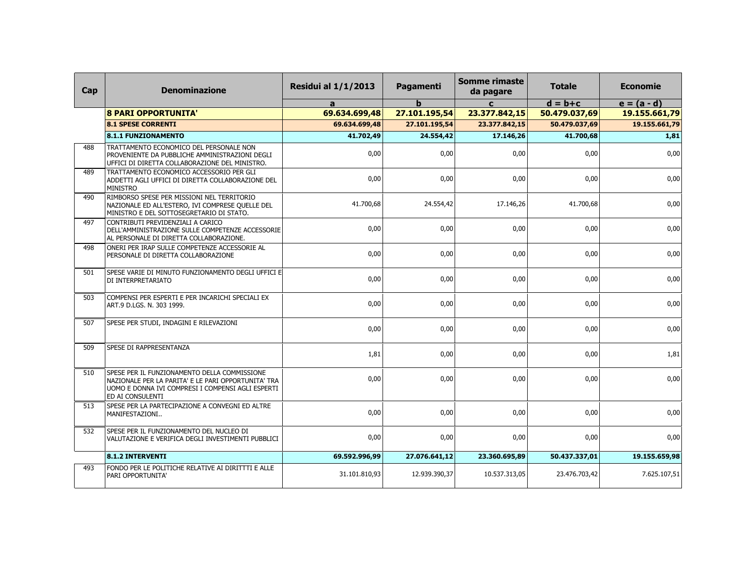| Cap | <b>Denominazione</b>                                                                                                                                                         | <b>Residui al 1/1/2013</b> | Pagamenti     | Somme rimaste<br>da pagare | <b>Totale</b> | <b>Economie</b> |
|-----|------------------------------------------------------------------------------------------------------------------------------------------------------------------------------|----------------------------|---------------|----------------------------|---------------|-----------------|
|     |                                                                                                                                                                              | a                          | b             | $\mathbf{c}$               | $d = b + c$   | $e = (a - d)$   |
|     | <b>8 PARI OPPORTUNITA'</b>                                                                                                                                                   | 69.634.699,48              | 27.101.195,54 | 23.377.842,15              | 50.479.037,69 | 19.155.661,79   |
|     | <b>8.1 SPESE CORRENTI</b>                                                                                                                                                    | 69.634.699,48              | 27.101.195,54 | 23.377.842,15              | 50.479.037,69 | 19.155.661,79   |
|     | <b>8.1.1 FUNZIONAMENTO</b>                                                                                                                                                   | 41.702,49                  | 24.554,42     | 17.146,26                  | 41.700,68     | 1,81            |
| 488 | TRATTAMENTO ECONOMICO DEL PERSONALE NON<br>PROVENIENTE DA PUBBLICHE AMMINISTRAZIONI DEGLI<br>UFFICI DI DIRETTA COLLABORAZIONE DEL MINISTRO.                                  | 0,00                       | 0,00          | 0,00                       | 0,00          | 0,00            |
| 489 | TRATTAMENTO ECONOMICO ACCESSORIO PER GLI<br>ADDETTI AGLI UFFICI DI DIRETTA COLLABORAZIONE DEL<br><b>MINISTRO</b>                                                             | 0,00                       | 0,00          | 0,00                       | 0,00          | 0,00            |
| 490 | RIMBORSO SPESE PER MISSIONI NEL TERRITORIO<br>NAZIONALE ED ALL'ESTERO, IVI COMPRESE QUELLE DEL<br>MINISTRO E DEL SOTTOSEGRETARIO DI STATO.                                   | 41.700,68                  | 24.554,42     | 17.146,26                  | 41.700,68     | 0,00            |
| 497 | CONTRIBUTI PREVIDENZIALI A CARICO<br>DELL'AMMINISTRAZIONE SULLE COMPETENZE ACCESSORIE<br>AL PERSONALE DI DIRETTA COLLABORAZIONE.                                             | 0,00                       | 0,00          | 0,00                       | 0,00          | 0,00            |
| 498 | ONERI PER IRAP SULLE COMPETENZE ACCESSORIE AL<br>PERSONALE DI DIRETTA COLLABORAZIONE                                                                                         | 0,00                       | 0,00          | 0,00                       | 0,00          | 0,00            |
| 501 | SPESE VARIE DI MINUTO FUNZIONAMENTO DEGLI UFFICI E<br>DI INTERPRETARIATO                                                                                                     | 0,00                       | 0,00          | 0,00                       | 0,00          | 0,00            |
| 503 | COMPENSI PER ESPERTI E PER INCARICHI SPECIALI EX<br>ART.9 D.LGS. N. 303 1999.                                                                                                | 0,00                       | 0,00          | 0,00                       | 0,00          | 0,00            |
| 507 | SPESE PER STUDI, INDAGINI E RILEVAZIONI                                                                                                                                      | 0,00                       | 0,00          | 0,00                       | 0,00          | 0,00            |
| 509 | SPESE DI RAPPRESENTANZA                                                                                                                                                      | 1,81                       | 0,00          | 0,00                       | 0,00          | 1,81            |
| 510 | SPESE PER IL FUNZIONAMENTO DELLA COMMISSIONE<br>NAZIONALE PER LA PARITA' E LE PARI OPPORTUNITA' TRA<br>UOMO E DONNA IVI COMPRESI I COMPENSI AGLI ESPERTI<br>ED AI CONSULENTI | 0,00                       | 0,00          | 0,00                       | 0,00          | 0,00            |
| 513 | SPESE PER LA PARTECIPAZIONE A CONVEGNI ED ALTRE<br>MANIFESTAZIONI                                                                                                            | 0,00                       | 0,00          | 0,00                       | 0,00          | 0,00            |
| 532 | SPESE PER IL FUNZIONAMENTO DEL NUCLEO DI<br>VALUTAZIONE E VERIFICA DEGLI INVESTIMENTI PUBBLICI                                                                               | 0,00                       | 0,00          | 0,00                       | 0,00          | 0,00            |
|     | <b>8.1.2 INTERVENTI</b>                                                                                                                                                      | 69.592.996,99              | 27.076.641,12 | 23.360.695,89              | 50.437.337,01 | 19.155.659,98   |
| 493 | FONDO PER LE POLITICHE RELATIVE AI DIRITTTI E ALLE<br>PARI OPPORTUNITA'                                                                                                      | 31.101.810,93              | 12.939.390,37 | 10.537.313,05              | 23.476.703,42 | 7.625.107,51    |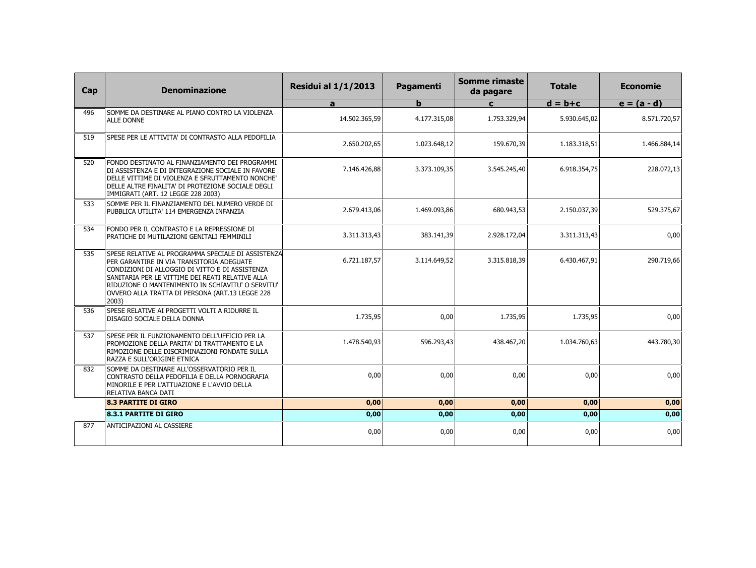| Cap | <b>Denominazione</b>                                                                                                                                                                                                                                                                                                    | <b>Residui al 1/1/2013</b> | Pagamenti    | <b>Somme rimaste</b><br>da pagare | <b>Totale</b> | <b>Economie</b> |
|-----|-------------------------------------------------------------------------------------------------------------------------------------------------------------------------------------------------------------------------------------------------------------------------------------------------------------------------|----------------------------|--------------|-----------------------------------|---------------|-----------------|
|     |                                                                                                                                                                                                                                                                                                                         | a                          | b            | $\mathbf{C}$                      | $d = b + c$   | $e = (a - d)$   |
| 496 | SOMME DA DESTINARE AL PIANO CONTRO LA VIOLENZA<br><b>ALLE DONNE</b>                                                                                                                                                                                                                                                     | 14.502.365,59              | 4.177.315,08 | 1.753.329,94                      | 5.930.645,02  | 8.571.720,57    |
| 519 | SPESE PER LE ATTIVITA' DI CONTRASTO ALLA PEDOFILIA                                                                                                                                                                                                                                                                      | 2.650.202,65               | 1.023.648,12 | 159.670,39                        | 1.183.318,51  | 1.466.884,14    |
| 520 | FONDO DESTINATO AL FINANZIAMENTO DEI PROGRAMMI<br>DI ASSISTENZA E DI INTEGRAZIONE SOCIALE IN FAVORE<br>DELLE VITTIME DI VIOLENZA E SFRUTTAMENTO NONCHE'<br>DELLE ALTRE FINALITA' DI PROTEZIONE SOCIALE DEGLI<br>IMMIGRATI (ART. 12 LEGGE 228 2003)                                                                      | 7.146.426,88               | 3.373.109,35 | 3.545.245,40                      | 6.918.354,75  | 228.072,13      |
| 533 | SOMME PER IL FINANZIAMENTO DEL NUMERO VERDE DI<br>PUBBLICA UTILITA' 114 EMERGENZA INFANZIA                                                                                                                                                                                                                              | 2.679.413,06               | 1.469.093,86 | 680.943,53                        | 2.150.037,39  | 529.375,67      |
| 534 | FONDO PER IL CONTRASTO E LA REPRESSIONE DI<br>PRATICHE DI MUTILAZIONI GENITALI FEMMINILI                                                                                                                                                                                                                                | 3.311.313,43               | 383.141,39   | 2.928.172,04                      | 3.311.313,43  | 0,00            |
| 535 | SPESE RELATIVE AL PROGRAMMA SPECIALE DI ASSISTENZA<br>PER GARANTIRE IN VIA TRANSITORIA ADEGUATE<br>CONDIZIONI DI ALLOGGIO DI VITTO E DI ASSISTENZA<br>SANITARIA PER LE VITTIME DEI REATI RELATIVE ALLA<br>RIDUZIONE O MANTENIMENTO IN SCHIAVITU' O SERVITU'<br>OVVERO ALLA TRATTA DI PERSONA (ART.13 LEGGE 228<br>2003) | 6.721.187,57               | 3.114.649.52 | 3.315.818.39                      | 6.430.467,91  | 290.719,66      |
| 536 | SPESE RELATIVE AI PROGETTI VOLTI A RIDURRE IL<br>DISAGIO SOCIALE DELLA DONNA                                                                                                                                                                                                                                            | 1.735,95                   | 0,00         | 1.735,95                          | 1.735,95      | 0,00            |
| 537 | SPESE PER IL FUNZIONAMENTO DELL'UFFICIO PER LA<br>PROMOZIONE DELLA PARITA' DI TRATTAMENTO E LA<br>RIMOZIONE DELLE DISCRIMINAZIONI FONDATE SULLA<br>RAZZA E SULL'ORIGINE ETNICA                                                                                                                                          | 1.478.540,93               | 596.293,43   | 438.467,20                        | 1.034.760,63  | 443.780,30      |
| 832 | SOMME DA DESTINARE ALL'OSSERVATORIO PER IL<br>CONTRASTO DELLA PEDOFILIA E DELLA PORNOGRAFIA<br>MINORILE E PER L'ATTUAZIONE E L'AVVIO DELLA<br>RELATIVA BANCA DATI                                                                                                                                                       | 0.00                       | 0,00         | 0,00                              | 0,00          | 0,00            |
|     | <b>8.3 PARTITE DI GIRO</b>                                                                                                                                                                                                                                                                                              | 0,00                       | 0,00         | 0,00                              | 0,00          | 0,00            |
|     | <b>8.3.1 PARTITE DI GIRO</b>                                                                                                                                                                                                                                                                                            | 0,00                       | 0,00         | 0,00                              | 0,00          | 0,00            |
| 877 | <b>ANTICIPAZIONI AL CASSIERE</b>                                                                                                                                                                                                                                                                                        | 0,00                       | 0,00         | 0,00                              | 0,00          | 0,00            |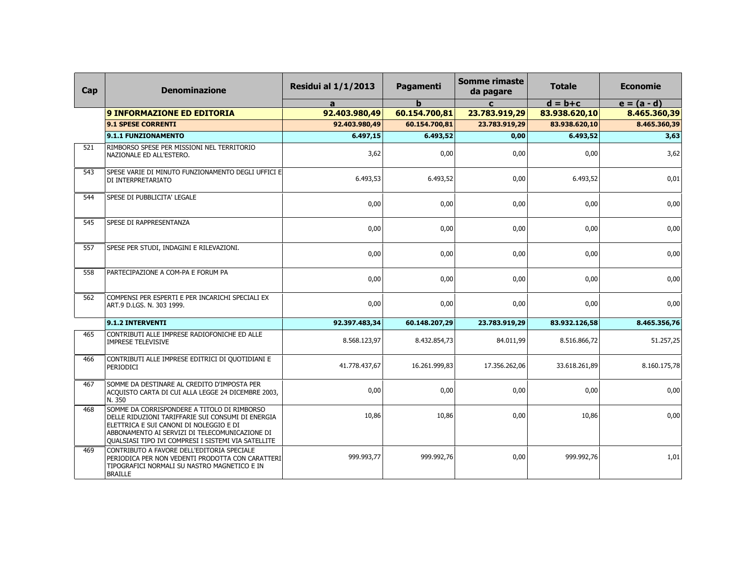| Cap | <b>Denominazione</b>                                                                                                                                                                                                                                        | <b>Residui al 1/1/2013</b> | Pagamenti     | <b>Somme rimaste</b><br>da pagare | <b>Totale</b> | <b>Economie</b> |
|-----|-------------------------------------------------------------------------------------------------------------------------------------------------------------------------------------------------------------------------------------------------------------|----------------------------|---------------|-----------------------------------|---------------|-----------------|
|     |                                                                                                                                                                                                                                                             | $\mathbf{a}$               | b             | $\mathbf{C}$                      | $d = b + c$   | $e = (a - d)$   |
|     | <b>9 INFORMAZIONE ED EDITORIA</b>                                                                                                                                                                                                                           | 92.403.980,49              | 60.154.700,81 | 23.783.919,29                     | 83.938.620,10 | 8.465.360,39    |
|     | 9.1 SPESE CORRENTI                                                                                                                                                                                                                                          | 92.403.980,49              | 60.154.700,81 | 23.783.919,29                     | 83.938.620,10 | 8.465.360,39    |
|     | 9.1.1 FUNZIONAMENTO                                                                                                                                                                                                                                         | 6.497,15                   | 6.493,52      | 0,00                              | 6.493,52      | 3,63            |
| 521 | RIMBORSO SPESE PER MISSIONI NEL TERRITORIO<br>NAZIONALE ED ALL'ESTERO.                                                                                                                                                                                      | 3,62                       | 0,00          | 0,00                              | 0,00          | 3,62            |
| 543 | SPESE VARIE DI MINUTO FUNZIONAMENTO DEGLI UFFICI E<br>DI INTERPRETARIATO                                                                                                                                                                                    | 6.493,53                   | 6.493,52      | 0,00                              | 6.493,52      | 0,01            |
| 544 | SPESE DI PUBBLICITA' LEGALE                                                                                                                                                                                                                                 | 0,00                       | 0,00          | 0,00                              | 0,00          | 0,00            |
| 545 | SPESE DI RAPPRESENTANZA                                                                                                                                                                                                                                     | 0,00                       | 0,00          | 0,00                              | 0,00          | 0,00            |
| 557 | SPESE PER STUDI, INDAGINI E RILEVAZIONI.                                                                                                                                                                                                                    | 0,00                       | 0,00          | 0,00                              | 0.00          | 0,00            |
| 558 | PARTECIPAZIONE A COM-PA E FORUM PA                                                                                                                                                                                                                          | 0.00                       | 0,00          | 0,00                              | 0,00          | 0,00            |
| 562 | COMPENSI PER ESPERTI E PER INCARICHI SPECIALI EX<br>ART.9 D.LGS. N. 303 1999.                                                                                                                                                                               | 0,00                       | 0,00          | 0,00                              | 0,00          | 0,00            |
|     | 9.1.2 INTERVENTI                                                                                                                                                                                                                                            | 92.397.483,34              | 60.148.207,29 | 23.783.919,29                     | 83.932.126,58 | 8.465.356,76    |
| 465 | CONTRIBUTI ALLE IMPRESE RADIOFONICHE ED ALLE<br><b>IMPRESE TELEVISIVE</b>                                                                                                                                                                                   | 8.568.123,97               | 8.432.854,73  | 84.011,99                         | 8.516.866,72  | 51.257,25       |
| 466 | CONTRIBUTI ALLE IMPRESE EDITRICI DI QUOTIDIANI E<br>PERIODICI                                                                                                                                                                                               | 41.778.437,67              | 16.261.999,83 | 17.356.262,06                     | 33.618.261,89 | 8.160.175,78    |
| 467 | SOMME DA DESTINARE AL CREDITO D'IMPOSTA PER<br>ACQUISTO CARTA DI CUI ALLA LEGGE 24 DICEMBRE 2003,<br>N. 350                                                                                                                                                 | 0,00                       | 0,00          | 0,00                              | 0,00          | 0,00            |
| 468 | SOMME DA CORRISPONDERE A TITOLO DI RIMBORSO<br>DELLE RIDUZIONI TARIFFARIE SUI CONSUMI DI ENERGIA<br>ELETTRICA E SUI CANONI DI NOLEGGIO E DI<br>ABBONAMENTO AI SERVIZI DI TELECOMUNICAZIONE DI<br><b>QUALSIASI TIPO IVI COMPRESI I SISTEMI VIA SATELLITE</b> | 10,86                      | 10,86         | 0,00                              | 10,86         | 0,00            |
| 469 | CONTRIBUTO A FAVORE DELL'EDITORIA SPECIALE<br>PERIODICA PER NON VEDENTI PRODOTTA CON CARATTERI<br>TIPOGRAFICI NORMALI SU NASTRO MAGNETICO E IN<br><b>BRAILLE</b>                                                                                            | 999.993,77                 | 999.992,76    | 0,00                              | 999.992,76    | 1,01            |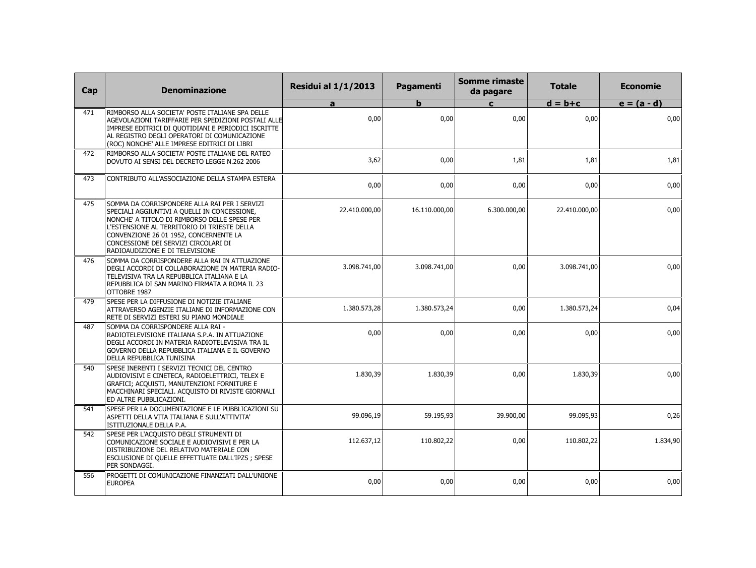| Cap | <b>Denominazione</b>                                                                                                                                                                                                                                                                                              | <b>Residui al 1/1/2013</b> | Pagamenti     | <b>Somme rimaste</b><br>da pagare | <b>Totale</b> | <b>Economie</b> |
|-----|-------------------------------------------------------------------------------------------------------------------------------------------------------------------------------------------------------------------------------------------------------------------------------------------------------------------|----------------------------|---------------|-----------------------------------|---------------|-----------------|
|     |                                                                                                                                                                                                                                                                                                                   | a                          | b             | $\mathbf{C}$                      | $d = b + c$   | $e = (a - d)$   |
| 471 | RIMBORSO ALLA SOCIETA' POSTE ITALIANE SPA DELLE<br>AGEVOLAZIONI TARIFFARIE PER SPEDIZIONI POSTALI ALLE<br>IMPRESE EDITRICI DI QUOTIDIANI E PERIODICI ISCRITTE<br>AL REGISTRO DEGLI OPERATORI DI COMUNICAZIONE<br>(ROC) NONCHE' ALLE IMPRESE EDITRICI DI LIBRI                                                     | 0,00                       | 0,00          | 0,00                              | 0,00          | 0,00            |
| 472 | RIMBORSO ALLA SOCIETA' POSTE ITALIANE DEL RATEO<br>DOVUTO AI SENSI DEL DECRETO LEGGE N.262 2006                                                                                                                                                                                                                   | 3,62                       | 0,00          | 1,81                              | 1,81          | 1,81            |
| 473 | CONTRIBUTO ALL'ASSOCIAZIONE DELLA STAMPA ESTERA                                                                                                                                                                                                                                                                   | 0,00                       | 0,00          | 0,00                              | 0,00          | 0,00            |
| 475 | SOMMA DA CORRISPONDERE ALLA RAI PER I SERVIZI<br>SPECIALI AGGIUNTIVI A QUELLI IN CONCESSIONE,<br>NONCHE' A TITOLO DI RIMBORSO DELLE SPESE PER<br>L'ESTENSIONE AL TERRITORIO DI TRIESTE DELLA<br>CONVENZIONE 26 01 1952, CONCERNENTE LA<br>CONCESSIONE DEI SERVIZI CIRCOLARI DI<br>RADIOAUDIZIONE E DI TELEVISIONE | 22.410.000,00              | 16.110.000,00 | 6.300.000,00                      | 22.410.000,00 | 0,00            |
| 476 | SOMMA DA CORRISPONDERE ALLA RAI IN ATTUAZIONE<br>DEGLI ACCORDI DI COLLABORAZIONE IN MATERIA RADIO-<br>TELEVISIVA TRA LA REPUBBLICA ITALIANA E LA<br>REPUBBLICA DI SAN MARINO FIRMATA A ROMA IL 23<br>OTTOBRE 1987                                                                                                 | 3.098.741,00               | 3.098.741,00  | 0,00                              | 3.098.741,00  | 0,00            |
| 479 | SPESE PER LA DIFFUSIONE DI NOTIZIE ITALIANE<br>ATTRAVERSO AGENZIE ITALIANE DI INFORMAZIONE CON<br>RETE DI SERVIZI ESTERI SU PIANO MONDIALE                                                                                                                                                                        | 1.380.573,28               | 1.380.573,24  | 0,00                              | 1.380.573,24  | 0,04            |
| 487 | SOMMA DA CORRISPONDERE ALLA RAI -<br>RADIOTELEVISIONE ITALIANA S.P.A. IN ATTUAZIONE<br>DEGLI ACCORDI IN MATERIA RADIOTELEVISIVA TRA IL<br>GOVERNO DELLA REPUBBLICA ITALIANA E IL GOVERNO<br>DELLA REPUBBLICA TUNISINA                                                                                             | 0,00                       | 0,00          | 0,00                              | 0,00          | 0,00            |
| 540 | SPESE INERENTI I SERVIZI TECNICI DEL CENTRO<br>AUDIOVISIVI E CINETECA, RADIOELETTRICI, TELEX E<br>GRAFICI; ACQUISTI, MANUTENZIONI FORNITURE E<br>MACCHINARI SPECIALI. ACQUISTO DI RIVISTE GIORNALI<br>ED ALTRE PUBBLICAZIONI.                                                                                     | 1.830,39                   | 1.830,39      | 0,00                              | 1.830,39      | 0,00            |
| 541 | SPESE PER LA DOCUMENTAZIONE E LE PUBBLICAZIONI SU<br>ASPETTI DELLA VITA ITALIANA E SULL'ATTIVITA'<br>ISTITUZIONALE DELLA P.A.                                                                                                                                                                                     | 99.096,19                  | 59.195,93     | 39.900,00                         | 99.095,93     | 0,26            |
| 542 | SPESE PER L'ACQUISTO DEGLI STRUMENTI DI<br>COMUNICAZIONE SOCIALE E AUDIOVISIVI E PER LA<br>DISTRIBUZIONE DEL RELATIVO MATERIALE CON<br>ESCLUSIONE DI QUELLE EFFETTUATE DALL'IPZS ; SPESE<br>PER SONDAGGI.                                                                                                         | 112.637,12                 | 110.802,22    | 0,00                              | 110.802,22    | 1.834,90        |
| 556 | PROGETTI DI COMUNICAZIONE FINANZIATI DALL'UNIONE<br><b>EUROPEA</b>                                                                                                                                                                                                                                                | 0,00                       | 0,00          | 0,00                              | 0,00          | 0,00            |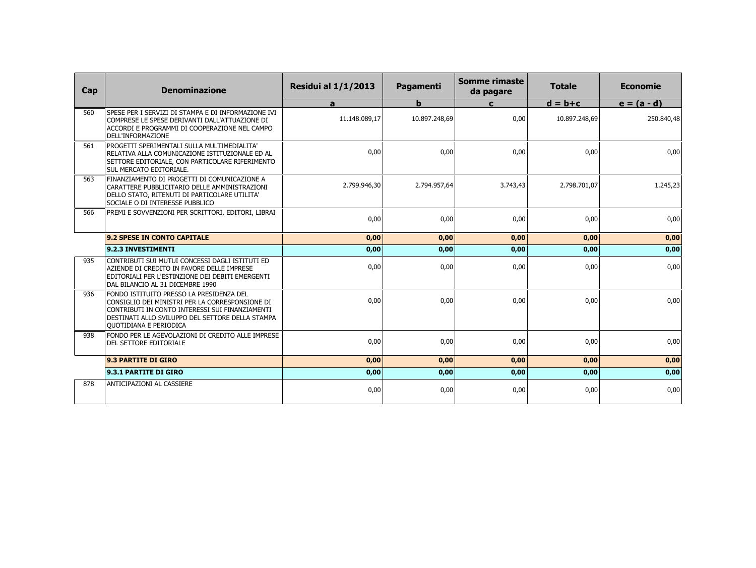| Cap | <b>Denominazione</b>                                                                                                                                                                                                         | <b>Residui al 1/1/2013</b> | Pagamenti     | <b>Somme rimaste</b><br>da pagare | <b>Totale</b> | <b>Economie</b> |
|-----|------------------------------------------------------------------------------------------------------------------------------------------------------------------------------------------------------------------------------|----------------------------|---------------|-----------------------------------|---------------|-----------------|
|     |                                                                                                                                                                                                                              | a                          | $\mathbf b$   | C                                 | $d = b + c$   | $e = (a - d)$   |
| 560 | SPESE PER I SERVIZI DI STAMPA E DI INFORMAZIONE IVI<br>COMPRESE LE SPESE DERIVANTI DALL'ATTUAZIONE DI<br>ACCORDI E PROGRAMMI DI COOPERAZIONE NEL CAMPO<br>DELL'INFORMAZIONE                                                  | 11.148.089,17              | 10.897.248,69 | 0,00                              | 10.897.248,69 | 250.840,48      |
| 561 | PROGETTI SPERIMENTALI SULLA MULTIMEDIALITA'<br>RELATIVA ALLA COMUNICAZIONE ISTITUZIONALE ED AL<br>SETTORE EDITORIALE, CON PARTICOLARE RIFERIMENTO<br>SUL MERCATO EDITORIALE.                                                 | 0,00                       | 0,00          | 0,00                              | 0,00          | 0,00            |
| 563 | FINANZIAMENTO DI PROGETTI DI COMUNICAZIONE A<br>CARATTERE PUBBLICITARIO DELLE AMMINISTRAZIONI<br>DELLO STATO, RITENUTI DI PARTICOLARE UTILITA'<br>SOCIALE O DI INTERESSE PUBBLICO                                            | 2.799.946,30               | 2.794.957,64  | 3.743,43                          | 2.798.701,07  | 1.245,23        |
| 566 | PREMI E SOVVENZIONI PER SCRITTORI, EDITORI, LIBRAI                                                                                                                                                                           | 0,00                       | 0,00          | 0,00                              | 0,00          | 0,00            |
|     | 9.2 SPESE IN CONTO CAPITALE                                                                                                                                                                                                  | 0,00                       | 0,00          | 0,00                              | 0,00          | 0,00            |
|     | 9.2.3 INVESTIMENTI                                                                                                                                                                                                           | 0,00                       | 0,00          | 0,00                              | 0,00          | 0,00            |
| 935 | CONTRIBUTI SUI MUTUI CONCESSI DAGLI ISTITUTI ED<br>AZIENDE DI CREDITO IN FAVORE DELLE IMPRESE<br>EDITORIALI PER L'ESTINZIONE DEI DEBITI EMERGENTI<br>DAL BILANCIO AL 31 DICEMBRE 1990                                        | 0,00                       | 0,00          | 0,00                              | 0,00          | 0,00            |
| 936 | FONDO ISTITUITO PRESSO LA PRESIDENZA DEL<br>CONSIGLIO DEI MINISTRI PER LA CORRESPONSIONE DI<br>CONTRIBUTI IN CONTO INTERESSI SUI FINANZIAMENTI<br>DESTINATI ALLO SVILUPPO DEL SETTORE DELLA STAMPA<br>QUOTIDIANA E PERIODICA | 0,00                       | 0,00          | 0,00                              | 0,00          | 0,00            |
| 938 | FONDO PER LE AGEVOLAZIONI DI CREDITO ALLE IMPRESE<br><b>DEL SETTORE EDITORIALE</b>                                                                                                                                           | 0,00                       | 0,00          | 0,00                              | 0,00          | 0,00            |
|     | 9.3 PARTITE DI GIRO                                                                                                                                                                                                          | 0,00                       | 0,00          | 0,00                              | 0,00          | 0,00            |
|     | 9.3.1 PARTITE DI GIRO                                                                                                                                                                                                        | 0,00                       | 0,00          | 0,00                              | 0,00          | 0,00            |
| 878 | ANTICIPAZIONI AL CASSIERE                                                                                                                                                                                                    | 0,00                       | 0,00          | 0,00                              | 0,00          | 0,00            |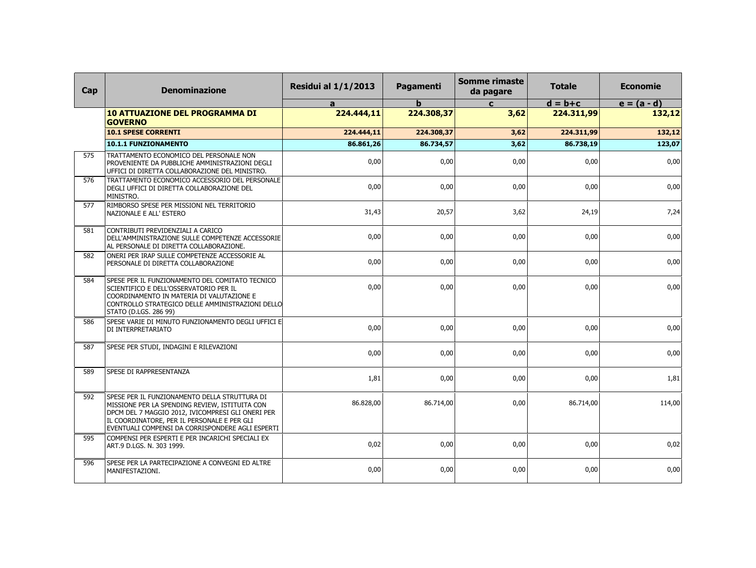| Cap | <b>Denominazione</b>                                                                                                                                                                                                                                    | <b>Residui al 1/1/2013</b> | Pagamenti    | <b>Somme rimaste</b><br>da pagare | <b>Totale</b> | <b>Economie</b> |
|-----|---------------------------------------------------------------------------------------------------------------------------------------------------------------------------------------------------------------------------------------------------------|----------------------------|--------------|-----------------------------------|---------------|-----------------|
|     |                                                                                                                                                                                                                                                         | a                          | $\mathbf{h}$ | $\mathbf{c}$                      | $d = b + c$   | $e = (a - d)$   |
|     | <b>10 ATTUAZIONE DEL PROGRAMMA DI</b><br><b>GOVERNO</b>                                                                                                                                                                                                 | 224.444,11                 | 224.308,37   | 3,62                              | 224.311,99    | 132,12          |
|     | <b>10.1 SPESE CORRENTI</b>                                                                                                                                                                                                                              | 224.444,11                 | 224.308,37   | 3,62                              | 224.311,99    | 132,12          |
|     | 10.1.1 FUNZIONAMENTO                                                                                                                                                                                                                                    | 86.861,26                  | 86.734,57    | 3,62                              | 86.738,19     | 123,07          |
| 575 | TRATTAMENTO ECONOMICO DEL PERSONALE NON<br>PROVENIENTE DA PUBBLICHE AMMINISTRAZIONI DEGLI<br>UFFICI DI DIRETTA COLLABORAZIONE DEL MINISTRO.                                                                                                             | 0,00                       | 0,00         | 0,00                              | 0,00          | 0,00            |
| 576 | TRATTAMENTO ECONOMICO ACCESSORIO DEL PERSONALE<br>DEGLI UFFICI DI DIRETTA COLLABORAZIONE DEL<br>MINISTRO.                                                                                                                                               | 0,00                       | 0,00         | 0,00                              | 0,00          | 0,00            |
| 577 | RIMBORSO SPESE PER MISSIONI NEL TERRITORIO<br>NAZIONALE E ALL' ESTERO                                                                                                                                                                                   | 31,43                      | 20,57        | 3,62                              | 24,19         | 7,24            |
| 581 | CONTRIBUTI PREVIDENZIALI A CARICO<br>DELL'AMMINISTRAZIONE SULLE COMPETENZE ACCESSORIE<br>AL PERSONALE DI DIRETTA COLLABORAZIONE.                                                                                                                        | 0,00                       | 0,00         | 0,00                              | 0,00          | 0,00            |
| 582 | ONERI PER IRAP SULLE COMPETENZE ACCESSORIE AL<br>PERSONALE DI DIRETTA COLLABORAZIONE                                                                                                                                                                    | 0,00                       | 0,00         | 0,00                              | 0,00          | 0,00            |
| 584 | SPESE PER IL FUNZIONAMENTO DEL COMITATO TECNICO<br>SCIENTIFICO E DELL'OSSERVATORIO PER IL<br>COORDINAMENTO IN MATERIA DI VALUTAZIONE E<br>CONTROLLO STRATEGICO DELLE AMMINISTRAZIONI DELLO<br>STATO (D.LGS. 286 99)                                     | 0,00                       | 0,00         | 0,00                              | 0,00          | 0,00            |
| 586 | SPESE VARIE DI MINUTO FUNZIONAMENTO DEGLI UFFICI E<br>DI INTERPRETARIATO                                                                                                                                                                                | 0.00                       | 0,00         | 0,00                              | 0.00          | 0,00            |
| 587 | SPESE PER STUDI, INDAGINI E RILEVAZIONI                                                                                                                                                                                                                 | 0.00                       | 0,00         | 0,00                              | 0,00          | 0,00            |
| 589 | SPESE DI RAPPRESENTANZA                                                                                                                                                                                                                                 | 1,81                       | 0.00         | 0,00                              | 0.00          | 1,81            |
| 592 | SPESE PER IL FUNZIONAMENTO DELLA STRUTTURA DI<br>MISSIONE PER LA SPENDING REVIEW, ISTITUITA CON<br>DPCM DEL 7 MAGGIO 2012, IVICOMPRESI GLI ONERI PER<br>IL COORDINATORE, PER IL PERSONALE E PER GLI<br>EVENTUALI COMPENSI DA CORRISPONDERE AGLI ESPERTI | 86.828,00                  | 86.714,00    | 0,00                              | 86.714,00     | 114,00          |
| 595 | COMPENSI PER ESPERTI E PER INCARICHI SPECIALI EX<br>ART.9 D.LGS. N. 303 1999.                                                                                                                                                                           | 0,02                       | 0,00         | 0,00                              | 0,00          | 0,02            |
| 596 | SPESE PER LA PARTECIPAZIONE A CONVEGNI ED ALTRE<br>MANIFESTAZIONI.                                                                                                                                                                                      | 0,00                       | 0,00         | 0,00                              | 0,00          | 0,00            |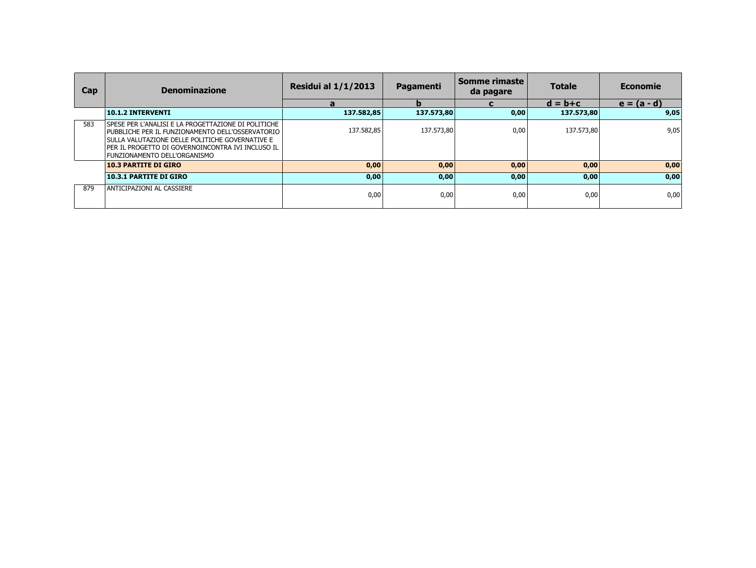| <b>Cap</b> | <b>Denominazione</b>                                                                                                                                                                                                                            | <b>Residui al 1/1/2013</b> | Pagamenti  | Somme rimaste  <br>da pagare | <b>Totale</b> | <b>Economie</b> |
|------------|-------------------------------------------------------------------------------------------------------------------------------------------------------------------------------------------------------------------------------------------------|----------------------------|------------|------------------------------|---------------|-----------------|
|            |                                                                                                                                                                                                                                                 | а                          |            |                              | $d = b + c$   | $e = (a - d)$   |
|            | 10.1.2 INTERVENTI                                                                                                                                                                                                                               | 137.582,85                 | 137.573,80 | 0,00                         | 137.573,80    | 9,05            |
| 583        | SPESE PER L'ANALISI E LA PROGETTAZIONE DI POLITICHE<br>PUBBLICHE PER IL FUNZIONAMENTO DELL'OSSERVATORIO<br>SULLA VALUTAZIONE DELLE POLITICHE GOVERNATIVE E<br>Per il progetto di Governoincontra ivi incluso il<br>FUNZIONAMENTO DELL'ORGANISMO | 137.582,85                 | 137.573,80 | 0,00                         | 137.573,80    | 9,05            |
|            | <b>10.3 PARTITE DI GIRO</b>                                                                                                                                                                                                                     | 0,00                       | 0,00       | 0,00                         | 0,00          | 0,00            |
|            | <b>10.3.1 PARTITE DI GIRO</b>                                                                                                                                                                                                                   | 0,00                       | 0,00       | 0,00                         | 0,00          | 0,00            |
| 879        | ANTICIPAZIONI AL CASSIERE                                                                                                                                                                                                                       | 0,00                       | 0,00       | 0,00                         | 0,00          | 0,00            |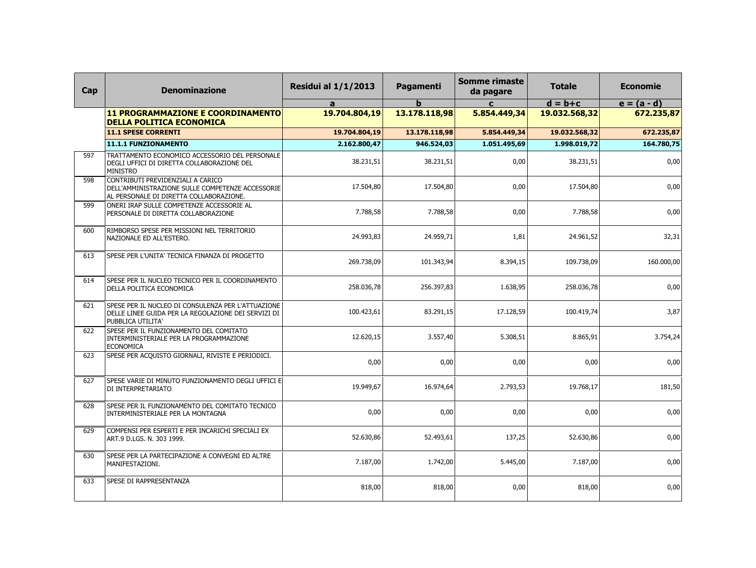| Cap | <b>Denominazione</b>                                                                                                             | <b>Residui al 1/1/2013</b> | Pagamenti     | <b>Somme rimaste</b><br>da pagare | <b>Totale</b> | <b>Economie</b> |
|-----|----------------------------------------------------------------------------------------------------------------------------------|----------------------------|---------------|-----------------------------------|---------------|-----------------|
|     |                                                                                                                                  | a                          | b             | $\mathbf{c}$                      | $d = b + c$   | $e = (a - d)$   |
|     | <b>11 PROGRAMMAZIONE E COORDINAMENTO</b><br><b>DELLA POLITICA ECONOMICA</b>                                                      | 19.704.804,19              | 13.178.118,98 | 5.854.449,34                      | 19.032.568,32 | 672.235,87      |
|     | <b>11.1 SPESE CORRENTI</b>                                                                                                       | 19.704.804,19              | 13.178.118,98 | 5.854.449,34                      | 19.032.568,32 | 672.235,87      |
|     | 11.1.1 FUNZIONAMENTO                                                                                                             | 2.162.800,47               | 946.524,03    | 1.051.495,69                      | 1.998.019,72  | 164.780,75      |
| 597 | TRATTAMENTO ECONOMICO ACCESSORIO DEL PERSONALE<br>DEGLI UFFICI DI DIRETTA COLLABORAZIONE DEL<br><b>MINISTRO</b>                  | 38.231,51                  | 38.231,51     | 0,00                              | 38.231,51     | 0,00            |
| 598 | CONTRIBUTI PREVIDENZIALI A CARICO<br>DELL'AMMINISTRAZIONE SULLE COMPETENZE ACCESSORIE<br>AL PERSONALE DI DIRETTA COLLABORAZIONE. | 17.504,80                  | 17.504,80     | 0,00                              | 17.504,80     | 0,00            |
| 599 | ONERI IRAP SULLE COMPETENZE ACCESSORIE AL<br>PERSONALE DI DIRETTA COLLABORAZIONE                                                 | 7.788,58                   | 7.788,58      | 0,00                              | 7.788,58      | 0,00            |
| 600 | RIMBORSO SPESE PER MISSIONI NEL TERRITORIO<br>NAZIONALE ED ALL'ESTERO.                                                           | 24.993,83                  | 24.959,71     | 1,81                              | 24.961,52     | 32,31           |
| 613 | SPESE PER L'UNITA' TECNICA FINANZA DI PROGETTO                                                                                   | 269.738,09                 | 101.343,94    | 8.394,15                          | 109.738,09    | 160.000,00      |
| 614 | SPESE PER IL NUCLEO TECNICO PER IL COORDINAMENTO<br>DELLA POLITICA ECONOMICA                                                     | 258.036,78                 | 256.397,83    | 1.638,95                          | 258.036,78    | 0,00            |
| 621 | SPESE PER IL NUCLEO DI CONSULENZA PER L'ATTUAZIONE<br>DELLE LINEE GUIDA PER LA REGOLAZIONE DEI SERVIZI DI<br>PUBBLICA UTILITA'   | 100.423,61                 | 83.291,15     | 17.128,59                         | 100.419,74    | 3,87            |
| 622 | SPESE PER IL FUNZIONAMENTO DEL COMITATO<br>INTERMINISTERIALE PER LA PROGRAMMAZIONE<br><b>ECONOMICA</b>                           | 12.620,15                  | 3.557,40      | 5.308,51                          | 8.865,91      | 3.754,24        |
| 623 | SPESE PER ACQUISTO GIORNALI, RIVISTE E PERIODICI.                                                                                | 0,00                       | 0,00          | 0,00                              | 0,00          | 0,00            |
| 627 | SPESE VARIE DI MINUTO FUNZIONAMENTO DEGLI UFFICI E<br>DI INTERPRETARIATO                                                         | 19.949,67                  | 16.974,64     | 2.793,53                          | 19.768,17     | 181,50          |
| 628 | SPESE PER IL FUNZIONAMENTO DEL COMITATO TECNICO<br>INTERMINISTERIALE PER LA MONTAGNA                                             | 0,00                       | 0,00          | 0,00                              | 0,00          | 0,00            |
| 629 | COMPENSI PER ESPERTI E PER INCARICHI SPECIALI EX<br>ART.9 D.LGS. N. 303 1999.                                                    | 52.630,86                  | 52.493,61     | 137,25                            | 52.630,86     | 0,00            |
| 630 | SPESE PER LA PARTECIPAZIONE A CONVEGNI ED ALTRE<br>MANIFESTAZIONI.                                                               | 7.187,00                   | 1.742,00      | 5.445,00                          | 7.187,00      | 0,00            |
| 633 | SPESE DI RAPPRESENTANZA                                                                                                          | 818,00                     | 818,00        | 0,00                              | 818,00        | 0,00            |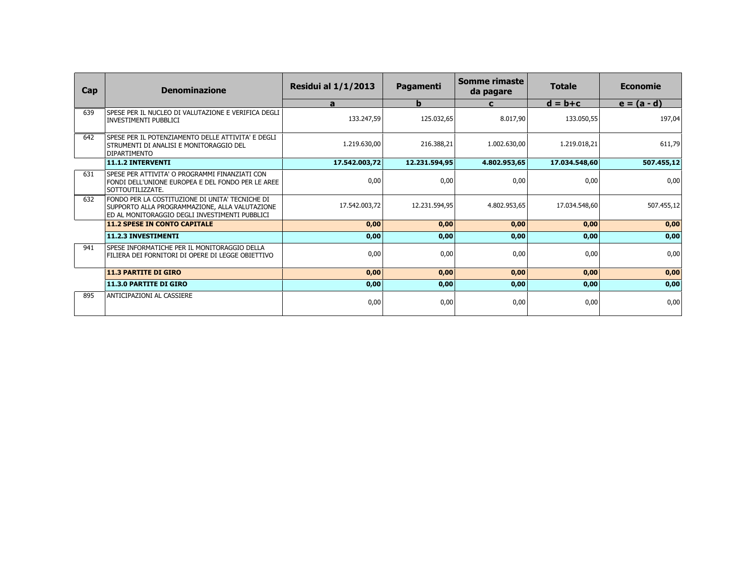| Cap | <b>Denominazione</b>                                                                                                                                | <b>Residui al 1/1/2013</b> | <b>Pagamenti</b> | Somme rimaste<br>da pagare | <b>Totale</b> | <b>Economie</b> |
|-----|-----------------------------------------------------------------------------------------------------------------------------------------------------|----------------------------|------------------|----------------------------|---------------|-----------------|
|     |                                                                                                                                                     | a                          | b                | $\mathbf{C}$               | $d = b + c$   | $e = (a - d)$   |
| 639 | SPESE PER IL NUCLEO DI VALUTAZIONE E VERIFICA DEGLI<br><b>INVESTIMENTI PUBBLICI</b>                                                                 | 133.247,59                 | 125.032,65       | 8.017,90                   | 133.050,55    | 197,04          |
| 642 | SPESE PER IL POTENZIAMENTO DELLE ATTIVITA' E DEGLI<br>  STRUMENTI DI ANALISI E MONITORAGGIO DEL<br><b>DIPARTIMENTO</b>                              | 1.219.630,00               | 216.388,21       | 1.002.630,00               | 1.219.018,21  | 611,79          |
|     | 11.1.2 INTERVENTI                                                                                                                                   | 17.542.003,72              | 12.231.594,95    | 4.802.953,65               | 17.034.548,60 | 507.455,12      |
| 631 | SPESE PER ATTIVITA' O PROGRAMMI FINANZIATI CON<br>FONDI DELL'UNIONE EUROPEA E DEL FONDO PER LE AREE<br>SOTTOUTILIZZATE.                             | 0,00                       | 0,00             | 0,00                       | 0,00          | 0,00            |
| 632 | FONDO PER LA COSTITUZIONE DI UNITA' TECNICHE DI<br>SUPPORTO ALLA PROGRAMMAZIONE, ALLA VALUTAZIONE<br>ED AL MONITORAGGIO DEGLI INVESTIMENTI PUBBLICI | 17.542.003.72              | 12.231.594.95    | 4.802.953.65               | 17.034.548.60 | 507.455,12      |
|     | <b>11.2 SPESE IN CONTO CAPITALE</b>                                                                                                                 | 0,00                       | 0,00             | 0,00                       | 0,00          | 0,00            |
|     | 11.2.3 INVESTIMENTI                                                                                                                                 | 0,00                       | 0,00             | 0,00                       | 0,00          | 0,00            |
| 941 | SPESE INFORMATICHE PER IL MONITORAGGIO DELLA<br>FILIERA DEI FORNITORI DI OPERE DI LEGGE OBIETTIVO                                                   | 0,00                       | 0,00             | 0,00                       | 0,00          | 0,00            |
|     | <b>11.3 PARTITE DI GIRO</b>                                                                                                                         | 0,00                       | 0,00             | 0,00                       | 0,00          | 0,00            |
|     | <b>11.3.0 PARTITE DI GIRO</b>                                                                                                                       | 0,00                       | 0,00             | 0,00                       | 0,00          | 0,00            |
| 895 | ANTICIPAZIONI AL CASSIERE                                                                                                                           | 0,00                       | 0,00             | 0,00                       | 0,00          | 0,00            |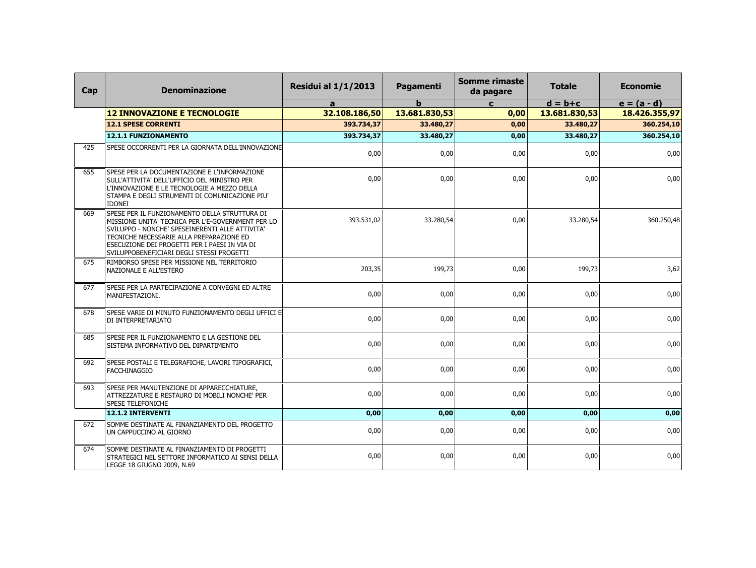| Cap | <b>Denominazione</b>                                                                                                                                                                                                                                                                            | <b>Residui al 1/1/2013</b> | Pagamenti     | <b>Somme rimaste</b><br>da pagare | <b>Totale</b> | <b>Economie</b> |
|-----|-------------------------------------------------------------------------------------------------------------------------------------------------------------------------------------------------------------------------------------------------------------------------------------------------|----------------------------|---------------|-----------------------------------|---------------|-----------------|
|     |                                                                                                                                                                                                                                                                                                 | a                          | b             | $\mathbf{c}$                      | $d = b + c$   | $e = (a - d)$   |
|     | <b>12 INNOVAZIONE E TECNOLOGIE</b>                                                                                                                                                                                                                                                              | 32.108.186,50              | 13.681.830,53 | 0,00                              | 13.681.830,53 | 18.426.355,97   |
|     | <b>12.1 SPESE CORRENTI</b>                                                                                                                                                                                                                                                                      | 393.734,37                 | 33.480,27     | 0,00                              | 33.480,27     | 360.254,10      |
|     | <b>12.1.1 FUNZIONAMENTO</b>                                                                                                                                                                                                                                                                     | 393.734,37                 | 33.480,27     | 0,00                              | 33.480,27     | 360.254,10      |
| 425 | SPESE OCCORRENTI PER LA GIORNATA DELL'INNOVAZIONE                                                                                                                                                                                                                                               | 0,00                       | 0,00          | 0,00                              | 0,00          | 0,00            |
| 655 | SPESE PER LA DOCUMENTAZIONE E L'INFORMAZIONE<br>SULL'ATTIVITA' DELL'UFFICIO DEL MINISTRO PER<br>L'INNOVAZIONE E LE TECNOLOGIE A MEZZO DELLA<br>STAMPA E DEGLI STRUMENTI DI COMUNICAZIONE PIU'<br><b>IDONEI</b>                                                                                  | 0.00                       | 0.00          | 0,00                              | 0.00          | 0,00            |
| 669 | SPESE PER IL FUNZIONAMENTO DELLA STRUTTURA DI<br>MISSIONE UNITA' TECNICA PER L'E-GOVERNMENT PER LO<br>SVILUPPO - NONCHE' SPESEINERENTI ALLE ATTIVITA'<br>TECNICHE NECESSARIE ALLA PREPARAZIONE ED<br>ESECUZIONE DEI PROGETTI PER I PAESI IN VIA DI<br>SVILUPPOBENEFICIARI DEGLI STESSI PROGETTI | 393.531,02                 | 33.280,54     | 0,00                              | 33.280,54     | 360.250,48      |
| 675 | RIMBORSO SPESE PER MISSIONE NEL TERRITORIO<br>NAZIONALE E ALL'ESTERO                                                                                                                                                                                                                            | 203,35                     | 199,73        | 0,00                              | 199,73        | 3,62            |
| 677 | SPESE PER LA PARTECIPAZIONE A CONVEGNI ED ALTRE<br>MANIFESTAZIONI.                                                                                                                                                                                                                              | 0,00                       | 0,00          | 0,00                              | 0,00          | 0,00            |
| 678 | SPESE VARIE DI MINUTO FUNZIONAMENTO DEGLI UFFICI E<br>DI INTERPRETARIATO                                                                                                                                                                                                                        | 0,00                       | 0,00          | 0,00                              | 0,00          | 0,00            |
| 685 | SPESE PER IL FUNZIONAMENTO E LA GESTIONE DEL<br>SISTEMA INFORMATIVO DEL DIPARTIMENTO                                                                                                                                                                                                            | 0,00                       | 0,00          | 0,00                              | 0,00          | 0,00            |
| 692 | SPESE POSTALI E TELEGRAFICHE, LAVORI TIPOGRAFICI,<br><b>FACCHINAGGIO</b>                                                                                                                                                                                                                        | 0,00                       | 0,00          | 0,00                              | 0,00          | 0,00            |
| 693 | SPESE PER MANUTENZIONE DI APPARECCHIATURE,<br>ATTREZZATURE E RESTAURO DI MOBILI NONCHE' PER<br>SPESE TELEFONICHE                                                                                                                                                                                | 0,00                       | 0,00          | 0,00                              | 0,00          | 0,00            |
|     | 12.1.2 INTERVENTI                                                                                                                                                                                                                                                                               | 0,00                       | 0,00          | 0,00                              | 0,00          | 0,00            |
| 672 | SOMME DESTINATE AL FINANZIAMENTO DEL PROGETTO<br>UN CAPPUCCINO AL GIORNO                                                                                                                                                                                                                        | 0,00                       | 0,00          | 0,00                              | 0,00          | 0,00            |
| 674 | SOMME DESTINATE AL FINANZIAMENTO DI PROGETTI<br>STRATEGICI NEL SETTORE INFORMATICO AI SENSI DELLA<br>LEGGE 18 GIUGNO 2009, N.69                                                                                                                                                                 | 0,00                       | 0,00          | 0,00                              | 0,00          | 0,00            |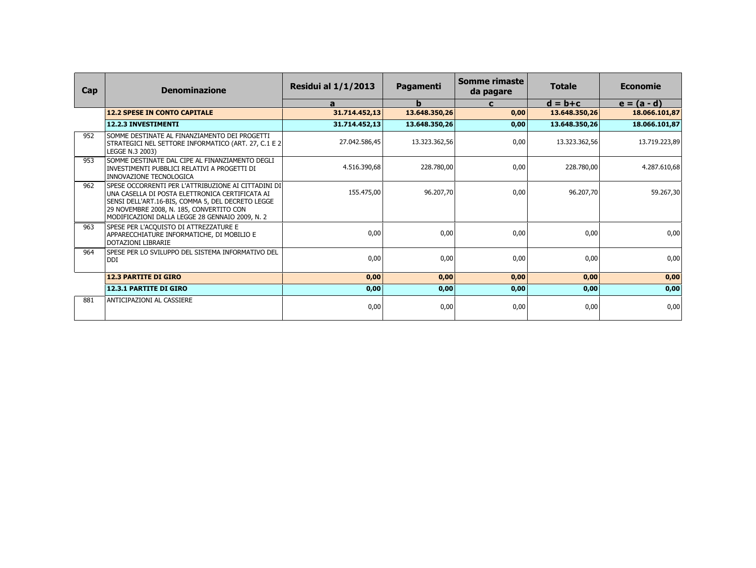| Cap | <b>Denominazione</b>                                                                                                                                                                                                                                         | <b>Residui al 1/1/2013</b> | <b>Pagamenti</b> | Somme rimaste<br>da pagare | <b>Totale</b> | <b>Economie</b> |
|-----|--------------------------------------------------------------------------------------------------------------------------------------------------------------------------------------------------------------------------------------------------------------|----------------------------|------------------|----------------------------|---------------|-----------------|
|     |                                                                                                                                                                                                                                                              | $\mathbf{a}$               | $\mathbf b$      | $\mathbf c$                | $d = b + c$   | $e = (a - d)$   |
|     | <b>12.2 SPESE IN CONTO CAPITALE</b>                                                                                                                                                                                                                          | 31.714.452,13              | 13.648.350,26    | 0,00                       | 13.648.350,26 | 18.066.101,87   |
|     | 12.2.3 INVESTIMENTI                                                                                                                                                                                                                                          | 31.714.452,13              | 13.648.350.26    | 0,00                       | 13.648.350.26 | 18.066.101,87   |
| 952 | I SOMME DESTINATE AL FINANZIAMENTO DEI PROGETTI<br> STRATEGICI NEL SETTORE INFORMATICO (ART. 27, C.1 E 2 <br>LEGGE N.3 2003)                                                                                                                                 | 27.042.586,45              | 13.323.362,56    | 0,00                       | 13.323.362,56 | 13.719.223,89   |
| 953 | SOMME DESTINATE DAL CIPE AL FINANZIAMENTO DEGLI<br>INVESTIMENTI PUBBLICI RELATIVI A PROGETTI DI<br><b>INNOVAZIONE TECNOLOGICA</b>                                                                                                                            | 4.516.390,68               | 228.780,00       | 0,00                       | 228.780.00    | 4.287.610,68    |
| 962 | SPESE OCCORRENTI PER L'ATTRIBUZIONE AI CITTADINI DI<br>I UNA CASELLA DI POSTA ELETTRONICA CERTIFICATA AI<br>SENSI DELL'ART.16-BIS, COMMA 5, DEL DECRETO LEGGE<br>29 NOVEMBRE 2008, N. 185, CONVERTITO CON<br>MODIFICAZIONI DALLA LEGGE 28 GENNAIO 2009, N. 2 | 155.475,00                 | 96.207.70        | 0,00                       | 96.207,70     | 59.267,30       |
| 963 | SPESE PER L'ACQUISTO DI ATTREZZATURE E<br>APPARECCHIATURE INFORMATICHE, DI MOBILIO E<br><b>DOTAZIONI LIBRARIE</b>                                                                                                                                            | 0,00                       | 0,00             | 0,00                       | 0,00          | 0,00            |
| 964 | SPESE PER LO SVILUPPO DEL SISTEMA INFORMATIVO DEL<br> DDI                                                                                                                                                                                                    | 0,00                       | 0,00             | 0.00                       | 0.00          | 0,00            |
|     | <b>12.3 PARTITE DI GIRO</b>                                                                                                                                                                                                                                  | 0,00                       | 0,00             | 0,00                       | 0,00          | 0,00            |
|     | 12.3.1 PARTITE DI GIRO                                                                                                                                                                                                                                       | 0,00                       | 0,00             | 0,00                       | 0,00          | 0,00            |
| 881 | ANTICIPAZIONI AL CASSIERE                                                                                                                                                                                                                                    | 0,00                       | 0,00             | 0,00                       | 0,00          | 0,00            |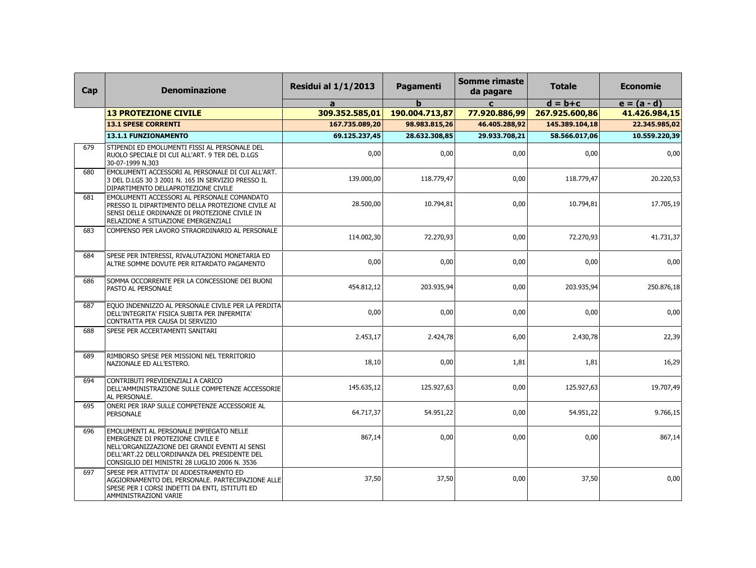| Cap | <b>Denominazione</b>                                                                                                                                                                                                            | <b>Residui al 1/1/2013</b> | Pagamenti      | <b>Somme rimaste</b><br>da pagare | <b>Totale</b>  | <b>Economie</b> |
|-----|---------------------------------------------------------------------------------------------------------------------------------------------------------------------------------------------------------------------------------|----------------------------|----------------|-----------------------------------|----------------|-----------------|
|     |                                                                                                                                                                                                                                 | $\mathbf{a}$               | h              | $\mathbf{C}$                      | $d = b + c$    | $e = (a - d)$   |
|     | <b>13 PROTEZIONE CIVILE</b>                                                                                                                                                                                                     | 309.352.585,01             | 190.004.713,87 | 77.920.886,99                     | 267.925.600,86 | 41.426.984,15   |
|     | <b>13.1 SPESE CORRENTI</b>                                                                                                                                                                                                      | 167.735.089,20             | 98.983.815,26  | 46.405.288.92                     | 145.389.104,18 | 22.345.985,02   |
|     | <b>13.1.1 FUNZIONAMENTO</b>                                                                                                                                                                                                     | 69.125.237,45              | 28.632.308,85  | 29.933.708,21                     | 58.566.017.06  | 10.559.220,39   |
| 679 | STIPENDI ED EMOLUMENTI FISSI AL PERSONALE DEL<br>RUOLO SPECIALE DI CUI ALL'ART. 9 TER DEL D.LGS<br>30-07-1999 N.303                                                                                                             | 0,00                       | 0,00           | 0,00                              | 0,00           | 0,00            |
| 680 | EMOLUMENTI ACCESSORI AL PERSONALE DI CUI ALL'ART.<br>3 DEL D.LGS 30 3 2001 N. 165 IN SERVIZIO PRESSO IL<br>DIPARTIMENTO DELLAPROTEZIONE CIVILE                                                                                  | 139.000,00                 | 118.779,47     | 0,00                              | 118.779,47     | 20.220,53       |
| 681 | EMOLUMENTI ACCESSORI AL PERSONALE COMANDATO<br>PRESSO IL DIPARTIMENTO DELLA PROTEZIONE CIVILE AI<br>SENSI DELLE ORDINANZE DI PROTEZIONE CIVILE IN<br>RELAZIONE A SITUAZIONE EMERGENZIALI                                        | 28.500,00                  | 10.794,81      | 0,00                              | 10.794,81      | 17.705,19       |
| 683 | COMPENSO PER LAVORO STRAORDINARIO AL PERSONALE                                                                                                                                                                                  | 114.002,30                 | 72.270.93      | 0,00                              | 72.270.93      | 41.731,37       |
| 684 | SPESE PER INTERESSI, RIVALUTAZIONI MONETARIA ED<br>ALTRE SOMME DOVUTE PER RITARDATO PAGAMENTO                                                                                                                                   | 0,00                       | 0,00           | 0,00                              | 0,00           | 0,00            |
| 686 | SOMMA OCCORRENTE PER LA CONCESSIONE DEI BUONI<br>PASTO AL PERSONALE                                                                                                                                                             | 454.812,12                 | 203.935,94     | 0,00                              | 203.935,94     | 250.876,18      |
| 687 | EOUO INDENNIZZO AL PERSONALE CIVILE PER LA PERDITA<br>DELL'INTEGRITA' FISICA SUBITA PER INFERMITA'<br>CONTRATTA PER CAUSA DI SERVIZIO                                                                                           | 0,00                       | 0,00           | 0,00                              | 0,00           | 0,00            |
| 688 | SPESE PER ACCERTAMENTI SANITARI                                                                                                                                                                                                 | 2.453,17                   | 2.424,78       | 6,00                              | 2.430,78       | 22,39           |
| 689 | RIMBORSO SPESE PER MISSIONI NEL TERRITORIO<br>NAZIONALE ED ALL'ESTERO.                                                                                                                                                          | 18,10                      | 0,00           | 1,81                              | 1,81           | 16,29           |
| 694 | CONTRIBUTI PREVIDENZIALI A CARICO<br>DELL'AMMINISTRAZIONE SULLE COMPETENZE ACCESSORIE<br>AL PERSONALE.                                                                                                                          | 145.635,12                 | 125.927,63     | 0,00                              | 125.927,63     | 19.707,49       |
| 695 | ONERI PER IRAP SULLE COMPETENZE ACCESSORIE AL<br><b>PERSONALE</b>                                                                                                                                                               | 64.717,37                  | 54.951,22      | 0,00                              | 54.951,22      | 9.766,15        |
| 696 | EMOLUMENTI AL PERSONALE IMPIEGATO NELLE<br>EMERGENZE DI PROTEZIONE CIVILE E<br>NELL'ORGANIZZAZIONE DEI GRANDI EVENTI AI SENSI<br>DELL'ART.22 DELL'ORDINANZA DEL PRESIDENTE DEL<br>CONSIGLIO DEI MINISTRI 28 LUGLIO 2006 N. 3536 | 867,14                     | 0,00           | 0,00                              | 0,00           | 867,14          |
| 697 | SPESE PER ATTIVITA' DI ADDESTRAMENTO ED<br>AGGIORNAMENTO DEL PERSONALE. PARTECIPAZIONE ALLE<br>SPESE PER I CORSI INDETTI DA ENTI, ISTITUTI ED<br>AMMINISTRAZIONI VARIE                                                          | 37,50                      | 37,50          | 0,00                              | 37,50          | 0,00            |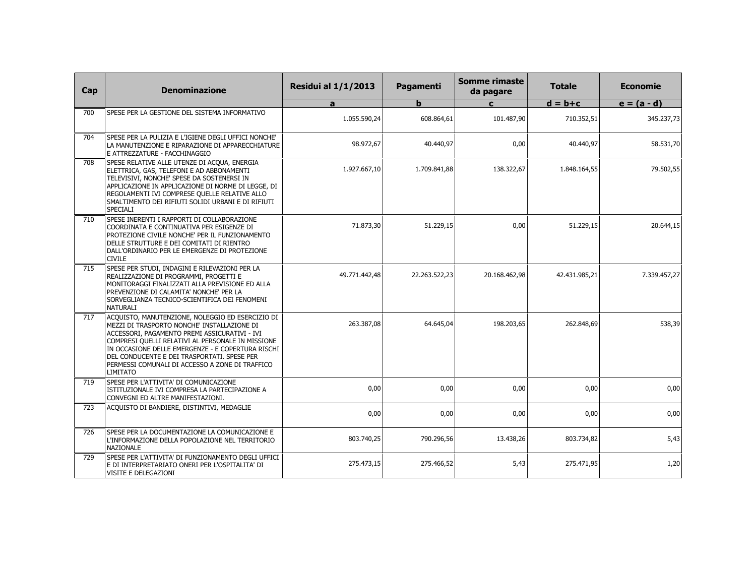| Cap | <b>Denominazione</b>                                                                                                                                                                                                                                                                                                                                                            | <b>Residui al 1/1/2013</b> | Pagamenti     | <b>Somme rimaste</b><br>da pagare | <b>Totale</b> | <b>Economie</b> |
|-----|---------------------------------------------------------------------------------------------------------------------------------------------------------------------------------------------------------------------------------------------------------------------------------------------------------------------------------------------------------------------------------|----------------------------|---------------|-----------------------------------|---------------|-----------------|
|     |                                                                                                                                                                                                                                                                                                                                                                                 | a                          | b             | $\mathbf{c}$                      | $d = b + c$   | $e = (a - d)$   |
| 700 | SPESE PER LA GESTIONE DEL SISTEMA INFORMATIVO                                                                                                                                                                                                                                                                                                                                   | 1.055.590,24               | 608.864.61    | 101.487,90                        | 710.352,51    | 345.237,73      |
| 704 | SPESE PER LA PULIZIA E L'IGIENE DEGLI UFFICI NONCHE'<br>LA MANUTENZIONE E RIPARAZIONE DI APPARECCHIATURE<br>E ATTREZZATURE - FACCHINAGGIO                                                                                                                                                                                                                                       | 98.972,67                  | 40.440,97     | 0,00                              | 40.440.97     | 58.531,70       |
| 708 | SPESE RELATIVE ALLE UTENZE DI ACQUA, ENERGIA<br>ELETTRICA, GAS, TELEFONI E AD ABBONAMENTI<br>TELEVISIVI, NONCHE' SPESE DA SOSTENERSI IN<br>APPLICAZIONE IN APPLICAZIONE DI NORME DI LEGGE, DI<br>REGOLAMENTI IVI COMPRESE QUELLE RELATIVE ALLO<br>SMALTIMENTO DEI RIFIUTI SOLIDI URBANI E DI RIFIUTI<br><b>SPECIALI</b>                                                         | 1.927.667,10               | 1.709.841,88  | 138.322,67                        | 1.848.164,55  | 79.502,55       |
| 710 | SPESE INERENTI I RAPPORTI DI COLLABORAZIONE<br>COORDINATA E CONTINUATIVA PER ESIGENZE DI<br>PROTEZIONE CIVILE NONCHE' PER IL FUNZIONAMENTO<br>DELLE STRUTTURE E DEI COMITATI DI RIENTRO<br>DALL'ORDINARIO PER LE EMERGENZE DI PROTEZIONE<br><b>CIVILE</b>                                                                                                                       | 71.873,30                  | 51.229,15     | 0,00                              | 51.229,15     | 20.644,15       |
| 715 | SPESE PER STUDI, INDAGINI E RILEVAZIONI PER LA<br>REALIZZAZIONE DI PROGRAMMI, PROGETTI E<br>MONITORAGGI FINALIZZATI ALLA PREVISIONE ED ALLA<br>PREVENZIONE DI CALAMITA' NONCHE' PER LA<br>SORVEGLIANZA TECNICO-SCIENTIFICA DEI FENOMENI<br>NATURALI                                                                                                                             | 49.771.442,48              | 22.263.522,23 | 20.168.462,98                     | 42.431.985,21 | 7.339.457,27    |
| 717 | ACQUISTO, MANUTENZIONE, NOLEGGIO ED ESERCIZIO DI<br>MEZZI DI TRASPORTO NONCHE' INSTALLAZIONE DI<br>ACCESSORI, PAGAMENTO PREMI ASSICURATIVI - IVI<br>COMPRESI QUELLI RELATIVI AL PERSONALE IN MISSIONE<br>IN OCCASIONE DELLE EMERGENZE - E COPERTURA RISCHI<br>DEL CONDUCENTE E DEI TRASPORTATI. SPESE PER<br>PERMESSI COMUNALI DI ACCESSO A ZONE DI TRAFFICO<br><b>LIMITATO</b> | 263.387,08                 | 64.645,04     | 198.203,65                        | 262.848,69    | 538,39          |
| 719 | SPESE PER L'ATTIVITA' DI COMUNICAZIONE<br>ISTITUZIONALE IVI COMPRESA LA PARTECIPAZIONE A<br>CONVEGNI ED ALTRE MANIFESTAZIONI.                                                                                                                                                                                                                                                   | 0,00                       | 0,00          | 0,00                              | 0,00          | 0,00            |
| 723 | ACQUISTO DI BANDIERE, DISTINTIVI, MEDAGLIE                                                                                                                                                                                                                                                                                                                                      | 0,00                       | 0,00          | 0,00                              | 0,00          | 0,00            |
| 726 | SPESE PER LA DOCUMENTAZIONE LA COMUNICAZIONE E<br>L'INFORMAZIONE DELLA POPOLAZIONE NEL TERRITORIO<br><b>NAZIONALE</b>                                                                                                                                                                                                                                                           | 803.740,25                 | 790.296,56    | 13.438,26                         | 803.734,82    | 5,43            |
| 729 | SPESE PER L'ATTIVITA' DI FUNZIONAMENTO DEGLI UFFICI<br>E DI INTERPRETARIATO ONERI PER L'OSPITALITA' DI<br>VISITE E DELEGAZIONI                                                                                                                                                                                                                                                  | 275.473,15                 | 275.466,52    | 5,43                              | 275.471,95    | 1,20            |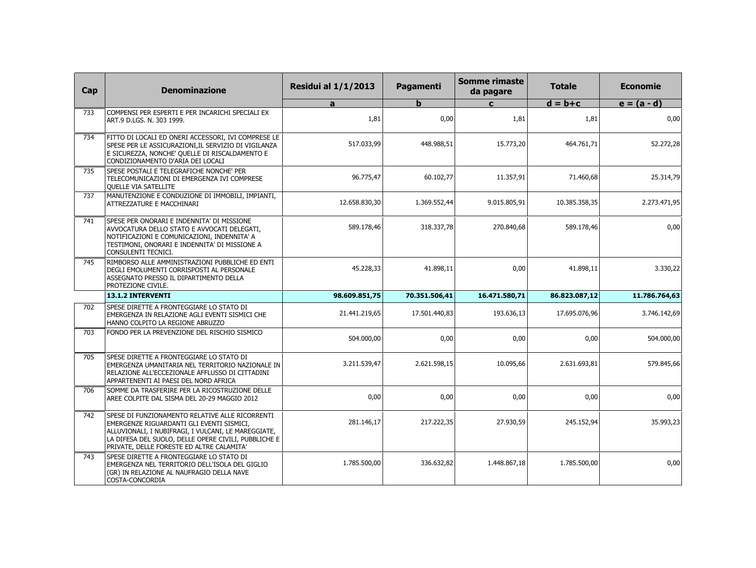| Cap | <b>Denominazione</b>                                                                                                                                                                                                                                     | <b>Residui al 1/1/2013</b> | Pagamenti     | <b>Somme rimaste</b><br>da pagare | <b>Totale</b> | <b>Economie</b> |
|-----|----------------------------------------------------------------------------------------------------------------------------------------------------------------------------------------------------------------------------------------------------------|----------------------------|---------------|-----------------------------------|---------------|-----------------|
|     |                                                                                                                                                                                                                                                          | a                          | b             | $\mathbf{c}$                      | $d = b + c$   | $e = (a - d)$   |
| 733 | COMPENSI PER ESPERTI E PER INCARICHI SPECIALI EX<br>ART.9 D.LGS. N. 303 1999.                                                                                                                                                                            | 1,81                       | 0,00          | 1,81                              | 1,81          | 0,00            |
| 734 | FITTO DI LOCALI ED ONERI ACCESSORI, IVI COMPRESE LE<br>SPESE PER LE ASSICURAZIONI, IL SERVIZIO DI VIGILANZA<br>E SICUREZZA, NONCHE' QUELLE DI RISCALDAMENTO E<br>CONDIZIONAMENTO D'ARIA DEI LOCALI                                                       | 517.033,99                 | 448.988,51    | 15.773,20                         | 464.761,71    | 52.272,28       |
| 735 | SPESE POSTALI E TELEGRAFICHE NONCHE' PER<br>TELECOMUNICAZIONI DI EMERGENZA IVI COMPRESE<br>QUELLE VIA SATELLITE                                                                                                                                          | 96.775,47                  | 60.102,77     | 11.357,91                         | 71.460,68     | 25.314,79       |
| 737 | MANUTENZIONE E CONDUZIONE DI IMMOBILI, IMPIANTI,<br>ATTREZZATURE E MACCHINARI                                                                                                                                                                            | 12.658.830,30              | 1.369.552,44  | 9.015.805.91                      | 10.385.358,35 | 2.273.471,95    |
| 741 | SPESE PER ONORARI E INDENNITA' DI MISSIONE<br>AVVOCATURA DELLO STATO E AVVOCATI DELEGATI,<br>NOTIFICAZIONI E COMUNICAZIONI, INDENNITA' A<br>TESTIMONI, ONORARI E INDENNITA' DI MISSIONE A<br>CONSULENTI TECNICI.                                         | 589.178,46                 | 318.337,78    | 270.840,68                        | 589.178,46    | 0,00            |
| 745 | RIMBORSO ALLE AMMINISTRAZIONI PUBBLICHE ED ENTI<br>DEGLI EMOLUMENTI CORRISPOSTI AL PERSONALE<br>ASSEGNATO PRESSO IL DIPARTIMENTO DELLA<br>PROTEZIONE CIVILE.                                                                                             | 45.228,33                  | 41.898,11     | 0,00                              | 41.898,11     | 3.330,22        |
|     | 13.1.2 INTERVENTI                                                                                                                                                                                                                                        | 98.609.851,75              | 70.351.506,41 | 16.471.580,71                     | 86.823.087,12 | 11.786.764,63   |
| 702 | SPESE DIRETTE A FRONTEGGIARE LO STATO DI<br>EMERGENZA IN RELAZIONE AGLI EVENTI SISMICI CHE<br>HANNO COLPITO LA REGIONE ABRUZZO                                                                                                                           | 21.441.219,65              | 17.501.440,83 | 193.636,13                        | 17.695.076,96 | 3.746.142,69    |
| 703 | FONDO PER LA PREVENZIONE DEL RISCHIO SISMICO                                                                                                                                                                                                             | 504.000,00                 | 0,00          | 0,00                              | 0,00          | 504.000,00      |
| 705 | SPESE DIRETTE A FRONTEGGIARE LO STATO DI<br>EMERGENZA UMANITARIA NEL TERRITORIO NAZIONALE IN<br>RELAZIONE ALL'ECCEZIONALE AFFLUSSO DI CITTADINI<br>APPARTENENTI AI PAESI DEL NORD AFRICA                                                                 | 3.211.539.47               | 2.621.598.15  | 10.095.66                         | 2.631.693.81  | 579.845,66      |
| 706 | SOMME DA TRASFERIRE PER LA RICOSTRUZIONE DELLE<br>AREE COLPITE DAL SISMA DEL 20-29 MAGGIO 2012                                                                                                                                                           | 0,00                       | 0,00          | 0,00                              | 0,00          | 0,00            |
| 742 | SPESE DI FUNZIONAMENTO RELATIVE ALLE RICORRENTI<br>EMERGENZE RIGUARDANTI GLI EVENTI SISMICI,<br>ALLUVIONALI, I NUBIFRAGI, I VULCANI, LE MAREGGIATE,<br>LA DIFESA DEL SUOLO, DELLE OPERE CIVILI, PUBBLICHE E<br>PRIVATE, DELLE FORESTE ED ALTRE CALAMITA' | 281.146,17                 | 217.222,35    | 27.930,59                         | 245.152,94    | 35.993,23       |
| 743 | SPESE DIRETTE A FRONTEGGIARE LO STATO DI<br>EMERGENZA NEL TERRITORIO DELL'ISOLA DEL GIGLIO<br>(GR) IN RELAZIONE AL NAUFRAGIO DELLA NAVE<br>COSTA-CONCORDIA                                                                                               | 1.785.500,00               | 336.632,82    | 1.448.867,18                      | 1.785.500,00  | 0,00            |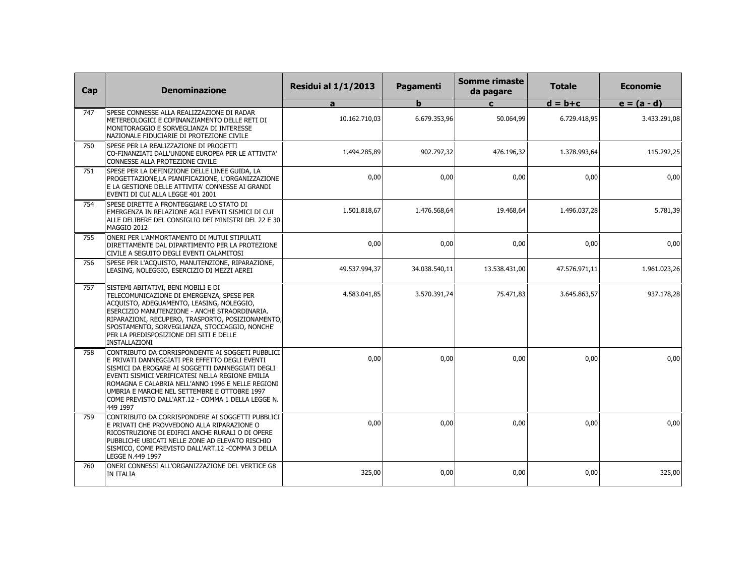| Cap | <b>Denominazione</b>                                                                                                                                                                                                                                                                                                                                                              | <b>Residui al 1/1/2013</b> | Pagamenti     | <b>Somme rimaste</b><br>da pagare | <b>Totale</b> | <b>Economie</b> |
|-----|-----------------------------------------------------------------------------------------------------------------------------------------------------------------------------------------------------------------------------------------------------------------------------------------------------------------------------------------------------------------------------------|----------------------------|---------------|-----------------------------------|---------------|-----------------|
|     |                                                                                                                                                                                                                                                                                                                                                                                   | a                          | b             | $\mathbf{c}$                      | $d = b + c$   | $e = (a - d)$   |
| 747 | SPESE CONNESSE ALLA REALIZZAZIONE DI RADAR<br>METEREOLOGICI E COFINANZIAMENTO DELLE RETI DI<br>MONITORAGGIO E SORVEGLIANZA DI INTERESSE<br>NAZIONALE FIDUCIARIE DI PROTEZIONE CIVILE                                                                                                                                                                                              | 10.162.710,03              | 6.679.353,96  | 50.064,99                         | 6.729.418,95  | 3.433.291,08    |
| 750 | SPESE PER LA REALIZZAZIONE DI PROGETTI<br>CO-FINANZIATI DALL'UNIONE EUROPEA PER LE ATTIVITA'<br>CONNESSE ALLA PROTEZIONE CIVILE                                                                                                                                                                                                                                                   | 1.494.285.89               | 902.797.32    | 476.196.32                        | 1.378.993.64  | 115.292,25      |
| 751 | SPESE PER LA DEFINIZIONE DELLE LINEE GUIDA, LA<br>PROGETTAZIONE,LA PIANIFICAZIONE, L'ORGANIZZAZIONE<br>E LA GESTIONE DELLE ATTIVITA' CONNESSE AI GRANDI<br>EVENTI DI CUI ALLA LEGGE 401 2001                                                                                                                                                                                      | 0,00                       | 0,00          | 0,00                              | 0,00          | 0,00            |
| 754 | SPESE DIRETTE A FRONTEGGIARE LO STATO DI<br>EMERGENZA IN RELAZIONE AGLI EVENTI SISMICI DI CUI<br>ALLE DELIBERE DEL CONSIGLIO DEI MINISTRI DEL 22 E 30<br>MAGGIO 2012                                                                                                                                                                                                              | 1.501.818,67               | 1.476.568,64  | 19.468,64                         | 1.496.037,28  | 5.781,39        |
| 755 | ONERI PER L'AMMORTAMENTO DI MUTUI STIPULATI<br>DIRETTAMENTE DAL DIPARTIMENTO PER LA PROTEZIONE<br>CIVILE A SEGUITO DEGLI EVENTI CALAMITOSI                                                                                                                                                                                                                                        | 0,00                       | 0,00          | 0,00                              | 0,00          | 0,00            |
| 756 | SPESE PER L'ACQUISTO, MANUTENZIONE, RIPARAZIONE,<br>LEASING, NOLEGGIO, ESERCIZIO DI MEZZI AEREI                                                                                                                                                                                                                                                                                   | 49.537.994,37              | 34.038.540,11 | 13.538.431,00                     | 47.576.971,11 | 1.961.023,26    |
| 757 | SISTEMI ABITATIVI, BENI MOBILI E DI<br>TELECOMUNICAZIONE DI EMERGENZA, SPESE PER<br>ACQUISTO, ADEGUAMENTO, LEASING, NOLEGGIO,<br>ESERCIZIO MANUTENZIONE - ANCHE STRAORDINARIA.<br>RIPARAZIONI, RECUPERO, TRASPORTO, POSIZIONAMENTO,<br>SPOSTAMENTO, SORVEGLIANZA, STOCCAGGIO, NONCHE'<br>PER LA PREDISPOSIZIONE DEI SITI E DELLE<br>INSTALLAZIONI                                 | 4.583.041,85               | 3.570.391,74  | 75.471,83                         | 3.645.863,57  | 937.178,28      |
| 758 | CONTRIBUTO DA CORRISPONDENTE AI SOGGETI PUBBLICI<br>E PRIVATI DANNEGGIATI PER EFFETTO DEGLI EVENTI<br>SISMICI DA EROGARE AI SOGGETTI DANNEGGIATI DEGLI<br>EVENTI SISMICI VERIFICATESI NELLA REGIONE EMILIA<br>ROMAGNA E CALABRIA NELL'ANNO 1996 E NELLE REGIONI<br>UMBRIA E MARCHE NEL SETTEMBRE E OTTOBRE 1997<br>COME PREVISTO DALL'ART.12 - COMMA 1 DELLA LEGGE N.<br>449 1997 | 0,00                       | 0,00          | 0,00                              | 0.00          | 0,00            |
| 759 | CONTRIBUTO DA CORRISPONDERE AI SOGGETTI PUBBLICI<br>E PRIVATI CHE PROVVEDONO ALLA RIPARAZIONE O<br>RICOSTRUZIONE DI EDIFICI ANCHE RURALI O DI OPERE<br>PUBBLICHE UBICATI NELLE ZONE AD ELEVATO RISCHIO<br>SISMICO, COME PREVISTO DALL'ART.12 - COMMA 3 DELLA<br>LEGGE N.449 1997                                                                                                  | 0,00                       | 0,00          | 0,00                              | 0,00          | 0,00            |
| 760 | ONERI CONNESSI ALL'ORGANIZZAZIONE DEL VERTICE G8<br>IN ITALIA                                                                                                                                                                                                                                                                                                                     | 325,00                     | 0,00          | 0,00                              | 0,00          | 325,00          |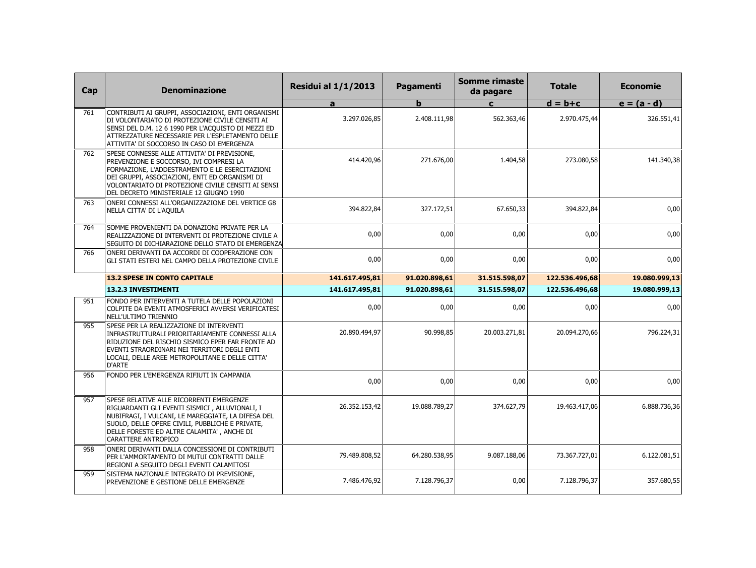| Cap | <b>Denominazione</b>                                                                                                                                                                                                                                                                         | <b>Residui al 1/1/2013</b> | Pagamenti     | <b>Somme rimaste</b><br>da pagare | <b>Totale</b>  | <b>Economie</b> |
|-----|----------------------------------------------------------------------------------------------------------------------------------------------------------------------------------------------------------------------------------------------------------------------------------------------|----------------------------|---------------|-----------------------------------|----------------|-----------------|
|     |                                                                                                                                                                                                                                                                                              | a                          | b             | $\mathbf{C}$                      | $d = b + c$    | $e = (a - d)$   |
| 761 | CONTRIBUTI AI GRUPPI, ASSOCIAZIONI, ENTI ORGANISMI<br>DI VOLONTARIATO DI PROTEZIONE CIVILE CENSITI AI<br>SENSI DEL D.M. 12 6 1990 PER L'ACQUISTO DI MEZZI ED<br>ATTREZZATURE NECESSARIE PER L'ESPLETAMENTO DELLE<br>ATTIVITA' DI SOCCORSO IN CASO DI EMERGENZA                               | 3.297.026,85               | 2.408.111,98  | 562.363,46                        | 2.970.475,44   | 326.551,41      |
| 762 | SPESE CONNESSE ALLE ATTIVITA' DI PREVISIONE,<br>PREVENZIONE E SOCCORSO, IVI COMPRESI LA<br>FORMAZIONE, L'ADDESTRAMENTO E LE ESERCITAZIONI<br>DEI GRUPPI, ASSOCIAZIONI, ENTI ED ORGANISMI DI<br>VOLONTARIATO DI PROTEZIONE CIVILE CENSITI AI SENSI<br>DEL DECRETO MINISTERIALE 12 GIUGNO 1990 | 414.420.96                 | 271.676,00    | 1.404,58                          | 273.080,58     | 141.340,38      |
| 763 | ONERI CONNESSI ALL'ORGANIZZAZIONE DEL VERTICE G8<br>NELLA CITTA' DI L'AQUILA                                                                                                                                                                                                                 | 394.822,84                 | 327.172,51    | 67.650,33                         | 394.822,84     | 0,00            |
| 764 | SOMME PROVENIENTI DA DONAZIONI PRIVATE PER LA<br>REALIZZAZIONE DI INTERVENTI DI PROTEZIONE CIVILE A<br>SEGUITO DI DICHIARAZIONE DELLO STATO DI EMERGENZA                                                                                                                                     | 0,00                       | 0,00          | 0,00                              | 0,00           | 0,00            |
| 766 | ONERI DERIVANTI DA ACCORDI DI COOPERAZIONE CON<br>GLI STATI ESTERI NEL CAMPO DELLA PROTEZIONE CIVILE                                                                                                                                                                                         | 0,00                       | 0,00          | 0,00                              | 0,00           | 0,00            |
|     | <b>13.2 SPESE IN CONTO CAPITALE</b>                                                                                                                                                                                                                                                          | 141.617.495,81             | 91.020.898,61 | 31.515.598,07                     | 122.536.496,68 | 19.080.999,13   |
|     | 13.2.3 INVESTIMENTI                                                                                                                                                                                                                                                                          | 141.617.495,81             | 91.020.898,61 | 31.515.598,07                     | 122.536.496.68 | 19.080.999,13   |
| 951 | FONDO PER INTERVENTI A TUTELA DELLE POPOLAZIONI<br>COLPITE DA EVENTI ATMOSFERICI AVVERSI VERIFICATESI<br>NELL'ULTIMO TRIENNIO                                                                                                                                                                | 0,00                       | 0,00          | 0,00                              | 0,00           | 0,00            |
| 955 | SPESE PER LA REALIZZAZIONE DI INTERVENTI<br>INFRASTRUTTURALI PRIORITARIAMENTE CONNESSI ALLA<br>RIDUZIONE DEL RISCHIO SISMICO EPER FAR FRONTE AD<br>EVENTI STRAORDINARI NEI TERRITORI DEGLI ENTI<br>LOCALI, DELLE AREE METROPOLITANE E DELLE CITTA'<br>D'ARTE                                 | 20.890.494,97              | 90.998,85     | 20.003.271,81                     | 20.094.270,66  | 796.224,31      |
| 956 | FONDO PER L'EMERGENZA RIFIUTI IN CAMPANIA                                                                                                                                                                                                                                                    | 0,00                       | 0,00          | 0,00                              | 0,00           | 0,00            |
| 957 | SPESE RELATIVE ALLE RICORRENTI EMERGENZE<br>RIGUARDANTI GLI EVENTI SISMICI, ALLUVIONALI, I<br>NUBIFRAGI, I VULCANI, LE MAREGGIATE, LA DIFESA DEL<br>SUOLO, DELLE OPERE CIVILI, PUBBLICHE E PRIVATE,<br>DELLE FORESTE ED ALTRE CALAMITA', ANCHE DI<br>CARATTERE ANTROPICO                     | 26.352.153,42              | 19.088.789,27 | 374.627,79                        | 19.463.417,06  | 6.888.736,36    |
| 958 | ONERI DERIVANTI DALLA CONCESSIONE DI CONTRIBUTI<br>PER L'AMMORTAMENTO DI MUTUI CONTRATTI DALLE<br>REGIONI A SEGUITO DEGLI EVENTI CALAMITOSI                                                                                                                                                  | 79.489.808,52              | 64.280.538,95 | 9.087.188,06                      | 73.367.727,01  | 6.122.081,51    |
| 959 | SISTEMA NAZIONALE INTEGRATO DI PREVISIONE,<br>PREVENZIONE E GESTIONE DELLE EMERGENZE                                                                                                                                                                                                         | 7.486.476,92               | 7.128.796,37  | 0,00                              | 7.128.796,37   | 357.680,55      |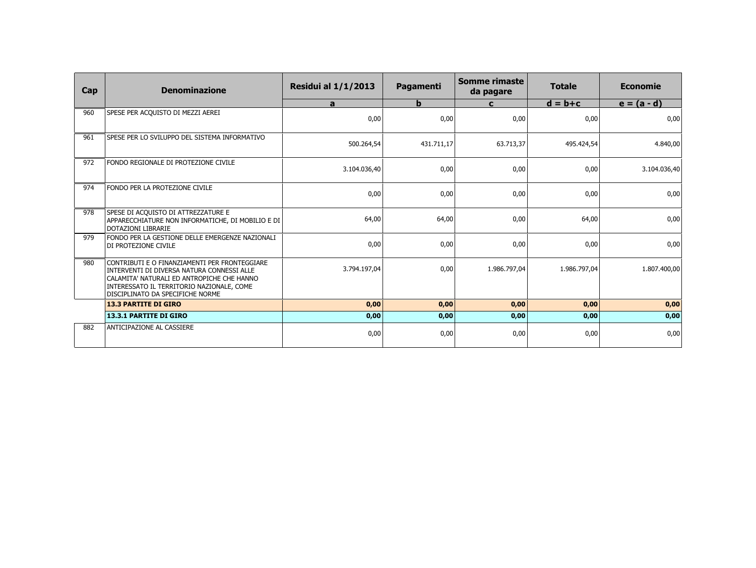| Cap | <b>Denominazione</b>                                                                                                                                                                                                       | <b>Residui al 1/1/2013</b> | Pagamenti   | Somme rimaste<br>da pagare | <b>Totale</b> | <b>Economie</b> |
|-----|----------------------------------------------------------------------------------------------------------------------------------------------------------------------------------------------------------------------------|----------------------------|-------------|----------------------------|---------------|-----------------|
|     |                                                                                                                                                                                                                            | a                          | $\mathbf b$ | $\mathbf{C}$               | $d = b + c$   | $e = (a - d)$   |
| 960 | SPESE PER ACQUISTO DI MEZZI AEREI                                                                                                                                                                                          | 0,00                       | 0,00        | 0,00                       | 0,00          | 0,00            |
| 961 | SPESE PER LO SVILUPPO DEL SISTEMA INFORMATIVO                                                                                                                                                                              | 500.264,54                 | 431.711.17  | 63.713,37                  | 495.424,54    | 4.840,00        |
| 972 | FONDO REGIONALE DI PROTEZIONE CIVILE                                                                                                                                                                                       | 3.104.036,40               | 0,00        | 0,00                       | 0,00          | 3.104.036,40    |
| 974 | FONDO PER LA PROTEZIONE CIVILE                                                                                                                                                                                             | 0,00                       | 0,00        | 0,00                       | 0,00          | 0,00            |
| 978 | SPESE DI ACQUISTO DI ATTREZZATURE E<br>APPARECCHIATURE NON INFORMATICHE, DI MOBILIO E DI<br><b>DOTAZIONI LIBRARIE</b>                                                                                                      | 64,00                      | 64,00       | 0,00                       | 64,00         | 0,00            |
| 979 | FONDO PER LA GESTIONE DELLE EMERGENZE NAZIONALI<br>DI PROTEZIONE CIVILE                                                                                                                                                    | 0,00                       | 0,00        | 0,00                       | 0,00          | 0,00            |
| 980 | CONTRIBUTI E O FINANZIAMENTI PER FRONTEGGIARE<br>INTERVENTI DI DIVERSA NATURA CONNESSI ALLE<br>CALAMITA' NATURALI ED ANTROPICHE CHE HANNO<br>INTERESSATO IL TERRITORIO NAZIONALE, COME<br>DISCIPLINATO DA SPECIFICHE NORME | 3.794.197,04               | 0,00        | 1.986.797,04               | 1.986.797,04  | 1.807.400,00    |
|     | <b>13.3 PARTITE DI GIRO</b>                                                                                                                                                                                                | 0,00                       | 0,00        | 0,00                       | 0,00          | 0,00            |
|     | <b>13.3.1 PARTITE DI GIRO</b>                                                                                                                                                                                              | 0,00                       | 0,00        | 0,00                       | 0,00          | 0,00            |
| 882 | <b>ANTICIPAZIONE AL CASSIERE</b>                                                                                                                                                                                           | 0,00                       | 0,00        | 0,00                       | 0,00          | 0,00            |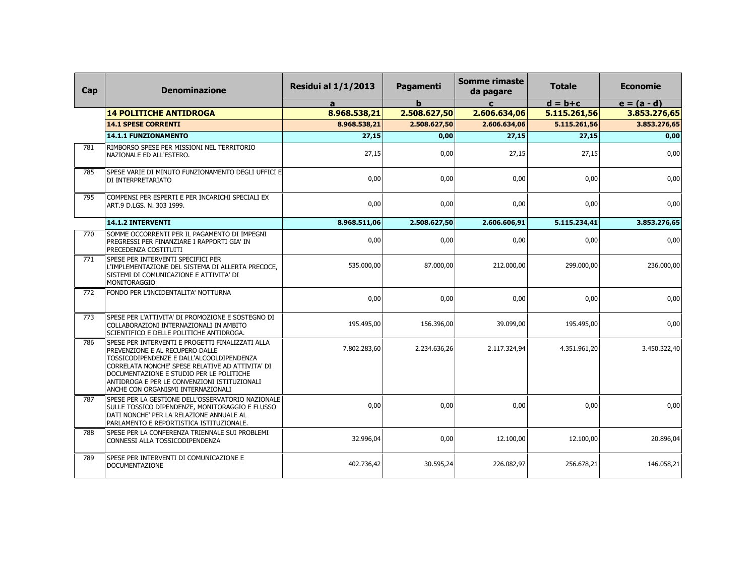| Cap | <b>Denominazione</b>                                                                                                                                                                                                                                                                                                   | <b>Residui al 1/1/2013</b> | Pagamenti    | <b>Somme rimaste</b><br>da pagare | <b>Totale</b> | <b>Economie</b> |
|-----|------------------------------------------------------------------------------------------------------------------------------------------------------------------------------------------------------------------------------------------------------------------------------------------------------------------------|----------------------------|--------------|-----------------------------------|---------------|-----------------|
|     |                                                                                                                                                                                                                                                                                                                        | a                          | $\mathbf b$  | $\mathbf{C}$                      | $d = b + c$   | $e = (a - d)$   |
|     | <b>14 POLITICHE ANTIDROGA</b>                                                                                                                                                                                                                                                                                          | 8.968.538,21               | 2.508.627,50 | 2.606.634,06                      | 5.115.261,56  | 3.853.276,65    |
|     | <b>14.1 SPESE CORRENTI</b>                                                                                                                                                                                                                                                                                             | 8.968.538,21               | 2.508.627,50 | 2.606.634,06                      | 5.115.261,56  | 3.853.276,65    |
|     | <b>14.1.1 FUNZIONAMENTO</b>                                                                                                                                                                                                                                                                                            | 27,15                      | 0,00         | 27,15                             | 27,15         | 0,00            |
| 781 | RIMBORSO SPESE PER MISSIONI NEL TERRITORIO<br>NAZIONALE ED ALL'ESTERO.                                                                                                                                                                                                                                                 | 27,15                      | 0,00         | 27,15                             | 27,15         | 0,00            |
| 785 | SPESE VARIE DI MINUTO FUNZIONAMENTO DEGLI UFFICI E<br>DI INTERPRETARIATO                                                                                                                                                                                                                                               | 0,00                       | 0,00         | 0,00                              | 0,00          | 0,00            |
| 795 | COMPENSI PER ESPERTI E PER INCARICHI SPECIALI EX<br>ART.9 D.LGS. N. 303 1999.                                                                                                                                                                                                                                          | 0,00                       | 0,00         | 0,00                              | 0,00          | 0,00            |
|     | 14.1.2 INTERVENTI                                                                                                                                                                                                                                                                                                      | 8.968.511,06               | 2.508.627,50 | 2.606.606,91                      | 5.115.234,41  | 3.853.276,65    |
| 770 | SOMME OCCORRENTI PER IL PAGAMENTO DI IMPEGNI<br>PREGRESSI PER FINANZIARE I RAPPORTI GIA' IN<br>PRECEDENZA COSTITUITI                                                                                                                                                                                                   | 0,00                       | 0,00         | 0,00                              | 0,00          | 0,00            |
| 771 | SPESE PER INTERVENTI SPECIFICI PER<br>L'IMPLEMENTAZIONE DEL SISTEMA DI ALLERTA PRECOCE,<br>SISTEMI DI COMUNICAZIONE E ATTIVITA' DI<br>MONITORAGGIO                                                                                                                                                                     | 535.000,00                 | 87.000,00    | 212.000,00                        | 299.000,00    | 236.000,00      |
| 772 | FONDO PER L'INCIDENTALITA' NOTTURNA                                                                                                                                                                                                                                                                                    | 0,00                       | 0,00         | 0,00                              | 0,00          | 0,00            |
| 773 | SPESE PER L'ATTIVITA' DI PROMOZIONE E SOSTEGNO DI<br>COLLABORAZIONI INTERNAZIONALI IN AMBITO<br>SCIENTIFICO E DELLE POLITICHE ANTIDROGA.                                                                                                                                                                               | 195.495,00                 | 156.396,00   | 39.099,00                         | 195.495,00    | 0,00            |
| 786 | SPESE PER INTERVENTI E PROGETTI FINALIZZATI ALLA<br>PREVENZIONE E AL RECUPERO DALLE<br>TOSSICODIPENDENZE E DALL'ALCOOLDIPENDENZA<br>CORRELATA NONCHE' SPESE RELATIVE AD ATTIVITA' DI<br>DOCUMENTAZIONE E STUDIO PER LE POLITICHE<br>ANTIDROGA E PER LE CONVENZIONI ISTITUZIONALI<br>ANCHE CON ORGANISMI INTERNAZIONALI | 7.802.283,60               | 2.234.636,26 | 2.117.324,94                      | 4.351.961,20  | 3.450.322,40    |
| 787 | SPESE PER LA GESTIONE DELL'OSSERVATORIO NAZIONALE<br>SULLE TOSSICO DIPENDENZE, MONITORAGGIO E FLUSSO<br>DATI NONCHE' PER LA RELAZIONE ANNUALE AL<br>PARLAMENTO E REPORTISTICA ISTITUZIONALE.                                                                                                                           | 0,00                       | 0,00         | 0,00                              | 0,00          | 0,00            |
| 788 | SPESE PER LA CONFERENZA TRIENNALE SUI PROBLEMI<br>CONNESSI ALLA TOSSICODIPENDENZA                                                                                                                                                                                                                                      | 32.996,04                  | 0,00         | 12.100,00                         | 12.100,00     | 20.896,04       |
| 789 | SPESE PER INTERVENTI DI COMUNICAZIONE E<br><b>DOCUMENTAZIONE</b>                                                                                                                                                                                                                                                       | 402.736,42                 | 30.595,24    | 226.082,97                        | 256.678,21    | 146.058,21      |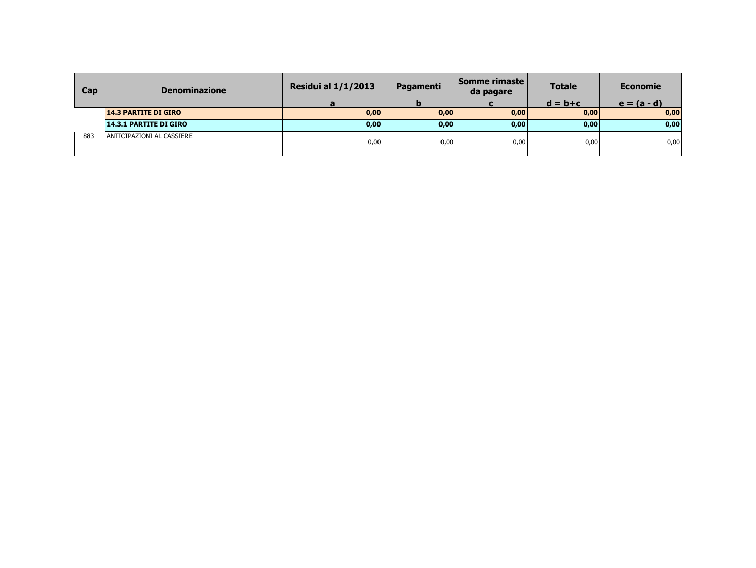| Cap | <b>Denominazione</b>          | <b>Residui al 1/1/2013</b> | Pagamenti | Somme rimaste l<br>da pagare | <b>Totale</b> | <b>Economie</b> |
|-----|-------------------------------|----------------------------|-----------|------------------------------|---------------|-----------------|
|     |                               |                            |           |                              | $d = b + c$   | $e = (a - d)$   |
|     | <b>14.3 PARTITE DI GIRO</b>   | 0,00                       | 0,00      | 0,00                         | 0,00          | 0,00            |
|     | <b>14.3.1 PARTITE DI GIRO</b> | 0,00                       | 0,00      | 0,00                         | 0,00          | 0,00            |
| 883 | ANTICIPAZIONI AL CASSIERE     | 0,00                       | 0,00      | 0,00                         | 0,00          | 0,00            |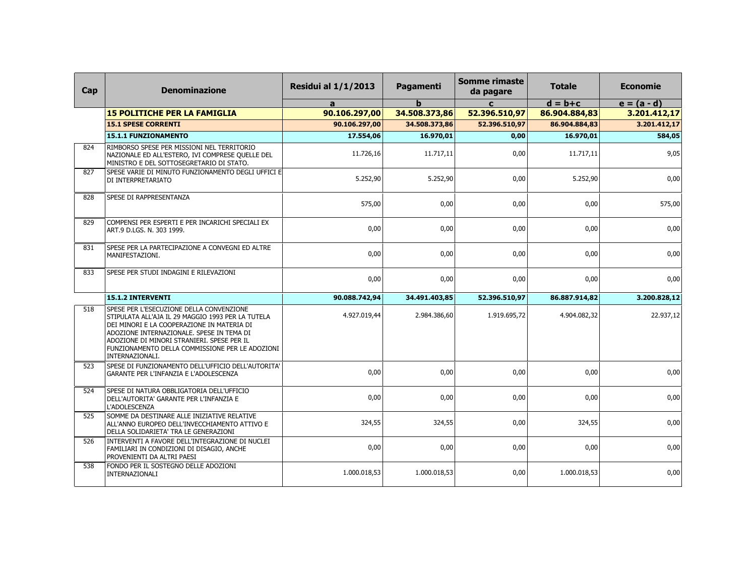| Cap | <b>Denominazione</b>                                                                                                                                                                                                                                                                                         | <b>Residui al 1/1/2013</b> | <b>Pagamenti</b> | <b>Somme rimaste</b><br>da pagare | <b>Totale</b> | <b>Economie</b> |
|-----|--------------------------------------------------------------------------------------------------------------------------------------------------------------------------------------------------------------------------------------------------------------------------------------------------------------|----------------------------|------------------|-----------------------------------|---------------|-----------------|
|     |                                                                                                                                                                                                                                                                                                              | a                          | h                | $\mathbf{c}$                      | $d = b + c$   | $e = (a - d)$   |
|     | <b>15 POLITICHE PER LA FAMIGLIA</b>                                                                                                                                                                                                                                                                          | 90.106.297,00              | 34.508.373,86    | 52.396.510,97                     | 86.904.884,83 | 3.201.412,17    |
|     | <b>15.1 SPESE CORRENTI</b>                                                                                                                                                                                                                                                                                   | 90.106.297,00              | 34.508.373,86    | 52.396.510,97                     | 86.904.884,83 | 3.201.412,17    |
|     | <b>15.1.1 FUNZIONAMENTO</b>                                                                                                                                                                                                                                                                                  | 17.554,06                  | 16.970,01        | 0,00                              | 16.970,01     | 584,05          |
| 824 | RIMBORSO SPESE PER MISSIONI NEL TERRITORIO<br>NAZIONALE ED ALL'ESTERO, IVI COMPRESE QUELLE DEL<br>MINISTRO E DEL SOTTOSEGRETARIO DI STATO.                                                                                                                                                                   | 11.726,16                  | 11.717,11        | 0,00                              | 11.717,11     | 9,05            |
| 827 | SPESE VARIE DI MINUTO FUNZIONAMENTO DEGLI UFFICI E<br>DI INTERPRETARIATO                                                                                                                                                                                                                                     | 5.252,90                   | 5.252,90         | 0,00                              | 5.252,90      | 0,00            |
| 828 | SPESE DI RAPPRESENTANZA                                                                                                                                                                                                                                                                                      | 575,00                     | 0,00             | 0,00                              | 0,00          | 575,00          |
| 829 | COMPENSI PER ESPERTI E PER INCARICHI SPECIALI EX<br>ART.9 D.LGS. N. 303 1999.                                                                                                                                                                                                                                | 0,00                       | 0,00             | 0,00                              | 0,00          | 0,00            |
| 831 | SPESE PER LA PARTECIPAZIONE A CONVEGNI ED ALTRE<br>MANIFESTAZIONI.                                                                                                                                                                                                                                           | 0,00                       | 0,00             | 0,00                              | 0,00          | 0,00            |
| 833 | SPESE PER STUDI INDAGINI E RILEVAZIONI                                                                                                                                                                                                                                                                       | 0,00                       | 0.00             | 0,00                              | 0.00          | 0,00            |
|     | 15.1.2 INTERVENTI                                                                                                                                                                                                                                                                                            | 90.088.742,94              | 34.491.403,85    | 52.396.510,97                     | 86.887.914,82 | 3.200.828,12    |
| 518 | SPESE PER L'ESECUZIONE DELLA CONVENZIONE<br>STIPULATA ALL'AJA IL 29 MAGGIO 1993 PER LA TUTELA<br>DEI MINORI E LA COOPERAZIONE IN MATERIA DI<br>ADOZIONE INTERNAZIONALE. SPESE IN TEMA DI<br>ADOZIONE DI MINORI STRANIERI. SPESE PER IL<br>FUNZIONAMENTO DELLA COMMISSIONE PER LE ADOZIONI<br>INTERNAZIONALI. | 4.927.019,44               | 2.984.386,60     | 1.919.695,72                      | 4.904.082,32  | 22.937,12       |
| 523 | SPESE DI FUNZIONAMENTO DELL'UFFICIO DELL'AUTORITA'<br>GARANTE PER L'INFANZIA E L'ADOLESCENZA                                                                                                                                                                                                                 | 0,00                       | 0,00             | 0,00                              | 0,00          | 0,00            |
| 524 | SPESE DI NATURA OBBLIGATORIA DELL'UFFICIO<br>DELL'AUTORITA' GARANTE PER L'INFANZIA E<br>L'ADOLESCENZA                                                                                                                                                                                                        | 0,00                       | 0,00             | 0,00                              | 0,00          | 0,00            |
| 525 | SOMME DA DESTINARE ALLE INIZIATIVE RELATIVE<br>ALL'ANNO EUROPEO DELL'INVECCHIAMENTO ATTIVO E<br>DELLA SOLIDARIETA' TRA LE GENERAZIONI                                                                                                                                                                        | 324,55                     | 324,55           | 0,00                              | 324,55        | 0,00            |
| 526 | INTERVENTI A FAVORE DELL'INTEGRAZIONE DI NUCLEI<br>FAMILIARI IN CONDIZIONI DI DISAGIO, ANCHE<br>PROVENIENTI DA ALTRI PAESI                                                                                                                                                                                   | 0,00                       | 0,00             | 0,00                              | 0,00          | 0,00            |
| 538 | FONDO PER IL SOSTEGNO DELLE ADOZIONI<br>INTERNAZIONALI                                                                                                                                                                                                                                                       | 1.000.018,53               | 1.000.018,53     | 0,00                              | 1.000.018,53  | 0,00            |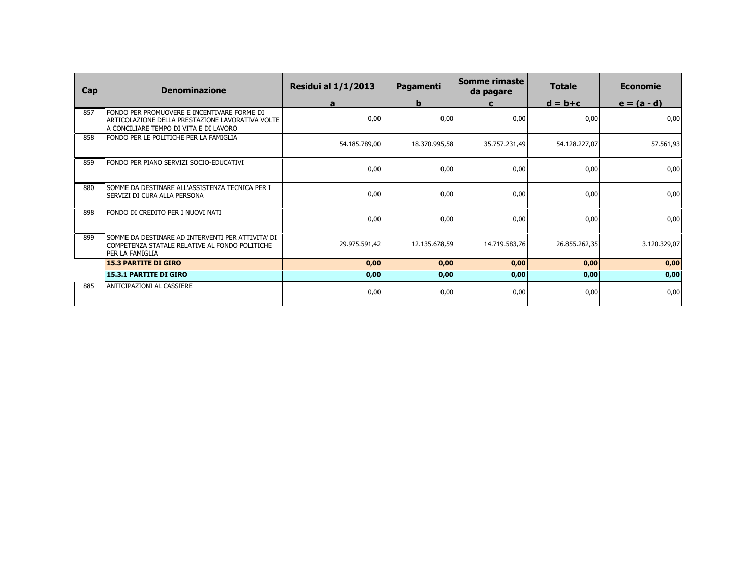| Cap | <b>Denominazione</b>                                                                                                                      | <b>Residui al 1/1/2013</b> | Pagamenti     | <b>Somme rimaste</b><br>da pagare | <b>Totale</b> | <b>Economie</b> |
|-----|-------------------------------------------------------------------------------------------------------------------------------------------|----------------------------|---------------|-----------------------------------|---------------|-----------------|
|     |                                                                                                                                           | $\mathbf{a}$               | $\mathbf b$   | C                                 | $d = b + c$   | $e = (a - d)$   |
| 857 | FONDO PER PROMUOVERE E INCENTIVARE FORME DI<br>ARTICOLAZIONE DELLA PRESTAZIONE LAVORATIVA VOLTE<br>A CONCILIARE TEMPO DI VITA E DI LAVORO | 0,00                       | 0,00          | 0,00                              | 0,00          | 0,00            |
| 858 | FONDO PER LE POLITICHE PER LA FAMIGLIA                                                                                                    | 54.185.789,00              | 18.370.995,58 | 35.757.231,49                     | 54.128.227,07 | 57.561,93       |
| 859 | FONDO PER PIANO SERVIZI SOCIO-EDUCATIVI                                                                                                   | 0,00                       | 0,00          | 0,00                              | 0,00          | 0,00            |
| 880 | SOMME DA DESTINARE ALL'ASSISTENZA TECNICA PER I<br>SERVIZI DI CURA ALLA PERSONA                                                           | 0,00                       | 0,00          | 0,00                              | 0,00          | 0,00            |
| 898 | FONDO DI CREDITO PER I NUOVI NATI                                                                                                         | 0,00                       | 0,00          | 0,00                              | 0,00          | 0,00            |
| 899 | SOMME DA DESTINARE AD INTERVENTI PER ATTIVITA' DI<br>COMPETENZA STATALE RELATIVE AL FONDO POLITICHE<br>lper la famiglia                   | 29.975.591,42              | 12.135.678,59 | 14.719.583,76                     | 26.855.262,35 | 3.120.329,07    |
|     | <b>15.3 PARTITE DI GIRO</b>                                                                                                               | 0,00                       | 0,00          | 0,00                              | 0,00          | 0,00            |
|     | <b>15.3.1 PARTITE DI GIRO</b>                                                                                                             | 0,00                       | 0,00          | 0,00                              | 0,00          | 0,00            |
| 885 | ANTICIPAZIONI AL CASSIERE                                                                                                                 | 0,00                       | 0,00          | 0,00                              | 0,00          | 0,00            |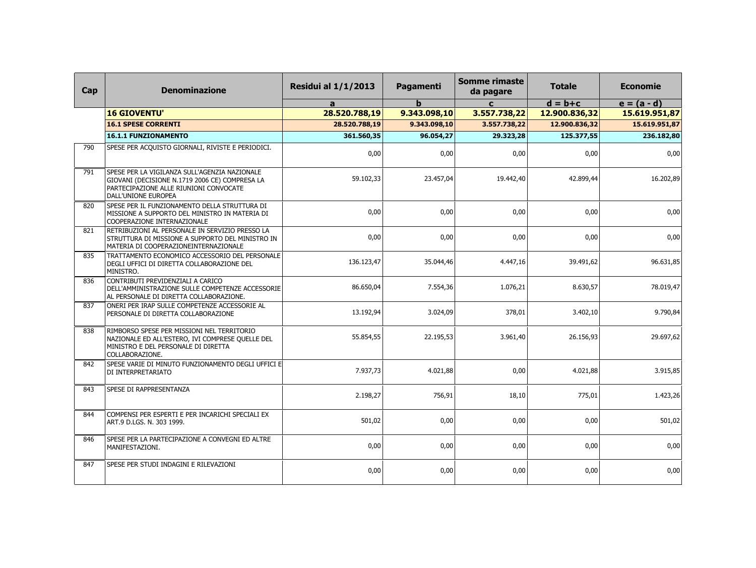| Cap | <b>Denominazione</b>                                                                                                                                             | <b>Residui al 1/1/2013</b> | Pagamenti    | <b>Somme rimaste</b><br>da pagare | <b>Totale</b> | <b>Economie</b> |
|-----|------------------------------------------------------------------------------------------------------------------------------------------------------------------|----------------------------|--------------|-----------------------------------|---------------|-----------------|
|     |                                                                                                                                                                  | a                          | b            | $\mathbf{C}$                      | $d = b + c$   | $e = (a - d)$   |
|     | <b>16 GIOVENTU'</b>                                                                                                                                              | 28.520.788,19              | 9.343.098,10 | 3.557.738,22                      | 12.900.836,32 | 15.619.951,87   |
|     | <b>16.1 SPESE CORRENTI</b>                                                                                                                                       | 28.520.788,19              | 9.343.098,10 | 3.557.738,22                      | 12.900.836,32 | 15.619.951,87   |
|     | <b>16.1.1 FUNZIONAMENTO</b>                                                                                                                                      | 361.560,35                 | 96.054,27    | 29.323,28                         | 125.377,55    | 236.182,80      |
| 790 | SPESE PER ACQUISTO GIORNALI, RIVISTE E PERIODICI.                                                                                                                | 0,00                       | 0,00         | 0,00                              | 0,00          | 0,00            |
| 791 | SPESE PER LA VIGILANZA SULL'AGENZIA NAZIONALE<br>GIOVANI (DECISIONE N.1719 2006 CE) COMPRESA LA<br>PARTECIPAZIONE ALLE RIUNIONI CONVOCATE<br>DALL'UNIONE EUROPEA | 59.102,33                  | 23.457,04    | 19.442,40                         | 42.899,44     | 16.202,89       |
| 820 | SPESE PER IL FUNZIONAMENTO DELLA STRUTTURA DI<br>MISSIONE A SUPPORTO DEL MINISTRO IN MATERIA DI<br>COOPERAZIONE INTERNAZIONALE                                   | 0,00                       | 0,00         | 0,00                              | 0,00          | 0,00            |
| 821 | RETRIBUZIONI AL PERSONALE IN SERVIZIO PRESSO LA<br>STRUTTURA DI MISSIONE A SUPPORTO DEL MINISTRO IN<br>MATERIA DI COOPERAZIONEINTERNAZIONALE                     | 0,00                       | 0,00         | 0,00                              | 0,00          | 0,00            |
| 835 | TRATTAMENTO ECONOMICO ACCESSORIO DEL PERSONALE<br>DEGLI UFFICI DI DIRETTA COLLABORAZIONE DEL<br>MINISTRO.                                                        | 136.123,47                 | 35.044,46    | 4.447,16                          | 39.491,62     | 96.631,85       |
| 836 | CONTRIBUTI PREVIDENZIALI A CARICO<br>DELL'AMMINISTRAZIONE SULLE COMPETENZE ACCESSORIE<br>AL PERSONALE DI DIRETTA COLLABORAZIONE.                                 | 86.650,04                  | 7.554,36     | 1.076,21                          | 8.630,57      | 78.019,47       |
| 837 | ONERI PER IRAP SULLE COMPETENZE ACCESSORIE AL<br>PERSONALE DI DIRETTA COLLABORAZIONE                                                                             | 13.192,94                  | 3.024,09     | 378,01                            | 3.402,10      | 9.790,84        |
| 838 | RIMBORSO SPESE PER MISSIONI NEL TERRITORIO<br>NAZIONALE ED ALL'ESTERO, IVI COMPRESE QUELLE DEL<br>MINISTRO E DEL PERSONALE DI DIRETTA<br>COLLABORAZIONE.         | 55.854,55                  | 22.195,53    | 3.961,40                          | 26.156,93     | 29.697,62       |
| 842 | SPESE VARIE DI MINUTO FUNZIONAMENTO DEGLI UFFICI E<br>DI INTERPRETARIATO                                                                                         | 7.937,73                   | 4.021,88     | 0,00                              | 4.021,88      | 3.915,85        |
| 843 | SPESE DI RAPPRESENTANZA                                                                                                                                          | 2.198,27                   | 756,91       | 18,10                             | 775,01        | 1.423,26        |
| 844 | COMPENSI PER ESPERTI E PER INCARICHI SPECIALI EX<br>ART.9 D.LGS. N. 303 1999.                                                                                    | 501,02                     | 0,00         | 0,00                              | 0,00          | 501,02          |
| 846 | SPESE PER LA PARTECIPAZIONE A CONVEGNI ED ALTRE<br>MANIFESTAZIONI.                                                                                               | 0,00                       | 0,00         | 0,00                              | 0,00          | 0,00            |
| 847 | SPESE PER STUDI INDAGINI E RILEVAZIONI                                                                                                                           | 0,00                       | 0,00         | 0,00                              | 0,00          | 0,00            |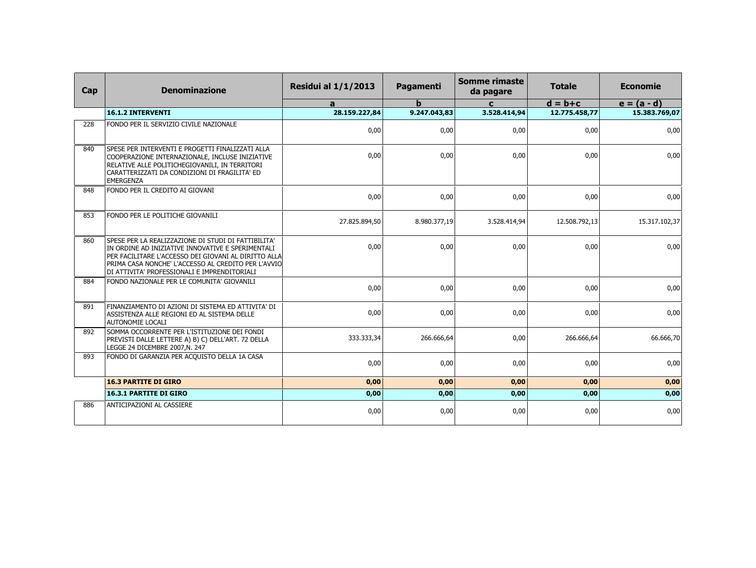| Cap | <b>Denominazione</b>                                                                                                                                                                                                                                                    | <b>Residui al 1/1/2013</b> | <b>Pagamenti</b> | Somme rimaste<br>da pagare | <b>Totale</b> | <b>Economie</b> |
|-----|-------------------------------------------------------------------------------------------------------------------------------------------------------------------------------------------------------------------------------------------------------------------------|----------------------------|------------------|----------------------------|---------------|-----------------|
|     |                                                                                                                                                                                                                                                                         | a                          | $\mathbf b$      | $\mathbf{c}$               | $d = b + c$   | $e = (a - d)$   |
|     | <b>16.1.2 INTERVENTI</b>                                                                                                                                                                                                                                                | 28.159.227,84              | 9.247.043,83     | 3.528.414,94               | 12.775.458,77 | 15.383.769,07   |
| 228 | FONDO PER IL SERVIZIO CIVILE NAZIONALE                                                                                                                                                                                                                                  | 0,00                       | 0,00             | 0,00                       | 0,00          | 0,00            |
| 840 | SPESE PER INTERVENTI E PROGETTI FINALIZZATI ALLA<br>COOPERAZIONE INTERNAZIONALE, INCLUSE INIZIATIVE<br>RELATIVE ALLE POLITICHEGIOVANILI, IN TERRITORI<br>CARATTERIZZATI DA CONDIZIONI DI FRAGILITA' ED<br>EMERGENZA                                                     | 0,00                       | 0,00             | 0,00                       | 0.00          | 0,00            |
| 848 | FONDO PER IL CREDITO AI GIOVANI                                                                                                                                                                                                                                         | 0,00                       | 0,00             | 0,00                       | 0,00          | 0,00            |
| 853 | FONDO PER LE POLITICHE GIOVANILI                                                                                                                                                                                                                                        | 27.825.894,50              | 8.980.377,19     | 3.528.414,94               | 12.508.792,13 | 15.317.102,37   |
| 860 | SPESE PER LA REALIZZAZIONE DI STUDI DI FATTIBILITA'<br>IN ORDINE AD INIZIATIVE INNOVATIVE E SPERIMENTALI<br>PER FACILITARE L'ACCESSO DEI GIOVANI AL DIRITTO ALLA<br>PRIMA CASA NONCHE' L'ACCESSO AL CREDITO PER L'AVVIO<br>DI ATTIVITA' PROFESSIONALI E IMPRENDITORIALI | 0,00                       | 0,00             | 0,00                       | 0,00          | 0,00            |
| 884 | FONDO NAZIONALE PER LE COMUNITA' GIOVANILI                                                                                                                                                                                                                              | 0,00                       | 0,00             | 0,00                       | 0,00          | 0,00            |
| 891 | FINANZIAMENTO DI AZIONI DI SISTEMA ED ATTIVITA' DI<br>ASSISTENZA ALLE REGIONI ED AL SISTEMA DELLE<br>AUTONOMIE LOCALI                                                                                                                                                   | 0,00                       | 0,00             | 0,00                       | 0,00          | 0,00            |
| 892 | SOMMA OCCORRENTE PER L'ISTITUZIONE DEI FONDI<br>PREVISTI DALLE LETTERE A) B) C) DELL'ART. 72 DELLA<br>LEGGE 24 DICEMBRE 2007, N. 247                                                                                                                                    | 333.333,34                 | 266.666,64       | 0,00                       | 266.666,64    | 66.666,70       |
| 893 | FONDO DI GARANZIA PER ACQUISTO DELLA 1A CASA                                                                                                                                                                                                                            | 0,00                       | 0.00             | 0,00                       | 0.00          | 0,00            |
|     | <b>16.3 PARTITE DI GIRO</b>                                                                                                                                                                                                                                             | 0,00                       | 0,00             | 0,00                       | 0,00          | 0,00            |
|     | <b>16.3.1 PARTITE DI GIRO</b>                                                                                                                                                                                                                                           | 0,00                       | 0,00             | 0,00                       | 0,00          | 0,00            |
| 886 | ANTICIPAZIONI AL CASSIERE                                                                                                                                                                                                                                               | 0,00                       | 0,00             | 0,00                       | 0,00          | 0,00            |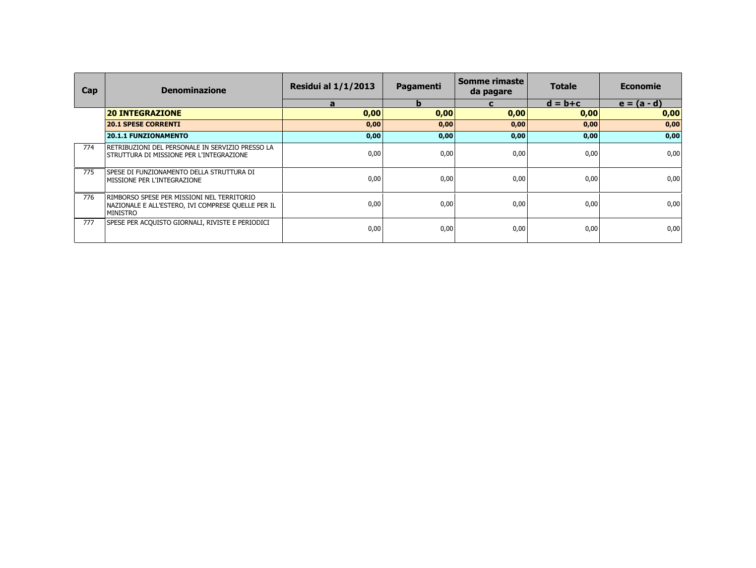| <b>Cap</b> | <b>Denominazione</b>                                                                                                | <b>Residui al 1/1/2013</b> | Pagamenti | Somme rimaste<br>da pagare | <b>Totale</b> | <b>Economie</b> |
|------------|---------------------------------------------------------------------------------------------------------------------|----------------------------|-----------|----------------------------|---------------|-----------------|
|            |                                                                                                                     | a                          | b         |                            | $d = b + c$   | $e = (a - d)$   |
|            | <b>20 INTEGRAZIONE</b>                                                                                              | 0,00                       | 0,00      | 0,00                       | 0,00          | 0,00            |
|            | <b>20.1 SPESE CORRENTI</b>                                                                                          | 0,00                       | 0,00      | 0,00                       | 0,00          | 0,00            |
|            | <b>20.1.1 FUNZIONAMENTO</b>                                                                                         | 0,00                       | 0,00      | 0,00                       | 0,00          | 0,00            |
| 774        | RETRIBUZIONI DEL PERSONALE IN SERVIZIO PRESSO LA<br>STRUTTURA DI MISSIONE PER L'INTEGRAZIONE                        | 0,00                       | 0,00      | 0,00                       | 0,00          | 0,00            |
| 775        | SPESE DI FUNZIONAMENTO DELLA STRUTTURA DI<br>MISSIONE PER L'INTEGRAZIONE                                            | 0,00                       | 0,00      | 0,00                       | 0,00          | 0,00            |
| 776        | RIMBORSO SPESE PER MISSIONI NEL TERRITORIO<br>NAZIONALE E ALL'ESTERO, IVI COMPRESE QUELLE PER IL<br><b>MINISTRO</b> | 0,00                       | 0,00      | 0,00                       | 0,00          | 0,00            |
| 777        | SPESE PER ACQUISTO GIORNALI, RIVISTE E PERIODICI                                                                    | 0,00                       | 0,00      | 0,00                       | 0,00          | 0,00            |